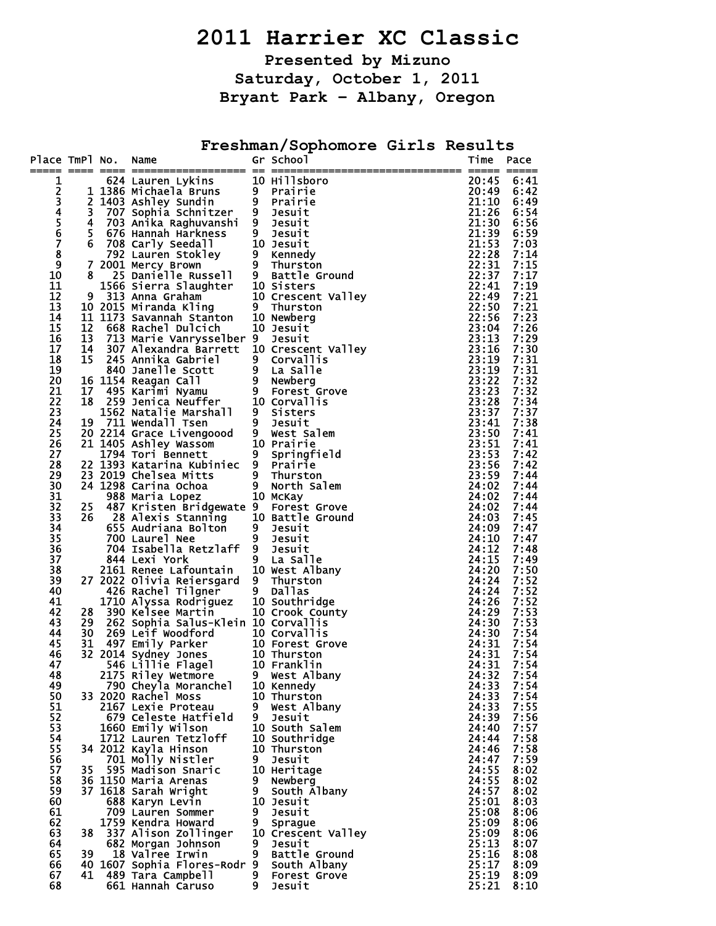# **2011 Harrier XC Classic**

**Presented by Mizuno Saturday, October 1, 2011 Bryant Park – Albany, Oregon** 

**Freshman/Sophomore Girls Results** 

| Place TmPl No.        |                         | Name                                                                                                                                                                                                                                                                  |         | Gr School                  | Time                                                                                                                                                    | Pace                |
|-----------------------|-------------------------|-----------------------------------------------------------------------------------------------------------------------------------------------------------------------------------------------------------------------------------------------------------------------|---------|----------------------------|---------------------------------------------------------------------------------------------------------------------------------------------------------|---------------------|
| 1                     |                         | 624 Lauren Lykins                                                                                                                                                                                                                                                     |         | 10 Hillsboro               | 20:45                                                                                                                                                   | ===== =====<br>6:41 |
|                       |                         |                                                                                                                                                                                                                                                                       |         | <b>Prairie</b>             | 20:49                                                                                                                                                   | 6:42                |
| 23456789              |                         | 1 1386 Michaela Bruns 9<br>2 1403 Ashley Sundin 9                                                                                                                                                                                                                     |         | 9 Prairie                  | 21:10                                                                                                                                                   | 6:49                |
|                       | 3                       | 707 Sophia Schnitzer 9                                                                                                                                                                                                                                                |         | Jesuit                     | 21:26                                                                                                                                                   | 6:54                |
|                       | $\overline{\mathbf{4}}$ | 703 Anika Raghuvanshi 9 Jesuit                                                                                                                                                                                                                                        |         |                            | 21:30                                                                                                                                                   | 6:56                |
|                       | 5 <sub>1</sub>          | 676 Hannah Harkness                                                                                                                                                                                                                                                   | $9 -$   | Jesuit                     | 21:39                                                                                                                                                   | 6:59                |
|                       | 6                       | 708 Carly Seedall<br>6 708 Carly Seedall 10 Jesuit<br>792 Lauren Stokley 9 Kennedy<br>7 2001 Mercy Brown 9 Thurston<br>8 25 Danielle Russell 9 Battle Ground<br>1566 Sierra Slaughter 10 Sisters<br>9 313 Anna Graham 10 Crescent Valley<br>10 2015 Miranda Stanton 1 |         | 10 Jesuit                  | 21:53                                                                                                                                                   | 7:03                |
|                       |                         |                                                                                                                                                                                                                                                                       |         |                            | 21: 28<br>22: 31<br>22: 37<br>22: 44<br>22: 49<br>22: 56<br>22: 56<br>22: 56<br>22: 56<br>23: 11<br>23: 11<br>33: 11<br>23: 11<br>23: 11<br>23: 11<br>3 | 7:14                |
| 10                    |                         |                                                                                                                                                                                                                                                                       |         |                            |                                                                                                                                                         | 7:15<br>7:17        |
| 11                    |                         |                                                                                                                                                                                                                                                                       |         |                            |                                                                                                                                                         | 7:19                |
| 12                    |                         |                                                                                                                                                                                                                                                                       |         |                            |                                                                                                                                                         | 7:21                |
| 13                    |                         |                                                                                                                                                                                                                                                                       |         |                            |                                                                                                                                                         | 7:21                |
| 14                    |                         |                                                                                                                                                                                                                                                                       |         |                            |                                                                                                                                                         | 7:23                |
| 15                    | 12                      | 668 Rachel Dulcich                                                                                                                                                                                                                                                    |         | 10 Jesuit                  |                                                                                                                                                         | 7:26                |
| 16                    | 13                      | 713 Marie Vanrysselber 9                                                                                                                                                                                                                                              |         | Jesuit                     |                                                                                                                                                         | 7:29                |
| 17                    | 14                      | 307 Alexandra Barrett 10 Crescent Valley                                                                                                                                                                                                                              |         |                            |                                                                                                                                                         | 7:30                |
| 18                    |                         | 14 30/ Alexandra Barrett 10 Crescent vall<br>15 245 Annika Gabriel 9 Corvallis<br>16 1154 Reagan Call<br>16 1154 Reagan Call<br>17 495 Karimi Nyamu 9 Forest Grove<br>18 259 Jenica Neuffer 10 Corvallis<br>1562 Natalie Marshall 9 Sister                            |         |                            |                                                                                                                                                         | 7:31                |
| 19                    |                         |                                                                                                                                                                                                                                                                       |         |                            | 23:19                                                                                                                                                   | 7:31                |
| 20                    |                         |                                                                                                                                                                                                                                                                       |         |                            | 23:22                                                                                                                                                   | 7:32                |
| 21                    |                         |                                                                                                                                                                                                                                                                       |         |                            | 23:23                                                                                                                                                   | 7:32                |
| 22<br>23              |                         |                                                                                                                                                                                                                                                                       |         |                            | 23:28<br>23:37                                                                                                                                          | 7:34<br>7:37        |
| 24                    |                         |                                                                                                                                                                                                                                                                       |         |                            | 23:41                                                                                                                                                   | 7:38                |
| 25                    |                         |                                                                                                                                                                                                                                                                       |         |                            | 23:50                                                                                                                                                   | 7:41                |
| 26                    |                         |                                                                                                                                                                                                                                                                       |         |                            | 23:51                                                                                                                                                   | 7:41                |
| 27                    |                         |                                                                                                                                                                                                                                                                       |         |                            | 23:53                                                                                                                                                   | 7:42                |
| 28                    |                         | 22 1393 Katarina Kubiniec 9 Prairie                                                                                                                                                                                                                                   |         |                            | 23:56                                                                                                                                                   | 7:42                |
| 29                    |                         | 23 2019 Chelsea Mitts 9 Thurston<br>24 1298 Carina Ochoa 9 North Salem                                                                                                                                                                                                |         |                            | 23:59                                                                                                                                                   | 7:44                |
| 30                    |                         |                                                                                                                                                                                                                                                                       |         |                            | 24:02                                                                                                                                                   | 7:44                |
| 31                    |                         | 988 Maria Lopez                                                                                                                                                                                                                                                       |         | 10 McKay                   | 24:02                                                                                                                                                   | 7:44                |
| 32                    | 25                      | 487 Kristen Bridgewate 9                                                                                                                                                                                                                                              |         | Forest Grove               | 24:02                                                                                                                                                   | 7:44                |
| 33                    | 26                      |                                                                                                                                                                                                                                                                       |         |                            | 24:03                                                                                                                                                   | 7:45                |
| 34                    |                         | 28 Alexis Stanning<br>655 Audriana Bolton<br>700 Laurel Noc 10 3 Josuit                                                                                                                                                                                               |         |                            | 24:09                                                                                                                                                   | 7:47                |
| $\overline{3}5$<br>36 |                         | 700 Laurel Nee<br>704 Isabella Retzlaff 9 Jesuit                                                                                                                                                                                                                      | 9       | Jesuit                     | 24:10<br>24:12                                                                                                                                          | 7:47<br>7:48        |
| 37                    |                         | 844 Lexi York                                                                                                                                                                                                                                                         |         | 9 La Salle                 | 24:15                                                                                                                                                   | 7:49                |
| 38                    |                         | 2161 Renee Lafountain 10 West Albany                                                                                                                                                                                                                                  |         |                            | 24:20                                                                                                                                                   | 7:50                |
| 39                    |                         | 27 2022 Olivia Reiersgard 9 Thurston                                                                                                                                                                                                                                  |         |                            | 24:24                                                                                                                                                   | 7:52                |
| 40                    |                         | 426 Rachel Tilgner                                                                                                                                                                                                                                                    |         | 9 Dallas                   | 24:24                                                                                                                                                   | 7:52                |
| 41                    |                         | 1710 Alyssa Rodriguez 10 Southridge                                                                                                                                                                                                                                   |         |                            | 24:26                                                                                                                                                   | 7:52                |
| 42                    | 28                      | 390 Kelsee Martin                                                                                                                                                                                                                                                     |         | 10 Crook_County            | 24:29                                                                                                                                                   | 7:53                |
| 43                    | 29                      | 262 Sophia Salus-Klein 10 Corvallis                                                                                                                                                                                                                                   |         |                            | 24:30                                                                                                                                                   | 7:53                |
| 44                    | 30                      | 269 Leif Woodford                                                                                                                                                                                                                                                     |         | 10 Corvallis               | 24:30                                                                                                                                                   | 7:54                |
| 45                    | 31                      | 497 Emily Parker                                                                                                                                                                                                                                                      |         | 10 Forest Grove            | 24:31                                                                                                                                                   | 7:54                |
| 46<br>47              |                         | 32 2014 Sydney Jones<br>546 Lillie Flagel                                                                                                                                                                                                                             |         | 10 Thurston<br>10 Franklin | 24:31<br>24:31                                                                                                                                          | 7:54<br>7:54        |
| 48                    |                         | 2175 Riley Wetmore                                                                                                                                                                                                                                                    |         | 9 West Albany              | 24:32                                                                                                                                                   | 7:54                |
| 49                    |                         | 790 Cheyla Moranchel                                                                                                                                                                                                                                                  |         | 10 Kennedy                 | 24:33                                                                                                                                                   | 7:54                |
| 50                    |                         | 33 2020 Rachel Moss                                                                                                                                                                                                                                                   |         | 10 Thurston                | 24:33                                                                                                                                                   | 7:54                |
| 51                    |                         | 2167 Lexie Proteau                                                                                                                                                                                                                                                    |         | 9 West Albany              | 24:33                                                                                                                                                   | 7:55                |
| 52                    |                         | 679 Celeste Hatfield                                                                                                                                                                                                                                                  | 9       | Jesuit                     | 24:39                                                                                                                                                   | 7:56                |
| 53                    |                         | 1660 Emily Wilson                                                                                                                                                                                                                                                     |         | 10 South Salem             | 24:40                                                                                                                                                   | 7:57                |
| 54                    |                         | 1712 Lauren Tetzloff                                                                                                                                                                                                                                                  |         | 10 Southridge              | 24:44                                                                                                                                                   | 7:58                |
| 55                    |                         | 34 2012 Kayla Hinson                                                                                                                                                                                                                                                  |         | 10 Thurston                | 24:46                                                                                                                                                   | 7:58                |
| 56                    |                         | 701 Molly Nistler                                                                                                                                                                                                                                                     | 9       | Jesuit                     | 24:47                                                                                                                                                   | 7:59                |
| 57<br>58              | 35                      | 595 Madison Snaric                                                                                                                                                                                                                                                    |         | 10 Heritage                | 24:55<br>24:55                                                                                                                                          | 8:02                |
| 59                    |                         | 36 1150 Maria Arenas<br>37 1618 Sarah Wright                                                                                                                                                                                                                          | 9.<br>9 | Newberg<br>South Albany    | 24:57                                                                                                                                                   | 8:02<br>8:02        |
| 60                    |                         | 688 Karyn Levin                                                                                                                                                                                                                                                       |         | 10 Jesuit                  | 25:01                                                                                                                                                   | 8:03                |
| 61                    |                         | 709 Lauren Sommer                                                                                                                                                                                                                                                     | 9       | Jesuit                     | 25:08                                                                                                                                                   | 8:06                |
| 62                    |                         | 1759 Kendra Howard                                                                                                                                                                                                                                                    | 9       | Sprague                    | 25:09                                                                                                                                                   | 8:06                |
| 63                    | 38                      | 337 Alison Zollinger                                                                                                                                                                                                                                                  |         | 10 Crescent Valley         | 25:09                                                                                                                                                   | 8:06                |
| 64                    |                         | 682 Morgan Johnson                                                                                                                                                                                                                                                    | 9       | Jesuit                     | 25:13                                                                                                                                                   | 8:07                |
| 65                    | 39                      | 18 Valree Irwin                                                                                                                                                                                                                                                       | 9       | Battle Ground              | 25:16                                                                                                                                                   | 8:08                |
| 66                    |                         | 40 1607 Sophia Flores-Rodr 9                                                                                                                                                                                                                                          |         | South Albany               | 25:17                                                                                                                                                   | 8:09                |
| 67                    | 41                      | 489 Tara Campbell                                                                                                                                                                                                                                                     | 9       | <b>Forest Grove</b>        | 25:19                                                                                                                                                   | 8:09                |
| 68                    |                         | 661 Hannah Caruso                                                                                                                                                                                                                                                     | 9.      | Jesuit                     | 25:21                                                                                                                                                   | 8:10                |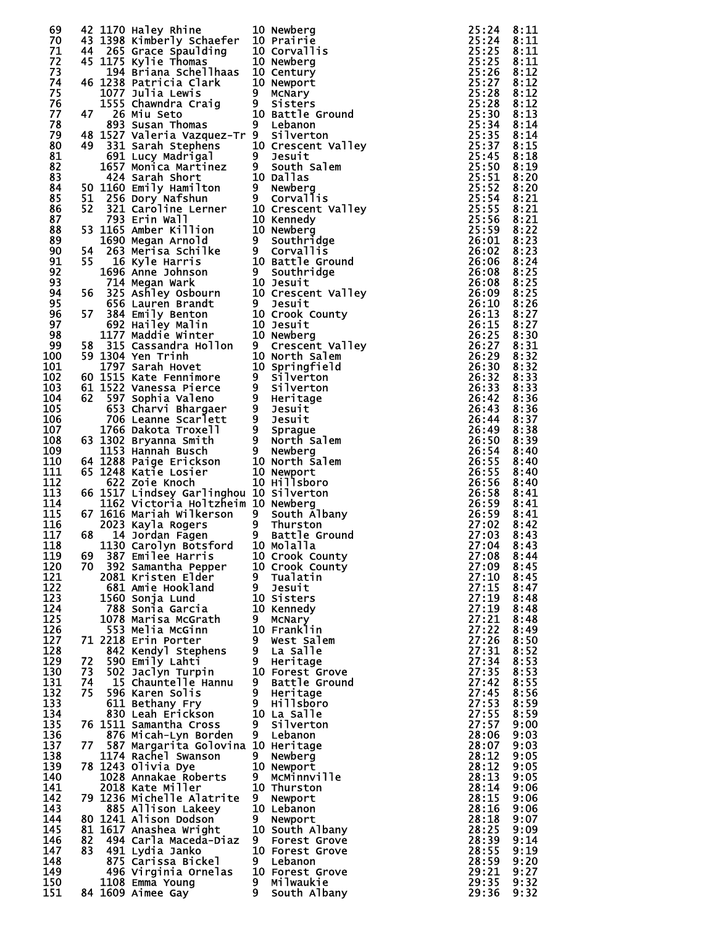| 69  |     | 42 1170 Haley Rhine                                                                                                                                                                                         |    | 10 Newberg                                                                                                                                                                                                                                   | 25:24          | 8:11 |
|-----|-----|-------------------------------------------------------------------------------------------------------------------------------------------------------------------------------------------------------------|----|----------------------------------------------------------------------------------------------------------------------------------------------------------------------------------------------------------------------------------------------|----------------|------|
| 70  |     | 43 1398 Kimberly Schaefer                                                                                                                                                                                   |    | 10 Prairie                                                                                                                                                                                                                                   | 25:24          | 8:11 |
|     |     |                                                                                                                                                                                                             |    |                                                                                                                                                                                                                                              |                |      |
| 71  |     | 44 265 Grace Spaulding                                                                                                                                                                                      |    |                                                                                                                                                                                                                                              | 25:25          | 8:11 |
| 72  |     | 45 1175 Kylie Thomas                                                                                                                                                                                        |    | 10 Corvallis<br>10 Newberg<br>10 Newberg                                                                                                                                                                                                     | 25:25          | 8:11 |
| 73  |     | 194 Briana Schellhaas 10 Century                                                                                                                                                                            |    |                                                                                                                                                                                                                                              | 25:26          | 8:12 |
|     |     |                                                                                                                                                                                                             |    |                                                                                                                                                                                                                                              |                |      |
| 74  |     | 46 1238 Patricia Clark<br>1238 Patricia Clark<br>10 Newport<br>1077 Julia Lewis 9 McNary<br>1555 Chawndra Craig<br>26 Miu Seto 10 Battle Ground<br>893 Susan Thomas 9 Lebanon<br>893 Susan Thomas 9 Lebanon |    | 10 Newport                                                                                                                                                                                                                                   |                | 8:12 |
| 75  |     |                                                                                                                                                                                                             |    |                                                                                                                                                                                                                                              |                | 8:12 |
| 76  |     |                                                                                                                                                                                                             |    |                                                                                                                                                                                                                                              |                | 8:12 |
|     |     |                                                                                                                                                                                                             |    |                                                                                                                                                                                                                                              |                |      |
| 77  | 47  |                                                                                                                                                                                                             |    |                                                                                                                                                                                                                                              |                | 8:13 |
| 78  |     |                                                                                                                                                                                                             |    |                                                                                                                                                                                                                                              |                | 8:14 |
|     |     |                                                                                                                                                                                                             |    |                                                                                                                                                                                                                                              |                |      |
| 79  |     |                                                                                                                                                                                                             |    |                                                                                                                                                                                                                                              |                | 8:14 |
| 80  |     |                                                                                                                                                                                                             |    |                                                                                                                                                                                                                                              |                | 8:15 |
|     |     |                                                                                                                                                                                                             |    |                                                                                                                                                                                                                                              |                |      |
| 81  |     |                                                                                                                                                                                                             |    |                                                                                                                                                                                                                                              |                | 8:18 |
| 82  |     |                                                                                                                                                                                                             |    |                                                                                                                                                                                                                                              |                | 8:19 |
| 83  |     |                                                                                                                                                                                                             |    |                                                                                                                                                                                                                                              |                | 8:20 |
|     |     |                                                                                                                                                                                                             |    |                                                                                                                                                                                                                                              |                |      |
| 84  |     |                                                                                                                                                                                                             |    |                                                                                                                                                                                                                                              |                | 8:20 |
| 85  |     |                                                                                                                                                                                                             |    |                                                                                                                                                                                                                                              | $25:54$ $8:21$ |      |
|     |     |                                                                                                                                                                                                             |    |                                                                                                                                                                                                                                              |                |      |
| 86  |     |                                                                                                                                                                                                             |    |                                                                                                                                                                                                                                              |                | 8:21 |
| 87  |     |                                                                                                                                                                                                             |    |                                                                                                                                                                                                                                              | 25:56          | 8:21 |
| 88  |     |                                                                                                                                                                                                             |    |                                                                                                                                                                                                                                              |                | 8:22 |
|     |     |                                                                                                                                                                                                             |    |                                                                                                                                                                                                                                              |                |      |
| 89  |     |                                                                                                                                                                                                             |    |                                                                                                                                                                                                                                              |                | 8:23 |
| 90  |     |                                                                                                                                                                                                             |    |                                                                                                                                                                                                                                              |                | 8:23 |
|     |     |                                                                                                                                                                                                             |    |                                                                                                                                                                                                                                              |                | 8:24 |
| 91  |     |                                                                                                                                                                                                             |    |                                                                                                                                                                                                                                              |                |      |
| 92  |     |                                                                                                                                                                                                             |    |                                                                                                                                                                                                                                              |                | 8:25 |
| 93  |     |                                                                                                                                                                                                             |    |                                                                                                                                                                                                                                              | 26:08          | 8:25 |
|     |     |                                                                                                                                                                                                             |    |                                                                                                                                                                                                                                              |                |      |
| 94  |     |                                                                                                                                                                                                             |    | 47<br>226 Miusseto Carrin 19<br>48 15227 valeria Vazquez-Tr 9 behanon and<br>48 15227 valeria Vazquez-Tr 9 behanon trans<br>49 15227 valeria Vazquez-Tr 9 behanon valering<br>10 cressent Valley<br>10 of Ministrine 9 16 Such salem<br>1424 |                | 8:25 |
| 95  |     |                                                                                                                                                                                                             |    |                                                                                                                                                                                                                                              |                | 8:26 |
| 96  |     |                                                                                                                                                                                                             |    |                                                                                                                                                                                                                                              |                |      |
|     |     |                                                                                                                                                                                                             |    |                                                                                                                                                                                                                                              |                | 8:27 |
| 97  |     |                                                                                                                                                                                                             |    |                                                                                                                                                                                                                                              | 26:15          | 8:27 |
| 98  |     |                                                                                                                                                                                                             |    |                                                                                                                                                                                                                                              |                | 8:30 |
|     |     |                                                                                                                                                                                                             |    |                                                                                                                                                                                                                                              |                |      |
| 99  |     |                                                                                                                                                                                                             |    |                                                                                                                                                                                                                                              |                | 8:31 |
| 100 |     |                                                                                                                                                                                                             |    |                                                                                                                                                                                                                                              |                | 8:32 |
| 101 |     |                                                                                                                                                                                                             |    |                                                                                                                                                                                                                                              | 26:30          | 8:32 |
|     |     |                                                                                                                                                                                                             |    |                                                                                                                                                                                                                                              |                |      |
| 102 |     |                                                                                                                                                                                                             |    |                                                                                                                                                                                                                                              |                | 8:33 |
| 103 |     |                                                                                                                                                                                                             |    |                                                                                                                                                                                                                                              |                | 8:33 |
|     |     |                                                                                                                                                                                                             |    |                                                                                                                                                                                                                                              |                |      |
| 104 |     |                                                                                                                                                                                                             |    |                                                                                                                                                                                                                                              | 26:42          | 8:36 |
| 105 |     |                                                                                                                                                                                                             |    |                                                                                                                                                                                                                                              | 26:43          | 8:36 |
| 106 |     |                                                                                                                                                                                                             |    |                                                                                                                                                                                                                                              | 26:44          | 8:37 |
|     |     |                                                                                                                                                                                                             |    |                                                                                                                                                                                                                                              |                |      |
| 107 |     |                                                                                                                                                                                                             |    |                                                                                                                                                                                                                                              | 26:49          | 8:38 |
| 108 |     |                                                                                                                                                                                                             |    |                                                                                                                                                                                                                                              | 26:50          | 8:39 |
|     |     |                                                                                                                                                                                                             |    |                                                                                                                                                                                                                                              |                |      |
| 109 |     |                                                                                                                                                                                                             |    |                                                                                                                                                                                                                                              | 26:54          | 8:40 |
| 110 |     |                                                                                                                                                                                                             |    |                                                                                                                                                                                                                                              | 26:55          | 8:40 |
| 111 |     |                                                                                                                                                                                                             |    |                                                                                                                                                                                                                                              | 26:55          |      |
|     |     |                                                                                                                                                                                                             |    |                                                                                                                                                                                                                                              |                | 8:40 |
| 112 |     |                                                                                                                                                                                                             |    |                                                                                                                                                                                                                                              | 26:56          | 8:40 |
| 113 |     | 66 1517 Lindsey Garlinghou 10 Silverton                                                                                                                                                                     |    |                                                                                                                                                                                                                                              | 26:58          | 8:41 |
|     |     |                                                                                                                                                                                                             |    |                                                                                                                                                                                                                                              |                |      |
| 114 |     | 1162 Victoria Holtzheim 10 Newberg                                                                                                                                                                          |    |                                                                                                                                                                                                                                              | 26:59          | 8:41 |
| 115 |     |                                                                                                                                                                                                             |    |                                                                                                                                                                                                                                              | 26:59          | 8:41 |
| 116 |     |                                                                                                                                                                                                             |    |                                                                                                                                                                                                                                              | 27:02          | 8:42 |
|     |     |                                                                                                                                                                                                             |    |                                                                                                                                                                                                                                              |                |      |
| 117 |     | 67 1616 Mariah Wilkerson<br>2023 Kayla Rogers<br>68 14 Jordan Fagen<br>14 Jordan Fagen<br>16 1120 10 Battle Ground                                                                                          |    |                                                                                                                                                                                                                                              | 27:03          | 8:43 |
| 118 |     | 1130 Carolyn Botsford 10 Molalla                                                                                                                                                                            |    |                                                                                                                                                                                                                                              | 27:04          | 8:43 |
|     |     |                                                                                                                                                                                                             |    |                                                                                                                                                                                                                                              |                |      |
| 119 | 69  | 387 Emilee Harris                                                                                                                                                                                           |    | 10 Crook County                                                                                                                                                                                                                              | 27:08          | 8:44 |
| 120 | 70. | 392 Samantha Pepper                                                                                                                                                                                         |    | 10 Crook County                                                                                                                                                                                                                              | 27:09          | 8:45 |
| 121 |     | 2081 Kristen Elder                                                                                                                                                                                          |    | 9 Tualatin                                                                                                                                                                                                                                   | 27:10          | 8:45 |
|     |     |                                                                                                                                                                                                             |    |                                                                                                                                                                                                                                              |                |      |
| 122 |     | 681 Amie Hookland                                                                                                                                                                                           | 9  | Jesuit                                                                                                                                                                                                                                       | 27:15          | 8:47 |
| 123 |     | 1560 Sonja Lund                                                                                                                                                                                             |    | 10 Sisters                                                                                                                                                                                                                                   | 27:19          | 8:48 |
| 124 |     | 788 Sonia Garcia                                                                                                                                                                                            |    | 10 Kennedy                                                                                                                                                                                                                                   | 27:19          | 8:48 |
|     |     |                                                                                                                                                                                                             |    |                                                                                                                                                                                                                                              |                |      |
| 125 |     | 1078 Marisa McGrath                                                                                                                                                                                         | 9. | MCNary                                                                                                                                                                                                                                       | 27:21          | 8:48 |
| 126 |     | 553 Melia McGinn                                                                                                                                                                                            |    | 10 Franklin                                                                                                                                                                                                                                  | 27:22          | 8:49 |
| 127 |     | 71 2218 Erin Porter                                                                                                                                                                                         | 9  | West Salem                                                                                                                                                                                                                                   | 27:26          | 8:50 |
|     |     |                                                                                                                                                                                                             |    |                                                                                                                                                                                                                                              |                |      |
| 128 |     | 842 Kendyl Stephens                                                                                                                                                                                         |    | 9 La Salle                                                                                                                                                                                                                                   | 27:31          | 8:52 |
| 129 | 72  | 590 Emily Lahti                                                                                                                                                                                             |    | 9 Heritage                                                                                                                                                                                                                                   | 27:34          | 8:53 |
| 130 | 73  | 502 Jaclyn Turpin                                                                                                                                                                                           |    | 10 Forest Grove                                                                                                                                                                                                                              | 27:35          | 8:53 |
|     |     |                                                                                                                                                                                                             |    |                                                                                                                                                                                                                                              |                |      |
| 131 | 74  | 15 Chauntelle Hannu                                                                                                                                                                                         | 9  | Battle Ground                                                                                                                                                                                                                                | 27:42          | 8:55 |
| 132 | 75  | 596 Karen Solis                                                                                                                                                                                             |    | 9 Heritage                                                                                                                                                                                                                                   | 27:45          | 8:56 |
|     |     |                                                                                                                                                                                                             |    |                                                                                                                                                                                                                                              |                |      |
| 133 |     | 611 Bethany Fry                                                                                                                                                                                             |    | 9 Hillsboro                                                                                                                                                                                                                                  | 27:53          | 8:59 |
| 134 |     | 830 Leah Erickson                                                                                                                                                                                           |    | 10 La Salle                                                                                                                                                                                                                                  | 27:55          | 8:59 |
| 135 |     | 76 1511 Samantha Cross                                                                                                                                                                                      | 9  | Silverton                                                                                                                                                                                                                                    | 27:57          | 9:00 |
|     |     |                                                                                                                                                                                                             |    |                                                                                                                                                                                                                                              |                |      |
| 136 |     | 876 Micah-Lyn Borden                                                                                                                                                                                        | 9  | Lebanon                                                                                                                                                                                                                                      | 28:06          | 9:03 |
| 137 | 77  | 587 Margarita Golovina 10 Heritage                                                                                                                                                                          |    |                                                                                                                                                                                                                                              | 28:07          | 9:03 |
| 138 |     | 1174 Rachel Swanson                                                                                                                                                                                         | 9  |                                                                                                                                                                                                                                              | 28:12          | 9:05 |
|     |     |                                                                                                                                                                                                             |    | Newberg                                                                                                                                                                                                                                      |                |      |
| 139 |     | 78 1243 Olivia Dye                                                                                                                                                                                          |    | 10 Newport                                                                                                                                                                                                                                   | 28:12          | 9:05 |
| 140 |     | 1028 Annakae Roberts                                                                                                                                                                                        | 9. | MCMinnville                                                                                                                                                                                                                                  | 28:13          | 9:05 |
|     |     |                                                                                                                                                                                                             |    |                                                                                                                                                                                                                                              |                |      |
| 141 |     | 2018 Kate Miller                                                                                                                                                                                            |    | 10 Thurston                                                                                                                                                                                                                                  | 28:14          | 9:06 |
| 142 |     | 79 1236 Michelle Alatrite                                                                                                                                                                                   | 9  | Newport                                                                                                                                                                                                                                      | 28:15          | 9:06 |
| 143 |     |                                                                                                                                                                                                             |    | 10 Lebanon                                                                                                                                                                                                                                   | 28:16          |      |
|     |     | 885 Allison Lakeey                                                                                                                                                                                          |    |                                                                                                                                                                                                                                              |                | 9:06 |
| 144 |     | 80 1241 Alison Dodson                                                                                                                                                                                       | 9  | Newport                                                                                                                                                                                                                                      | 28:18          | 9:07 |
| 145 |     | 81 1617 Anashea Wright                                                                                                                                                                                      |    | 10 South Albany                                                                                                                                                                                                                              | 28:25          | 9:09 |
|     |     |                                                                                                                                                                                                             |    |                                                                                                                                                                                                                                              |                | 9:14 |
| 146 | 82  | 494 Carla Maceda-Diaz                                                                                                                                                                                       | 9  | <b>Forest Grove</b>                                                                                                                                                                                                                          | 28:39          |      |
| 147 | 83  | 491 Lydia Janko                                                                                                                                                                                             |    | 10 Forest Grove                                                                                                                                                                                                                              | 28:55          | 9:19 |
| 148 |     | 875 Carissa Bickel                                                                                                                                                                                          | 9  | Lebanon                                                                                                                                                                                                                                      | 28:59          | 9:20 |
|     |     |                                                                                                                                                                                                             |    |                                                                                                                                                                                                                                              |                |      |
|     |     |                                                                                                                                                                                                             |    |                                                                                                                                                                                                                                              |                |      |
| 149 |     | 496 Virginia Ornelas                                                                                                                                                                                        |    | 10 Forest Grove                                                                                                                                                                                                                              | 29:21          | 9:27 |
| 150 |     | 1108 Emma Young                                                                                                                                                                                             | 9  | Milwaukie                                                                                                                                                                                                                                    | 29:35          | 9:32 |
| 151 |     | 84 1609 Aimee Gay                                                                                                                                                                                           | 9  | South Albany                                                                                                                                                                                                                                 | 29:36          | 9:32 |

| 0.                 | Newberg                              |
|--------------------|--------------------------------------|
| 0.<br>0.           | Prairie<br>Corvallis                 |
| 0.                 | Newberg                              |
| 0.<br>0.           | Century<br>Newport                   |
| ۱                  | McNary<br>Sisters                    |
| 0.                 | Battle Ground                        |
|                    | Lebanon<br>Silverton                 |
| 0.                 | Crescent Valley                      |
|                    | Jesuit<br>South Salem                |
| 0.                 | Dallas<br>Newberg                    |
| ۱                  | Corvallis                            |
| 0.<br>0.           | Crescent Valley<br>Kennedy           |
| 0.                 | Newberg                              |
| ۱                  | Southridge<br>3.<br>Corvallis        |
| 0.<br>۱            | Battle Ground<br>Southridge          |
| 0.                 | Jesuit                               |
| 0.<br>۱            | Crescent Valley<br>Jesuit            |
| 0.                 | Crook County                         |
| 0.<br>0.           | Jesuit<br>Newberg                    |
| I<br>0.            | Crescent Valley<br>North Salem       |
| 0.                 | Springfield<br>Silverton             |
|                    | Silverton                            |
|                    | Heritage                             |
|                    | Jesuit<br>Jesuit                     |
| I                  | Sprague<br>North Salem               |
|                    | Newberg                              |
| 0.<br>0.           | Šalem<br>North<br>Newport            |
| 0.                 | Hillsboro                            |
| 0.<br>0.           | Silverton<br>Newberg                 |
|                    | South Albany                         |
|                    | Thurston<br>Battle Ground<br>Molalla |
| $\mathbf{0}$<br>0. | Crook County                         |
| 0.                 | Crook County                         |
|                    | Tualatin<br>Jesuit                   |
| 0.<br>0.           | Sisters<br>Kennedy                   |
|                    | McNary<br>mcnary<br>Franklin         |
| 0.                 |                                      |
|                    | West Salem<br>La Salle<br>Heritage   |
| $\mathbf{0}$       | Forest Grove<br>Battle Ground        |
|                    | Heritage                             |
| 0.                 | нillsbŏro                            |
|                    | La Salle<br>Silverton                |
| 0.                 | Lebanon<br>Heritage                  |
|                    | Newberg                              |
| $\mathbf{0}$       | Newport<br>McMinnville               |
| 0.                 | Thurston                             |
| $\mathbf{0}$       | Newport<br>Lebanon                   |
| 0.                 | Newport<br>South Albany              |
|                    | <b>Forest Grove</b>                  |
| 0.                 | Forest Grove<br>Lebanon              |
| 0.                 | <b>Forest Grove</b><br>Milwaukie     |
|                    | South Albany                         |

| 222222233333455555556000000011112223334444555555556899234445566788045750124569126889003557902334904556899234 | 11111122223445890011112334555677012233366678900001112333                       |
|--------------------------------------------------------------------------------------------------------------|--------------------------------------------------------------------------------|
|                                                                                                              |                                                                                |
|                                                                                                              |                                                                                |
|                                                                                                              |                                                                                |
| 08<br>09<br>10                                                                                               |                                                                                |
|                                                                                                              |                                                                                |
|                                                                                                              |                                                                                |
|                                                                                                              |                                                                                |
|                                                                                                              |                                                                                |
|                                                                                                              |                                                                                |
|                                                                                                              |                                                                                |
|                                                                                                              |                                                                                |
|                                                                                                              |                                                                                |
|                                                                                                              |                                                                                |
|                                                                                                              |                                                                                |
|                                                                                                              |                                                                                |
|                                                                                                              |                                                                                |
|                                                                                                              |                                                                                |
|                                                                                                              |                                                                                |
|                                                                                                              |                                                                                |
|                                                                                                              |                                                                                |
|                                                                                                              |                                                                                |
|                                                                                                              |                                                                                |
|                                                                                                              |                                                                                |
|                                                                                                              |                                                                                |
|                                                                                                              |                                                                                |
|                                                                                                              |                                                                                |
|                                                                                                              |                                                                                |
|                                                                                                              |                                                                                |
|                                                                                                              |                                                                                |
|                                                                                                              |                                                                                |
|                                                                                                              |                                                                                |
|                                                                                                              |                                                                                |
|                                                                                                              |                                                                                |
|                                                                                                              |                                                                                |
|                                                                                                              |                                                                                |
|                                                                                                              |                                                                                |
|                                                                                                              |                                                                                |
|                                                                                                              |                                                                                |
|                                                                                                              |                                                                                |
|                                                                                                              |                                                                                |
| 777777777777777778888888888888889                                                                            |                                                                                |
|                                                                                                              |                                                                                |
| 1222222222222222222222222222222<br>1111222333445556001111111123552336<br>و<br>9                              | 88888888888888889999999999999999<br>-444444445555555600000000000011122333<br>ì |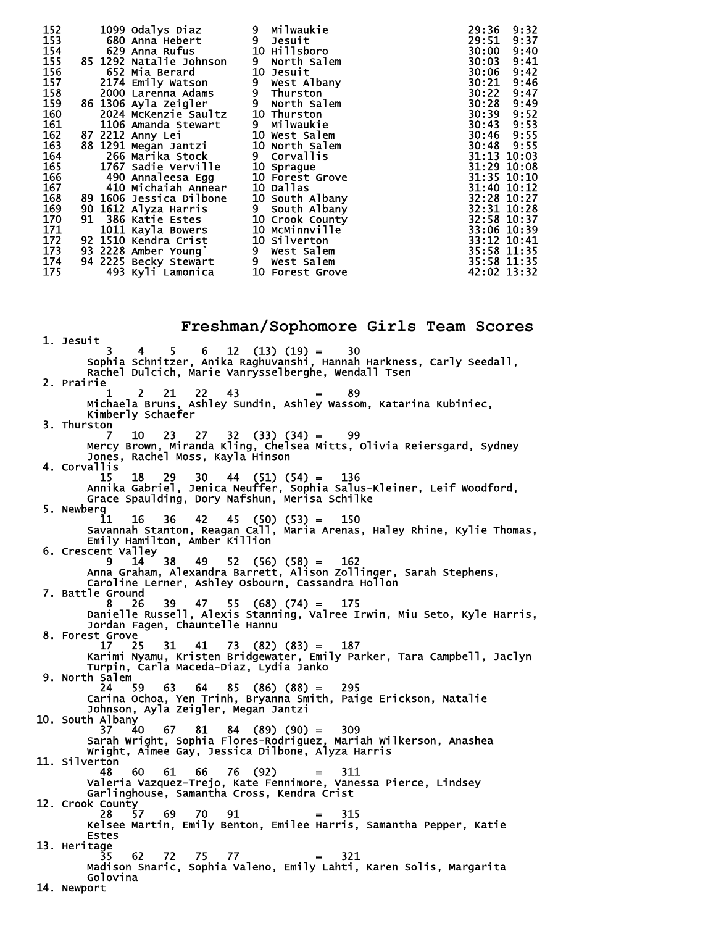| 152 | 1099 Odalys Diaz        | Milwaukie<br>9  | 9:32<br>29:36 |
|-----|-------------------------|-----------------|---------------|
| 153 | 680 Anna Hebert         | 9 Jesuit        | 9:37<br>29:51 |
| 154 | 629 Anna Rufus          | 10 Hillsboro    | 9:40<br>30:00 |
| 155 | 85 1292 Natalie Johnson | 9 North Salem   | 9:41<br>30:03 |
| 156 | 652 Mia Berard          | 10 Jesuit       | 9:42<br>30:06 |
| 157 | 2174 Emily Watson       | 9 West Albany   | 9:46<br>30:21 |
| 158 | 2000 Larenna Adams      | 9 Thurston      | 9:47<br>30:22 |
| 159 | 86 1306 Ayla Zeigler    | 9 North Salem   | 30:28<br>9:49 |
| 160 | 2024 McKenzie Saultz    | 10 Thurston     | 9:52<br>30:39 |
| 161 | 1106 Amanda Stewart     | 9 Milwaukie     | 9:53<br>30:43 |
| 162 | 87 2212 Anny Lei        | 10 West Salem   | 30:46 9:55    |
| 163 | 88 1291 Megan Jantzi    | 10 North Salem  | 30:48 9:55    |
| 164 | 266 Marika Stock        | 9 Corvallis     | 31:13 10:03   |
| 165 | 1767 Sadie Verville     | 10 Sprague      | 31:29 10:08   |
| 166 | 490 Annaleesa Egg       | 10 Forest Grove | 31:35 10:10   |
| 167 | 410 Michaiah Annear     | 10 Dallas       | 31:40 10:12   |
| 168 | 89 1606 Jessica Dilbone | 10 South Albany | 32:28 10:27   |
| 169 | 90 1612 Alyza Harris    | 9 South Albany  | 32:31 10:28   |
| 170 | 91 386 Katie Estes      | 10 Crook County | 32:58 10:37   |
| 171 | 1011 Kayla Bowers       | 10 MCMinnville  | 33:06 10:39   |
| 172 | 92 1510 Kendra Crist    | 10 Silverton    | 33:12 10:41   |
| 173 | 93 2228 Amber Young`    | 9 West Salem    | 35:58 11:35   |
| 174 | 94 2225 Becky Stewārt   | 9 West Salem    | 35:58 11:35   |
| 175 | 493 Kyli Lamonica       | 10 Forest Grove | 42:02 13:32   |

**Freshman/Sophomore Girls Team Scores**  1. Jesuit 3 4 5 6 12 (13) (19) = 30 Sophia Schnitzer, Anika Raghuvanshi, Hannah Harkness, Carly Seedall, Rachel Dulcich, Marie Vanrysselberghe, Wendall Tsen 2. Prairie<sub>1</sub>  $1 \quad 2 \quad 21 \quad 22 \quad 43 \quad = \quad 89$  Michaela Bruns, Ashley Sundin, Ashley Wassom, Katarina Kubiniec, Kimberly Schaefer 3. Thurston 7 10 23 27 32 (33) (34) = 99 Mercy Brown, Miranda Kling, Chelsea Mitts, Olivia Reiersgard, Sydney Jones, Rachel Moss, Kayla Hinson 4. Corvallis 15 18 29 30 44 (51) (54) = 136 Annika Gabriel, Jenica Neuffer, Sophia Salus-Kleiner, Leif Woodford, Grace Spaulding, Dory Nafshun, Merisa Schilke 5. Newberg 11 16 36 42 45 (50) (53) = 150 Savannah Stanton, Reagan Call, Maria Arenas, Haley Rhine, Kylie Thomas, Emily Hamilton, Amber Killion  $6.$  Crescent Valley<br> $\begin{array}{c} 6.6 \text{C} \\ 0.6 \text{C} \end{array}$  Crescent Valley 9 14 38 49 52 (56) (58) = 162 Anna Graham, Alexandra Barrett, Alison Zollinger, Sarah Stephens, Caroline Lerner, Ashley Osbourn, Cassandra Hollon 7. Battle Ground 8 26 39 47 55 (68) (74) = 175 Danielle Russell, Alexis Stanning, Valree Irwin, Miu Seto, Kyle Harris, Jordan Fagen, Chauntelle Hannu 8. Forest Grove  $\begin{bmatrix} 8 \\ 17 \\ 25 \end{bmatrix}$  17 25 31 41 73 (82) (83) = 187 Karimi Nyamu, Kristen Bridgewater, Emily Parker, Tara Campbell, Jaclyn Turpin, Carla Maceda-Diaz, Lydia Janko 9. North Salem<br>24 59 24 59 63 64 85 (86) (88) = 295 Carina Ochoa, Yen Trinh, Bryanna Smith, Paige Erickson, Natalie Johnson, Ayla Zeigler, Megan Jantzi 10. South Albany<br>37 4 37 40 67 81 84 (89) (90) = 309 Sarah Wright, Sophia Flores-Rodriguez, Mariah Wilkerson, Anashea Wright, Aimee Gay, Jessica Dilbone, Alyza Harris 11. Silverton 48 60 61 66 76 (92) = 311 Valeria Vazquez-Trejo, Kate Fennimore, Vanessa Pierce, Lindsey Garlinghouse, Samantha Cross, Kendra Crist 12. Crook County 28 57 69 70 91 = 315 Kelsee Martin, Emily Benton, Emilee Harris, Samantha Pepper, Katie Estes 13. Heritage 35 62 72 75 77 = 321 Madison Snaric, Sophia Valeno, Emily Lahti, Karen Solis, Margarita Golovina 14. Newport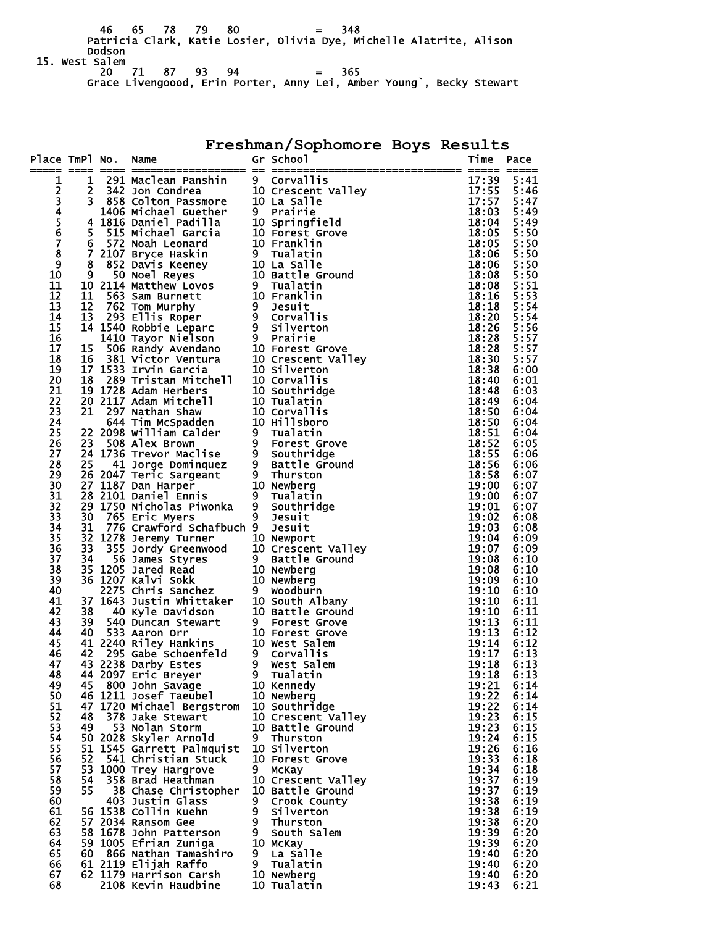46 65 78 79 80 = 348 Patricia Clark, Katie Losier, Olivia Dye, Michelle Alatrite, Alison Dodson 15. West Salem 20 71 87 93 94 = 365

Grace Livengoood, Erin Porter, Anny Lei, Amber Young`, Becky Stewart

**Freshman/Sophomore Boys Results** 

| Place TmPl No. |    |                                                                                                                                                                                                                                                               |   | A notice of the scheme of the scheme of the scheme of the scheme of the scheme of the scheme of the scheme of the scheme of the scheme of the scheme of the scheme of the scheme of the scheme of the scheme of the scheme of |                | Pace         |
|----------------|----|---------------------------------------------------------------------------------------------------------------------------------------------------------------------------------------------------------------------------------------------------------------|---|-------------------------------------------------------------------------------------------------------------------------------------------------------------------------------------------------------------------------------|----------------|--------------|
| 1              |    |                                                                                                                                                                                                                                                               |   |                                                                                                                                                                                                                               |                | 5:41         |
| 2              |    |                                                                                                                                                                                                                                                               |   |                                                                                                                                                                                                                               |                | 5:46         |
|                |    |                                                                                                                                                                                                                                                               |   |                                                                                                                                                                                                                               |                | 5:47         |
| 345678         |    |                                                                                                                                                                                                                                                               |   |                                                                                                                                                                                                                               |                | 5:49         |
|                |    |                                                                                                                                                                                                                                                               |   |                                                                                                                                                                                                                               |                | 5:49         |
|                |    |                                                                                                                                                                                                                                                               |   |                                                                                                                                                                                                                               |                | 5:50         |
|                |    |                                                                                                                                                                                                                                                               |   |                                                                                                                                                                                                                               |                | 5:50         |
| 9              |    |                                                                                                                                                                                                                                                               |   |                                                                                                                                                                                                                               |                | 5:50<br>5:50 |
| 10             |    |                                                                                                                                                                                                                                                               |   |                                                                                                                                                                                                                               |                | 5:50         |
| 11             |    |                                                                                                                                                                                                                                                               |   |                                                                                                                                                                                                                               |                | 5:51         |
| 12             |    |                                                                                                                                                                                                                                                               |   |                                                                                                                                                                                                                               |                | 5:53         |
| 13             |    |                                                                                                                                                                                                                                                               |   |                                                                                                                                                                                                                               |                | 5:54         |
| 14             |    |                                                                                                                                                                                                                                                               |   |                                                                                                                                                                                                                               |                | 5:54         |
| 15             |    |                                                                                                                                                                                                                                                               |   |                                                                                                                                                                                                                               |                | 5:56         |
| 16<br>17       |    |                                                                                                                                                                                                                                                               |   |                                                                                                                                                                                                                               |                | 5:57<br>5:57 |
| 18             |    |                                                                                                                                                                                                                                                               |   |                                                                                                                                                                                                                               |                | 5:57         |
| 19             |    |                                                                                                                                                                                                                                                               |   |                                                                                                                                                                                                                               |                | 6:00         |
| 20             |    |                                                                                                                                                                                                                                                               |   |                                                                                                                                                                                                                               |                | 6:01         |
| 21             |    |                                                                                                                                                                                                                                                               |   |                                                                                                                                                                                                                               |                | 6:03         |
| 22             |    |                                                                                                                                                                                                                                                               |   |                                                                                                                                                                                                                               |                | 6:04         |
| 23             |    |                                                                                                                                                                                                                                                               |   |                                                                                                                                                                                                                               |                | 6:04         |
| 24<br>25       |    |                                                                                                                                                                                                                                                               |   |                                                                                                                                                                                                                               | 18:50<br>18:51 | 6:04<br>6:04 |
| 26             |    |                                                                                                                                                                                                                                                               |   |                                                                                                                                                                                                                               | 18:52          | 6:05         |
| 27             |    |                                                                                                                                                                                                                                                               |   |                                                                                                                                                                                                                               | 18:55          | 6:06         |
| 28             |    |                                                                                                                                                                                                                                                               |   |                                                                                                                                                                                                                               | 18:56          | 6:06         |
| 29             |    | 21 297 Nathan Shaw<br>21 297 Nathan Shaw<br>22 2098 William Calder<br>23 508 Alex Brown<br>24 1736 Trevor Maclise<br>25 41 Jorge Dominquez<br>26 2047 Teric Sargeant<br>26 2047 Teric Sargeant<br>27 1187 Dan Harper<br>28 2010 Banning Control               |   |                                                                                                                                                                                                                               | 18:58          | 6:07         |
| 30             |    |                                                                                                                                                                                                                                                               |   |                                                                                                                                                                                                                               | 19:00          | 6:07         |
| 31             |    |                                                                                                                                                                                                                                                               |   |                                                                                                                                                                                                                               | 19:00          | 6:07         |
| 32<br>33       | 30 | 29 1750 Nicholas Piwonka<br>765 Eric Myers                                                                                                                                                                                                                    |   | 9 Southridge<br>$9$ Jesuit                                                                                                                                                                                                    | 19:01<br>19:02 | 6:07<br>6:08 |
| 34             | 31 | 776 Crawford Schafbuch 9 Jesuit                                                                                                                                                                                                                               |   | 1><br>19:04<br>19:07<br>19:08<br>19:07<br>19:1                                                                                                                                                                                |                | 6:08         |
| 35             |    |                                                                                                                                                                                                                                                               |   |                                                                                                                                                                                                                               |                | 6:09         |
| 36             |    |                                                                                                                                                                                                                                                               |   |                                                                                                                                                                                                                               |                | 6:09         |
| 37             |    |                                                                                                                                                                                                                                                               |   |                                                                                                                                                                                                                               |                | 6:10         |
| 38             |    |                                                                                                                                                                                                                                                               |   |                                                                                                                                                                                                                               |                | 6:10         |
| 39<br>40       |    |                                                                                                                                                                                                                                                               |   |                                                                                                                                                                                                                               | 19:09<br>19:10 | 6:10<br>6:10 |
| 41             |    |                                                                                                                                                                                                                                                               |   |                                                                                                                                                                                                                               | 19:10          | 6:11         |
| 42             |    |                                                                                                                                                                                                                                                               |   |                                                                                                                                                                                                                               | 19:10          | 6:11         |
| 43             |    |                                                                                                                                                                                                                                                               |   |                                                                                                                                                                                                                               | 19:13          | 6:11         |
| 44             |    |                                                                                                                                                                                                                                                               |   |                                                                                                                                                                                                                               | 19:13          | 6:12         |
| 45             |    |                                                                                                                                                                                                                                                               |   |                                                                                                                                                                                                                               | 19:14          | 6:12         |
| 46<br>47       |    |                                                                                                                                                                                                                                                               |   |                                                                                                                                                                                                                               | 19:17          | 6:13<br>6:13 |
| 48             |    |                                                                                                                                                                                                                                                               |   |                                                                                                                                                                                                                               | 19:18<br>19:18 | 6:13         |
| 49             | 45 | 31 776 Crawford Schafbuch 9 Jesuit<br>32 1278 Jeremy Turner 10 Newport<br>33 355 Jordy Greenwood 10 Crescent Valley<br>34 56 James Styres 9 Battle Ground<br>35 1207 Kalvi Sokk 10 Newberg<br>2275 Chris Sanchez 9 Woodburn<br>37 1643 Jus<br>800 John Savage |   | 10 Kennedy                                                                                                                                                                                                                    | 19:21          | 6:14         |
| 50             |    | 46 1211 Josef Taeubel                                                                                                                                                                                                                                         |   | 10 Newberg                                                                                                                                                                                                                    | 19:22          | 6:14         |
| 51             |    | 47 1720 Michael Bergstrom                                                                                                                                                                                                                                     |   | 10 Southridge                                                                                                                                                                                                                 | 19:22          | 6:14         |
| 52             | 48 | 378 Jake Stewart                                                                                                                                                                                                                                              |   | 10 Crescent Valley                                                                                                                                                                                                            | 19:23          | 6:15         |
| 53             | 49 | 53 Nolan Storm                                                                                                                                                                                                                                                |   | 10 Battle Ground                                                                                                                                                                                                              | 19:23          | 6:15         |
| 54<br>55       |    | 50 2028 Skyler Arnold<br>51 1545 Garrett Palmquist                                                                                                                                                                                                            | 9 | Thurston<br>10 Silverton                                                                                                                                                                                                      | 19:24<br>19:26 | 6:15<br>6:16 |
| 56             | 52 | 541 Christian Stuck                                                                                                                                                                                                                                           |   | 10 Forest Grove                                                                                                                                                                                                               | 19:33          | 6:18         |
| 57             |    | 53 1000 Trey Hargrove                                                                                                                                                                                                                                         | 9 | <b>MCKay</b>                                                                                                                                                                                                                  | 19:34          | 6:18         |
| 58             | 54 | 358 Brad Heathman                                                                                                                                                                                                                                             |   | 10 Crescent Valley                                                                                                                                                                                                            | 19:37          | 6:19         |
| 59             | 55 | 38 Chase Christopher                                                                                                                                                                                                                                          |   | 10 Battle Ground                                                                                                                                                                                                              | 19:37          | 6:19         |
| 60             |    | 403 Justin Glass                                                                                                                                                                                                                                              | 9 | Crook County                                                                                                                                                                                                                  | 19:38          | 6:19         |
| 61<br>62       |    | 56 1538 Collin Kuehn<br>57 2034 Ransom Gee                                                                                                                                                                                                                    |   | 9 Silverton<br>9 Thurston                                                                                                                                                                                                     | 19:38<br>19:38 | 6:19<br>6:20 |
| 63             |    | 58 1678 John Patterson                                                                                                                                                                                                                                        |   | 9 South Salem                                                                                                                                                                                                                 | 19:39          | 6:20         |
| 64             |    | 59 1005 Efrian Zuniga                                                                                                                                                                                                                                         |   | 10 McKay                                                                                                                                                                                                                      | 19:39          | 6:20         |
| 65             | 60 | 866 Nathan Tamashiro                                                                                                                                                                                                                                          | 9 | La Salle                                                                                                                                                                                                                      | 19:40          | 6:20         |
| 66             |    | 61 2119 Elijah Raffo                                                                                                                                                                                                                                          | 9 | Tualatin                                                                                                                                                                                                                      | 19:40          | 6:20         |
| 67             |    | 62 1179 Harrison Carsh                                                                                                                                                                                                                                        |   | 10 Newberg                                                                                                                                                                                                                    | 19:40          | 6:20         |
| 68             |    | 2108 Kevin Haudbine                                                                                                                                                                                                                                           |   | 10 Tualatin                                                                                                                                                                                                                   | 19:43          | 6:21         |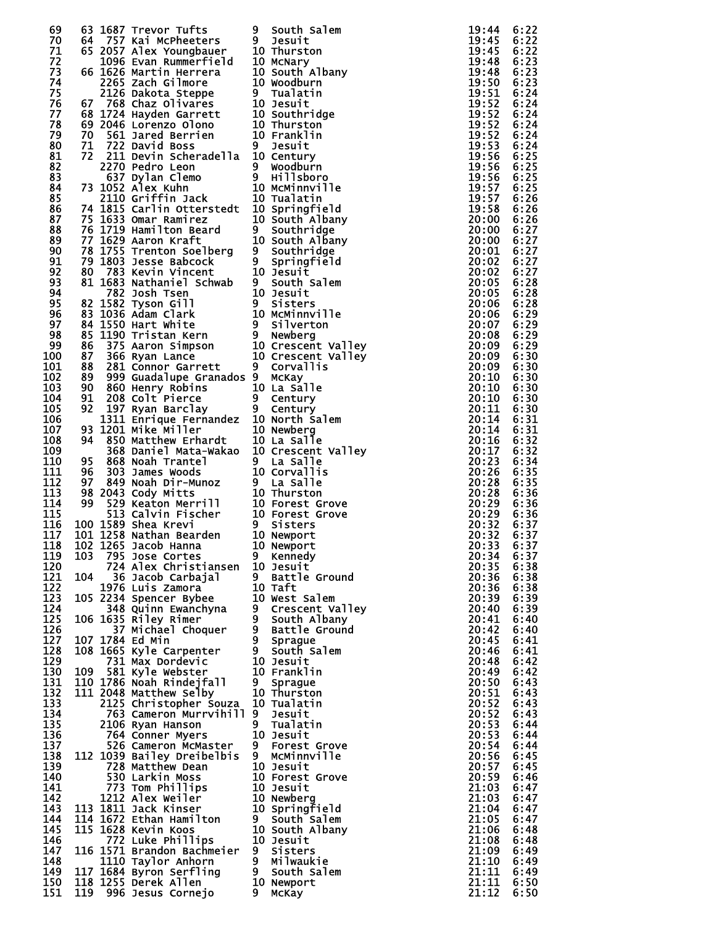| 69               |     | 63 1687 Trevor Tufts                                                                                                                                                                                                                                                                                                | 9  | South Salem       | 19:44 | 6:22 |
|------------------|-----|---------------------------------------------------------------------------------------------------------------------------------------------------------------------------------------------------------------------------------------------------------------------------------------------------------------------|----|-------------------|-------|------|
| 70               |     | 64 757 Kai McPheeters                                                                                                                                                                                                                                                                                               | 9  | Jesuit            | 19:45 | 6:22 |
| 71               |     |                                                                                                                                                                                                                                                                                                                     |    | 10 Thurston       | 19:45 |      |
|                  |     | 65 2057 Alex Youngbauer                                                                                                                                                                                                                                                                                             |    |                   |       | 6:22 |
| 72               |     | 1096 Evan Rummerfield                                                                                                                                                                                                                                                                                               |    | 10 McNary         | 19:48 | 6:23 |
| 73               |     | 66 1626 Martin Herrera<br>2205 Zach Gilmore<br>2126 Dakota Steppe<br>2126 Dakota Steppe<br>57 768 Chaz Olivares<br>68 1724 Hayden Garrett<br>69 2046 Lorenzo Olono<br>70 561 Jared Berrien<br>71 722 David Boss<br>72 211 Devin Scharsdall (19 Jesuit                                                               |    | 10 South Albany   | 19:48 | 6:23 |
| 74               |     |                                                                                                                                                                                                                                                                                                                     |    |                   | 19:50 |      |
|                  |     |                                                                                                                                                                                                                                                                                                                     |    |                   |       | 6:23 |
| 75               |     |                                                                                                                                                                                                                                                                                                                     |    |                   | 19:51 | 6:24 |
| 76               |     |                                                                                                                                                                                                                                                                                                                     |    |                   | 19:52 | 6:24 |
| 77               |     |                                                                                                                                                                                                                                                                                                                     |    |                   | 19:52 | 6:24 |
|                  |     |                                                                                                                                                                                                                                                                                                                     |    |                   |       |      |
| 78               |     |                                                                                                                                                                                                                                                                                                                     |    |                   | 19:52 | 6:24 |
| 79               |     |                                                                                                                                                                                                                                                                                                                     |    |                   | 19:52 | 6:24 |
|                  |     |                                                                                                                                                                                                                                                                                                                     |    |                   | 19:53 |      |
| 80               |     |                                                                                                                                                                                                                                                                                                                     |    |                   |       | 6:24 |
| 81               |     |                                                                                                                                                                                                                                                                                                                     |    |                   | 19:56 | 6:25 |
| 82               |     | 2270 Pedro Leon                                                                                                                                                                                                                                                                                                     | 9  | Woodburn          | 19:56 | 6:25 |
| 83               |     |                                                                                                                                                                                                                                                                                                                     |    |                   | 19:56 | 6:25 |
|                  |     |                                                                                                                                                                                                                                                                                                                     |    |                   |       |      |
| 84               |     | 73 1052 Alex Kuhn                                                                                                                                                                                                                                                                                                   |    |                   | 19:57 | 6:25 |
| 85               |     |                                                                                                                                                                                                                                                                                                                     |    |                   | 19:57 | 6:26 |
|                  |     |                                                                                                                                                                                                                                                                                                                     |    |                   |       |      |
| 86               |     | 74 1815 Carlin Otterstedt 10 Springfield                                                                                                                                                                                                                                                                            |    |                   | 19:58 | 6:26 |
| 87               |     | 75 1633 Omar Ramirez                                                                                                                                                                                                                                                                                                |    | 10 South Albany   | 20:00 | 6:26 |
| 88               |     | $\frac{1}{3}$ $\frac{1}{3}$ $\frac{1}{3}$ $\frac{1}{3}$ $\frac{1}{3}$ $\frac{1}{3}$ $\frac{1}{3}$ $\frac{1}{3}$ $\frac{1}{3}$ $\frac{1}{3}$ $\frac{1}{3}$ $\frac{1}{3}$ $\frac{1}{3}$ $\frac{1}{3}$ $\frac{1}{3}$ $\frac{1}{3}$ $\frac{1}{3}$ $\frac{1}{3}$ $\frac{1}{3}$ $\frac{1}{3}$ $\frac{1}{3}$ $\frac{1}{3}$ | 9  | Southridge        | 20:00 | 6:27 |
| 89               |     | 77 1629 Aaron Kraft                                                                                                                                                                                                                                                                                                 |    | 10 South Albany   | 20:00 | 6:27 |
|                  |     |                                                                                                                                                                                                                                                                                                                     |    |                   |       |      |
| 90               |     | 78 1755 Trenton Soelberg                                                                                                                                                                                                                                                                                            | 9  | Southridge        | 20:01 | 6:27 |
| 91               |     | 79 1803 Jesse Babcock                                                                                                                                                                                                                                                                                               | 9  | Springfield       | 20:02 | 6:27 |
| 92               |     |                                                                                                                                                                                                                                                                                                                     |    |                   | 20:02 | 6:27 |
|                  |     |                                                                                                                                                                                                                                                                                                                     |    |                   |       |      |
| 93               |     |                                                                                                                                                                                                                                                                                                                     |    |                   | 20:05 | 6:28 |
| 94               |     |                                                                                                                                                                                                                                                                                                                     |    |                   | 20:05 | 6:28 |
| 95               |     |                                                                                                                                                                                                                                                                                                                     |    |                   | 20:06 | 6:28 |
|                  |     |                                                                                                                                                                                                                                                                                                                     |    |                   |       |      |
| 96               |     | 80 783 Kevin Vincent<br>81 1683 Nathaniel Schwab 9 South Salem<br>782 Josh Tsen<br>82 1582 Tyson Gill<br>83 1036 Adam Clark<br>83 1036 Adam Clark<br>84 150 Hart White 9 Silverton<br>85 1190 Tristan Kern<br>86 375 Aaron Simpson 10 Crescent                                                                      |    |                   | 20:06 | 6:29 |
| 97               |     |                                                                                                                                                                                                                                                                                                                     |    |                   | 20:07 | 6:29 |
| 98               |     |                                                                                                                                                                                                                                                                                                                     |    |                   | 20:08 | 6:29 |
|                  |     |                                                                                                                                                                                                                                                                                                                     |    |                   |       |      |
| 99               |     |                                                                                                                                                                                                                                                                                                                     |    |                   | 20:09 | 6:29 |
| 100              |     |                                                                                                                                                                                                                                                                                                                     |    |                   | 20:09 | 6:30 |
| 101              |     |                                                                                                                                                                                                                                                                                                                     |    |                   | 20:09 | 6:30 |
|                  |     |                                                                                                                                                                                                                                                                                                                     |    |                   |       |      |
| 102              | 89  | 999 Guadalupe Granados 9                                                                                                                                                                                                                                                                                            |    | <b>MCKay</b>      | 20:10 | 6:30 |
| 103              | 90  | 860 Henry Robins                                                                                                                                                                                                                                                                                                    |    | 10 La Salle       | 20:10 | 6:30 |
| 104              | 91  | 208 Colt Pierce                                                                                                                                                                                                                                                                                                     | 9  | Century           | 20:10 | 6:30 |
|                  |     |                                                                                                                                                                                                                                                                                                                     |    |                   |       |      |
| 105              | 92  | 197 Ryan Barclay                                                                                                                                                                                                                                                                                                    |    | 9 Century         | 20:11 | 6:30 |
| 106              |     | 1311 Enrique Fernandez 10 North Salem                                                                                                                                                                                                                                                                               |    |                   | 20:14 | 6:31 |
| 107              |     | 93 1201 Mike Miller                                                                                                                                                                                                                                                                                                 |    | 10 Newberg        | 20:14 | 6:31 |
|                  |     |                                                                                                                                                                                                                                                                                                                     |    |                   |       |      |
| 108              | 94  | 850 Matthew Erhardt                                                                                                                                                                                                                                                                                                 |    | 10 La Salle       | 20:16 | 6:32 |
| 109              |     | 368 Daniel Mata-Wakao 10 Crescent Valley                                                                                                                                                                                                                                                                            |    |                   | 20:17 | 6:32 |
| 110              | 95  | 868 Noah Trantel                                                                                                                                                                                                                                                                                                    |    | 9 La Salle        | 20:23 | 6:34 |
|                  |     |                                                                                                                                                                                                                                                                                                                     |    |                   |       |      |
| 111              | 96  |                                                                                                                                                                                                                                                                                                                     |    | 10 Corvallis      | 20:26 | 6:35 |
| 112              | 97  |                                                                                                                                                                                                                                                                                                                     |    |                   | 20:28 | 6:35 |
| 113              |     |                                                                                                                                                                                                                                                                                                                     |    |                   | 20:28 | 6:36 |
|                  |     | 98 2043 Cody Mitts                                                                                                                                                                                                                                                                                                  |    |                   |       |      |
| 114              | 99  |                                                                                                                                                                                                                                                                                                                     |    | 10 Forest Grove   | 20:29 | 6:36 |
| 115              |     |                                                                                                                                                                                                                                                                                                                     |    | 10 Forest Grove   | 20:29 | 6:36 |
|                  |     |                                                                                                                                                                                                                                                                                                                     |    |                   | 20:32 |      |
| 116              |     | 100 1589 Shea Krevi                                                                                                                                                                                                                                                                                                 |    |                   |       | 6:37 |
| 117              |     | 868 Noah Trantel 9 La Salle<br>303 James Woods 10 Corvallis<br>849 Noah Dir-Munoz 9 La Salle<br>2043 Cody Mitts 10 Thurston<br>529 Keaton Merrill 10 Forest Gr<br>513 Calvin Fischer 10 Forest Gr<br>1589 Shea Krevi 9 Sisters<br>1258 Nathan Beard<br>101 1258 Nathan Bearden                                      |    | 10 Newport        | 20:32 | 6:37 |
| 118              |     | 102 1265 Jacob Hanna                                                                                                                                                                                                                                                                                                |    | 10 Newport        | 20:33 | 6:37 |
|                  |     |                                                                                                                                                                                                                                                                                                                     |    |                   |       |      |
| 119              | 103 | 795 Jose Cortes                                                                                                                                                                                                                                                                                                     | 9  | Kennedy           | 20:34 | 6:37 |
| 120              |     | 724 Alex Christiansen                                                                                                                                                                                                                                                                                               |    | 10 Jesuit         | 20:35 | 6:38 |
| 121              | 104 | 36 Jacob Carbajal                                                                                                                                                                                                                                                                                                   |    | 9 Battle Ground   | 20:36 | 6:38 |
| 122              |     | 1976 Luis Zamora                                                                                                                                                                                                                                                                                                    |    | 10 Taft           | 20:36 |      |
|                  |     |                                                                                                                                                                                                                                                                                                                     |    |                   |       | 6:38 |
| 123              |     | 105 2234 Spencer Bybee                                                                                                                                                                                                                                                                                              |    | 10 West Salem     | 20:39 | 6:39 |
| 124              |     | 348 Quinn Ewanchyna                                                                                                                                                                                                                                                                                                 |    | 9 Crescent Valley | 20:40 | 6:39 |
| 125              |     | 106 1635 Riley Rimer                                                                                                                                                                                                                                                                                                |    | 9 South Albany    | 20:41 | 6:40 |
|                  |     |                                                                                                                                                                                                                                                                                                                     |    |                   |       |      |
| 126              |     | 37 Michael Choquer                                                                                                                                                                                                                                                                                                  |    | 9 Battle Ground   | 20:42 | 6:40 |
| 127              |     | 107 1784 Ed Min                                                                                                                                                                                                                                                                                                     |    | 9 Sprague         | 20:45 | 6:41 |
| 128              |     | 108 1665 Kyle Carpenter                                                                                                                                                                                                                                                                                             |    | 9 South Salem     | 20:46 | 6:41 |
| $\overline{1}29$ |     |                                                                                                                                                                                                                                                                                                                     |    |                   |       |      |
|                  |     | 731 Max Dordevic                                                                                                                                                                                                                                                                                                    |    | 10 Jesuit         | 20:48 | 6:42 |
| 130              | 109 | 581 Kyle Webster                                                                                                                                                                                                                                                                                                    |    | 10 Franklin       | 20:49 | 6:42 |
| 131              |     | 110 1786 Noah Rindejfall                                                                                                                                                                                                                                                                                            | 9  | Sprague           | 20:50 | 6:43 |
| 132              |     | 111 2048 Matthew Selby                                                                                                                                                                                                                                                                                              |    | 10 Thurston       | 20:51 | 6:43 |
|                  |     |                                                                                                                                                                                                                                                                                                                     |    |                   |       |      |
| 133              |     | 2125 Christopher Souza                                                                                                                                                                                                                                                                                              |    | 10 Tualatin       | 20:52 | 6:43 |
| 134              |     | 763 Cameron Murrvihill                                                                                                                                                                                                                                                                                              | 9  | Jesuit            | 20:52 | 6:43 |
| 135              |     | 2106 Ryan Hanson                                                                                                                                                                                                                                                                                                    | 9. | Tualatin          | 20:53 | 6:44 |
|                  |     |                                                                                                                                                                                                                                                                                                                     |    |                   |       |      |
| 136              |     | 764 Conner Myers                                                                                                                                                                                                                                                                                                    |    | 10 Jesuit         | 20:53 | 6:44 |
| 137              |     | 526 Cameron McMaster                                                                                                                                                                                                                                                                                                | 9  | Forest Grove      | 20:54 | 6:44 |
| 138              |     | 112 1039 Bailey Dreibelbis                                                                                                                                                                                                                                                                                          | 9  | MCMinnville       | 20:56 | 6:45 |
|                  |     |                                                                                                                                                                                                                                                                                                                     |    |                   |       |      |
| 139              |     | 728 Matthew Dean                                                                                                                                                                                                                                                                                                    |    | 10 Jesuit         | 20:57 | 6:45 |
| 140              |     | 530 Larkin Moss                                                                                                                                                                                                                                                                                                     |    | 10 Forest Grove   | 20:59 | 6:46 |
| 141              |     | 773 Tom Phillips                                                                                                                                                                                                                                                                                                    |    | 10 Jesuit         | 21:03 | 6:47 |
|                  |     |                                                                                                                                                                                                                                                                                                                     |    |                   |       |      |
| 142              |     | 1212 Alex Weiler                                                                                                                                                                                                                                                                                                    |    | 10 Newberg        | 21:03 | 6:47 |
| 143              |     | 113 1811 Jack Kinser                                                                                                                                                                                                                                                                                                |    | 10 Springfield    | 21:04 | 6:47 |
| 144              |     | 114 1672 Ethan Hamilton                                                                                                                                                                                                                                                                                             |    | 9 South Salem     | 21:05 | 6:47 |
|                  |     |                                                                                                                                                                                                                                                                                                                     |    |                   |       |      |
| 145              |     | 115 1628 Kevin Koos                                                                                                                                                                                                                                                                                                 |    | 10 South Albany   | 21:06 | 6:48 |
| 146              |     | 772 Luke Phillips                                                                                                                                                                                                                                                                                                   |    | 10 Jesuit         | 21:08 | 6:48 |
| 147              |     | 116 1571 Brandon Bachmeier                                                                                                                                                                                                                                                                                          |    | 9 Sisters         | 21:09 | 6:49 |
|                  |     |                                                                                                                                                                                                                                                                                                                     | 9  | Milwaukie         | 21:10 |      |
| 148              |     | 1110 Taylor Anhorn                                                                                                                                                                                                                                                                                                  |    |                   |       | 6:49 |
| 149              |     | 117 1684 Byron Serfling                                                                                                                                                                                                                                                                                             |    | 9 South Salem     | 21:11 | 6:49 |
| 150              |     | 118 1255 Derek Allen                                                                                                                                                                                                                                                                                                |    | 10 Newport        | 21:11 | 6:50 |
|                  |     |                                                                                                                                                                                                                                                                                                                     |    |                   | 21:12 |      |
| 151              | 119 | 996 Jesus Cornejo                                                                                                                                                                                                                                                                                                   | 9. | <b>MCKay</b>      |       | 6:50 |

| )             | South Salem                   |
|---------------|-------------------------------|
| J             | Jesuit                        |
| LO            | Thurston                      |
| LO            | McNary                        |
| LO            | South Albany                  |
| LO<br>€       | Woodburn<br>Tualatin          |
| LO            | Jesuit                        |
| LO            | Southridge                    |
| LO            | Thurston                      |
| LO            | Franklin                      |
| €<br>LO       | Jesuit<br>Century             |
| €             | Woodburn                      |
| J             | Hillsboro                     |
| LO            | McMinnville                   |
| LO<br>LO      | Tualatin<br>Springfield       |
| LO            | South Albany                  |
| €             | Southridge                    |
| LO            | South Albany                  |
| €<br>€        | Southridge                    |
| LO            | Springfield<br>Jesuit         |
| €             | South Salem                   |
| L0            | Jesuit                        |
| €<br>LO       | Sisters<br>McMinnville        |
| €             | Silverton                     |
| J             | Newberg                       |
| LO            | Crescent Valley               |
| LO<br>€       | Crescent Valley               |
| €             | Corvallis<br>McKay            |
| LO            | La Salle                      |
| €             | Century                       |
| J<br>LO       | Century<br>North Salem        |
| LO            | Newberg                       |
| LO            | La Salle                      |
| L0            | Valley<br>Crescent            |
| ,<br>LO       | La Salle<br>Corvallis         |
| ,             | La Salle                      |
| LO            | Thurston                      |
| LO            | Forest Grove<br>Forest Grove  |
| LO<br>€       | Sisters                       |
| LO            | Newport                       |
| LO            | Newport                       |
| €<br>LO       | Kennedy                       |
| €             | Jesuit<br>Battle Ground       |
| LO            | Taft                          |
| LO            | West<br>Salem                 |
| }<br>}}<br>}} | Crescent Valley               |
|               | South Albany<br>Battle Ground |
|               | Sprague                       |
|               | South Salem                   |
| LO<br>LO      | Jesuit<br>Franklin            |
| €             | Sprague                       |
| LO            | Thurston                      |
| LO            | Tualatin                      |
| )             | Jesuit<br>Tualatin            |
| LO            | Jesuit                        |
| )<br>)        | Forest<br>Grove               |
|               | McMinnville                   |
| LO<br>LO      | Jesuit<br>Forest<br>Grove     |
| LO            | Jesuit                        |
| LO            |                               |
| LO            | Newberg<br>Springfield        |
| €<br>LO       | South Salem<br>South Albany   |
| LO            | Jesuit                        |
|               | Sisters                       |
| )<br>)<br>)   | Milwaukie                     |
| LO.           | South Salem<br>Newport        |
| ĭ             | MCKAV                         |

| 9                            |                                                    |
|------------------------------|----------------------------------------------------|
|                              |                                                    |
| $\vdots$                     |                                                    |
|                              |                                                    |
|                              |                                                    |
|                              |                                                    |
|                              |                                                    |
|                              |                                                    |
|                              |                                                    |
|                              |                                                    |
|                              |                                                    |
|                              |                                                    |
|                              |                                                    |
|                              |                                                    |
|                              |                                                    |
|                              |                                                    |
|                              |                                                    |
|                              |                                                    |
|                              |                                                    |
|                              |                                                    |
|                              |                                                    |
|                              |                                                    |
|                              |                                                    |
|                              |                                                    |
|                              |                                                    |
|                              |                                                    |
|                              |                                                    |
|                              |                                                    |
|                              |                                                    |
|                              |                                                    |
|                              |                                                    |
|                              |                                                    |
|                              |                                                    |
|                              |                                                    |
|                              |                                                    |
|                              |                                                    |
|                              |                                                    |
|                              |                                                    |
|                              |                                                    |
|                              |                                                    |
|                              |                                                    |
|                              |                                                    |
|                              |                                                    |
|                              |                                                    |
|                              |                                                    |
|                              |                                                    |
|                              |                                                    |
|                              |                                                    |
|                              |                                                    |
|                              |                                                    |
|                              |                                                    |
|                              |                                                    |
|                              |                                                    |
|                              |                                                    |
|                              |                                                    |
|                              |                                                    |
|                              |                                                    |
|                              |                                                    |
|                              |                                                    |
|                              |                                                    |
|                              |                                                    |
| 34<br>2Ó                     | 37<br>37<br>38<br>38<br>6                          |
| $\vdots$<br>20               | $\frac{1}{2}$                                      |
| 35<br>36                     | 6:<br>6:                                           |
| 20:                          |                                                    |
| 36<br>39<br>20:<br>20:<br>32 |                                                    |
|                              |                                                    |
| 40<br>ì<br>2Ó                |                                                    |
| 4<br>1                       |                                                    |
| 20:<br>20:<br>32:            |                                                    |
|                              |                                                    |
|                              |                                                    |
| 20:<br>20:<br>20:            |                                                    |
|                              |                                                    |
|                              |                                                    |
|                              |                                                    |
|                              |                                                    |
|                              |                                                    |
|                              |                                                    |
|                              |                                                    |
|                              |                                                    |
|                              |                                                    |
| -444445555555555000006       | 389990011122333344444556677788                     |
|                              |                                                    |
|                              |                                                    |
|                              |                                                    |
|                              |                                                    |
|                              |                                                    |
|                              |                                                    |
|                              |                                                    |
|                              |                                                    |
|                              |                                                    |
|                              |                                                    |
|                              |                                                    |
| ÓŚ                           | $\overline{48}$                                    |
| 09                           |                                                    |
|                              |                                                    |
| 10<br>11                     | -6666666666666666666666666<br>49<br>49<br>49<br>50 |
|                              |                                                    |
| $\bar{1}\bar{1}$             | 6<br>ì<br>Ğ:                                       |
|                              | 50                                                 |
| 1<br>1                       |                                                    |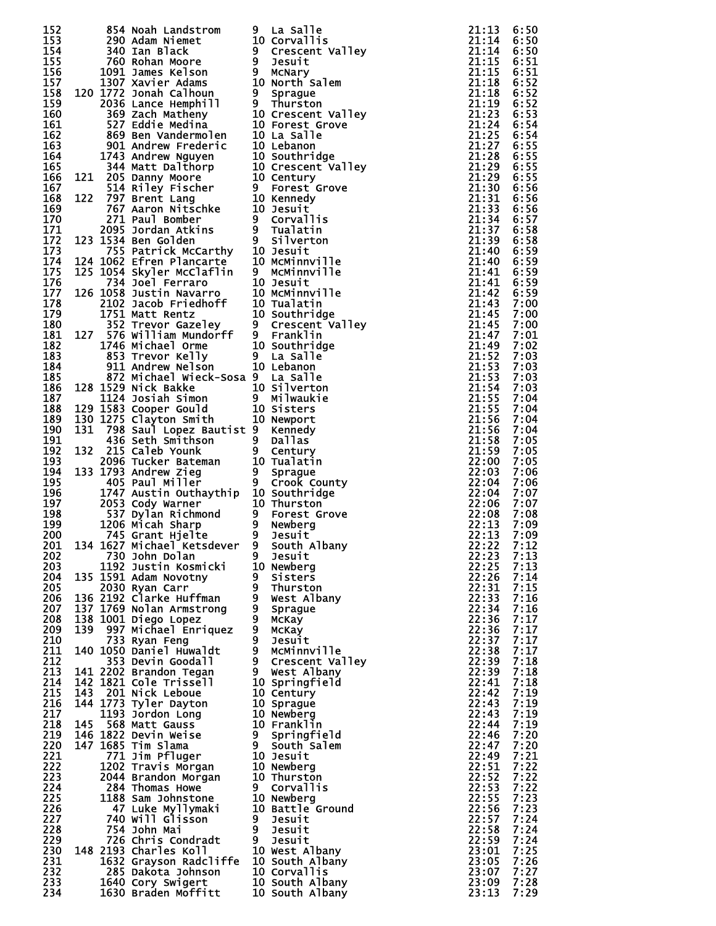| 152        |     | 854 Noah Landstrom                                                                                                                                                                                                                            | 9 | La Salle<br>854 Noah Landstrom<br>290 Adam Niemet<br>200 Adam Niemet<br>10 Corvallis<br>200 Adam Niemet<br>10 Corvallis<br>200 Rohan Moore<br>100 James Kelson<br>1972 Agarate Galmon<br>200 James Kelson<br>200 Ben Valhenin<br>200 Schare Galmon<br>200 Schare G<br>21:14<br>21:14<br>21:15<br>21:15<br>21:15<br>21:18<br>21:18<br>21:18<br>21:18<br>21:23<br>21:25<br>21:27<br>21:28<br>21:28<br>21:28<br>21:28<br>21:29<br>21:29<br>21:29<br>21:31<br>21:31<br>21:33<br>21:33<br>21:33<br>21:33<br>21:33<br>21:33<br>21:33<br>21:33<br>21:33<br>21:33<br>21:33 | 21:13              | 6:50         |
|------------|-----|-----------------------------------------------------------------------------------------------------------------------------------------------------------------------------------------------------------------------------------------------|---|--------------------------------------------------------------------------------------------------------------------------------------------------------------------------------------------------------------------------------------------------------------------------------------------------------------------------------------------------------------------------------------------------------------------------------------------------------------------------------------------------------------------------------------------------------------------|--------------------|--------------|
| 153        |     |                                                                                                                                                                                                                                               |   |                                                                                                                                                                                                                                                                                                                                                                                                                                                                                                                                                                    |                    | 6:50         |
| 154        |     |                                                                                                                                                                                                                                               |   |                                                                                                                                                                                                                                                                                                                                                                                                                                                                                                                                                                    |                    | 6:50         |
| 155<br>156 |     |                                                                                                                                                                                                                                               |   |                                                                                                                                                                                                                                                                                                                                                                                                                                                                                                                                                                    |                    | 6:51<br>6:51 |
| 157        |     |                                                                                                                                                                                                                                               |   |                                                                                                                                                                                                                                                                                                                                                                                                                                                                                                                                                                    |                    | 6:52         |
| 158        |     |                                                                                                                                                                                                                                               |   |                                                                                                                                                                                                                                                                                                                                                                                                                                                                                                                                                                    |                    | 6:52         |
| 159        |     |                                                                                                                                                                                                                                               |   |                                                                                                                                                                                                                                                                                                                                                                                                                                                                                                                                                                    |                    | 6:52         |
| 160        |     |                                                                                                                                                                                                                                               |   |                                                                                                                                                                                                                                                                                                                                                                                                                                                                                                                                                                    |                    | 6:53         |
| 161        |     |                                                                                                                                                                                                                                               |   |                                                                                                                                                                                                                                                                                                                                                                                                                                                                                                                                                                    |                    | 6:54         |
| 162        |     |                                                                                                                                                                                                                                               |   |                                                                                                                                                                                                                                                                                                                                                                                                                                                                                                                                                                    |                    | 6:54         |
| 163        |     |                                                                                                                                                                                                                                               |   |                                                                                                                                                                                                                                                                                                                                                                                                                                                                                                                                                                    |                    | 6:55<br>6:55 |
| 164<br>165 |     |                                                                                                                                                                                                                                               |   |                                                                                                                                                                                                                                                                                                                                                                                                                                                                                                                                                                    |                    | 6:55         |
| 166        |     |                                                                                                                                                                                                                                               |   |                                                                                                                                                                                                                                                                                                                                                                                                                                                                                                                                                                    |                    | 6:55         |
| 167        |     |                                                                                                                                                                                                                                               |   |                                                                                                                                                                                                                                                                                                                                                                                                                                                                                                                                                                    |                    | 6:56         |
| 168        |     |                                                                                                                                                                                                                                               |   |                                                                                                                                                                                                                                                                                                                                                                                                                                                                                                                                                                    |                    | 6:56         |
| 169        |     |                                                                                                                                                                                                                                               |   |                                                                                                                                                                                                                                                                                                                                                                                                                                                                                                                                                                    |                    | 6:56         |
| 170        |     |                                                                                                                                                                                                                                               |   |                                                                                                                                                                                                                                                                                                                                                                                                                                                                                                                                                                    |                    | 6:57         |
| 171        |     |                                                                                                                                                                                                                                               |   |                                                                                                                                                                                                                                                                                                                                                                                                                                                                                                                                                                    |                    | 6:58         |
| 172<br>173 |     |                                                                                                                                                                                                                                               |   |                                                                                                                                                                                                                                                                                                                                                                                                                                                                                                                                                                    |                    | 6:58<br>6:59 |
| 174        |     |                                                                                                                                                                                                                                               |   |                                                                                                                                                                                                                                                                                                                                                                                                                                                                                                                                                                    |                    | 6:59         |
| 175        |     |                                                                                                                                                                                                                                               |   |                                                                                                                                                                                                                                                                                                                                                                                                                                                                                                                                                                    |                    | 6:59         |
| 176        |     |                                                                                                                                                                                                                                               |   |                                                                                                                                                                                                                                                                                                                                                                                                                                                                                                                                                                    |                    | 6:59         |
| 177        |     |                                                                                                                                                                                                                                               |   |                                                                                                                                                                                                                                                                                                                                                                                                                                                                                                                                                                    | 21:42              | 6:59         |
| 178        |     |                                                                                                                                                                                                                                               |   |                                                                                                                                                                                                                                                                                                                                                                                                                                                                                                                                                                    | 21:43              | 7:00         |
| 179        |     |                                                                                                                                                                                                                                               |   |                                                                                                                                                                                                                                                                                                                                                                                                                                                                                                                                                                    | 21:45              | 7:00         |
| 180<br>181 |     |                                                                                                                                                                                                                                               |   |                                                                                                                                                                                                                                                                                                                                                                                                                                                                                                                                                                    | 21:45<br>21:47     | 7:00<br>7:01 |
| 182        |     |                                                                                                                                                                                                                                               |   |                                                                                                                                                                                                                                                                                                                                                                                                                                                                                                                                                                    | 21:49              | 7:02         |
| 183        |     |                                                                                                                                                                                                                                               |   |                                                                                                                                                                                                                                                                                                                                                                                                                                                                                                                                                                    | 21:52              | 7:03         |
| 184        |     |                                                                                                                                                                                                                                               |   |                                                                                                                                                                                                                                                                                                                                                                                                                                                                                                                                                                    | 21:53              | 7:03         |
| 185        |     | 872 Michael Wieck-Sosa 9 La Salle                                                                                                                                                                                                             |   |                                                                                                                                                                                                                                                                                                                                                                                                                                                                                                                                                                    | 21:53              | 7:03         |
| 186        |     |                                                                                                                                                                                                                                               |   |                                                                                                                                                                                                                                                                                                                                                                                                                                                                                                                                                                    | 21:54              | 7:03         |
| 187        |     |                                                                                                                                                                                                                                               |   |                                                                                                                                                                                                                                                                                                                                                                                                                                                                                                                                                                    | 21:55              | 7:04         |
| 188<br>189 |     | 128 1529 Nick Bakke<br>129 1529 Nick Bakke<br>129 1583 Cooper Gould<br>10 Sisters<br>130 1275 Clayton Smith<br>10 Newport                                                                                                                     |   |                                                                                                                                                                                                                                                                                                                                                                                                                                                                                                                                                                    | 21:55<br>21:56     | 7:04<br>7:04 |
| 190        | 131 | 798 Saul Lopez Bautist 9 Kennedy                                                                                                                                                                                                              |   |                                                                                                                                                                                                                                                                                                                                                                                                                                                                                                                                                                    | 21:56              | 7:04         |
|            |     |                                                                                                                                                                                                                                               |   |                                                                                                                                                                                                                                                                                                                                                                                                                                                                                                                                                                    | 21:58              | 7:05         |
|            |     |                                                                                                                                                                                                                                               |   |                                                                                                                                                                                                                                                                                                                                                                                                                                                                                                                                                                    | 21:59              | 7:05         |
|            |     | 190 131 798 Saul Lopez Bautist 9 Kennedy<br>191 436 Seth Smithson 9 Dallas<br>192 132 215 Caleb Younk 9 Century<br>193 2096 Tucker Bateman 10 Tualatin<br>194 133 1793 Andrew Zieg 9 Sprague<br>195 405 Paul Miller 9 Crook County<br>196     |   |                                                                                                                                                                                                                                                                                                                                                                                                                                                                                                                                                                    | 22:00              | 7:05         |
|            |     |                                                                                                                                                                                                                                               |   |                                                                                                                                                                                                                                                                                                                                                                                                                                                                                                                                                                    | 22:03              | 7:06         |
|            |     |                                                                                                                                                                                                                                               |   |                                                                                                                                                                                                                                                                                                                                                                                                                                                                                                                                                                    | 22:04              | 7:06         |
|            |     |                                                                                                                                                                                                                                               |   |                                                                                                                                                                                                                                                                                                                                                                                                                                                                                                                                                                    | 22:04              | 7:07         |
|            |     |                                                                                                                                                                                                                                               |   |                                                                                                                                                                                                                                                                                                                                                                                                                                                                                                                                                                    | 22:06<br>22:08     | 7:07<br>7:08 |
|            |     |                                                                                                                                                                                                                                               |   |                                                                                                                                                                                                                                                                                                                                                                                                                                                                                                                                                                    | 22:13              | 7:09         |
|            |     |                                                                                                                                                                                                                                               |   |                                                                                                                                                                                                                                                                                                                                                                                                                                                                                                                                                                    | 22:13              | 7:09         |
|            |     |                                                                                                                                                                                                                                               |   |                                                                                                                                                                                                                                                                                                                                                                                                                                                                                                                                                                    | $22:22 \quad 7:12$ |              |
| 202        |     | 730 John Dolan                                                                                                                                                                                                                                | 9 | Jesuit                                                                                                                                                                                                                                                                                                                                                                                                                                                                                                                                                             | 22:23              | 7:13         |
| 203        |     | 1192 Justin Kosmicki 10 Newberg                                                                                                                                                                                                               |   |                                                                                                                                                                                                                                                                                                                                                                                                                                                                                                                                                                    | 22:25              | 7:13         |
| 204        |     | 135 1591 Adam Novotny                                                                                                                                                                                                                         |   | 9 Sisters<br>9 Thurston                                                                                                                                                                                                                                                                                                                                                                                                                                                                                                                                            | 22:26              | 7:14         |
| 205<br>206 |     | 2030 Ryan Carr<br>136 2192 Clarke Huffman                                                                                                                                                                                                     |   | 9 West Albany                                                                                                                                                                                                                                                                                                                                                                                                                                                                                                                                                      | 22:31<br>22:33     | 7:15<br>7:16 |
| 207        |     | 137 1769 Nolan Armstrong                                                                                                                                                                                                                      |   | 9 Sprague                                                                                                                                                                                                                                                                                                                                                                                                                                                                                                                                                          | 22:34              | 7:16         |
| 208        |     | 138 1001 Diego Lopez                                                                                                                                                                                                                          |   | 9 мскаў                                                                                                                                                                                                                                                                                                                                                                                                                                                                                                                                                            | 22:36              | 7:17         |
| 209        | 139 | 997 Michael Enriquez                                                                                                                                                                                                                          |   | 9 McKay                                                                                                                                                                                                                                                                                                                                                                                                                                                                                                                                                            | 22:36              | 7:17         |
| 210        |     | 733 Ryan Feng                                                                                                                                                                                                                                 |   | 9 Jesuit<br>9 McMinnville                                                                                                                                                                                                                                                                                                                                                                                                                                                                                                                                          | 22:37              | 7:17         |
| 211        |     | 140 1050 Daniel Huwaldt                                                                                                                                                                                                                       |   |                                                                                                                                                                                                                                                                                                                                                                                                                                                                                                                                                                    | 22:38              | 7:17         |
| 212        |     | 353 Devin Goodall                                                                                                                                                                                                                             |   | 9 Crescent Valley                                                                                                                                                                                                                                                                                                                                                                                                                                                                                                                                                  | 22:39              | 7:18         |
| 213<br>214 |     | 141 2202 Brandon Tegan<br>142 1821 Cole Trissell                                                                                                                                                                                              |   | 9 West Albany<br>10 Springfield                                                                                                                                                                                                                                                                                                                                                                                                                                                                                                                                    | 22:39<br>22:41     | 7:18<br>7:18 |
| 215        |     | 143 201 Nick Leboue                                                                                                                                                                                                                           |   | 10 Century                                                                                                                                                                                                                                                                                                                                                                                                                                                                                                                                                         | 22:42              | 7:19         |
| 216        |     | 144 1773 Tyler Dayton<br>1144 1773 Tyler Dayton<br>1193 Jordon Long<br>10 Newberg<br>145 568 Matt Gauss<br>146 1822 Devin Weise<br>146 1822 Devin Weise<br>9 Springfield<br>9 Springfield<br>16 1822 Devin Weise<br>9 Springfield<br>16 Salem |   |                                                                                                                                                                                                                                                                                                                                                                                                                                                                                                                                                                    | 22:43              | 7:19         |
| 217        |     |                                                                                                                                                                                                                                               |   |                                                                                                                                                                                                                                                                                                                                                                                                                                                                                                                                                                    | 22:43              | 7:19         |
| 218        |     |                                                                                                                                                                                                                                               |   |                                                                                                                                                                                                                                                                                                                                                                                                                                                                                                                                                                    | 22:44              | 7:19         |
| 219        |     |                                                                                                                                                                                                                                               |   |                                                                                                                                                                                                                                                                                                                                                                                                                                                                                                                                                                    | 22:46              | 7:20         |
| 220        |     |                                                                                                                                                                                                                                               |   |                                                                                                                                                                                                                                                                                                                                                                                                                                                                                                                                                                    | 22:47              | 7:20         |
| 221<br>222 |     | 771 Jim Pfluger                                                                                                                                                                                                                               |   | <b>10 Jesuit</b>                                                                                                                                                                                                                                                                                                                                                                                                                                                                                                                                                   | 22:49              | 7:21         |
| 223        |     | 1202 Travis Morgan<br>2044 Brandon Morgan                                                                                                                                                                                                     |   | 10 Newberg<br>10 Thurston                                                                                                                                                                                                                                                                                                                                                                                                                                                                                                                                          | 22:51<br>22:52     | 7:22<br>7:22 |
| 224        |     | 284 Thomas Howe                                                                                                                                                                                                                               |   | 9 Corvallis                                                                                                                                                                                                                                                                                                                                                                                                                                                                                                                                                        | 22:53              | 7:22         |
| 225        |     |                                                                                                                                                                                                                                               |   | 10 Newberg                                                                                                                                                                                                                                                                                                                                                                                                                                                                                                                                                         | 22:55              | 7:23         |
| 226        |     | 1188 Sam Johnstone<br>47 Luke Myllymaki<br>740 Will Clience                                                                                                                                                                                   |   | 10 Battle Ground                                                                                                                                                                                                                                                                                                                                                                                                                                                                                                                                                   | 22:56              | 7:23         |
| 227        |     | 740 Will Glisson                                                                                                                                                                                                                              |   | 9 Jesuit                                                                                                                                                                                                                                                                                                                                                                                                                                                                                                                                                           | 22:57              | 7:24         |
| 228        |     | 754 John Mai                                                                                                                                                                                                                                  |   | 9 Jesuit                                                                                                                                                                                                                                                                                                                                                                                                                                                                                                                                                           | 22:58              | 7:24         |
|            |     | 726 Chris Condradt                                                                                                                                                                                                                            |   | $9$ Jesuit                                                                                                                                                                                                                                                                                                                                                                                                                                                                                                                                                         | 22:59              | 7:24         |
| 229        |     |                                                                                                                                                                                                                                               |   |                                                                                                                                                                                                                                                                                                                                                                                                                                                                                                                                                                    |                    |              |
| 230        |     | 148 2193 Charles Koll                                                                                                                                                                                                                         |   | 10 West Albany                                                                                                                                                                                                                                                                                                                                                                                                                                                                                                                                                     | 23:01              | 7:25         |
| 231        |     | 1632 Grayson Radcliffe                                                                                                                                                                                                                        |   | 10 South Albany                                                                                                                                                                                                                                                                                                                                                                                                                                                                                                                                                    | 23:05              | 7:26         |
| 232<br>233 |     | 285 Dakota Johnson<br>1640 Cory Swigert<br>1630 Braden Moffitt                                                                                                                                                                                |   | 10 Corvallis<br>10 South Albany                                                                                                                                                                                                                                                                                                                                                                                                                                                                                                                                    | 23:07<br>23:09     | 7:27<br>7:28 |

| )          | La Salle                     |
|------------|------------------------------|
| LO.        | Corvallis                    |
| )          | Crescent Valley              |
| ∢          | Jesuit                       |
| )          | McNary                       |
| LO.        | North Salem                  |
| ۱          | Sprague                      |
| )          | Thurston                     |
| LO         | Crescent Valley              |
| LO         | <b>Forest Grove</b>          |
|            |                              |
| LO         | La Salle                     |
| LO         | Lebanon                      |
| LO         | Southridge                   |
| LO         | Crescent <sup>-</sup> Valley |
| LO         | Century                      |
| )          | Forest <sup>-</sup> Grove    |
| LO         | Kennedy                      |
| LO.        | Jesuit                       |
| )          | <b>Corvallis</b>             |
| ∢          | Tualatin                     |
| ,          | Silverton                    |
| LO         | Jesuit                       |
| LO         | McMinnville                  |
| )          | McMinnville                  |
| LO         | Jesuit                       |
| LO.        | McMinnville                  |
| LO         | Tualatin                     |
| LO         | Southridge                   |
| )          | Crescent<br><b>Valley</b>    |
| )          | Franklin                     |
| LO         |                              |
|            | Southridge                   |
| )          | La Salle                     |
| LO         | Lebanon                      |
| )          | La Salle                     |
| LO         | Silverton                    |
| )          | Milwaukie                    |
| LO         | Sisters                      |
| LO.        | Newport                      |
| )          | Kennedy                      |
| ∢          | Dallas                       |
| ∢          | Century                      |
| LO         | Tualatin                     |
| )          | Sprague                      |
| )          | Crook County                 |
| LO         | Southridge                   |
| LO         | Thurston                     |
| )          | <b>Forest Grove</b>          |
| )          | Newberg                      |
| )          | Jesuit                       |
| )          | <b>lbany</b><br>South A      |
| ∢          | Jesuit                       |
| LO         | Newberg                      |
|            | Sisters                      |
|            | Thurston                     |
|            | West Albany                  |
|            | Sprague                      |
|            | <b>МсКау</b>                 |
|            | <b>МсКау</b>                 |
|            | Jesuit                       |
| りりりりりりりりりり | McMinnville                  |
|            | Crescent Valley              |
| J          |                              |
| LO         | West Albany                  |
|            | Springfield                  |
| LO         | Century                      |
| LO         | Sprague                      |
| LO         | Newberg                      |
| LO         | Franklin                     |
| ∢          | Springfield                  |
| )          | South Salem                  |
| LO         | Jesuit                       |
| LO         | Newberg                      |
| LO         | Thurston                     |
| )          | <b>Corvallis</b>             |
| LO         | Newberg                      |
| LO         | Battle<br>Ground             |
| )          | Jesuit                       |
| )          | Jesuit                       |
| )          | Jesuit                       |
|            |                              |
| LO         |                              |
| LO         | West Albany                  |
| LO         | South Albany                 |
| LO.        | Corvallis<br>South Albany    |

| ,我们也不能在一起的时候,我们也不能在一起的时候,我们也不能在一起的时候,我们也不能在一起的时候,我们也不能在一起的时候,我们也不能在一起的时候,我们也不能在一                                                                                                                      |  |
|-------------------------------------------------------------------------------------------------------------------------------------------------------------------------------------------------------|--|
|                                                                                                                                                                                                       |  |
|                                                                                                                                                                                                       |  |
|                                                                                                                                                                                                       |  |
|                                                                                                                                                                                                       |  |
|                                                                                                                                                                                                       |  |
|                                                                                                                                                                                                       |  |
|                                                                                                                                                                                                       |  |
|                                                                                                                                                                                                       |  |
|                                                                                                                                                                                                       |  |
|                                                                                                                                                                                                       |  |
|                                                                                                                                                                                                       |  |
|                                                                                                                                                                                                       |  |
|                                                                                                                                                                                                       |  |
|                                                                                                                                                                                                       |  |
|                                                                                                                                                                                                       |  |
|                                                                                                                                                                                                       |  |
|                                                                                                                                                                                                       |  |
|                                                                                                                                                                                                       |  |
|                                                                                                                                                                                                       |  |
|                                                                                                                                                                                                       |  |
|                                                                                                                                                                                                       |  |
|                                                                                                                                                                                                       |  |
|                                                                                                                                                                                                       |  |
|                                                                                                                                                                                                       |  |
|                                                                                                                                                                                                       |  |
|                                                                                                                                                                                                       |  |
|                                                                                                                                                                                                       |  |
|                                                                                                                                                                                                       |  |
|                                                                                                                                                                                                       |  |
|                                                                                                                                                                                                       |  |
|                                                                                                                                                                                                       |  |
|                                                                                                                                                                                                       |  |
|                                                                                                                                                                                                       |  |
|                                                                                                                                                                                                       |  |
|                                                                                                                                                                                                       |  |
|                                                                                                                                                                                                       |  |
|                                                                                                                                                                                                       |  |
|                                                                                                                                                                                                       |  |
|                                                                                                                                                                                                       |  |
|                                                                                                                                                                                                       |  |
|                                                                                                                                                                                                       |  |
|                                                                                                                                                                                                       |  |
|                                                                                                                                                                                                       |  |
|                                                                                                                                                                                                       |  |
|                                                                                                                                                                                                       |  |
|                                                                                                                                                                                                       |  |
|                                                                                                                                                                                                       |  |
|                                                                                                                                                                                                       |  |
|                                                                                                                                                                                                       |  |
|                                                                                                                                                                                                       |  |
|                                                                                                                                                                                                       |  |
|                                                                                                                                                                                                       |  |
|                                                                                                                                                                                                       |  |
|                                                                                                                                                                                                       |  |
|                                                                                                                                                                                                       |  |
|                                                                                                                                                                                                       |  |
|                                                                                                                                                                                                       |  |
|                                                                                                                                                                                                       |  |
|                                                                                                                                                                                                       |  |
|                                                                                                                                                                                                       |  |
|                                                                                                                                                                                                       |  |
|                                                                                                                                                                                                       |  |
|                                                                                                                                                                                                       |  |
|                                                                                                                                                                                                       |  |
|                                                                                                                                                                                                       |  |
|                                                                                                                                                                                                       |  |
|                                                                                                                                                                                                       |  |
|                                                                                                                                                                                                       |  |
|                                                                                                                                                                                                       |  |
|                                                                                                                                                                                                       |  |
|                                                                                                                                                                                                       |  |
|                                                                                                                                                                                                       |  |
|                                                                                                                                                                                                       |  |
|                                                                                                                                                                                                       |  |
|                                                                                                                                                                                                       |  |
|                                                                                                                                                                                                       |  |
|                                                                                                                                                                                                       |  |
|                                                                                                                                                                                                       |  |
|                                                                                                                                                                                                       |  |
|                                                                                                                                                                                                       |  |
|                                                                                                                                                                                                       |  |
|                                                                                                                                                                                                       |  |
|                                                                                                                                                                                                       |  |
|                                                                                                                                                                                                       |  |
|                                                                                                                                                                                                       |  |
| 1111111111222222333333444444444455555555566890034468333333333333344444444455555550000134455588990157933445799001<br>,我们也不能在一起的。我们也不能在一起的。我们也不能在一起的。我们也不能在一起的。我们也不能在一起的。我们也不能在一起的。我们也不能在一起的。我们也不能在一起的。 |  |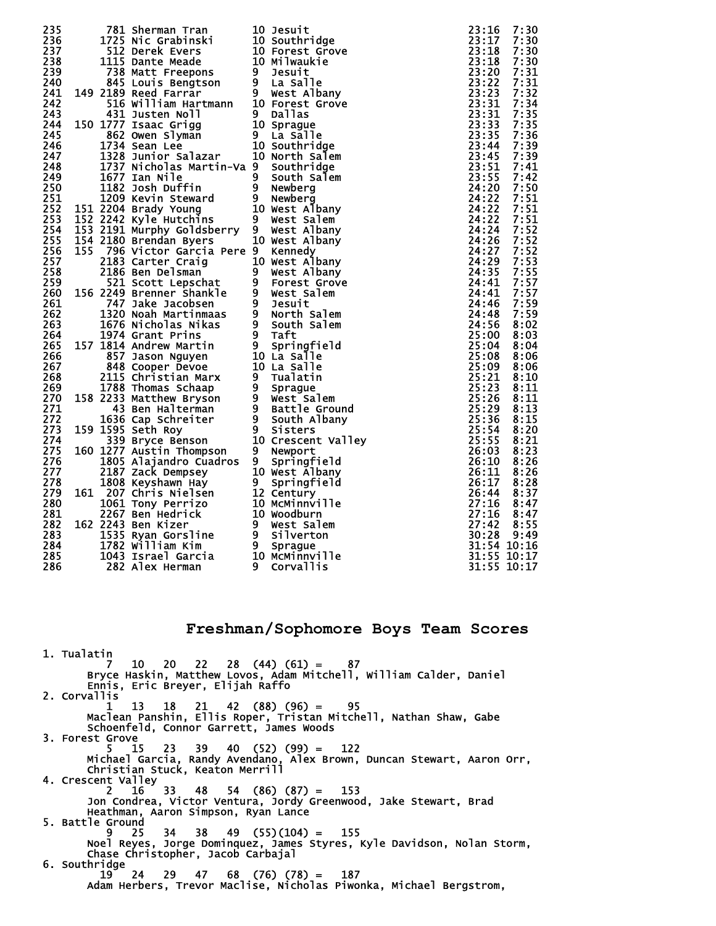| 235 |      | 781 Sherman Tran                                                                                                                                                                                                                                        |                | <b>10 Jesuit</b>                          | 23:16       | 7:30 |
|-----|------|---------------------------------------------------------------------------------------------------------------------------------------------------------------------------------------------------------------------------------------------------------|----------------|-------------------------------------------|-------------|------|
| 236 |      |                                                                                                                                                                                                                                                         |                |                                           | 23:17       | 7:30 |
| 237 |      |                                                                                                                                                                                                                                                         |                |                                           | 23:18       | 7:30 |
| 238 |      |                                                                                                                                                                                                                                                         |                |                                           | 23:18       | 7:30 |
| 239 |      |                                                                                                                                                                                                                                                         |                |                                           | 23:20       | 7:31 |
| 240 |      | 781 Sherman Tran<br>1725 Nic Grabinski<br>10 Southridge<br>512 Derek Evers<br>10 Southridge<br>512 Derek Evers<br>10 Forest Grove<br>1115 Dante Meade<br>10 Milwaukie<br>738 Matt Freepons<br>9 Desuit<br>845 Louis Bengtson<br>9 La Salle<br>2189 Reed |                |                                           | 23:22       | 7:31 |
|     |      |                                                                                                                                                                                                                                                         |                |                                           |             |      |
| 241 |      | 149 2189 Reed Farrar                                                                                                                                                                                                                                    |                |                                           | 23:23       | 7:32 |
| 242 |      |                                                                                                                                                                                                                                                         |                |                                           | 23:31       | 7:34 |
| 243 |      |                                                                                                                                                                                                                                                         |                |                                           | 23:31       | 7:35 |
| 244 |      | 150 1777 Isaac Grigg                                                                                                                                                                                                                                    |                |                                           | 23:33       | 7:35 |
| 245 |      |                                                                                                                                                                                                                                                         |                |                                           | 23:35       | 7:36 |
|     |      |                                                                                                                                                                                                                                                         |                |                                           |             |      |
| 246 |      |                                                                                                                                                                                                                                                         |                |                                           | 23:44       | 7:39 |
| 247 |      | 1328 Junior Salazar                                                                                                                                                                                                                                     |                | 10 North Salem                            | 23:45       | 7:39 |
| 248 |      | 1737 Nicholas Martin-Va 9 Southridge                                                                                                                                                                                                                    |                |                                           | 23:51       | 7:41 |
| 249 |      |                                                                                                                                                                                                                                                         |                |                                           | 23:55       | 7:42 |
| 250 |      |                                                                                                                                                                                                                                                         |                |                                           | 24:20       | 7:50 |
| 251 |      |                                                                                                                                                                                                                                                         |                |                                           | 24:22       | 7:51 |
| 252 |      |                                                                                                                                                                                                                                                         |                |                                           | 24:22       | 7:51 |
|     |      | 1677 Ian Nile<br>182 Josh Duffin<br>182 Josh Duffin<br>182 Josh Duffin<br>19 Newberg<br>151 2204 Brady Young<br>19 Newst Albany<br>152 2242 Kyle Hutchins<br>19 West Salem                                                                              |                |                                           |             |      |
| 253 |      |                                                                                                                                                                                                                                                         |                |                                           | 24:22       | 7:51 |
| 254 |      | 153 2191 Murphy Goldsberry 9 West Albany                                                                                                                                                                                                                |                |                                           | 24:24       | 7:52 |
| 255 |      | 154 2180 Brendan Byers                                                                                                                                                                                                                                  |                | 10 West Albany                            | 24:26       | 7:52 |
| 256 | 155. | 796 Victor Garcia Pere 9 Kennedy                                                                                                                                                                                                                        |                |                                           | 24:27       | 7:52 |
| 257 |      |                                                                                                                                                                                                                                                         |                | 10 West Albany                            | 24:29       | 7:53 |
| 258 |      |                                                                                                                                                                                                                                                         |                | 9 West Albany                             | 24:35       | 7:55 |
| 259 |      |                                                                                                                                                                                                                                                         |                | 9 Forest Grove                            | 24:41       | 7:57 |
|     |      |                                                                                                                                                                                                                                                         |                |                                           |             |      |
| 260 |      | 2183 Carter Craig<br>2186 Ben Delsman<br>521 Scott Lepschat<br>156 2249 Brenner Shankle                                                                                                                                                                 |                | 9 West Salem<br>9 Jesuit<br>9 North Salem | 24:41       | 7:57 |
| 261 |      |                                                                                                                                                                                                                                                         |                |                                           | 24:46       | 7:59 |
| 262 |      |                                                                                                                                                                                                                                                         |                |                                           | 24:48       | 7:59 |
| 263 |      | 747 Jake Jacobsen<br>1320 Noah Martinmaas<br>1676 Nicholas Nikas<br>1974 Grant Prins<br>1974 Grant Prins<br>1974 Grant Prins<br>9 South Salem<br>157 1814 Andrew Martin<br>857 Jason Nguyen<br>10 La Salle<br>848 Cooper Devoe<br>10 La Salle<br>2115   |                |                                           | 24:56       | 8:02 |
| 264 |      |                                                                                                                                                                                                                                                         |                |                                           | 25:00       | 8:03 |
| 265 |      |                                                                                                                                                                                                                                                         |                |                                           | 25:04       | 8:04 |
| 266 |      |                                                                                                                                                                                                                                                         |                |                                           | 25:08       | 8:06 |
| 267 |      |                                                                                                                                                                                                                                                         |                |                                           | 25:09       | 8:06 |
|     |      |                                                                                                                                                                                                                                                         |                |                                           | 25:21       | 8:10 |
| 268 |      |                                                                                                                                                                                                                                                         |                |                                           |             |      |
| 269 |      |                                                                                                                                                                                                                                                         |                |                                           | 25:23       | 8:11 |
| 270 |      |                                                                                                                                                                                                                                                         |                |                                           | 25:26       | 8:11 |
| 271 |      |                                                                                                                                                                                                                                                         |                |                                           | 25:29       | 8:13 |
| 272 |      |                                                                                                                                                                                                                                                         |                |                                           | 25:36       | 8:15 |
| 273 |      | 159 1595 Seth Roy                                                                                                                                                                                                                                       | $\overline{9}$ | <b>Sisters</b>                            | 25:54       | 8:20 |
| 274 |      | 339 Bryce Benson                                                                                                                                                                                                                                        |                | 10 Crescent Valley                        | 25:55       | 8:21 |
| 275 |      | 160 1277 Austin Thompson                                                                                                                                                                                                                                | 9              | Newport                                   | 26:03       | 8:23 |
| 276 |      | 1805 Alajandro Cuadros                                                                                                                                                                                                                                  | 9              | Springfield                               | 26:10       | 8:26 |
| 277 |      | 2187 Zack Dempsey                                                                                                                                                                                                                                       |                | 10 West Albany                            | 26:11       | 8:26 |
|     |      |                                                                                                                                                                                                                                                         |                |                                           |             |      |
| 278 |      | 1808 Keyshawn Hay                                                                                                                                                                                                                                       | 9              | Springfield                               | 26:17       | 8:28 |
| 279 |      | 161 207 Chris Nielsen                                                                                                                                                                                                                                   |                |                                           | 26:44       | 8:37 |
| 280 |      |                                                                                                                                                                                                                                                         |                |                                           | 27:16       | 8:47 |
| 281 |      |                                                                                                                                                                                                                                                         |                |                                           | 27:16       | 8:47 |
| 282 |      | 162 2243 Ben Kizer                                                                                                                                                                                                                                      |                |                                           | 27:42       | 8:55 |
| 283 |      |                                                                                                                                                                                                                                                         |                |                                           | 30:28       | 9:49 |
| 284 |      | 207 Chris Nielsen<br>207 Chris Nielsen<br>1061 Tony Perrizo<br>2267 Ben Hedrick<br>2267 Ben Hedrick<br>2243 Ben Kizer<br>1535 Ryan Gorsline<br>1782 William Kim<br>1043 Israel Garcia<br>10 McMinnville<br>282 Alex Herman<br>282 Alex Herman<br>20 Co  |                |                                           | 31:54 10:16 |      |
| 285 |      |                                                                                                                                                                                                                                                         |                |                                           | 31:55 10:17 |      |
|     |      |                                                                                                                                                                                                                                                         |                |                                           | 31:55 10:17 |      |
| 286 |      | 282 Alex Herman                                                                                                                                                                                                                                         |                | <b>Corvallis</b>                          |             |      |

**Freshman/Sophomore Boys Team Scores** 

 1. Tualatin 7 10 20 22 28 (44) (61) = 87 Bryce Haskin, Matthew Lovos, Adam Mitchell, William Calder, Daniel Ennis, Eric Breyer, Elijah Raffo 2. Corvallis 1 13 18 21 42 (88) (96) = 95 Maclean Panshin, Ellis Roper, Tristan Mitchell, Nathan Shaw, Gabe Schoenfeld, Connor Garrett, James Woods 3. Forest Grove 5 15 23 39 40 (52) (99) = 122 Michael Garcia, Randy Avendano, Alex Brown, Duncan Stewart, Aaron Orr, Christian Stuck, Keaton Merrill 4. Crescent Valley 2 16 33 48 54 (86) (87) = 153 Jon Condrea, Victor Ventura, Jordy Greenwood, Jake Stewart, Brad Heathman, Aaron Simpson, Ryan Lance 5. Battle Ground 9 25 34 38 49 (55)(104) = 155 Noel Reyes, Jorge Dominquez, James Styres, Kyle Davidson, Nolan Storm, Chase Christopher, Jacob Carbajal 6. Southridge  $19$  19 24 29 47 68 (76) (78) = 187 Adam Herbers, Trevor Maclise, Nicholas Piwonka, Michael Bergstrom,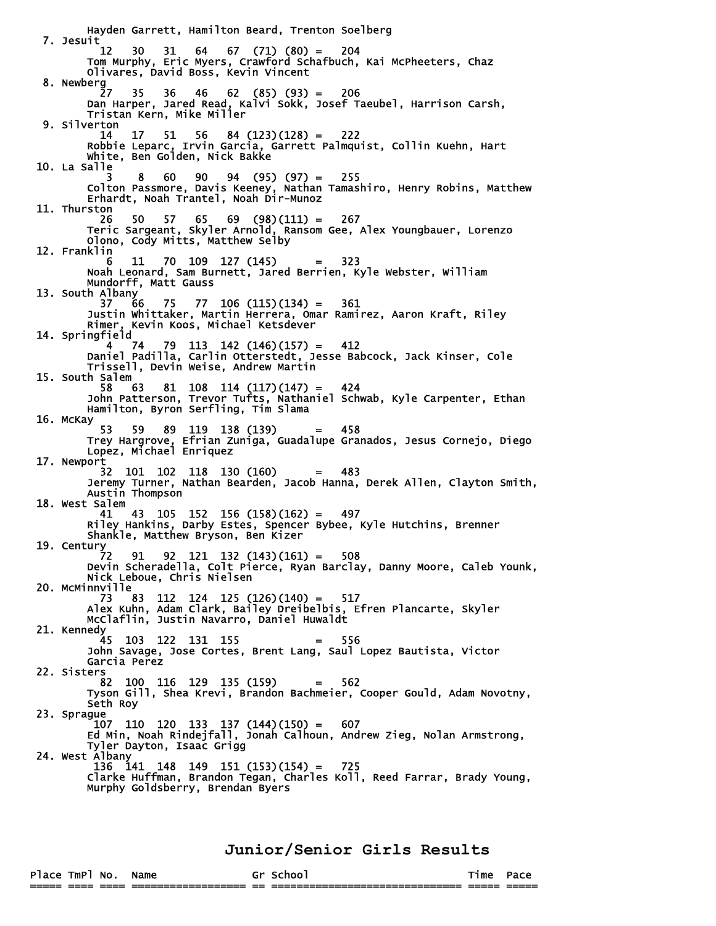Hayden Garrett, Hamilton Beard, Trenton Soelberg 7. Jesuit 12 30 31 64 67 (71) (80) = 204 Tom Murphy, Eric Myers, Crawford Schafbuch, Kai McPheeters, Chaz Olivares, David Boss, Kevin Vincent 8. Newberg 27 35 36 46 62 (85) (93) = 206 Dan Harper, Jared Read, Kalvi Sokk, Josef Taeubel, Harrison Carsh, Tristan Kern, Mike Miller 9. Silverton 14 17 51 56 84 (123)(128) = 222 Robbie Leparc, Irvin Garcia, Garrett Palmquist, Collin Kuehn, Hart White, Ben Golden, Nick Bakke 10. La Salle 3 8 60 90 94 (95) (97) = 255 Colton Passmore, Davis Keeney, Nathan Tamashiro, Henry Robins, Matthew Erhardt, Noah Trantel, Noah Dir-Munoz 11. Thurston 26 50 57 65 69 (98)(111) = 267 Teric Sargeant, Skyler Arnold, Ransom Gee, Alex Youngbauer, Lorenzo Olono, Cody Mitts, Matthew Selby 12. Franklin 6 11 70 109 127 (145) = 323 Noah Leonard, Sam Burnett, Jared Berrien, Kyle Webster, William Mundorff, Matt Gauss 13. South Albany<br>37 66 37 66 75 77 106 (115)(134) = 361 Justin Whittaker, Martin Herrera, Omar Ramirez, Aaron Kraft, Riley Rimer, Kevin Koos, Michael Ketsdever 14. Springfield  $4 \quad 74 \quad 79 \quad 113 \quad 142 \quad (146) (157) = 412$  Daniel Padilla, Carlin Otterstedt, Jesse Babcock, Jack Kinser, Cole Trissell, Devin Weise, Andrew Martin 15. South Salem 58 63 81 108 114 (117)(147) = 424 John Patterson, Trevor Tufts, Nathaniel Schwab, Kyle Carpenter, Ethan Hamilton, Byron Serfling, Tim Slama 16. McKay  $53$  53 59 89 119 138 (139) = 458 Trey Hargrove, Efrian Zuniga, Guadalupe Granados, Jesus Cornejo, Diego Lopez, Michael Enriquez 17. Newport 32 101 102 118 130 (160) = 483 Jeremy Turner, Nathan Bearden, Jacob Hanna, Derek Allen, Clayton Smith, Austin Thompson 18. West Salem 41 43 105 152 156 (158)(162) = 497 Riley Hankins, Darby Estes, Spencer Bybee, Kyle Hutchins, Brenner Shankle, Matthew Bryson, Ben Kizer 19. Century<br>72 72 91 92 121 132 (143)(161) = 508 Devin Scheradella, Colt Pierce, Ryan Barclay, Danny Moore, Caleb Younk, Nick Leboue, Chris Nielsen 20. McMinnville 73 83 112 124 125 (126)(140) = 517 Alex Kuhn, Adam Clark, Bailey Dreibelbis, Efren Plancarte, Skyler McClaflin, Justin Navarro, Daniel Huwaldt 21. Kennedy 45 103 122 131 155 = 556 John Savage, Jose Cortes, Brent Lang, Saul Lopez Bautista, Victor Garcia Perez 22. Sisters 82 100 116 129 135 (159) = 562 Tyson Gill, Shea Krevi, Brandon Bachmeier, Cooper Gould, Adam Novotny, Seth Roy 23. Sprague  $107$  110 120 133 137 (144)(150) = 607 Ed Min, Noah Rindejfall, Jonah Calhoun, Andrew Zieg, Nolan Armstrong, Tyler Dayton, Isaac Grigg 24. West Albany<br>136 141 136 141 148 149 151 (153)(154) = 725 Clarke Huffman, Brandon Tegan, Charles Koll, Reed Farrar, Brady Young, Murphy Goldsberry, Brendan Byers

**Junior/Senior Girls Results**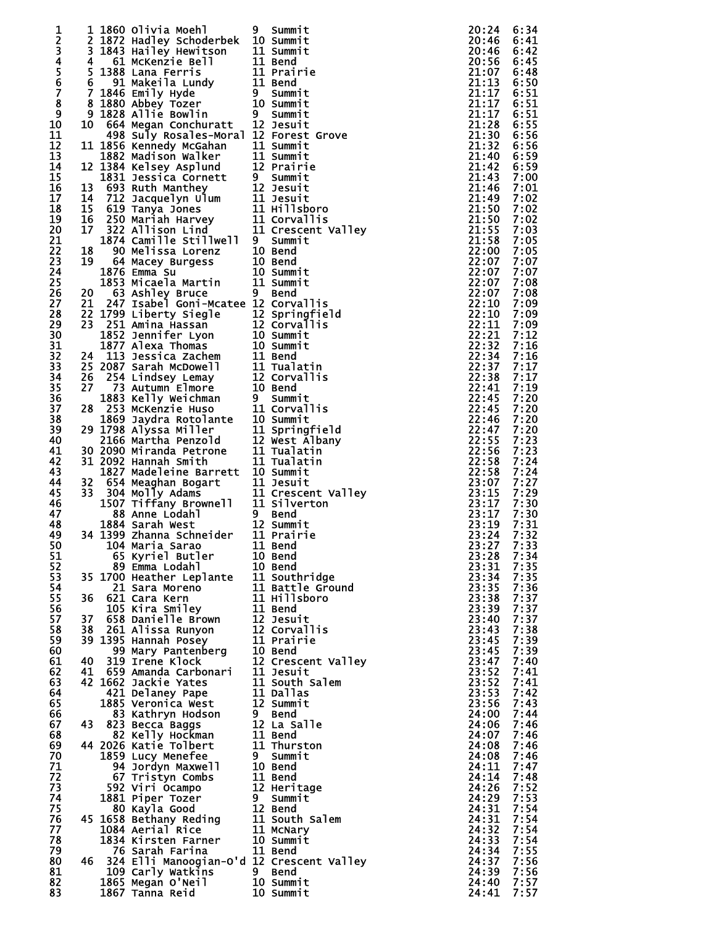| 1                     |    | 1 1860 Olivia Moehl                                                                                                                                                                                                                                       | 9 | Summit                 | 20:24          | 6:34         |
|-----------------------|----|-----------------------------------------------------------------------------------------------------------------------------------------------------------------------------------------------------------------------------------------------------------|---|------------------------|----------------|--------------|
| 2                     |    | 2 1872 Hadley Schoderbek 10 Summit                                                                                                                                                                                                                        |   |                        | 20:46          | 6:41         |
|                       |    | 3 1843 Hailey Hewitson                                                                                                                                                                                                                                    |   | n 11 Summit<br>11 Bend | 20:46          | 6:42         |
| 34567                 | 4  | 61 McKenzie Bell                                                                                                                                                                                                                                          |   |                        | 20:56          | 6:45         |
|                       |    | 5 1388 Lana Ferris<br>6 91 Makeila Lundy<br>7 1846 Emily Hyde<br>8 1880 Abbey Tozer<br>8 1880 Abbey Tozer<br>9 1828 Allie Bowlin<br>10 664 Megan Conchuratt<br>12 Jesuit                                                                                  |   | 11 Prairie             | 21:07          | 6:48         |
|                       |    |                                                                                                                                                                                                                                                           |   |                        | 21:13          | 6:50         |
|                       |    |                                                                                                                                                                                                                                                           |   |                        | 21:17          | 6:51         |
| 8<br>$\boldsymbol{9}$ |    |                                                                                                                                                                                                                                                           |   |                        | 21:17<br>21:17 | 6:51         |
| 10                    |    |                                                                                                                                                                                                                                                           |   |                        | 21:28          | 6:51<br>6:55 |
| 11                    |    | 498 Suly Rosales-Moral 12 Forest Grove                                                                                                                                                                                                                    |   |                        | 21:30          | 6:56         |
| 12                    |    | 11 1856 Kennedy McGahan                                                                                                                                                                                                                                   |   | 11 Summit              | 21:32          | 6:56         |
| 13                    |    |                                                                                                                                                                                                                                                           |   |                        | 21:40          | 6:59         |
| 14                    |    |                                                                                                                                                                                                                                                           |   |                        | 21:42          | 6:59         |
| 15                    |    |                                                                                                                                                                                                                                                           |   |                        | 21:43          | 7:00         |
| 16                    |    |                                                                                                                                                                                                                                                           |   |                        | 21:46          | 7:01         |
| 17                    |    | 11 1856 Kenneay McGanan<br>12 1882 Madison Walker<br>12 1884 Kelsey Asplund<br>12 Prairie<br>13 693 Ruth Manthey<br>13 693 Ruth Manthey<br>14 712 Jacquelyn Ulum<br>11 Jesuit<br>14 712 Jacquelyn Ulum<br>11 Jesuit<br>15 619 Tanya Jones<br>11 Hill      |   |                        | 21:49          | 7:02         |
| 18                    |    |                                                                                                                                                                                                                                                           |   |                        | 21:50          | 7:02         |
| 19                    |    |                                                                                                                                                                                                                                                           |   |                        | 21:50          | 7:02         |
| 20                    |    |                                                                                                                                                                                                                                                           |   |                        | 21:55<br>21:58 | 7:03         |
| 21<br>22              |    |                                                                                                                                                                                                                                                           |   |                        | 22:00          | 7:05<br>7:05 |
| 23                    | 19 |                                                                                                                                                                                                                                                           |   |                        | 22:07          | 7:07         |
| 24                    |    | 64 Macey Burgess 10 Bend<br>1876 Emma Su 10 Summit<br>1853 Micaela Martin 11 Summit<br>63 Ashley Bruce 9 Bend                                                                                                                                             |   |                        | 22:07          | 7:07         |
| 25                    |    |                                                                                                                                                                                                                                                           |   |                        | 22:07          | 7:08         |
| 26                    | 20 |                                                                                                                                                                                                                                                           |   |                        | 22:07          | 7:08         |
| 27                    | 21 | 247 Isabel Goni-Mcatee 12 Corvallis                                                                                                                                                                                                                       |   |                        | 22:10          | 7:09         |
| 28                    |    |                                                                                                                                                                                                                                                           |   |                        | 22:10          | 7:09         |
| 29                    |    |                                                                                                                                                                                                                                                           |   |                        | 22:11          | 7:09         |
| 30                    |    |                                                                                                                                                                                                                                                           |   |                        | 22:21          | 7:12         |
| 31                    |    |                                                                                                                                                                                                                                                           |   |                        | 22:32          | 7:16         |
| 32                    |    |                                                                                                                                                                                                                                                           |   |                        | 22:34          | 7:16         |
| 33                    |    | 21 24/ Isabel Goni-Mcatee 12 Corvallis<br>22 1799 Liberty Siegle 12 Springfield<br>23 251 Amina Hassan 12 Corvallis<br>1852 Jennifer Lyon 10 Summit<br>1877 Alexa Thomas 10 Summit<br>24 113 Jessica Zachem 11 Bend<br>25 2087 Sarah McDowell 11          |   |                        | 22:37          | 7:17<br>7:17 |
| 34<br>35              |    |                                                                                                                                                                                                                                                           |   |                        | 22:38<br>22:41 | 7:19         |
| 36                    |    |                                                                                                                                                                                                                                                           |   |                        | 22:45          | 7:20         |
| 37                    |    |                                                                                                                                                                                                                                                           |   |                        | 22:45          | 7:20         |
| 38                    |    |                                                                                                                                                                                                                                                           |   |                        | 22:46          | 7:20         |
| 39                    |    | 29 1798 Alyssa Miller                                                                                                                                                                                                                                     |   | 11 Springfield         | 22:47          | 7:20         |
| 40                    |    | 2166 Martha Penzold                                                                                                                                                                                                                                       |   | 12 West Albany         | 22:55          | 7:23         |
| 41                    |    | 30 2090 Miranda Petrone                                                                                                                                                                                                                                   |   | 11 Tualatin            | 22:56          | 7:23         |
| 42                    |    | 31 2092 Hannah Smith                                                                                                                                                                                                                                      |   | 11 Tualatin            | 22:58          | 7:24         |
| 43                    |    | 1827 Madeleine Barrett 10 Summit                                                                                                                                                                                                                          |   |                        | 22:58          | 7:24         |
| 44                    | 32 | 654 Meaghan Bogart<br>304 Molly Adams<br>11 Crescent Valley<br>1507 Tiffany Brownell 11 Silverton                                                                                                                                                         |   |                        | 23:07          | 7:27         |
| 45                    | 33 |                                                                                                                                                                                                                                                           |   |                        | 23:15          | 7:29         |
| 46                    |    |                                                                                                                                                                                                                                                           |   |                        | 23:17          | 7:30         |
| 47<br>48              |    | 88 Anne Lodahl 9 Bend<br>1884 Sarah West 12 Summit<br>34 1399 Zhanna Schneider 11 Prairie                                                                                                                                                                 |   | 9 Bend                 | 23:17<br>23:19 | 7:30<br>7:31 |
| 49                    |    |                                                                                                                                                                                                                                                           |   |                        | 23:24          | 7:32         |
| 50                    |    | 11 Bend<br>89 Emma Lodahl<br>35 1700 Heather Leplante<br>21 Sara Moreno<br>36 621 Cara Kern<br>11 Battle Ground<br>36 621 Cara Kern<br>11 Hillsboro<br>36 658 Danielle Brown<br>37 658 Danielle Brown<br>38 261 Alice                                     |   |                        | 23:27 7:33     |              |
| 51                    |    |                                                                                                                                                                                                                                                           |   |                        | 23:28          | 7:34         |
| 52                    |    |                                                                                                                                                                                                                                                           |   |                        | 23:31          | 7:35         |
| 53                    |    |                                                                                                                                                                                                                                                           |   |                        | 23:34          | 7:35         |
| 54                    |    |                                                                                                                                                                                                                                                           |   |                        | 23:35          | 7:36         |
| 55                    |    |                                                                                                                                                                                                                                                           |   |                        | 23:38          | 7:37         |
| 56                    |    |                                                                                                                                                                                                                                                           |   |                        | 23:39          | 7:37         |
| 57                    |    |                                                                                                                                                                                                                                                           |   |                        | 23:40          | 7:37         |
| 58                    |    |                                                                                                                                                                                                                                                           |   |                        | 23:43          | 7:38         |
| 59<br>60              |    | 37 658 Danielle Brown<br>38 261 Alissa Runyon<br>39 1395 Hannah Posey<br>99 Mary Pantenberg<br>40 319 Trene Klock<br>41 659 Amada Carbonari<br>41 659 Amada Carbonari<br>41 1 Jesuit                                                                      |   |                        | 23:45<br>23:45 | 7:39<br>7:39 |
| 61                    |    |                                                                                                                                                                                                                                                           |   |                        | 23:47          | 7:40         |
| 62                    |    |                                                                                                                                                                                                                                                           |   |                        | 23:52          | 7:41         |
| 63                    |    | 42 1662 Jackie Yates                                                                                                                                                                                                                                      |   | 11 South Salem         | 23:52          | 7:41         |
| 64                    |    | WWW Jack1e Yates<br>421 Delaney Pape<br>885 Vari                                                                                                                                                                                                          |   | 11 Dallas              | 23:53          | 7:42         |
| 65                    |    |                                                                                                                                                                                                                                                           |   |                        | 23:56          | 7:43         |
| 66                    |    |                                                                                                                                                                                                                                                           |   |                        | 24:00          | 7:44         |
| 67                    |    |                                                                                                                                                                                                                                                           |   | 12 La Salle            | 24:06          | 7:46         |
| 68                    |    |                                                                                                                                                                                                                                                           |   |                        | 24:07          | 7:46         |
| 69                    |    |                                                                                                                                                                                                                                                           |   | 11 Thurston            | 24:08          | 7:46         |
| 70                    |    | 421 Delaney Pape<br>12 Summit<br>83 Kathryn Hodson<br>83 Kathryn Hodson<br>9 Bend<br>82 Kelly Hockman<br>82 Kelly Hockman<br>11 Bend<br>44 2026 Katie Tolbert<br>11 Thurst<br>1859 Lucy Menefee<br>9 Summit<br>94 Jordyn Maxwell<br>10 Bend<br>67 Tristyn |   |                        | 24:08          | 7:46         |
| 71<br>72              |    |                                                                                                                                                                                                                                                           |   |                        | 24:11<br>24:14 | 7:47<br>7:48 |
| 73                    |    |                                                                                                                                                                                                                                                           |   |                        | 24:26          | 7:52         |
| 74                    |    |                                                                                                                                                                                                                                                           |   |                        | 24:29          | 7:53         |
| 75                    |    |                                                                                                                                                                                                                                                           |   |                        | 24:31          | 7:54         |
| 76                    |    |                                                                                                                                                                                                                                                           |   |                        | 24:31          | 7:54         |
| 77                    |    |                                                                                                                                                                                                                                                           |   |                        | 24:32          | 7:54         |
| 78                    |    | 592 Viri Ocampo 12 Heritage<br>1881 Piper Tozer 9 Summit<br>80 Kayla Good 12 Bend<br>45 1658 Bethany Reding 11 South Salem<br>1084 Aerial Rice 11 McNary<br>1834 Kirsten Farner 10 Summit                                                                 |   |                        | 24:33          | 7:54         |
| 79                    |    | 76 Sarah Farina                                                                                                                                                                                                                                           |   | 11 Bend                | 24:34          | 7:55         |
| 80                    |    | 46 324 Elli Manoogian-O'd 12 Crescent Valley                                                                                                                                                                                                              |   |                        | 24:37          | 7:56         |
| 81                    |    | 109 Carly Watkins 9 Bend<br>1865 Megan O'Neil 10 Summit<br>1867 Tanna Reid 10 Summit                                                                                                                                                                      |   |                        | 24:39          | 7:56         |
| 82                    |    |                                                                                                                                                                                                                                                           |   |                        | 24:40          | 7:57         |
| 83                    |    | 1867 Tanna Reid                                                                                                                                                                                                                                           |   | 10 Summit              | 24:41          | 7:57         |

|                          | Summit                  |
|--------------------------|-------------------------|
| ١                        | Summit                  |
| L                        | Summit                  |
| $\overline{a}$           | Bend                    |
| $\overline{a}$           | Prairie                 |
| $\overline{a}$           | Bend                    |
|                          | Summit                  |
| ١                        | Summit                  |
|                          | Summit                  |
|                          | Jesuit                  |
| $\vdots$                 | Forest<br>Grove         |
|                          | Summit                  |
| $\overline{a}$           | Summit                  |
| $\ddot{\phantom{a}}$     | Prairie                 |
|                          | Summit                  |
|                          | Jesuit                  |
|                          | Jesuit                  |
| $\overline{a}$           | <b>Hillsboro</b>        |
| $\overline{a}$           | <b>Corvallis</b>        |
| $\overline{a}$           | Valley<br>Crescent      |
|                          | Summit                  |
| )                        | Bend                    |
| )                        | Bend                    |
| ١                        | Summit                  |
| $\overline{\phantom{a}}$ | Summit                  |
|                          | Bend                    |
|                          | Corvallis               |
| $\vdots$ )               | Springfield             |
|                          | lis<br>Corval           |
|                          | Summit                  |
| )                        | Summit                  |
| $\overline{a}$           | Bend                    |
| $\overline{a}$           | Tualatin<br>corvallis   |
| $\vdots$                 |                         |
|                          | Bend                    |
| $\overline{\phantom{a}}$ | Summit                  |
| J                        | Corvallis               |
| $\overline{\phantom{a}}$ | Summit                  |
|                          | Springfield             |
| <br> <br>                | West Albany<br>Tualatin |
|                          | Tualatin                |
| J                        |                         |
| $\overline{\phantom{a}}$ | Summit<br>Jesuit        |
| $\overline{a}$           | Crescent Valley         |
| $\overline{a}$           | Silverton               |
|                          | Bend                    |
| þ                        | Summit                  |
| $\overline{a}$           | Prairie                 |
|                          | Bend                    |
| )                        | Bend                    |
| ١                        | Bend                    |
| $\overline{\phantom{a}}$ | Southridge              |
| $\overline{L}$           | <b>Battle Ground</b>    |
| $\overline{a}$           | <b>Hillsboro</b>        |
| $\overline{a}$           | Bend                    |
|                          |                         |
|                          | Jesuit<br>Corvallis     |
| -<br> -<br> -<br> -      | Prairie                 |
|                          | <b>Bend</b>             |
|                          | Crescent Valley         |
|                          | Jesuit                  |
|                          | South Salem             |
|                          | Dallas                  |
| $\overline{\phantom{a}}$ | Summit                  |
|                          | Bend                    |
| $\vdash$                 | La Salle                |
|                          | Bend                    |
| $\overline{\phantom{a}}$ | Thurston                |
|                          | Summit                  |
| I                        | Bend                    |
| $\overline{a}$           | Bend                    |
| $\overline{\phantom{a}}$ | Heritage                |
|                          | Summit                  |
| $\vdash$                 | Bend<br>South Salem     |
| Ī                        | McNary                  |
| J                        | Summit                  |
| $\overline{a}$           | Bend                    |
| $\cdot$                  | Crescent Valley         |
|                          | Bend                    |
| J                        | Summit                  |
| ١                        | Summit                  |
|                          |                         |

|  | 24450111123334444445555000000111123333444445555011111222333334444455555000000112233333333444246667377780000011 |  |  |
|--|----------------------------------------------------------------------------------------------------------------|--|--|
|  |                                                                                                                |  |  |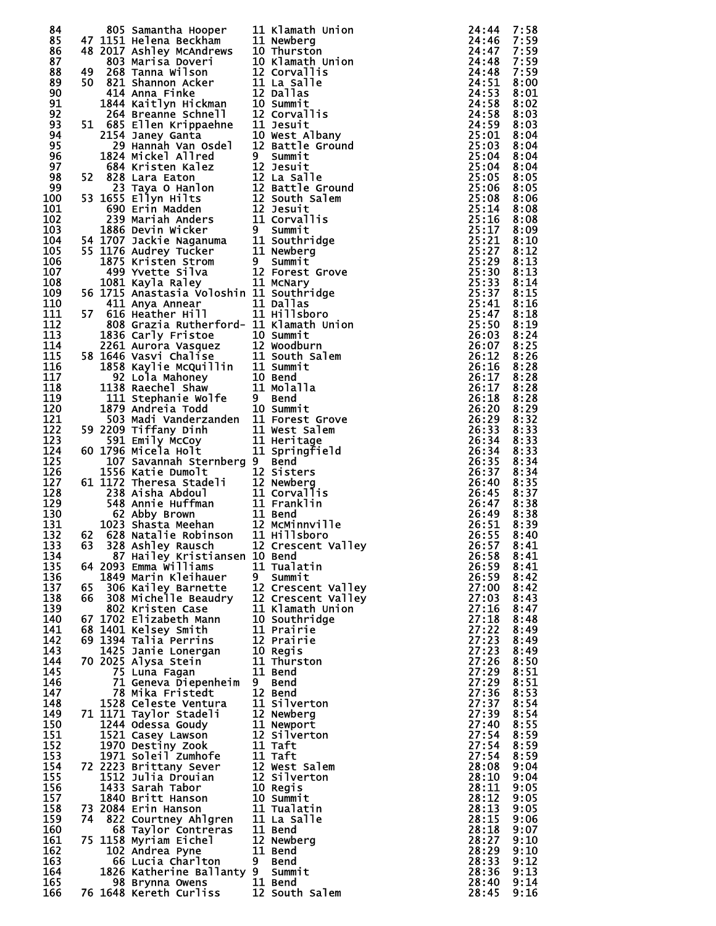| 84  |    | 805 Samantha Hooper 11 Klamath Union<br>47 1151 Helena Beckham 11 Newberg<br>48 2017 Ashley McAndrews 10 Thurston<br>803 Marisa Doveri 10 Klamath Union<br>49 268 Tanna Wilson 12 Corvallis<br>50 821 Shannon Acker 11 La Salle<br>414 Anna Fink | ROS Samantha Hooper<br>1151 Helena Beckham<br>1151 Helena Beckham<br>2017 Ashley McAndrews 10 Thurston<br>2017 Ashley McAndrews 10 Niumstruminin<br>2021 Shamnon Acker<br>111 La Sallis<br>414 Anna Finke 111 La Sallie<br>1644 Sattlyn Hickman 10 Sum | 24:44      | 7:58 |
|-----|----|--------------------------------------------------------------------------------------------------------------------------------------------------------------------------------------------------------------------------------------------------|--------------------------------------------------------------------------------------------------------------------------------------------------------------------------------------------------------------------------------------------------------|------------|------|
| 85  |    |                                                                                                                                                                                                                                                  |                                                                                                                                                                                                                                                        | 24:46      | 7:59 |
|     |    |                                                                                                                                                                                                                                                  |                                                                                                                                                                                                                                                        | 24:47      | 7:59 |
| 86  |    |                                                                                                                                                                                                                                                  |                                                                                                                                                                                                                                                        |            |      |
| 87  |    |                                                                                                                                                                                                                                                  |                                                                                                                                                                                                                                                        | 24:48      | 7:59 |
| 88  |    |                                                                                                                                                                                                                                                  |                                                                                                                                                                                                                                                        | 24:48      | 7:59 |
| 89  |    |                                                                                                                                                                                                                                                  |                                                                                                                                                                                                                                                        | 24:51      | 8:00 |
| 90  |    |                                                                                                                                                                                                                                                  |                                                                                                                                                                                                                                                        | 24:53      | 8:01 |
| 91  |    |                                                                                                                                                                                                                                                  |                                                                                                                                                                                                                                                        | 24:58      | 8:02 |
| 92  |    |                                                                                                                                                                                                                                                  |                                                                                                                                                                                                                                                        | 24:58      | 8:03 |
| 93  |    |                                                                                                                                                                                                                                                  |                                                                                                                                                                                                                                                        | 24:59      | 8:03 |
|     |    |                                                                                                                                                                                                                                                  |                                                                                                                                                                                                                                                        |            |      |
| 94  |    |                                                                                                                                                                                                                                                  |                                                                                                                                                                                                                                                        | 25:01      | 8:04 |
| 95  |    |                                                                                                                                                                                                                                                  | 29 Hannah Van Osdel 12 Battle Ground<br>1824 Mickel Allred 9 Summit<br>684 Kristen Kalez 12 Jesuit<br>52 828 Lara Eaton 12 La Salle<br>23 Taya 0 Hanlon 12 Battle Ground<br>53 1655 Ellyn Hilts 12 South Salem<br>690 Erin Madden 12 Jesuit<br>239     | 25:03      | 8:04 |
| 96  |    |                                                                                                                                                                                                                                                  |                                                                                                                                                                                                                                                        | 25:04      | 8:04 |
| 97  |    |                                                                                                                                                                                                                                                  |                                                                                                                                                                                                                                                        | 25:04      | 8:04 |
| 98  |    |                                                                                                                                                                                                                                                  |                                                                                                                                                                                                                                                        | 25:05      | 8:05 |
| 99  |    |                                                                                                                                                                                                                                                  |                                                                                                                                                                                                                                                        | 25:06      | 8:05 |
|     |    |                                                                                                                                                                                                                                                  |                                                                                                                                                                                                                                                        |            |      |
| 100 |    |                                                                                                                                                                                                                                                  |                                                                                                                                                                                                                                                        | 25:08      | 8:06 |
| 101 |    |                                                                                                                                                                                                                                                  |                                                                                                                                                                                                                                                        | 25:14      | 8:08 |
| 102 |    |                                                                                                                                                                                                                                                  |                                                                                                                                                                                                                                                        | 25:16      | 8:08 |
| 103 |    |                                                                                                                                                                                                                                                  |                                                                                                                                                                                                                                                        | 25:17      | 8:09 |
| 104 |    |                                                                                                                                                                                                                                                  |                                                                                                                                                                                                                                                        | 25:21      | 8:10 |
| 105 |    |                                                                                                                                                                                                                                                  |                                                                                                                                                                                                                                                        | 25:27      | 8:12 |
|     |    |                                                                                                                                                                                                                                                  |                                                                                                                                                                                                                                                        |            |      |
| 106 |    |                                                                                                                                                                                                                                                  |                                                                                                                                                                                                                                                        | 25:29      | 8:13 |
| 107 |    |                                                                                                                                                                                                                                                  |                                                                                                                                                                                                                                                        | 25:30      | 8:13 |
| 108 |    |                                                                                                                                                                                                                                                  |                                                                                                                                                                                                                                                        | 25:33      | 8:14 |
| 109 |    | 56 1715 Anastasia Voloshin 11 Southridge                                                                                                                                                                                                         |                                                                                                                                                                                                                                                        | 25:37      | 8:15 |
| 110 |    |                                                                                                                                                                                                                                                  |                                                                                                                                                                                                                                                        | 25:41      | 8:16 |
| 111 | 57 |                                                                                                                                                                                                                                                  |                                                                                                                                                                                                                                                        | 25:47      | 8:18 |
|     |    |                                                                                                                                                                                                                                                  |                                                                                                                                                                                                                                                        |            |      |
| 112 |    |                                                                                                                                                                                                                                                  |                                                                                                                                                                                                                                                        | 25:50      | 8:19 |
| 113 |    |                                                                                                                                                                                                                                                  |                                                                                                                                                                                                                                                        | 26:03      | 8:24 |
| 114 |    |                                                                                                                                                                                                                                                  |                                                                                                                                                                                                                                                        | 26:07      | 8:25 |
| 115 |    |                                                                                                                                                                                                                                                  |                                                                                                                                                                                                                                                        | 26:12      | 8:26 |
| 116 |    | 808 Grazia Rutherford- 11 Klamath Union<br>1836 Carly Fristoe 10 Summit<br>2261 Aurora Vasquez 12 Woodburn<br>58 1646 Vasvic Chalise 11 South Salem<br>1858 Kaylie McQuillin 11 Summit<br>92 Lola Mahoney 10 Bend<br>1138 Raechel Shaw 11 Molall |                                                                                                                                                                                                                                                        | 26:16      | 8:28 |
| 117 |    |                                                                                                                                                                                                                                                  |                                                                                                                                                                                                                                                        | 26:17      | 8:28 |
|     |    |                                                                                                                                                                                                                                                  |                                                                                                                                                                                                                                                        |            |      |
| 118 |    |                                                                                                                                                                                                                                                  |                                                                                                                                                                                                                                                        | 26:17      | 8:28 |
| 119 |    |                                                                                                                                                                                                                                                  |                                                                                                                                                                                                                                                        | 26:18      | 8:28 |
| 120 |    |                                                                                                                                                                                                                                                  |                                                                                                                                                                                                                                                        | 26:20      | 8:29 |
| 121 |    |                                                                                                                                                                                                                                                  |                                                                                                                                                                                                                                                        | 26:29      | 8:32 |
| 122 |    |                                                                                                                                                                                                                                                  |                                                                                                                                                                                                                                                        | 26:33      | 8:33 |
| 123 |    |                                                                                                                                                                                                                                                  |                                                                                                                                                                                                                                                        | 26:34      | 8:33 |
| 124 |    |                                                                                                                                                                                                                                                  |                                                                                                                                                                                                                                                        |            |      |
|     |    |                                                                                                                                                                                                                                                  |                                                                                                                                                                                                                                                        | 26:34      | 8:33 |
| 125 |    |                                                                                                                                                                                                                                                  |                                                                                                                                                                                                                                                        | 26:35      | 8:34 |
| 126 |    |                                                                                                                                                                                                                                                  |                                                                                                                                                                                                                                                        | 26:37      | 8:34 |
| 127 |    |                                                                                                                                                                                                                                                  |                                                                                                                                                                                                                                                        | 26:40      | 8:35 |
| 128 |    |                                                                                                                                                                                                                                                  | 60 1796 Micela Holt<br>107 Savannah Sternberg 9 Bend<br>1556 Katie Dumolt<br>12 Sisters<br>61 1172 Theresa Stadeli 12 Newberg<br>238 Aisha Abdoul 11 Corvallis<br>548 Annie Huffman 11 Franklin<br>62 Abby Brown 11 Bend<br>1023 Shasta Meehan         | 26:45      | 8:37 |
| 129 |    |                                                                                                                                                                                                                                                  |                                                                                                                                                                                                                                                        | 26:47      | 8:38 |
| 130 |    |                                                                                                                                                                                                                                                  |                                                                                                                                                                                                                                                        | 26:49      | 8:38 |
|     |    |                                                                                                                                                                                                                                                  |                                                                                                                                                                                                                                                        |            |      |
| 131 |    |                                                                                                                                                                                                                                                  |                                                                                                                                                                                                                                                        | 26:51      | 8:39 |
| 132 |    |                                                                                                                                                                                                                                                  |                                                                                                                                                                                                                                                        | 26:55      | 8:40 |
| 133 |    |                                                                                                                                                                                                                                                  |                                                                                                                                                                                                                                                        | 26:57 8:41 |      |
| 134 |    | 87 Hailey Kristiansen 10 Bend                                                                                                                                                                                                                    |                                                                                                                                                                                                                                                        | 26:58      | 8:41 |
| 135 |    | 64 2093 Emma Williams                                                                                                                                                                                                                            | 11 Tualatin                                                                                                                                                                                                                                            | 26:59      | 8:41 |
| 136 |    | 1849 Marin Kleihauer                                                                                                                                                                                                                             | 9 Summit                                                                                                                                                                                                                                               | 26:59      | 8:42 |
|     |    | L849 Marin Kleihauer<br>306 Kailey Barnette                                                                                                                                                                                                      |                                                                                                                                                                                                                                                        |            |      |
| 137 | 65 |                                                                                                                                                                                                                                                  | 12 Crescent Valley                                                                                                                                                                                                                                     | 27:00      | 8:42 |
| 138 |    | 66 308 Michelle Beaudry                                                                                                                                                                                                                          | 12 Crescent Valley                                                                                                                                                                                                                                     | 27:03      | 8:43 |
| 139 |    | 802 Kristen Case                                                                                                                                                                                                                                 | 11 Klamath Union                                                                                                                                                                                                                                       | 27:16      | 8:47 |
| 140 |    | 67 1702 Elizabeth Mann                                                                                                                                                                                                                           | 10 Southridge                                                                                                                                                                                                                                          | 27:18      | 8:48 |
| 141 |    | 68 1401 Kelsey Smith                                                                                                                                                                                                                             | 11 Prairie                                                                                                                                                                                                                                             | 27:22      | 8:49 |
| 142 |    | 69 1394 Talia Perrins                                                                                                                                                                                                                            | 12 Prairie                                                                                                                                                                                                                                             | 27:23      | 8:49 |
| 143 |    | 1425 Janie Lonergan                                                                                                                                                                                                                              |                                                                                                                                                                                                                                                        | 27:23      |      |
|     |    |                                                                                                                                                                                                                                                  | <b>10 Regis</b>                                                                                                                                                                                                                                        |            | 8:49 |
| 144 |    | 70 2025 Alysa Stein                                                                                                                                                                                                                              | 11 Thurston                                                                                                                                                                                                                                            | 27:26      | 8:50 |
| 145 |    | 75 Luna Fagan                                                                                                                                                                                                                                    | 11 Bend                                                                                                                                                                                                                                                | 27:29      | 8:51 |
| 146 |    | 71 Geneva Diepenheim                                                                                                                                                                                                                             | 9 Bend                                                                                                                                                                                                                                                 | 27:29      | 8:51 |
| 147 |    | 78 Mika Fristedt                                                                                                                                                                                                                                 | 12 Bend                                                                                                                                                                                                                                                | 27:36      | 8:53 |
| 148 |    | 1528 Celeste Ventura                                                                                                                                                                                                                             | 11 Silverton                                                                                                                                                                                                                                           | 27:37      | 8:54 |
| 149 |    | 71 1171 Taylor Stadeli                                                                                                                                                                                                                           | 12 Newberg                                                                                                                                                                                                                                             | 27:39      | 8:54 |
|     |    |                                                                                                                                                                                                                                                  |                                                                                                                                                                                                                                                        |            |      |
| 150 |    | 1244 Odessa Goudy                                                                                                                                                                                                                                | 11 Newport                                                                                                                                                                                                                                             | 27:40      | 8:55 |
| 151 |    | 1521 Casey Lawson                                                                                                                                                                                                                                | 12 Silverton                                                                                                                                                                                                                                           | 27:54      | 8:59 |
| 152 |    | 1970 Destiny Zook                                                                                                                                                                                                                                | 11 Taft                                                                                                                                                                                                                                                | 27:54      | 8:59 |
| 153 |    | 1971 Soleil Zumhofe                                                                                                                                                                                                                              | 11 Taft                                                                                                                                                                                                                                                | 27:54      | 8:59 |
| 154 |    | 72 2223 Brittany Sever                                                                                                                                                                                                                           | 12 West Salem                                                                                                                                                                                                                                          | 28:08      | 9:04 |
| 155 |    | 1512 Julia Drouian                                                                                                                                                                                                                               | 12 Silverton                                                                                                                                                                                                                                           | 28:10      | 9:04 |
| 156 |    | 1433 Sarah Tabor                                                                                                                                                                                                                                 |                                                                                                                                                                                                                                                        | 28:11      |      |
|     |    |                                                                                                                                                                                                                                                  | 10 Regis                                                                                                                                                                                                                                               |            | 9:05 |
| 157 |    | 1840 Britt Hanson                                                                                                                                                                                                                                |                                                                                                                                                                                                                                                        | 28:12      | 9:05 |
| 158 |    | 73 2084 Erin Hanson                                                                                                                                                                                                                              |                                                                                                                                                                                                                                                        | 28:13      | 9:05 |
| 159 | 74 |                                                                                                                                                                                                                                                  |                                                                                                                                                                                                                                                        | 28:15      | 9:06 |
| 160 |    | 68 Taylor Contreras                                                                                                                                                                                                                              | 11 Bend                                                                                                                                                                                                                                                | 28:18      | 9:07 |
| 161 |    | 75 1158 Myriam Eichel                                                                                                                                                                                                                            | 12 Newberg                                                                                                                                                                                                                                             | 28:27      | 9:10 |
| 162 |    | 102 Andrea Pyne                                                                                                                                                                                                                                  | 11 Bend                                                                                                                                                                                                                                                | 28:29      | 9:10 |
| 163 |    |                                                                                                                                                                                                                                                  | 9 Bend                                                                                                                                                                                                                                                 | 28:33      | 9:12 |
|     |    | 66 Lucia Charlton                                                                                                                                                                                                                                |                                                                                                                                                                                                                                                        |            |      |
| 164 |    | 1826 Katherine Ballanty 9 Summit                                                                                                                                                                                                                 |                                                                                                                                                                                                                                                        | 28:36      | 9:13 |
| 165 |    | 98 Brynna Owens 11 Bend                                                                                                                                                                                                                          |                                                                                                                                                                                                                                                        | 28:40      | 9:14 |
| 166 |    | 76 1648 Kereth Curliss 12 South Salem                                                                                                                                                                                                            |                                                                                                                                                                                                                                                        | 28:45      | 9:16 |
|     |    |                                                                                                                                                                                                                                                  |                                                                                                                                                                                                                                                        |            |      |

| L                                    | Klamath<br>Union                   |
|--------------------------------------|------------------------------------|
| L                                    | Newberg                            |
|                                      | Thurston                           |
|                                      | Klamath Union<br>Corvallis         |
|                                      |                                    |
|                                      | La Salle<br>Dallas                 |
|                                      |                                    |
|                                      | Summit                             |
|                                      | Corvallis                          |
|                                      | Jesuit                             |
|                                      | West <sub>_</sub> Albany           |
|                                      | Battle Ground                      |
|                                      | Summit                             |
|                                      | Jesuit                             |
|                                      | La Salle                           |
|                                      | Battle Ground                      |
|                                      | South Salem                        |
|                                      |                                    |
|                                      | Jesuit<br>Corvallis                |
|                                      | Summit                             |
| L                                    | Southridge                         |
| Ĺ                                    | Newberg                            |
|                                      | Summit                             |
|                                      | Forest<br>Grove                    |
| $\frac{2}{1}$                        | McNary                             |
| Ĺ                                    | Southridge                         |
| Ĺ                                    | Dallas                             |
| L                                    | Hillsboro                          |
|                                      | Klamath Union                      |
|                                      | Summit                             |
| <br> }<br> <br>                      | Woodburn                           |
|                                      | South Salem                        |
|                                      | Summit                             |
| $\mathbf{C}$                         | <b>Bend</b>                        |
| L                                    | <b>Molalla</b>                     |
|                                      | Bend                               |
| J                                    | Summit                             |
| Ĺ                                    | Forest<br>Grove                    |
| Ĺ                                    | West Salem                         |
| Ĺ                                    | Heritage                           |
| L                                    | Springfield                        |
|                                      | <b>Bend</b>                        |
|                                      | Sisters                            |
|                                      | Newberg                            |
|                                      | Corvallis                          |
| クラール リンパル                            | Franklin                           |
|                                      |                                    |
|                                      | <b>Bend</b>                        |
|                                      | McMinnville                        |
| J                                    | Hillsboro<br>/a11                  |
|                                      | nt<br>Cres<br>cel<br>ΞУ            |
| $\frac{1}{2}$                        | <b>Bend</b>                        |
|                                      | Tualatin                           |
|                                      | Summit                             |
|                                      | Crescent Valley<br>Crescent Valley |
|                                      |                                    |
|                                      | Klamath Union                      |
|                                      | Southridge                         |
|                                      | Prairie                            |
|                                      | Prairie                            |
|                                      | Regis                              |
|                                      | Thurston                           |
|                                      | <b>Bend</b>                        |
|                                      | Bend                               |
|                                      | Bend                               |
|                                      | Silverton                          |
|                                      | Newberg                            |
|                                      | Newport                            |
|                                      | <b>Silverton</b>                   |
|                                      | Taft                               |
|                                      | Taft                               |
|                                      | West Salem                         |
|                                      | Silverton                          |
|                                      | Regis                              |
|                                      | Summit                             |
| - 2121LDL2DLL - 21L21L21L121DDLLL21L | Tualatin                           |
|                                      | La Salle                           |
|                                      | <b>Bend</b>                        |
|                                      | Newberg                            |
|                                      | Bend                               |
|                                      | Bend                               |
|                                      | Summit                             |
| ı                                    | Bend                               |
| $\overline{ }$                       | Salem<br>South                     |
|                                      |                                    |

| 44444555550000000011122233334450001111222333444455555500011222223333455501111111223334444480112335879369967802<br>666777777777777777778888888888888<br>$\frac{1}{2}$<br>2222222222222222222222222222<br>$\ddot{ }$<br>$\ddot{ }$<br>E<br>Ē<br>$\ddot{ }$<br>8 |  |
|---------------------------------------------------------------------------------------------------------------------------------------------------------------------------------------------------------------------------------------------------------------|--|
|                                                                                                                                                                                                                                                               |  |
|                                                                                                                                                                                                                                                               |  |
|                                                                                                                                                                                                                                                               |  |
|                                                                                                                                                                                                                                                               |  |
|                                                                                                                                                                                                                                                               |  |
|                                                                                                                                                                                                                                                               |  |
|                                                                                                                                                                                                                                                               |  |
|                                                                                                                                                                                                                                                               |  |
|                                                                                                                                                                                                                                                               |  |
|                                                                                                                                                                                                                                                               |  |
|                                                                                                                                                                                                                                                               |  |
|                                                                                                                                                                                                                                                               |  |
|                                                                                                                                                                                                                                                               |  |
|                                                                                                                                                                                                                                                               |  |
|                                                                                                                                                                                                                                                               |  |
|                                                                                                                                                                                                                                                               |  |
|                                                                                                                                                                                                                                                               |  |
|                                                                                                                                                                                                                                                               |  |
|                                                                                                                                                                                                                                                               |  |
|                                                                                                                                                                                                                                                               |  |
|                                                                                                                                                                                                                                                               |  |
|                                                                                                                                                                                                                                                               |  |
|                                                                                                                                                                                                                                                               |  |
|                                                                                                                                                                                                                                                               |  |
|                                                                                                                                                                                                                                                               |  |
|                                                                                                                                                                                                                                                               |  |
|                                                                                                                                                                                                                                                               |  |
|                                                                                                                                                                                                                                                               |  |
|                                                                                                                                                                                                                                                               |  |
|                                                                                                                                                                                                                                                               |  |
|                                                                                                                                                                                                                                                               |  |
|                                                                                                                                                                                                                                                               |  |
|                                                                                                                                                                                                                                                               |  |
|                                                                                                                                                                                                                                                               |  |
|                                                                                                                                                                                                                                                               |  |
|                                                                                                                                                                                                                                                               |  |
|                                                                                                                                                                                                                                                               |  |
|                                                                                                                                                                                                                                                               |  |
|                                                                                                                                                                                                                                                               |  |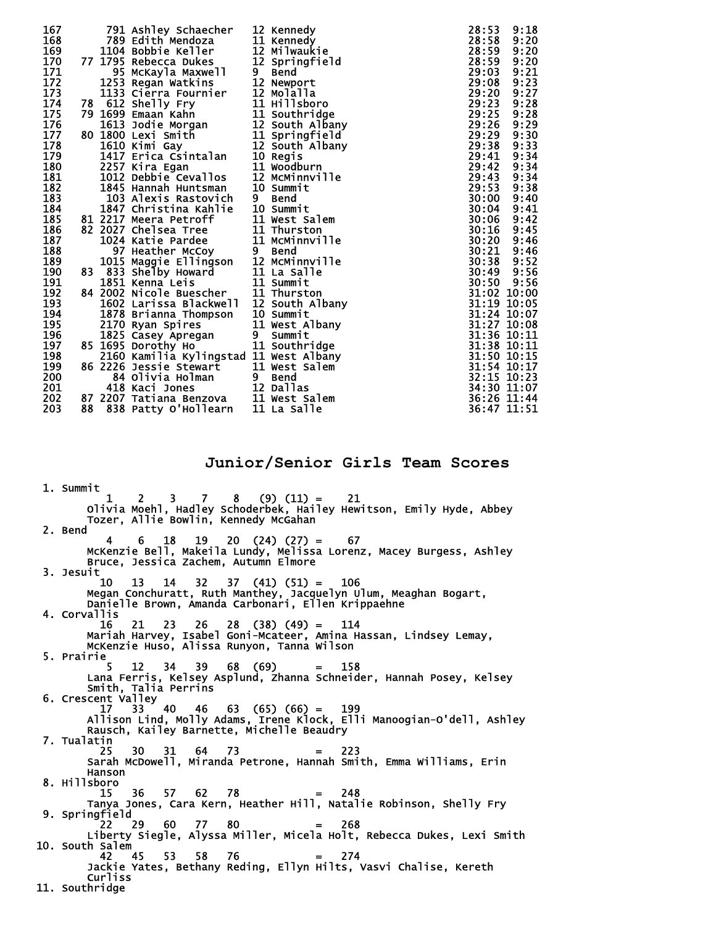| 167 |    | 791 Ashley Schaecher                                            |   | 12 Kennedy      | 28:53 | 9:18        |
|-----|----|-----------------------------------------------------------------|---|-----------------|-------|-------------|
| 168 |    | 789 Edith Mendoza                                               |   | 11 Kennedy      | 28:58 | 9:20        |
| 169 |    | 1104 Bobbie Keller                                              |   | 12 Milwaukie    | 28:59 | 9:20        |
| 170 | 77 | 1795 Rebecca Dukes                                              |   | 12 Springfield  | 28:59 | 9:20        |
| 171 |    | 95 McKayla Maxwell                                              | 9 | Bend            | 29:03 | 9:21        |
| 172 |    | 1253 Regan Watkins                                              |   | 12 Newport      | 29:08 | 9:23        |
| 173 |    | 1133 Cierra Fournier                                            |   | 12 Molalla      | 29:20 | 9:27        |
| 174 | 78 | 612 Shelly Fry                                                  |   | 11 Hillsboro    | 29:23 | 9:28        |
| 175 |    | 79 1699 Emaan Kahn                                              |   | 11 Southridge   | 29:25 | 9:28        |
| 176 |    | 1613 Jodie Morgan                                               |   | 12 South Albany | 29:26 | 9:29        |
| 177 |    | 80 1800 Lexi Smith                                              |   | 11 Springfield  | 29:29 | 9:30        |
| 178 |    | 1610 Kimi Gay                                                   |   | 12 South Albany | 29:38 | 9:33        |
| 179 |    | 1417 Erica Csintalan                                            |   | 10 Regis        | 29:41 | 9:34        |
| 180 |    | 2257 Kira Egan                                                  |   | 11 Woodburn     | 29:42 | 9:34        |
| 181 |    | 1012 Debbie Cevallos                                            |   | 12 MCMinnville  | 29:43 | 9:34        |
| 182 |    | 1845 Hannah Huntsman                                            |   | 10 Summit       | 29:53 | 9:38        |
| 183 |    | 103 Alexis Rastovich                                            | 9 | <b>Bend</b>     | 30:00 | 9:40        |
| 184 |    | 1847 Christina Kahlie                                           |   | 10 Summit       | 30:04 | 9:41        |
| 185 |    | 81 2217 Meera Petroff                                           |   | 11 West Salem   | 30:06 | 9:42        |
| 186 |    | 82 2027 Chelsea Tree                                            |   | 11 Thurston     | 30:16 | 9:45        |
| 187 |    | 1024 Katie Pardee                                               |   | 11 McMinnville  | 30:20 | 9:46        |
| 188 |    | 97 Heather McCoy                                                |   | 9 Bend          | 30:21 | 9:46        |
| 189 |    |                                                                 |   | 12 MCMinnville  | 30:38 | 9:52        |
| 190 | 83 | 1015 Maggie Ellingson<br>833 Shelby Howard<br>833 Shelby Howard |   | 11 La Salle     | 30:49 | 9:56        |
| 191 |    | 1851 Kenna Leis                                                 |   | 11 Summit       | 30:50 | 9:56        |
| 192 |    | <b>84 2002 Nicole Buescher</b>                                  |   | 11 Thurston     |       | 31:02 10:00 |
| 193 |    | 1602 Larissa Blackwell                                          |   | 12 South Albany |       | 31:19 10:05 |
| 194 |    | 1878 Brianna Thompson                                           |   | 10 Summit       |       | 31:24 10:07 |
| 195 |    | 2170 Ryan Spires                                                |   | 11 West Albany  |       | 31:27 10:08 |
| 196 |    | 1825 Casey Apregan                                              | 9 | Summit          |       | 31:36 10:11 |
| 197 |    | 85 1695 Dorothy Ho                                              |   | 11 Southridge   |       | 31:38 10:11 |
| 198 |    | 2160 Kamilia Kylingstad 11 West Albany                          |   |                 |       | 31:50 10:15 |
| 199 |    | 86 2226 Jessie Stewart                                          |   | 11 West Salem   |       | 31:54 10:17 |
| 200 |    | 84 Olivia Holman                                                |   | 9 Bend          |       | 32:15 10:23 |
| 201 |    | 418 Kaci Jones                                                  |   | 12 Dallas       |       | 34:30 11:07 |
| 202 |    | 87 2207 Tatiana Benzova                                         |   | 11 West Salem   |       | 36:26 11:44 |
| 203 | 88 |                                                                 |   | 11 La Salle     |       | 36:47 11:51 |
|     |    | 838 Patty O'Hollearn                                            |   |                 |       |             |

**Junior/Senior Girls Team Scores** 

 1. Summit  $1 \quad 2 \quad 3 \quad 7 \quad 8 \quad (9) \quad (11) = \quad 21$  Olivia Moehl, Hadley Schoderbek, Hailey Hewitson, Emily Hyde, Abbey Tozer, Allie Bowlin, Kennedy McGahan 2. Bend 4 6 18 19 20 (24) (27) = 67 McKenzie Bell, Makeila Lundy, Melissa Lorenz, Macey Burgess, Ashley Bruce, Jessica Zachem, Autumn Elmore 3. Jesuit 10 13 14 32 37 (41) (51) = 106 Megan Conchuratt, Ruth Manthey, Jacquelyn Ulum, Meaghan Bogart, Danielle Brown, Amanda Carbonari, Ellen Krippaehne 4. Corvallis 16 21 23 26 28 (38) (49) = 114 Mariah Harvey, Isabel Goni-Mcateer, Amina Hassan, Lindsey Lemay, McKenzie Huso, Alissa Runyon, Tanna Wilson 5. Prairie 5 12 34 39 68 (69) = 158 Lana Ferris, Kelsey Asplund, Zhanna Schneider, Hannah Posey, Kelsey Smith, Talia Perrins 6. Crescent Valley<br> $17$  33 40 17 33 40 46 63 (65) (66) = 199 Allison Lind, Molly Adams, Irene Klock, Elli Manoogian-O'dell, Ashley Rausch, Kailey Barnette, Michelle Beaudry 7. Tualatin 25 30 31 64 73 = 223 Sarah McDowell, Miranda Petrone, Hannah Smith, Emma Williams, Erin Hanson 8. Hillsboro 15 36 57 62 78 = 248 Tanya Jones, Cara Kern, Heather Hill, Natalie Robinson, Shelly Fry 9. Springfield  $22 \t29 \t60 \t77 \t80 = 268$  Liberty Siegle, Alyssa Miller, Micela Holt, Rebecca Dukes, Lexi Smith 10. South Salem 42 45 53 58 76 = 274 Jackie Yates, Bethany Reding, Ellyn Hilts, Vasvi Chalise, Kereth Curliss 11. Southridge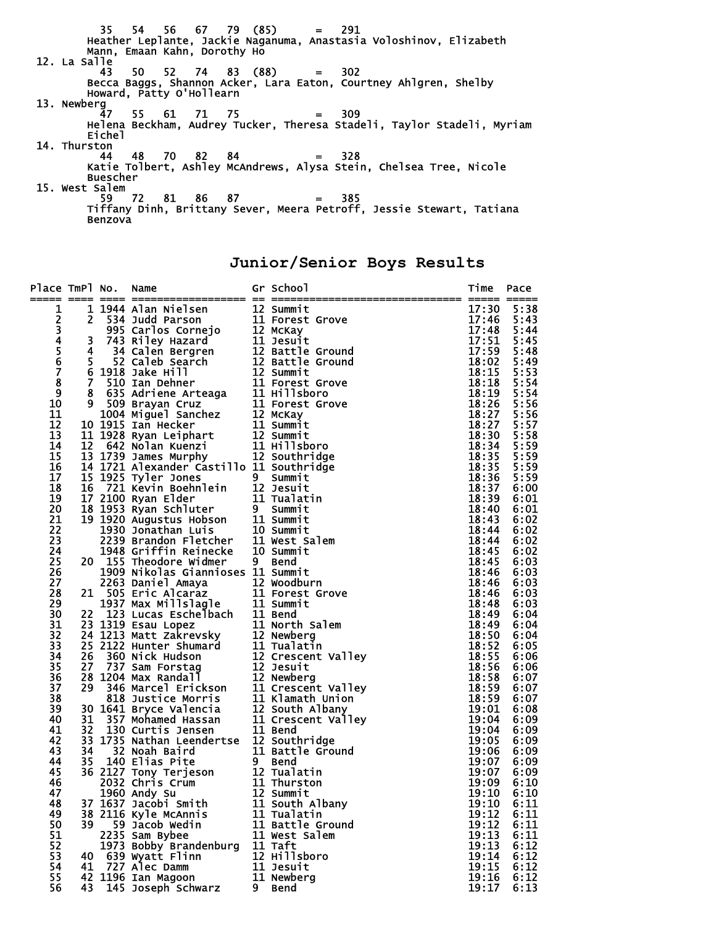35 54 56 67 79 (85) = 291 Heather Leplante, Jackie Naganuma, Anastasia Voloshinov, Elizabeth Mann, Emaan Kahn, Dorothy Ho 12. La Salle 43 50 52 74 83 (88) = 302 Becca Baggs, Shannon Acker, Lara Eaton, Courtney Ahlgren, Shelby Howard, Patty O'Hollearn 13. Newberg 47 55 61 71 75 = 309 Helena Beckham, Audrey Tucker, Theresa Stadeli, Taylor Stadeli, Myriam Eichel 14. Thurston 44 48 70 82 84 = 328 Katie Tolbert, Ashley McAndrews, Alysa Stein, Chelsea Tree, Nicole **Buescher**  15. West Salem 59 72 81 86 87 = 385 Tiffany Dinh, Brittany Sever, Meera Petroff, Jessie Stewart, Tatiana Benzova

**Junior/Senior Boys Results** 

| Place TmPl No.          |     | Name                                                                                                                                                                                                                                      | == = | Gr School          | Time           | Pace         |
|-------------------------|-----|-------------------------------------------------------------------------------------------------------------------------------------------------------------------------------------------------------------------------------------------|------|--------------------|----------------|--------------|
| 1                       |     |                                                                                                                                                                                                                                           |      |                    | 17:30          | 5:38         |
| 234567                  |     |                                                                                                                                                                                                                                           |      |                    | 17:46          | 5:43         |
|                         |     |                                                                                                                                                                                                                                           |      |                    | 17:48          | 5:44         |
|                         |     |                                                                                                                                                                                                                                           |      |                    | 17:51          | 5:45         |
|                         |     |                                                                                                                                                                                                                                           |      |                    | 17:59          | 5:48         |
|                         |     |                                                                                                                                                                                                                                           |      |                    | 18:02          | 5:49         |
|                         |     |                                                                                                                                                                                                                                           |      |                    | 18:15          | 5:53         |
| $\overline{\mathbf{8}}$ |     |                                                                                                                                                                                                                                           |      |                    | 18:18          | 5:54         |
| 9<br>10                 |     |                                                                                                                                                                                                                                           |      |                    | 18:19<br>18:26 | 5:54<br>5:56 |
| 11                      |     |                                                                                                                                                                                                                                           |      |                    | 18:27          | 5:56         |
| 12                      |     |                                                                                                                                                                                                                                           |      |                    | 18:27          | 5:57         |
| 13                      |     |                                                                                                                                                                                                                                           |      |                    | 18:30          | 5:58         |
| 14                      |     |                                                                                                                                                                                                                                           |      |                    | 18:34          | 5:59         |
| 15                      |     |                                                                                                                                                                                                                                           |      |                    | 18:35          | 5:59         |
| 16                      |     | 14 1721 Alexander Castillo 11 Southridge                                                                                                                                                                                                  |      |                    | 18:35          | 5:59         |
| 17                      |     | $15$ $1925$ Tyler Jones                                                                                                                                                                                                                   |      | 9 Summit           | 18:36          | 5:59         |
| 18                      |     |                                                                                                                                                                                                                                           |      | 12 Jesuit          | 18:37          | 6:00         |
| 19                      |     |                                                                                                                                                                                                                                           |      | 11 Tualatin        | 18:39          | 6:01         |
| 20                      |     |                                                                                                                                                                                                                                           |      | 9 Summit           | 18:40          | 6:01         |
| 21                      |     |                                                                                                                                                                                                                                           |      | 11 Summit          | 18:43          | 6:02         |
| 22                      |     |                                                                                                                                                                                                                                           |      | 10 Summit          | 18:44          | 6:02         |
| 23                      |     |                                                                                                                                                                                                                                           |      | 11 West Salem      | 18:44          | 6:02         |
| 24                      |     | 15 1923 Tyler Jones<br>16 721 Kevin Boehnlein<br>17 2100 Ryan Elder<br>18 1953 Ryan Schluter<br>19 1920 Augustus Hobson<br>1930 Jonathan Luis<br>2239 Brandon Fletcher<br>1948 Griffin Reinecke<br>20 155 Theodore Widmer                 |      | 10 Summit          | 18:45          | 6:02         |
| 25                      |     |                                                                                                                                                                                                                                           |      | 9 Bend             | 18:45          | 6:03         |
| 26<br>27                |     | 1909 Nikolas Giannioses 11 Summit                                                                                                                                                                                                         |      |                    | 18:46<br>18:46 | 6:03<br>6:03 |
| 28                      |     | 1909 Nikolas Giannioses 11 Summit<br>2263 Daniel Amaya 12 Woodburn<br>21 505 Eric Alcaraz 11 Forest Gr<br>1937 Max Millslagle 11 Summit<br>23 1319 Esau Lopez 11 North Sal<br>24 1213 Matt Zakrevsky 12 Newberg<br>25 2122 Hunter Shumard |      | 11 Forest Grove    | 18:46          | 6:03         |
| 29                      |     |                                                                                                                                                                                                                                           |      |                    | 18:48          | 6:03         |
| 30                      |     |                                                                                                                                                                                                                                           |      |                    | 18:49          | 6:04         |
| 31                      |     |                                                                                                                                                                                                                                           |      | 11 North Salem     | 18:49          | 6:04         |
| 32                      |     |                                                                                                                                                                                                                                           |      |                    | 18:50          | 6:04         |
| 33                      |     |                                                                                                                                                                                                                                           |      |                    | 18:52          | 6:05         |
| 34                      |     |                                                                                                                                                                                                                                           |      | 12 Crescent Valley | 18:55          | 6:06         |
| 35                      |     |                                                                                                                                                                                                                                           |      |                    | 18:56          | 6:06         |
| 36                      |     |                                                                                                                                                                                                                                           |      |                    | 18:58          | 6:07         |
| 37                      |     |                                                                                                                                                                                                                                           |      | 11 Crescent Valley | 18:59          | 6:07         |
| 38                      |     |                                                                                                                                                                                                                                           |      | 11 Klamath Union   | 18:59          | 6:07         |
| 39                      |     |                                                                                                                                                                                                                                           |      | 12 South Albany    | 19:01          | 6:08         |
| 40                      |     |                                                                                                                                                                                                                                           |      | 11 Crescent Valley | 19:04          | 6:09         |
| 41                      |     | 33 1735 Nathan Leendertse 12 Southridge                                                                                                                                                                                                   |      |                    | 19:04          | 6:09         |
| 42<br>43                |     |                                                                                                                                                                                                                                           |      | 11 Battle Ground   | 19:05<br>19:06 | 6:09<br>6:09 |
| 44                      |     | 34 - 32 Noah Baird<br>35 140 Elias Pite<br>36 2127 Tony Terjeson<br>2032 Chris Crum<br>1960 Andy Su                                                                                                                                       |      | 9 Bend             | 19:07          | 6:09         |
| 45                      |     |                                                                                                                                                                                                                                           |      | 12 Tualatin        | 19:07          | 6:09         |
| 46                      |     |                                                                                                                                                                                                                                           |      | 11 Thurston        | 19:09          | 6:10         |
| 47                      |     | 1960 Andy Su                                                                                                                                                                                                                              |      | 12 Summit          | 19:10          | 6:10         |
| 48                      |     | 37 1637 Jacobi Smith                                                                                                                                                                                                                      |      | 11 South Albany    | 19:10          | 6:11         |
| 49                      |     | 38 2116 Kyle McAnnis                                                                                                                                                                                                                      |      | 11 Tualatin        | 19:12          | 6:11         |
| 50                      | 39. | 59 Jacob Wedin                                                                                                                                                                                                                            |      | 11 Battle Ground   | 19:12          | 6:11         |
| 51                      |     | 2235 Sam Bybee                                                                                                                                                                                                                            |      | 11 West Salem      | 19:13          | 6:11         |
| 52                      |     | 1973 Bobby Brandenburg                                                                                                                                                                                                                    |      | 11 Taft            | 19:13          | 6:12         |
| 53                      | 40  | 639 Wyatt Flinn                                                                                                                                                                                                                           |      | 12 Hillsboro       | 19:14          | 6:12         |
| 54                      | 41  | 727 Alec Damm                                                                                                                                                                                                                             |      | 11 Jesuit          | 19:15          | 6:12         |
| 55                      |     | 42 1196 Ian Magoon                                                                                                                                                                                                                        |      | 11 Newberg         | 19:16          | 6:12         |
| 56                      | 43  | 145 Joseph Schwarz                                                                                                                                                                                                                        | 9.   | <b>Bend</b>        | 19:17          | 6:13         |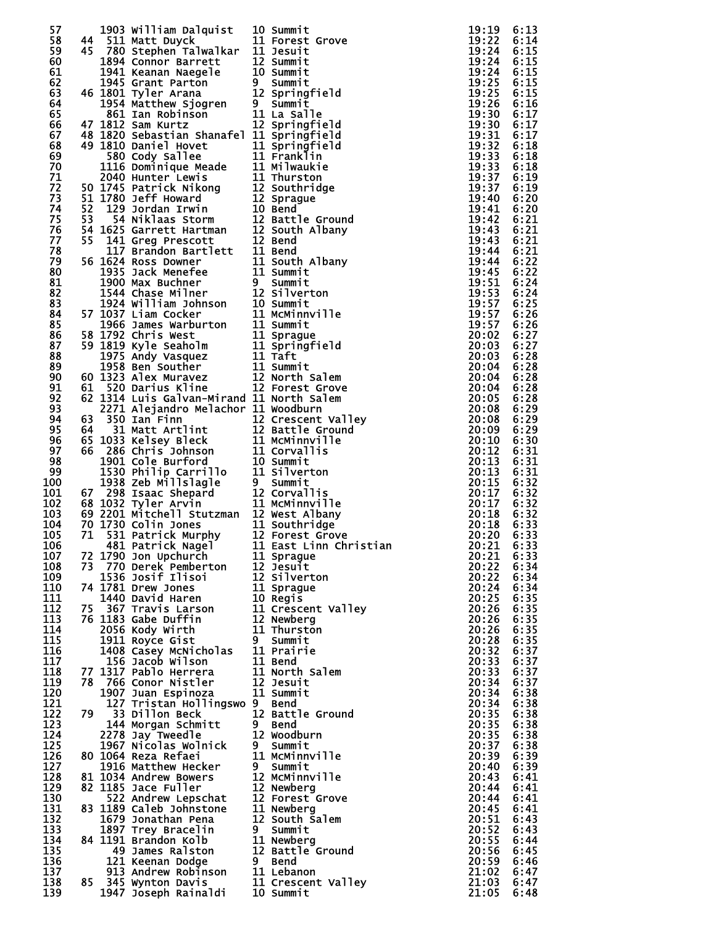| 57         |  | 1903 William Dalquist<br>10 Summit<br>44 511 Matt Duyck<br>11 Forest Grove<br>45 780 Stephen Talwalkar<br>11 Jesuit<br>1894 Connor Barrett<br>12 Summit<br>1945 Grant Parton<br>9 Summit<br>46 1801 Tyler Arana<br>12 Springfield<br>1954 Matthew Sjog |                                                                                                                                                                                                                                                                 | 19:19          | 6:13         |
|------------|--|--------------------------------------------------------------------------------------------------------------------------------------------------------------------------------------------------------------------------------------------------------|-----------------------------------------------------------------------------------------------------------------------------------------------------------------------------------------------------------------------------------------------------------------|----------------|--------------|
| 58         |  |                                                                                                                                                                                                                                                        |                                                                                                                                                                                                                                                                 | 19:22          | 6:14         |
| 59         |  |                                                                                                                                                                                                                                                        |                                                                                                                                                                                                                                                                 | 19:24          | 6:15         |
| 60<br>61   |  |                                                                                                                                                                                                                                                        |                                                                                                                                                                                                                                                                 | 19:24<br>19:24 | 6:15<br>6:15 |
| 62         |  |                                                                                                                                                                                                                                                        |                                                                                                                                                                                                                                                                 | 19:25          | 6:15         |
| 63         |  |                                                                                                                                                                                                                                                        |                                                                                                                                                                                                                                                                 | 19:25          | 6:15         |
| 64         |  |                                                                                                                                                                                                                                                        |                                                                                                                                                                                                                                                                 | 19:26          | 6:16         |
| 65<br>66   |  |                                                                                                                                                                                                                                                        |                                                                                                                                                                                                                                                                 | 19:30<br>19:30 | 6:17<br>6:17 |
| 67         |  | 47 1812 Sam Kurtz<br>48 1820 Sebastian Shanafel 11 Springfield<br>49 1810 Daniel Hovet 11 Springfield<br>580 Cody Sallee 11 Franklin<br>1116 Dominique Meade 11 Milwakie<br>2040 Hunter Lewis 11 Thurston<br>50 1745 Patrick Nikong 12 Sou             |                                                                                                                                                                                                                                                                 | 19:31          | 6:17         |
| 68         |  |                                                                                                                                                                                                                                                        |                                                                                                                                                                                                                                                                 | 19:32          | 6:18         |
| 69         |  |                                                                                                                                                                                                                                                        |                                                                                                                                                                                                                                                                 | 19:33          | 6:18         |
| 70<br>71   |  |                                                                                                                                                                                                                                                        |                                                                                                                                                                                                                                                                 | 19:33<br>19:37 | 6:18<br>6:19 |
| 72         |  |                                                                                                                                                                                                                                                        |                                                                                                                                                                                                                                                                 | 19:37          | 6:19         |
| 73         |  |                                                                                                                                                                                                                                                        |                                                                                                                                                                                                                                                                 | 19:40          | 6:20         |
| 74         |  |                                                                                                                                                                                                                                                        |                                                                                                                                                                                                                                                                 | 19:41          | 6:20         |
| 75         |  |                                                                                                                                                                                                                                                        |                                                                                                                                                                                                                                                                 | 19:42          | 6:21         |
| 76<br>77   |  |                                                                                                                                                                                                                                                        |                                                                                                                                                                                                                                                                 | 19:43<br>19:43 | 6:21<br>6:21 |
| 78         |  |                                                                                                                                                                                                                                                        |                                                                                                                                                                                                                                                                 | 19:44          | 6:21         |
| 79         |  |                                                                                                                                                                                                                                                        |                                                                                                                                                                                                                                                                 | 19:44          | 6:22         |
| 80         |  |                                                                                                                                                                                                                                                        |                                                                                                                                                                                                                                                                 | 19:45          | 6:22         |
| 81<br>82   |  |                                                                                                                                                                                                                                                        |                                                                                                                                                                                                                                                                 | 19:51<br>19:53 | 6:24<br>6:24 |
| 83         |  |                                                                                                                                                                                                                                                        | 1924 William Johnson<br>1924 William Johnson<br>10 Summit<br>1924 William Johnson<br>10 Summit<br>11 Summit<br>11 Summit<br>11 Summit<br>11 Summit<br>11 Summit<br>11 Summit<br>11 Summit<br>11 Summit<br>11 Summit<br>11 Summit<br>11 Summit<br>11 Summit<br>1 | 19:57          | 6:25         |
| 84         |  |                                                                                                                                                                                                                                                        |                                                                                                                                                                                                                                                                 |                |              |
| 85         |  |                                                                                                                                                                                                                                                        |                                                                                                                                                                                                                                                                 |                |              |
| 86         |  |                                                                                                                                                                                                                                                        |                                                                                                                                                                                                                                                                 |                |              |
| 87<br>88   |  |                                                                                                                                                                                                                                                        |                                                                                                                                                                                                                                                                 |                |              |
| 89         |  |                                                                                                                                                                                                                                                        |                                                                                                                                                                                                                                                                 |                |              |
| 90         |  |                                                                                                                                                                                                                                                        |                                                                                                                                                                                                                                                                 |                |              |
| 91         |  |                                                                                                                                                                                                                                                        |                                                                                                                                                                                                                                                                 |                |              |
| 92         |  |                                                                                                                                                                                                                                                        |                                                                                                                                                                                                                                                                 |                |              |
| 93         |  |                                                                                                                                                                                                                                                        |                                                                                                                                                                                                                                                                 |                |              |
| 94<br>95   |  |                                                                                                                                                                                                                                                        |                                                                                                                                                                                                                                                                 |                |              |
| 96         |  |                                                                                                                                                                                                                                                        |                                                                                                                                                                                                                                                                 |                |              |
| 97         |  |                                                                                                                                                                                                                                                        |                                                                                                                                                                                                                                                                 |                |              |
| 98         |  |                                                                                                                                                                                                                                                        |                                                                                                                                                                                                                                                                 |                |              |
| 99         |  |                                                                                                                                                                                                                                                        |                                                                                                                                                                                                                                                                 |                |              |
| 100<br>101 |  |                                                                                                                                                                                                                                                        |                                                                                                                                                                                                                                                                 |                |              |
| 102        |  |                                                                                                                                                                                                                                                        |                                                                                                                                                                                                                                                                 |                |              |
| 103        |  |                                                                                                                                                                                                                                                        |                                                                                                                                                                                                                                                                 |                |              |
| 104        |  |                                                                                                                                                                                                                                                        |                                                                                                                                                                                                                                                                 |                |              |
| 105        |  |                                                                                                                                                                                                                                                        |                                                                                                                                                                                                                                                                 |                |              |
| 106<br>107 |  | 72 1790 Jon Upchurch                                                                                                                                                                                                                                   | 11 Sprague                                                                                                                                                                                                                                                      | 20:21          | 6:33         |
| 108        |  | 72 1790 John Openuren 11 Sprague<br>73 770 Derek Pemberton 12 Jesuit                                                                                                                                                                                   |                                                                                                                                                                                                                                                                 | 20:22          | 6:34         |
| 109        |  |                                                                                                                                                                                                                                                        |                                                                                                                                                                                                                                                                 | 20:22          | 6:34         |
| 110        |  |                                                                                                                                                                                                                                                        |                                                                                                                                                                                                                                                                 | 20:24          | 6:34         |
| 111        |  |                                                                                                                                                                                                                                                        |                                                                                                                                                                                                                                                                 | 20:25          | 6:35         |
| 112<br>113 |  |                                                                                                                                                                                                                                                        |                                                                                                                                                                                                                                                                 | 20:26<br>20:26 | 6:35<br>6:35 |
| 114        |  | 1536 Josif Ilisoi 12 Jesuit<br>1536 Josif Ilisoi 12 Silverton<br>74 1781 Drew Jones 11 Sprague<br>1440 David Haren 10 Regis<br>75 367 Travis Larson 11 Crescent Valley<br>76 1183 Gabe Duffin 12 Newberg<br>2056 Kody Wirth 11 Thurston<br>1           |                                                                                                                                                                                                                                                                 | 20:26          | 6:35         |
| 115        |  |                                                                                                                                                                                                                                                        |                                                                                                                                                                                                                                                                 | 20:28          | 6:35         |
| 116        |  |                                                                                                                                                                                                                                                        |                                                                                                                                                                                                                                                                 | 20:32          | 6:37         |
| 117        |  |                                                                                                                                                                                                                                                        |                                                                                                                                                                                                                                                                 | 20:33          | 6:37         |
| 118<br>119 |  | 78 766 Conor Nistler                                                                                                                                                                                                                                   | 12 Jesuit                                                                                                                                                                                                                                                       | 20:33<br>20:34 | 6:37<br>6:37 |
| 120        |  | 1907 Juan Espinoza                                                                                                                                                                                                                                     | 11 Summit                                                                                                                                                                                                                                                       | 20:34          | 6:38         |
| 121        |  | 127 Tristan Hollingswo 9 Bend                                                                                                                                                                                                                          |                                                                                                                                                                                                                                                                 | 20:34          | 6:38         |
| 122        |  | 79 33 Dillon Beck                                                                                                                                                                                                                                      | 12 Battle Ground                                                                                                                                                                                                                                                | 20:35          | 6:38         |
| 123        |  |                                                                                                                                                                                                                                                        |                                                                                                                                                                                                                                                                 | 20:35          | 6:38         |
| 124<br>125 |  | 2278 Jay Tweedle                                                                                                                                                                                                                                       | 12 Woodburn<br>9 Summit                                                                                                                                                                                                                                         | 20:35<br>20:37 | 6:38<br>6:38 |
| 126        |  | 1967 Nicolas Wolnick<br>1064 Reza Refaei<br>80 1064 Reza Refaei                                                                                                                                                                                        | 11 MCMinnville                                                                                                                                                                                                                                                  | 20:39          | 6:39         |
| 127        |  | 1916 Matthew Hecker                                                                                                                                                                                                                                    | 9 Summit<br>12 McMinnville                                                                                                                                                                                                                                      | 20:40          | 6:39         |
| 128        |  | 81 1034 Andrew Bowers                                                                                                                                                                                                                                  |                                                                                                                                                                                                                                                                 | 20:43          | 6:41         |
| 129        |  | 82 1185 Jace Fuller<br>165 Jace Fuiler<br>522 Andrew Lepschat                                                                                                                                                                                          | 12 Newberg                                                                                                                                                                                                                                                      | 20:44          | 6:41         |
| 130<br>131 |  | 83 1189 Caleb Johnstone                                                                                                                                                                                                                                | 12 Forest Grove<br>11 Newberg                                                                                                                                                                                                                                   | 20:44<br>20:45 | 6:41<br>6:41 |
| 132        |  | 1679 Jonathan Pena                                                                                                                                                                                                                                     | 12 South Salem                                                                                                                                                                                                                                                  | 20:51          | 6:43         |
| 133        |  |                                                                                                                                                                                                                                                        |                                                                                                                                                                                                                                                                 | 20:52          | 6:43         |
| 134        |  |                                                                                                                                                                                                                                                        |                                                                                                                                                                                                                                                                 | 20:55          | 6:44         |
| 135        |  |                                                                                                                                                                                                                                                        |                                                                                                                                                                                                                                                                 | 20:56          | 6:45         |
| 136<br>137 |  |                                                                                                                                                                                                                                                        |                                                                                                                                                                                                                                                                 | 20:59<br>21:02 | 6:46<br>6:47 |
| 138        |  |                                                                                                                                                                                                                                                        |                                                                                                                                                                                                                                                                 | 21:03          | 6:47         |
| 139        |  | 9 Summit<br>2. 1131 Brandon Kolb<br>11 Newberg<br>121 Keenan Dodge<br>121 Keenan Dodge<br>9 Bend<br>913 Andrew Robinson<br>85 345 Wynton Davis<br>11 Crescent Valley<br>1947 Joseph Rainaldi<br>10 Summit                                              |                                                                                                                                                                                                                                                                 | 21:05          | 6:48         |
|            |  |                                                                                                                                                                                                                                                        |                                                                                                                                                                                                                                                                 |                |              |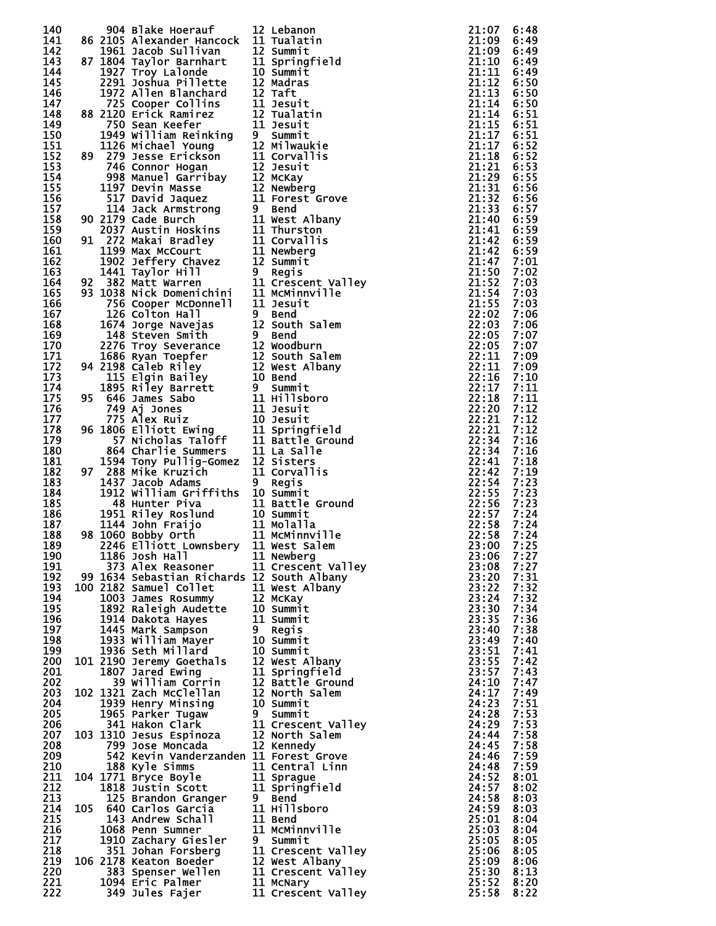| 140 |  | 904 Blake Hoerauf                                                                                                                                                                                                                                        | 12 Lebanon<br>904 alake Hoerauf 12 Lebanon<br>1904 alake Hoerauf 12 Lebanon<br>1951 accord 11 Tualatrin<br>1951 accord Sullivan 12 Symmitre<br>1977 allen Bindfrand 12 Taffurt<br>1977 allen Bindfrand 12 Taffurt<br>1977 allen Bindfrand 12 Taffurt<br>1972 acco | 21:07      | 6:48         |
|-----|--|----------------------------------------------------------------------------------------------------------------------------------------------------------------------------------------------------------------------------------------------------------|-------------------------------------------------------------------------------------------------------------------------------------------------------------------------------------------------------------------------------------------------------------------|------------|--------------|
| 141 |  | 86 2105 Alexander Hancock 11 Tualatin                                                                                                                                                                                                                    |                                                                                                                                                                                                                                                                   | 21:09      | 6:49         |
| 142 |  |                                                                                                                                                                                                                                                          |                                                                                                                                                                                                                                                                   | 21:09      | 6:49         |
| 143 |  |                                                                                                                                                                                                                                                          |                                                                                                                                                                                                                                                                   | 21:10      | 6:49         |
| 144 |  |                                                                                                                                                                                                                                                          |                                                                                                                                                                                                                                                                   | 21:11      | 6:49         |
| 145 |  |                                                                                                                                                                                                                                                          |                                                                                                                                                                                                                                                                   | 21:12      | 6:50         |
| 146 |  |                                                                                                                                                                                                                                                          |                                                                                                                                                                                                                                                                   | 21:13      | 6:50         |
| 147 |  |                                                                                                                                                                                                                                                          |                                                                                                                                                                                                                                                                   | 21:14      | 6:50         |
| 148 |  |                                                                                                                                                                                                                                                          |                                                                                                                                                                                                                                                                   | 21:14      | 6:51         |
| 149 |  |                                                                                                                                                                                                                                                          |                                                                                                                                                                                                                                                                   | 21:15      | 6:51         |
| 150 |  |                                                                                                                                                                                                                                                          |                                                                                                                                                                                                                                                                   | 21:17      | 6:51         |
| 151 |  |                                                                                                                                                                                                                                                          |                                                                                                                                                                                                                                                                   | 21:17      | 6:52         |
| 152 |  |                                                                                                                                                                                                                                                          |                                                                                                                                                                                                                                                                   | 21:18      | 6:52         |
| 153 |  |                                                                                                                                                                                                                                                          |                                                                                                                                                                                                                                                                   | 21:21      | 6:53         |
| 154 |  |                                                                                                                                                                                                                                                          |                                                                                                                                                                                                                                                                   | 21:29      | 6:55         |
| 155 |  |                                                                                                                                                                                                                                                          |                                                                                                                                                                                                                                                                   | 21:31      | 6:56         |
|     |  |                                                                                                                                                                                                                                                          |                                                                                                                                                                                                                                                                   | 21:32      |              |
| 156 |  |                                                                                                                                                                                                                                                          |                                                                                                                                                                                                                                                                   |            | 6:56         |
| 157 |  |                                                                                                                                                                                                                                                          |                                                                                                                                                                                                                                                                   | 21:33      | 6:57         |
| 158 |  |                                                                                                                                                                                                                                                          |                                                                                                                                                                                                                                                                   | 21:40      | 6:59         |
| 159 |  |                                                                                                                                                                                                                                                          |                                                                                                                                                                                                                                                                   | 21:41      | 6:59         |
| 160 |  |                                                                                                                                                                                                                                                          |                                                                                                                                                                                                                                                                   | 21:42      | 6:59         |
| 161 |  |                                                                                                                                                                                                                                                          |                                                                                                                                                                                                                                                                   | 21:42      | 6:59         |
| 162 |  |                                                                                                                                                                                                                                                          |                                                                                                                                                                                                                                                                   | 21:47      | 7:01         |
| 163 |  |                                                                                                                                                                                                                                                          |                                                                                                                                                                                                                                                                   | 21:50      | 7:02         |
| 164 |  |                                                                                                                                                                                                                                                          |                                                                                                                                                                                                                                                                   | 21:52      | 7:03         |
| 165 |  |                                                                                                                                                                                                                                                          |                                                                                                                                                                                                                                                                   | 21:54      | 7:03         |
| 166 |  |                                                                                                                                                                                                                                                          |                                                                                                                                                                                                                                                                   | 21:55      | 7:03         |
| 167 |  |                                                                                                                                                                                                                                                          |                                                                                                                                                                                                                                                                   | 22:02      | 7:06         |
| 168 |  |                                                                                                                                                                                                                                                          |                                                                                                                                                                                                                                                                   | 22:03      | 7:06         |
| 169 |  |                                                                                                                                                                                                                                                          |                                                                                                                                                                                                                                                                   | 22:05      | 7:07         |
| 170 |  |                                                                                                                                                                                                                                                          |                                                                                                                                                                                                                                                                   | 22:05      | 7:07         |
| 171 |  |                                                                                                                                                                                                                                                          |                                                                                                                                                                                                                                                                   | 22:11      | 7:09         |
| 172 |  |                                                                                                                                                                                                                                                          |                                                                                                                                                                                                                                                                   | 22:11      | 7:09         |
| 173 |  |                                                                                                                                                                                                                                                          |                                                                                                                                                                                                                                                                   | 22:16      | 7:10         |
| 174 |  |                                                                                                                                                                                                                                                          |                                                                                                                                                                                                                                                                   | 22:17      | 7:11         |
| 175 |  |                                                                                                                                                                                                                                                          |                                                                                                                                                                                                                                                                   | 22:18      | 7:11         |
| 176 |  |                                                                                                                                                                                                                                                          |                                                                                                                                                                                                                                                                   | 22:20      | 7:12         |
| 177 |  |                                                                                                                                                                                                                                                          |                                                                                                                                                                                                                                                                   | 22:21      | 7:12         |
| 178 |  |                                                                                                                                                                                                                                                          |                                                                                                                                                                                                                                                                   | 22:21      | 7:12         |
| 179 |  |                                                                                                                                                                                                                                                          |                                                                                                                                                                                                                                                                   | 22:34      | 7:16         |
| 180 |  |                                                                                                                                                                                                                                                          |                                                                                                                                                                                                                                                                   | 22:34      | 7:16         |
| 181 |  |                                                                                                                                                                                                                                                          |                                                                                                                                                                                                                                                                   | 22:41      | 7:18         |
| 182 |  | 97<br>288 Mike Kruzich 11 Corvallis<br>1437 Jacob Adams 9 Regis<br>1912 William Griffiths 10 Summit<br>48 Hunter Piva 11 Battle Ground<br>1951 Riley Roslund 10 Summit<br>1144 John Fraijo 11 Molalla<br>98 1060 Bobby orth 11 Molalla<br>2046           |                                                                                                                                                                                                                                                                   | 22:42      | 7:19         |
| 183 |  |                                                                                                                                                                                                                                                          |                                                                                                                                                                                                                                                                   | 22:54      | 7:23         |
| 184 |  |                                                                                                                                                                                                                                                          |                                                                                                                                                                                                                                                                   | 22:55      | 7:23         |
| 185 |  |                                                                                                                                                                                                                                                          |                                                                                                                                                                                                                                                                   | 22:56      | 7:23         |
| 186 |  |                                                                                                                                                                                                                                                          |                                                                                                                                                                                                                                                                   | 22:57      | 7:24         |
| 187 |  |                                                                                                                                                                                                                                                          |                                                                                                                                                                                                                                                                   | 22:58      | 7:24         |
| 188 |  |                                                                                                                                                                                                                                                          |                                                                                                                                                                                                                                                                   | 22:58      | 7:24         |
| 189 |  |                                                                                                                                                                                                                                                          | 2246 Elliott Lownsbery 11 West Salem                                                                                                                                                                                                                              | 23:00 7:25 |              |
| 190 |  | 1186 Josh Hall                                                                                                                                                                                                                                           | 11 Newberg                                                                                                                                                                                                                                                        | 23:06      | 7:27         |
| 191 |  |                                                                                                                                                                                                                                                          |                                                                                                                                                                                                                                                                   | 23:08      | 7:27         |
| 192 |  |                                                                                                                                                                                                                                                          |                                                                                                                                                                                                                                                                   | 23:20      | 7:31         |
| 193 |  | 100 2182 Samuel Collet                                                                                                                                                                                                                                   | 11 West Albany                                                                                                                                                                                                                                                    | 23:22      | 7:32         |
| 194 |  |                                                                                                                                                                                                                                                          |                                                                                                                                                                                                                                                                   | 23:24      | 7:32         |
| 195 |  |                                                                                                                                                                                                                                                          |                                                                                                                                                                                                                                                                   | 23:30      | 7:34         |
| 196 |  |                                                                                                                                                                                                                                                          |                                                                                                                                                                                                                                                                   | 23:35      | 7:36         |
| 197 |  | 1003 James Rosummy<br>12 McKay<br>1892 Raleigh Audette<br>10 Summit<br>1914 Dakota Hayes<br>1445 Mark Sampson<br>1933 William Mayer<br>10 Summit<br>10 Summit<br>101 2190 Jeremy Goethals<br>12 West Albany<br>1807 Jared Ewing<br>12 West Albany<br>180 |                                                                                                                                                                                                                                                                   | 23:40      | 7:38         |
| 198 |  |                                                                                                                                                                                                                                                          |                                                                                                                                                                                                                                                                   | 23:49      | 7:40         |
| 199 |  |                                                                                                                                                                                                                                                          |                                                                                                                                                                                                                                                                   | 23:51      | 7:41         |
| 200 |  |                                                                                                                                                                                                                                                          |                                                                                                                                                                                                                                                                   | 23:55      | 7:42         |
| 201 |  |                                                                                                                                                                                                                                                          |                                                                                                                                                                                                                                                                   | 23:57      | 7:43         |
| 202 |  |                                                                                                                                                                                                                                                          |                                                                                                                                                                                                                                                                   | 24:10      |              |
|     |  |                                                                                                                                                                                                                                                          |                                                                                                                                                                                                                                                                   |            | 7:47         |
| 203 |  |                                                                                                                                                                                                                                                          |                                                                                                                                                                                                                                                                   | 24:17      | 7:49         |
| 204 |  | 1939 Henry Minsing<br>1965 Parker Tugaw 9 Summit<br>1965 Parker Tugaw 9 Summit<br>103 1310 Jesus Espinoza 12 North Salem                                                                                                                                 |                                                                                                                                                                                                                                                                   | 24:23      | 7:51<br>7:53 |
| 205 |  |                                                                                                                                                                                                                                                          |                                                                                                                                                                                                                                                                   | 24:28      |              |
| 206 |  |                                                                                                                                                                                                                                                          |                                                                                                                                                                                                                                                                   | 24:29      | 7:53         |
| 207 |  |                                                                                                                                                                                                                                                          |                                                                                                                                                                                                                                                                   | 24:44      | 7:58         |
| 208 |  | 799 Jose Moncada                                                                                                                                                                                                                                         | 12 Kennedy                                                                                                                                                                                                                                                        | 24:45      | 7:58         |
| 209 |  | 542 Kevin Vanderzanden 11 Forest Grove                                                                                                                                                                                                                   |                                                                                                                                                                                                                                                                   | 24:46      | 7:59         |
| 210 |  | 188 Kyle Simms                                                                                                                                                                                                                                           | 11 Central Linn                                                                                                                                                                                                                                                   | 24:48      | 7:59         |
| 211 |  | 104 1771 Bryce Boyle                                                                                                                                                                                                                                     | 11 Sprague                                                                                                                                                                                                                                                        | 24:52      | 8:01         |
| 212 |  | 1818 Justin Scott                                                                                                                                                                                                                                        | 11 Springfield                                                                                                                                                                                                                                                    | 24:57      | 8:02         |
| 213 |  | 125 Brandon Granger                                                                                                                                                                                                                                      | 9 Bend                                                                                                                                                                                                                                                            | 24:58      | 8:03         |
| 214 |  | 105 640 Carlos Garcia                                                                                                                                                                                                                                    | 11 Hillsboro                                                                                                                                                                                                                                                      | 24:59      | 8:03         |
| 215 |  | 143 Andrew Schall                                                                                                                                                                                                                                        | 11 Bend                                                                                                                                                                                                                                                           | 25:01      | 8:04         |
| 216 |  |                                                                                                                                                                                                                                                          |                                                                                                                                                                                                                                                                   | 25:03      | 8:04         |
| 217 |  |                                                                                                                                                                                                                                                          |                                                                                                                                                                                                                                                                   | 25:05      | 8:05         |
| 218 |  |                                                                                                                                                                                                                                                          |                                                                                                                                                                                                                                                                   | 25:06      | 8:05         |
| 219 |  |                                                                                                                                                                                                                                                          | 1068 Penn Summer<br>1068 Penn Summer<br>1910 Zachary Giesler<br>351 Johan Forsberg<br>11 Crescent Valley<br>106 2178 Keaton Boeder<br>12 West Albany<br>383 Spenser Wellen<br>11 Crescent Valley<br>1094 Eric Palmer<br>11 McNary<br>11 Crescent Val              | 25:09      | 8:06         |
| 220 |  |                                                                                                                                                                                                                                                          |                                                                                                                                                                                                                                                                   | 25:30      | 8:13         |
| 221 |  |                                                                                                                                                                                                                                                          |                                                                                                                                                                                                                                                                   | 25:52      | 8:20         |
| 222 |  |                                                                                                                                                                                                                                                          |                                                                                                                                                                                                                                                                   | 25:58      | 8:22         |

|                         | Lebanon                         |
|-------------------------|---------------------------------|
|                         | Tualatin                        |
|                         |                                 |
|                         | Summit                          |
| 2121022121 212221 11112 | Springfield                     |
|                         | Summit                          |
|                         | Madras                          |
|                         | Taft                            |
|                         | Jesuit                          |
|                         |                                 |
|                         | Tualatin                        |
|                         | Jesuit                          |
|                         | Summit                          |
|                         | Milwaukie                       |
|                         | Corvallis                       |
|                         | Jesuit                          |
|                         | <b>МсКау</b>                    |
|                         |                                 |
|                         | Newberg                         |
|                         | Forest<br>Grove                 |
|                         | Bend                            |
|                         | West Albany                     |
|                         | Thurston                        |
|                         | Corvallis                       |
|                         | Newberg                         |
|                         |                                 |
|                         | Summit                          |
|                         | Regis                           |
| 1<br>1<br>1             | Crescent Valley<br>McMinnville  |
|                         |                                 |
|                         | Jesuit                          |
|                         | Bend                            |
| <b>2</b> 2220 11        | <b>Salem</b><br>South           |
|                         | Bend                            |
|                         |                                 |
|                         | Woodburn                        |
|                         | South Salem                     |
|                         | Albany<br>West                  |
|                         | <b>Bend</b>                     |
|                         | Summit                          |
|                         | <b>Hillsboro</b>                |
|                         | Jesuit                          |
|                         | Jesuit                          |
|                         | Springfield                     |
|                         |                                 |
|                         | Battle Ground                   |
|                         | La Salle                        |
| <b>011121</b>           | Sisters<br>Corvallis            |
|                         |                                 |
|                         | Regis                           |
| O                       | Summit                          |
| 1                       | Battle<br>Ground                |
|                         |                                 |
| 0<br>1<br>1             | Summit                          |
|                         | Molalla                         |
|                         | McMinnville                     |
|                         | West Salem                      |
|                         | Newberg                         |
|                         |                                 |
|                         | Crescent Valley<br>South Albany |
|                         | West Albany                     |
|                         |                                 |
|                         | МсКау                           |
| 11121201                | Summit                          |
|                         | Summit                          |
|                         | Regi s                          |
| <b>0021220</b>          | Summit                          |
|                         | Summit                          |
|                         | West Albany                     |
|                         | Springfield                     |
|                         | Battle Ground                   |
|                         |                                 |
|                         | North Salem                     |
|                         | Summit                          |
|                         | Summit                          |
|                         | Crescent Valley                 |
|                         | North Salem                     |
|                         | Kennedy                         |
|                         | Forest Grove                    |
| 1221111                 | Linn<br>Central                 |
|                         |                                 |
|                         | Sprague                         |
|                         | Springfield                     |
|                         | Bend                            |
| 1<br>1<br>1             | Hillsboro                       |
|                         | Bend                            |
|                         | McMinnville                     |
|                         | Summit                          |
|                         |                                 |
|                         |                                 |
|                         | Crescent Valley                 |
|                         | West Albany                     |
|                         | Crescent Valley                 |
| 12111                   | McNary<br>Crescent Valley       |

| 0001111111111122333344444555560000111111222334455555600022233344555511222244445555600000355697990112344577819123444527024523551112445682240500915707389913569028 |  |
|------------------------------------------------------------------------------------------------------------------------------------------------------------------|--|
|                                                                                                                                                                  |  |
|                                                                                                                                                                  |  |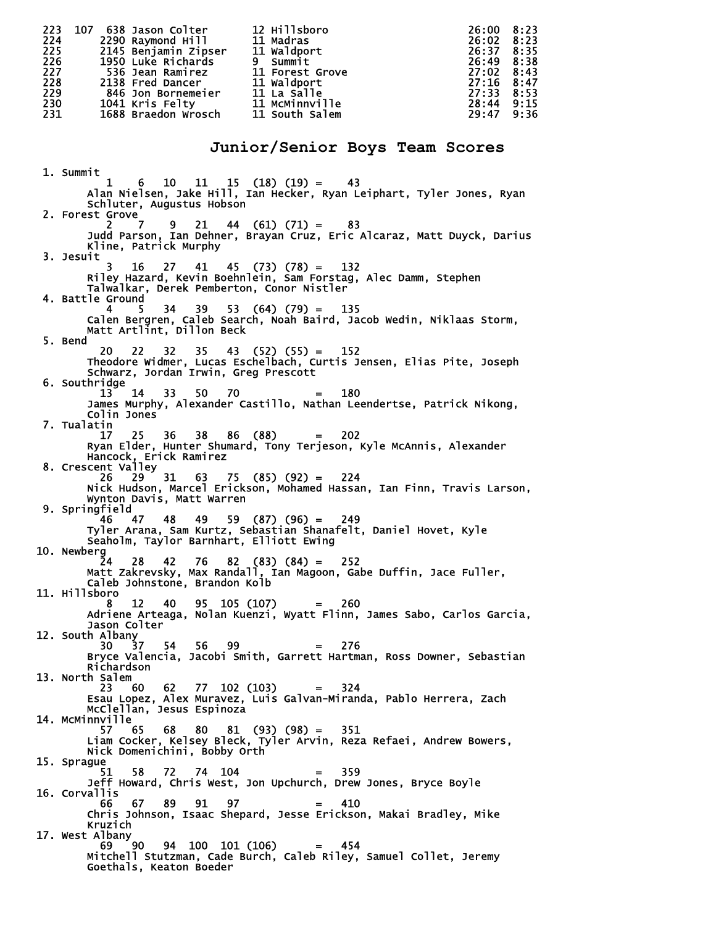223 107 638 Jason Colter 12 Hillsboro 26:00 8:23 224 2290 Raymond Hill 11 Madras 26:02 8:23 225 2145 Benjamin Zipser 11 Waldport 26:37 8:35<br>226 1950 Luke Richards 9 Summit 26:49 8:38<br>227 536 Jean Ramirez 11 Forest Grove 27:02 8:43<br>228 2138 Fred Dancer 11 Waldport 27:16 8:47 226 1950 Luke Richards 9 Summit 26:49 8:38 227 536 Jean Ramirez 11 Forest Grove 27:02 8:43 228 2138 Fred Dancer 11 Waldport 27:16 8:47<br>229 846 Jon Bornemeier 11 La Salle 27:33 8:53<br>230 1041 Kris Felty 11 McMinnville 28:44 9:15<br>231 1688 Braedon Wrosch 11 South Salem 29:47 9:36 229 846 Jon Bornemeier 11 La Salle 27:33 8:53 230 1041 Kris Felty 11 McMinnville 28:44 9:15 231 1688 Braedon Wrosch 11 South Salem **Junior/Senior Boys Team Scores**  1. Summit 1 6 10 11 15 (18) (19) = 43 Alan Nielsen, Jake Hill, Ian Hecker, Ryan Leiphart, Tyler Jones, Ryan Schluter, Augustus Hobson 2. Forest Grove 2 7 9 21 44 (61) (71) = 83 Judd Parson, Ian Dehner, Brayan Cruz, Eric Alcaraz, Matt Duyck, Darius Kline, Patrick Murphy 3. Jesuit 3 16 27 41 45 (73) (78) = 132 Riley Hazard, Kevin Boehnlein, Sam Forstag, Alec Damm, Stephen Talwalkar, Derek Pemberton, Conor Nistler 4. Battle Ground 4 5 34 39 53 (64) (79) = 135 Calen Bergren, Caleb Search, Noah Baird, Jacob Wedin, Niklaas Storm, Matt Artlint, Dillon Beck 5. Bend 20 22 32 35 43 (52) (55) = 152 Theodore Widmer, Lucas Eschelbach, Curtis Jensen, Elias Pite, Joseph Schwarz, Jordan Irwin, Greg Prescott 6. Southridge 13 14 33 50 70 = 180 James Murphy, Alexander Castillo, Nathan Leendertse, Patrick Nikong, Colin Jones 7. Tualatin 17 25 36 38 86 (88) = 202 Ryan Elder, Hunter Shumard, Tony Terjeson, Kyle McAnnis, Alexander Hancock, Erick Ramirez 8. Crescent Valley 26 29 31 63 75 (85) (92) = 224 Nick Hudson, Marcel Erickson, Mohamed Hassan, Ian Finn, Travis Larson, Wynton Davis, Matt Warren 9. Springfield 46 47 48 49 59 (87) (96) = 249 Tyler Arana, Sam Kurtz, Sebastian Shanafelt, Daniel Hovet, Kyle Seaholm, Taylor Barnhart, Elliott Ewing 10. Newberg 24 28 42 76 82 (83) (84) = 252 Matt Zakrevsky, Max Randall, Ian Magoon, Gabe Duffin, Jace Fuller, Caleb Johnstone, Brandon Kolb 11. Hillsboro 8 12 40 95 105 (107) = 260 Adriene Arteaga, Nolan Kuenzi, Wyatt Flinn, James Sabo, Carlos Garcia, Jason Colter 12. South Albany 30 37 54 56 99 = 276 Bryce Valencia, Jacobi Smith, Garrett Hartman, Ross Downer, Sebastian Richardson 13. North Salem 23 60 62 77 102 (103) = 324 Esau Lopez, Alex Muravez, Luis Galvan-Miranda, Pablo Herrera, Zach McClellan, Jesus Espinoza 14. McMinnville 57 65 68 80 81 (93) (98) = 351 Liam Cocker, Kelsey Bleck, Tyler Arvin, Reza Refaei, Andrew Bowers, Nick Domenichini, Bobby Orth 15. Sprague 51 58 72 74 104 = 359 Jeff Howard, Chris West, Jon Upchurch, Drew Jones, Bryce Boyle 16. Corvallis 66 67 89 91 97 = 410 Chris Johnson, Isaac Shepard, Jesse Erickson, Makai Bradley, Mike Kruzich 17. West Albany 69 90 94 100 101 (106) = 454 Mitchell Stutzman, Cade Burch, Caleb Riley, Samuel Collet, Jeremy Goethals, Keaton Boeder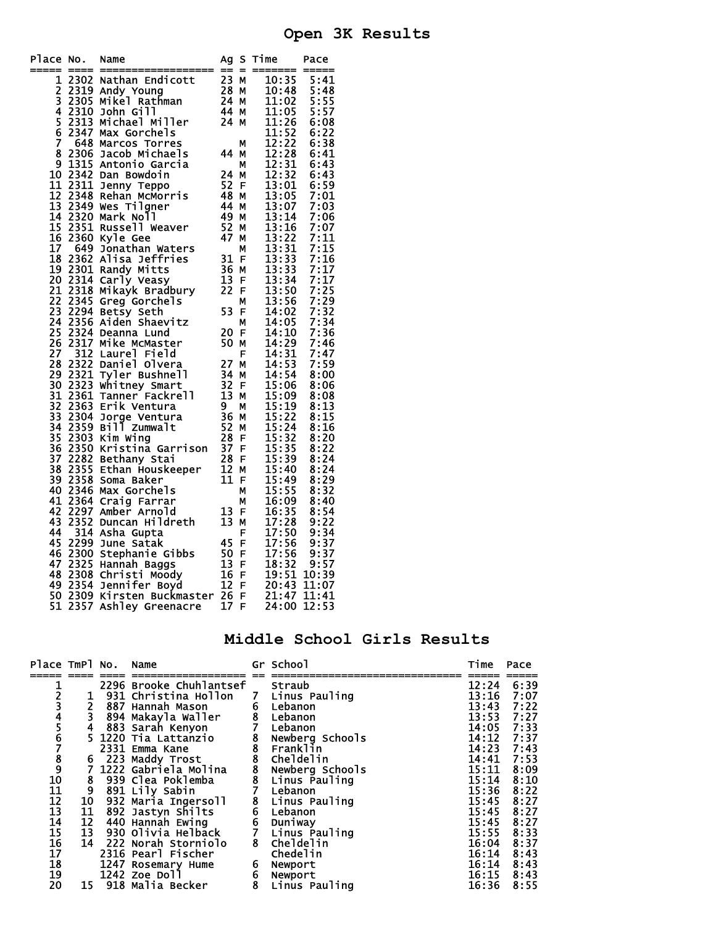## **Open 3K Results**

| Place No.                               |                      | Name                                                                                                                                                                                                                                                      | Ag                                      | S.       | Time                                     | Pace             |
|-----------------------------------------|----------------------|-----------------------------------------------------------------------------------------------------------------------------------------------------------------------------------------------------------------------------------------------------------|-----------------------------------------|----------|------------------------------------------|------------------|
| $\mathbf{1}$                            | 2302                 | Nathan Endicott<br>Andy Young<br>Mikel Rathman<br>324 M<br>30hn Gill<br>Michael Miller<br>24 M<br>Michael Miller<br>24 M                                                                                                                                  |                                         | $\equiv$ | 10:35                                    | 5:41             |
|                                         | 2319                 | Andy Young                                                                                                                                                                                                                                                |                                         |          | 10:48                                    | 5:48             |
|                                         | 2305                 | Mikel Rathman                                                                                                                                                                                                                                             |                                         |          | 11:02                                    | 5:55             |
|                                         | 2310                 |                                                                                                                                                                                                                                                           |                                         |          | 11:05                                    | 5:57             |
|                                         | 2313                 | Michael Miller                                                                                                                                                                                                                                            |                                         |          | 11:26                                    | 6:08             |
|                                         | 2347                 | Max Gorchels                                                                                                                                                                                                                                              |                                         |          |                                          | 6:22             |
|                                         |                      | 648 Marcos Torres                                                                                                                                                                                                                                         |                                         | М        |                                          | 6:38             |
| 2345678                                 |                      | 2306 Jacob Michaels                                                                                                                                                                                                                                       | -44                                     | M        | 11:52<br>12:22<br>12:28                  | 6:41             |
|                                         |                      | 1315 Antonio Garcia                                                                                                                                                                                                                                       |                                         | М        | 12:31                                    | 6:43             |
| $\frac{9}{10}$                          | 2342                 | Dan Bowdoin                                                                                                                                                                                                                                               | 24                                      | М        | 12:32                                    | 6:43             |
|                                         | 2311                 | Jenny Teppo                                                                                                                                                                                                                                               |                                         |          |                                          | 6:59             |
| $\frac{11}{12}$<br>$\frac{13}{14}$      |                      |                                                                                                                                                                                                                                                           | $\overline{52}$ F<br>48 M               |          | $\overline{13:01}$<br>$13:05$            | 7:01             |
|                                         |                      |                                                                                                                                                                                                                                                           |                                         | M        | 13:07                                    | 7:03             |
|                                         | 2320                 | 2348 Rehan McMorris<br>2349 Wes Tilgner<br>2320 Mark Noll<br>Mark Noll                                                                                                                                                                                    | $\frac{44}{49}$                         | M        | 13:14                                    | 7:06             |
| $\overline{15}$                         |                      |                                                                                                                                                                                                                                                           | 52                                      |          | 13:16                                    | 7:07             |
| 16                                      | 2360                 | 2351 Russell Weaver                                                                                                                                                                                                                                       | $\overline{47}$                         | M        |                                          |                  |
| īž                                      |                      | Kyle Gee                                                                                                                                                                                                                                                  |                                         | М        | $\overline{13:22}$<br>$\overline{13:31}$ | 7:11             |
|                                         | 649                  | Jonathan Waters                                                                                                                                                                                                                                           |                                         | М        |                                          | 7:15             |
| 18                                      |                      |                                                                                                                                                                                                                                                           |                                         |          | $\frac{13:33}{13:33}$                    | 7:16             |
| 19                                      |                      |                                                                                                                                                                                                                                                           |                                         |          |                                          | 7:17             |
| 20                                      |                      |                                                                                                                                                                                                                                                           |                                         |          | 13:34                                    | 7:17             |
| $\overline{2}\overline{1}$              |                      | 2362 Alisa Jeffries<br>2301 Randy Mitts<br>2301 Randy Mitts<br>2314 Carly Veasy<br>2318 Mikayk Bradbury<br>2345 Greg Gorchels<br>2345 Greg Gorchels<br>2345                                                                                               |                                         |          | 13:50                                    | 7:25             |
| $\frac{1}{2}$<br>23                     |                      |                                                                                                                                                                                                                                                           | 53                                      |          | 13:56                                    | 7:29             |
|                                         |                      | 2294 Betsy Seth<br>2356 Aiden Shaevitz                                                                                                                                                                                                                    |                                         | F.       | 14:02                                    | $7:32$<br>$7:34$ |
| $\overline{24}$                         |                      |                                                                                                                                                                                                                                                           |                                         | М        | 14:05                                    |                  |
| $\frac{25}{26}$                         |                      | 2324 Deanna Lund                                                                                                                                                                                                                                          | $\begin{array}{c} 20 \\ 50 \end{array}$ | F        | 14:10                                    | 7:36             |
|                                         |                      | 2317 Mike McMaster                                                                                                                                                                                                                                        |                                         | М        | 14:29                                    | 7:46             |
| $\begin{array}{c} 27 \\ 28 \end{array}$ |                      | 312 Laurel Field                                                                                                                                                                                                                                          | 27 M<br>34 M<br>32 F<br>32 M<br>9. M    | F        | 14:31                                    | 7:47             |
|                                         |                      | 2322 Daniel Olvera                                                                                                                                                                                                                                        |                                         |          | $14:53$<br>$14:54$                       | 7:59             |
| 29                                      |                      | 2321 Tyler Bushnell                                                                                                                                                                                                                                       |                                         |          |                                          | 8:00             |
| $\overline{30}$                         | 2323                 | whitney Smart                                                                                                                                                                                                                                             |                                         |          | 15:06                                    | 8:06             |
| $\overline{31}$                         | 2361                 |                                                                                                                                                                                                                                                           |                                         |          | 15:09                                    | 8:08             |
| $\frac{5}{3}$<br>33                     | 2363                 |                                                                                                                                                                                                                                                           |                                         |          | 15:19                                    | 8:13             |
|                                         | 2304                 |                                                                                                                                                                                                                                                           |                                         |          | $\overline{15:22}$<br>$\overline{15:24}$ | 8:15             |
| 34                                      | 2359<br>2303<br>2350 |                                                                                                                                                                                                                                                           |                                         |          |                                          | 8:16             |
| $\frac{35}{36}$                         |                      |                                                                                                                                                                                                                                                           |                                         |          | $\overline{15:32}$<br>$\overline{15:35}$ | 8:20             |
|                                         |                      |                                                                                                                                                                                                                                                           |                                         |          |                                          | 8:22             |
| 37                                      | 2282                 |                                                                                                                                                                                                                                                           |                                         |          | 15:39                                    | 8:24             |
| $\overline{38}$                         |                      |                                                                                                                                                                                                                                                           |                                         |          |                                          | 8:24             |
| $\overline{39}$                         | 2355<br>2358         |                                                                                                                                                                                                                                                           |                                         |          | 15:40<br>15:49                           | 8:29             |
| 40                                      |                      | 13 M<br>13 M<br>13 M<br>13 M<br>13 M<br>13 M<br>13 M<br>52 M<br>52 M<br>15 D<br>15 M<br>15 Soma Raker<br>Ethan Houskeeper<br>11 F<br>50ma Baker<br>Max Gorchels<br>Craig Farrar<br>Amber Arnold<br>Duncan Hi <sup>1-</sup><br>Asha C<br>2346 Max Gorchels |                                         |          | 15:55                                    | 8:32             |
| 41                                      |                      | 2364 Craig Farrar                                                                                                                                                                                                                                         |                                         |          | 16:09                                    | 8:40             |
| 42                                      | 2297                 |                                                                                                                                                                                                                                                           |                                         |          | 16:35                                    | 8:54             |
| 43                                      | 2352                 |                                                                                                                                                                                                                                                           |                                         |          | 17:28                                    | 9:22             |
| 44                                      |                      | 314 Asha Gupta                                                                                                                                                                                                                                            |                                         |          | 17:50                                    | 9:34             |
| 45                                      |                      |                                                                                                                                                                                                                                                           |                                         |          | 17:56<br>17:56                           | 9:37             |
| 46                                      |                      |                                                                                                                                                                                                                                                           |                                         |          |                                          | 9:37             |
| 47                                      |                      |                                                                                                                                                                                                                                                           |                                         |          | 18:32                                    | 9:57             |
| 48                                      |                      |                                                                                                                                                                                                                                                           |                                         |          | 19:51                                    | 10:39            |
| 49                                      |                      |                                                                                                                                                                                                                                                           |                                         |          | 20:43                                    | 11:07            |
| 50                                      |                      | 314 Asia supra<br>2299 June Satak 45 F<br>2300 Stephanie Gibbs 50 F<br>2325 Hannah Baggs 13 F<br>2308 Christi Moody 16 F<br>2354 Jennifer Boyd 12 F<br>2309 Kirsten Buckmaster 26 F<br>2309 Kirsten Buckmaster 26 F                                       |                                         |          | 21:47                                    | 11:41            |
| 51                                      | 2357                 | Ashley Greenacre                                                                                                                                                                                                                                          | $\overline{17}$                         | F        | 24:00                                    | 12:53            |
|                                         |                      |                                                                                                                                                                                                                                                           |                                         |          |                                          |                  |

### **Middle School Girls Results**

| Place TmPl No.  |    | Name                           | Gr School                           | Time         | Pace |
|-----------------|----|--------------------------------|-------------------------------------|--------------|------|
| 1               |    | 2296 Brooke Chuhlantsef Straub |                                     | 12:24        | 6:39 |
|                 | 1  | 931 Christina Hollon           | 7 Linus Pauling                     | 13:16        | 7:07 |
| $\frac{2}{3}$   |    | 887 Hannah Mason               |                                     |              |      |
|                 | 2  |                                |                                     | 13:43        | 7:22 |
|                 | 3  | 894 Makayla Waller             |                                     | 13:53        | 7:27 |
|                 | 4  | 883 Sarah Kenyon               | 6 Lebanon<br>8 Lebanon<br>7 Lebanon | 14:05        | 7:33 |
|                 |    | 5 1220 Tia Lattanzio           |                                     | 14:12 7:37   |      |
|                 |    | 2331 Emma Kane                 | 8 Newberg Schools<br>8 Franklin     | 14:23        | 7:43 |
|                 |    | 6 223 Maddy Trost              | 8 Cheldelin                         | 14:41        | 7:53 |
|                 |    | 7 1222 Gabriela Molina         | <b>Newberg Schools</b>              | 15:11        | 8:09 |
| 456789101112    | 8  | 939 Clea Poklemba              | 8 Newberg Schoo<br>8 Linus Pauling  | 15:14        | 8:10 |
|                 | 9  | 891 Lily Sabin                 | 7 Lebanon                           | 15:36        | 8:22 |
|                 |    | 10 932 Maria Ingersoll         |                                     | 15:45        | 8:27 |
|                 |    |                                | 8 Linus Pauling                     |              |      |
| 13              | 11 | 892 Jastyn Shilts              | 6 Lebanon                           | 15:45        | 8:27 |
|                 | 12 | 440 Hannah Ewing               | 6 Duniway                           | 15:45        | 8:27 |
|                 |    | 13 930 Olivia Helback          | 7 Linus Pauling                     | 15:55        | 8:33 |
| $\frac{14}{15}$ |    | 14 222 Norah Storniolo         | 8 Cheldelin                         | 16:04        | 8:37 |
| 17              |    | 2316 Pearl Fischer             | Chedelin                            | 16:14        | 8:43 |
|                 |    | 1247 Rosemary Hume             | 6 Newport                           | 16:14        | 8:43 |
| 18<br>19        |    | 1242 Zoe Doll                  |                                     | $16:15$ 8:43 |      |
| 20              |    |                                | 6 Newport<br>8 Linus Pa             |              |      |
|                 |    | 15 918 Malia Becker            | Linus Pauling                       | 16:36        | 8:55 |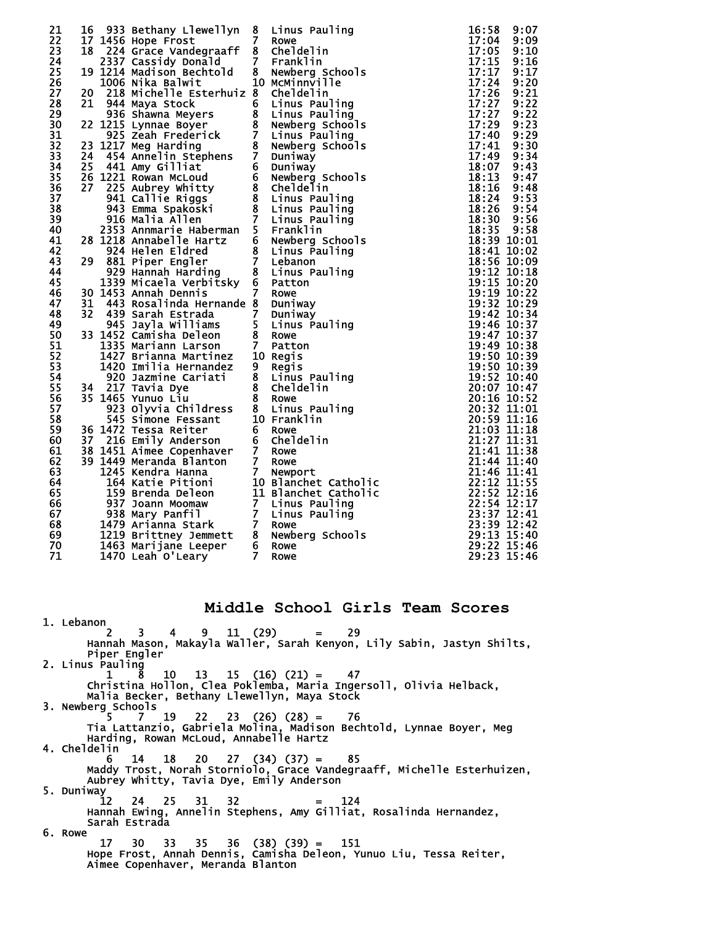| 21 | 16 | 933 Bethany Llewellyn                                                                                                                                                                                                                                             | 8              | Linus Pauling   | 16:58                                 | 9:07 |
|----|----|-------------------------------------------------------------------------------------------------------------------------------------------------------------------------------------------------------------------------------------------------------------------|----------------|-----------------|---------------------------------------|------|
| 22 |    | 17 1456 Hope Frost                                                                                                                                                                                                                                                | $\overline{7}$ | Rowe            | $17:04$ 9:09                          |      |
|    |    |                                                                                                                                                                                                                                                                   |                |                 |                                       |      |
| 23 |    | 18 224 Grace Vandegraaff                                                                                                                                                                                                                                          |                | 8 Cheldelin     | 17:05                                 | 9:10 |
| 24 |    | 2337 Cassidy Donald                                                                                                                                                                                                                                               |                | 7 Franklin      | 17:15                                 | 9:16 |
| 25 |    | 19 1214 Madison Bechtold                                                                                                                                                                                                                                          | 8              | Newberg Schools | $\overline{17:17}$                    | 9:17 |
|    |    |                                                                                                                                                                                                                                                                   |                |                 |                                       |      |
| 26 |    | 1006 Nika Balwit                                                                                                                                                                                                                                                  |                | 10 MCMinnville  | 17:24                                 | 9:20 |
| 27 |    | 20 218 Michelle Esterhuiz 8 Cheldelin                                                                                                                                                                                                                             |                |                 | 17:26                                 | 9:21 |
| 28 |    |                                                                                                                                                                                                                                                                   |                |                 | 17:27                                 | 9:22 |
| 29 |    |                                                                                                                                                                                                                                                                   |                |                 | 17:27                                 | 9:22 |
|    |    |                                                                                                                                                                                                                                                                   |                |                 |                                       |      |
| 30 |    |                                                                                                                                                                                                                                                                   |                |                 | 17:29                                 | 9:23 |
| 31 |    |                                                                                                                                                                                                                                                                   |                |                 | 17:40                                 | 9:29 |
| 32 |    |                                                                                                                                                                                                                                                                   |                |                 | 17:41                                 | 9:30 |
| 33 |    |                                                                                                                                                                                                                                                                   |                |                 | 17:49                                 | 9:34 |
|    |    |                                                                                                                                                                                                                                                                   |                |                 |                                       |      |
| 34 |    |                                                                                                                                                                                                                                                                   |                |                 | 18:07                                 | 9:43 |
| 35 |    |                                                                                                                                                                                                                                                                   |                |                 | 18:13                                 | 9:47 |
| 36 |    |                                                                                                                                                                                                                                                                   |                |                 | 18:16                                 | 9:48 |
| 37 |    |                                                                                                                                                                                                                                                                   |                |                 | 18:24                                 | 9:53 |
|    |    |                                                                                                                                                                                                                                                                   |                |                 |                                       |      |
| 38 |    |                                                                                                                                                                                                                                                                   |                |                 | 18:26                                 | 9:54 |
| 39 |    |                                                                                                                                                                                                                                                                   |                |                 | 18:30                                 | 9:56 |
| 40 |    | 20 218 Michelle Esterhuiz 8 Cheldelin<br>21 944 Maya Stock 6 Linus Pauling<br>21 944 Maya Stock 6 Linus Pauling<br>22 1215 Lynnae Boyer 8 Newberg Schools<br>925 Zeah Frederick 7 Linus Pauling<br>23 1217 Meg Harding 8 Newberg Schools<br>24 4                  |                |                 | 18:35 9:58                            |      |
|    |    |                                                                                                                                                                                                                                                                   |                |                 |                                       |      |
| 41 |    |                                                                                                                                                                                                                                                                   |                |                 | 18:39 10:01                           |      |
| 42 |    |                                                                                                                                                                                                                                                                   |                |                 | 18:41 10:02                           |      |
| 43 |    |                                                                                                                                                                                                                                                                   |                |                 | 18:56 10:09                           |      |
| 44 |    |                                                                                                                                                                                                                                                                   |                |                 | 19:12 10:18                           |      |
| 45 |    |                                                                                                                                                                                                                                                                   |                |                 |                                       |      |
|    |    |                                                                                                                                                                                                                                                                   |                |                 | 19:15 10:20                           |      |
| 46 |    |                                                                                                                                                                                                                                                                   |                |                 | 19:19 10:22                           |      |
| 47 | 31 | 443 Rosalinda Hernande 8 Duniway                                                                                                                                                                                                                                  |                |                 | 19:32 10:29                           |      |
| 48 |    |                                                                                                                                                                                                                                                                   |                |                 | 19:42 10:34                           |      |
| 49 |    |                                                                                                                                                                                                                                                                   |                |                 | 19:46 10:37                           |      |
|    |    |                                                                                                                                                                                                                                                                   |                |                 |                                       |      |
| 50 |    |                                                                                                                                                                                                                                                                   |                |                 | 19:47 10:37                           |      |
| 51 |    |                                                                                                                                                                                                                                                                   |                |                 | 19:49 10:38                           |      |
| 52 |    |                                                                                                                                                                                                                                                                   |                |                 | 19:50 10:39                           |      |
| 53 |    |                                                                                                                                                                                                                                                                   |                |                 | 19:50 10:39                           |      |
|    |    |                                                                                                                                                                                                                                                                   |                |                 |                                       |      |
| 54 |    |                                                                                                                                                                                                                                                                   |                |                 | 19:52 10:40                           |      |
| 55 |    |                                                                                                                                                                                                                                                                   |                |                 | 20:07 10:47                           |      |
| 56 |    |                                                                                                                                                                                                                                                                   |                |                 | 20:16 10:52                           |      |
| 57 |    |                                                                                                                                                                                                                                                                   |                |                 | 20:32 11:01                           |      |
|    |    |                                                                                                                                                                                                                                                                   |                |                 |                                       |      |
| 58 |    |                                                                                                                                                                                                                                                                   |                |                 | 20:59 11:16                           |      |
| 59 |    |                                                                                                                                                                                                                                                                   |                |                 | 21:03 11:18                           |      |
| 60 |    |                                                                                                                                                                                                                                                                   |                |                 | 21:27 11:31                           |      |
| 61 |    |                                                                                                                                                                                                                                                                   |                |                 | 21:41 11:38                           |      |
|    |    |                                                                                                                                                                                                                                                                   |                |                 |                                       |      |
| 62 |    |                                                                                                                                                                                                                                                                   |                |                 | 21:44 11:40                           |      |
| 63 |    |                                                                                                                                                                                                                                                                   |                |                 | 21:46 11:41                           |      |
| 64 |    |                                                                                                                                                                                                                                                                   |                |                 | 22:12 11:55                           |      |
| 65 |    |                                                                                                                                                                                                                                                                   |                |                 | 22:52 12:16                           |      |
|    |    |                                                                                                                                                                                                                                                                   |                |                 |                                       |      |
| 66 |    |                                                                                                                                                                                                                                                                   |                |                 | 22:54 12:17                           |      |
| 67 |    |                                                                                                                                                                                                                                                                   |                |                 | 23:37 12:41                           |      |
| 68 |    |                                                                                                                                                                                                                                                                   |                |                 | $23:39$ $\overline{12}:4\overline{2}$ |      |
| 69 |    |                                                                                                                                                                                                                                                                   |                |                 | 29:13 15:40                           |      |
|    |    |                                                                                                                                                                                                                                                                   |                |                 |                                       |      |
| 70 |    |                                                                                                                                                                                                                                                                   |                |                 | 29:22 15:46                           |      |
| 71 |    | 31 443 Annan Dennis<br>31 443 Rosalinda Hernande 8 Duniway<br>32 439 Sarah Estrada 7 Duniway<br>32 439 Sarah Estrada 7 Duniway<br>32 439 Sarah Estrada 7 Duniway<br>33 1452 Camisha Deleon 8 Rowe<br>1335 Mariann Larson 7 Patton<br>1420 Im<br>1470 Leah 0'Leary | $\overline{7}$ | Rowe            | 29:23 15:46                           |      |

#### **Middle School Girls Team Scores**

 1. Lebanon 2 3 4 9 11 (29) = 29 Hannah Mason, Makayla Waller, Sarah Kenyon, Lily Sabin, Jastyn Shilts, Piper Engler 2. Linus Pauling 1 8 10 13 15 (16) (21) = 47 Christina Hollon, Clea Poklemba, Maria Ingersoll, Olivia Helback, Malia Becker, Bethany Llewellyn, Maya Stock 3. Newberg Schools<br>5 7<br>5 7 5 7 19 22 23 (26) (28) = 76 Tia Lattanzio, Gabriela Molina, Madison Bechtold, Lynnae Boyer, Meg Harding, Rowan McLoud, Annabelle Hartz 4. Cheldelin 6 14 18 20 27 (34) (37) = 85 Maddy Trost, Norah Storniolo, Grace Vandegraaff, Michelle Esterhuizen, Aubrey Whitty, Tavia Dye, Emily Anderson 5. Duniway 12 24 25 31 32 = 124 Hannah Ewing, Annelin Stephens, Amy Gilliat, Rosalinda Hernandez, Sarah Estrada 6. Rowe 17 30 33 35 36 (38) (39) = 151 Hope Frost, Annah Dennis, Camisha Deleon, Yunuo Liu, Tessa Reiter, Aimee Copenhaver, Meranda Blanton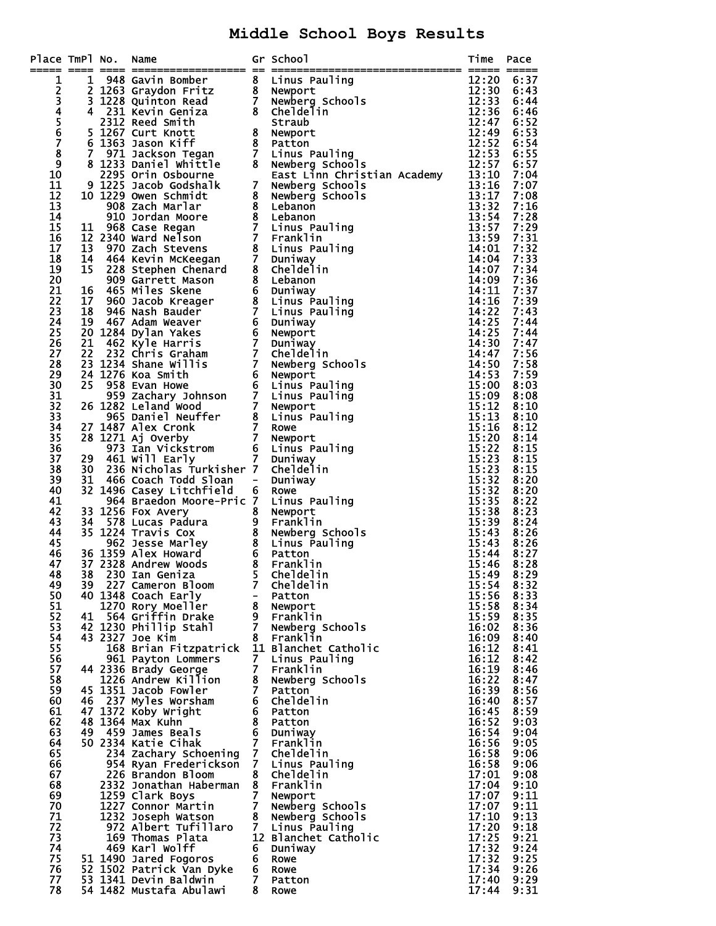## **Middle School Boys Results**

| Place TmPl No.             |    | Name                                                                                                                                                                                                                  |                                  | Gr School<br>mPl No. Name of school<br>1 948 Gavin Bombert 8 Linus Pauling<br>1 21263 Graydon Fritz 8 Newport Shown<br>12:30 3 Graydon Fritz 8 Newport Shown<br>12:30 2011 Accord 7 Newport School 12:33<br>14:30 March 12:34 Gavin Gentric 8 School | Time           | Pace         |
|----------------------------|----|-----------------------------------------------------------------------------------------------------------------------------------------------------------------------------------------------------------------------|----------------------------------|------------------------------------------------------------------------------------------------------------------------------------------------------------------------------------------------------------------------------------------------------|----------------|--------------|
| 1                          |    |                                                                                                                                                                                                                       |                                  |                                                                                                                                                                                                                                                      |                | 6:37         |
|                            |    |                                                                                                                                                                                                                       |                                  |                                                                                                                                                                                                                                                      |                | 6:43         |
|                            |    |                                                                                                                                                                                                                       |                                  |                                                                                                                                                                                                                                                      |                | 6:44         |
|                            |    |                                                                                                                                                                                                                       |                                  |                                                                                                                                                                                                                                                      |                | 6:46         |
| 2345678                    |    |                                                                                                                                                                                                                       |                                  |                                                                                                                                                                                                                                                      |                | 6:52<br>6:53 |
|                            |    |                                                                                                                                                                                                                       |                                  |                                                                                                                                                                                                                                                      |                | 6:54         |
|                            |    |                                                                                                                                                                                                                       |                                  |                                                                                                                                                                                                                                                      |                | 6:55         |
| $\boldsymbol{9}$           |    |                                                                                                                                                                                                                       |                                  |                                                                                                                                                                                                                                                      |                | 6:57         |
| 10                         |    |                                                                                                                                                                                                                       |                                  |                                                                                                                                                                                                                                                      |                | 7:04         |
| 11<br>$\overline{12}$      |    |                                                                                                                                                                                                                       |                                  |                                                                                                                                                                                                                                                      |                | 7:07<br>7:08 |
| 13                         |    |                                                                                                                                                                                                                       |                                  |                                                                                                                                                                                                                                                      |                | 7:16         |
| 14                         |    |                                                                                                                                                                                                                       |                                  |                                                                                                                                                                                                                                                      |                | 7:28         |
| 15                         |    |                                                                                                                                                                                                                       |                                  |                                                                                                                                                                                                                                                      |                | 7:29         |
| 16                         |    |                                                                                                                                                                                                                       |                                  |                                                                                                                                                                                                                                                      |                | 7:31         |
| 17<br>18                   |    |                                                                                                                                                                                                                       |                                  |                                                                                                                                                                                                                                                      |                | 7:32<br>7:33 |
| 19                         |    |                                                                                                                                                                                                                       |                                  |                                                                                                                                                                                                                                                      |                | 7:34         |
| $\overline{20}$            |    |                                                                                                                                                                                                                       |                                  |                                                                                                                                                                                                                                                      |                | 7:36         |
| 21                         |    |                                                                                                                                                                                                                       |                                  |                                                                                                                                                                                                                                                      |                | 7:37         |
| $\overline{2}\overline{2}$ |    |                                                                                                                                                                                                                       |                                  |                                                                                                                                                                                                                                                      |                | 7:39         |
| 23<br>$\overline{24}$      |    |                                                                                                                                                                                                                       |                                  |                                                                                                                                                                                                                                                      |                | 7:43<br>7:44 |
| 25                         |    |                                                                                                                                                                                                                       |                                  |                                                                                                                                                                                                                                                      |                | 7:44         |
| $\overline{26}$            |    |                                                                                                                                                                                                                       |                                  |                                                                                                                                                                                                                                                      |                | 7:47         |
| 27                         |    |                                                                                                                                                                                                                       |                                  |                                                                                                                                                                                                                                                      |                | 7:56         |
| 28                         |    |                                                                                                                                                                                                                       |                                  |                                                                                                                                                                                                                                                      |                | 7:58         |
| 29<br>$\overline{30}$      |    |                                                                                                                                                                                                                       |                                  |                                                                                                                                                                                                                                                      |                | 7:59<br>8:03 |
| 31                         |    |                                                                                                                                                                                                                       |                                  |                                                                                                                                                                                                                                                      |                | 8:08         |
| 32                         |    |                                                                                                                                                                                                                       |                                  |                                                                                                                                                                                                                                                      |                | 8:10         |
| 33                         |    |                                                                                                                                                                                                                       |                                  |                                                                                                                                                                                                                                                      |                | 8:10         |
| 34                         |    |                                                                                                                                                                                                                       |                                  |                                                                                                                                                                                                                                                      |                | 8:12         |
| 35<br>$\overline{36}$      |    |                                                                                                                                                                                                                       |                                  |                                                                                                                                                                                                                                                      |                | 8:14<br>8:15 |
| 37                         |    |                                                                                                                                                                                                                       |                                  |                                                                                                                                                                                                                                                      |                | 8:15         |
| 38                         | 30 | 236 Nicholas Turkisher 7 Cheldelin                                                                                                                                                                                    |                                  |                                                                                                                                                                                                                                                      | 15:23          | 8:15         |
| 39                         | 31 | 466 Coach Todd Sloan                                                                                                                                                                                                  | $\sim$ $ \sim$                   | Duniway                                                                                                                                                                                                                                              | 15:32          | 8:20         |
| 40                         |    | 32 1496 Casey Litchfield                                                                                                                                                                                              | 6                                | Rowe                                                                                                                                                                                                                                                 | 15:32          | 8:20         |
| 41<br>42                   |    | 964 Braedon Moore-Pric 7 Linus Pauling                                                                                                                                                                                |                                  |                                                                                                                                                                                                                                                      | 15:35<br>15:38 | 8:22<br>8:23 |
| 43                         |    | 33 1256 Fox Avery<br>34 578 Lucas Padura<br>35 1224 Travis Cox<br>962 Jesse Marley<br>36 1359 Alex Howard<br>37 2328 Andrew Woods<br>38 230 Ian Geniza<br>38 230 Ian Geniza<br>38 230 Ian Geniza<br>38 230 Ian Geniza |                                  |                                                                                                                                                                                                                                                      | 15:39          | 8:24         |
| 44                         |    |                                                                                                                                                                                                                       |                                  |                                                                                                                                                                                                                                                      | 15:43          | 8:26         |
| 45                         |    |                                                                                                                                                                                                                       |                                  |                                                                                                                                                                                                                                                      | 15:43          | 8:26         |
| 46<br>47                   |    |                                                                                                                                                                                                                       |                                  |                                                                                                                                                                                                                                                      | 15:44<br>15:46 | 8:27<br>8:28 |
| 48                         |    |                                                                                                                                                                                                                       |                                  |                                                                                                                                                                                                                                                      | 15:49          | 8:29         |
| 49                         | 39 | 227 Cameron Bloom                                                                                                                                                                                                     | 7.                               | Cheldelin                                                                                                                                                                                                                                            | 15:54          | 8:32         |
| 50                         |    | 40 1348 Coach Early                                                                                                                                                                                                   | н.                               | Patton                                                                                                                                                                                                                                               | 15:56          | 8:33         |
| 51                         |    | 1270 Rory Moeller                                                                                                                                                                                                     |                                  | 8 Newport                                                                                                                                                                                                                                            | 15:58          | 8:34         |
| 52<br>53                   |    | 41 564 Griffin Drake<br>42 1230 Phillip Stahl                                                                                                                                                                         | $\overline{7}$                   | 9 Franklin<br>Newberg Schools                                                                                                                                                                                                                        | 15:59<br>16:02 | 8:35<br>8:36 |
| 54                         |    | 43 2327 Joe Kim                                                                                                                                                                                                       | 8                                | Franklin                                                                                                                                                                                                                                             | 16:09          | 8:40         |
| 55                         |    | 168 Brian Fitzpatrick                                                                                                                                                                                                 |                                  | 11 Blanchet Catholic                                                                                                                                                                                                                                 | 16:12          | 8:41         |
| 56                         |    | 961 Payton Lommers                                                                                                                                                                                                    | 7.                               | Linus Pauling                                                                                                                                                                                                                                        | 16:12          | 8:42         |
| 57<br>58                   |    | 44 2336 Brady George<br>1226 Andrew Killion                                                                                                                                                                           | 7 <sup>7</sup>                   | Franklin<br>8 Newberg Schools                                                                                                                                                                                                                        | 16:19<br>16:22 | 8:46<br>8:47 |
| 59                         |    | 45 1351 Jacob Fowler                                                                                                                                                                                                  | $7 -$                            | Patton                                                                                                                                                                                                                                               | 16:39          | 8:56         |
| 60                         |    | 46 237 Myles Worsham                                                                                                                                                                                                  |                                  | 6 Cheldelin                                                                                                                                                                                                                                          | 16:40          | 8:57         |
| 61                         |    | 47 1372 Koby Wright                                                                                                                                                                                                   |                                  | 6 Patton                                                                                                                                                                                                                                             | 16:45          | 8:59         |
| 62                         |    | 48 1364 Max Kuhn                                                                                                                                                                                                      |                                  | 8 Patton                                                                                                                                                                                                                                             | 16:52          | 9:03         |
| 63<br>64                   |    | 49 459 James Beals<br>50 2334 Katie Cihak                                                                                                                                                                             |                                  | 6 Duniway<br>7 Franklin                                                                                                                                                                                                                              | 16:54<br>16:56 | 9:04<br>9:05 |
| 65                         |    | 234 Zachary Schoening                                                                                                                                                                                                 |                                  | 7 Cheldelin                                                                                                                                                                                                                                          | 16:58          | 9:06         |
| 66                         |    | 954 Ryan Frederickson                                                                                                                                                                                                 | 7 <sup>7</sup>                   | Linus Pauling                                                                                                                                                                                                                                        | 16:58          | 9:06         |
| 67                         |    | 226 Brandon Bloom                                                                                                                                                                                                     |                                  | 8 Cheldelin                                                                                                                                                                                                                                          | 17:01          | 9:08         |
| 68                         |    | 2332 Jonathan Haberman                                                                                                                                                                                                |                                  | 8 Franklin                                                                                                                                                                                                                                           | 17:04          | 9:10         |
| 69<br>70                   |    | 1259 Clark Boys<br>1227 Connor Martin                                                                                                                                                                                 | $\overline{7}$<br>7 <sup>7</sup> | Newport                                                                                                                                                                                                                                              | 17:07<br>17:07 | 9:11<br>9:11 |
| 71                         |    | 1232 Joseph Watson                                                                                                                                                                                                    | 8                                | Newberg Schools<br>Newberg Schools                                                                                                                                                                                                                   | 17:10          | 9:13         |
| 72                         |    | 972 Albert Tufillaro                                                                                                                                                                                                  | 7 <sup>7</sup>                   | Linus Pauling                                                                                                                                                                                                                                        | 17:20          | 9:18         |
| 73                         |    | 169 Thomas Plata                                                                                                                                                                                                      |                                  | 12 Blanchet Catholic                                                                                                                                                                                                                                 | 17:25          | 9:21         |
| 74                         |    | 469 Karl Wolff                                                                                                                                                                                                        |                                  | 6 Duniway                                                                                                                                                                                                                                            | 17:32          | 9:24         |
| 75<br>76                   |    | 51 1490 Jared Fogoros<br>52 1502 Patrick Van Dyke                                                                                                                                                                     |                                  | 6 Rowe<br>6 Rowe                                                                                                                                                                                                                                     | 17:32<br>17:34 | 9:25<br>9:26 |
| 77                         |    | 53 1341 Devin Baldwin                                                                                                                                                                                                 | $\overline{7}$                   | Patton                                                                                                                                                                                                                                               | 17:40          | 9:29         |
| 78                         |    | 54 1482 Mustafa Abulawi                                                                                                                                                                                               | 8.                               | Rowe                                                                                                                                                                                                                                                 | 17:44          | 9:31         |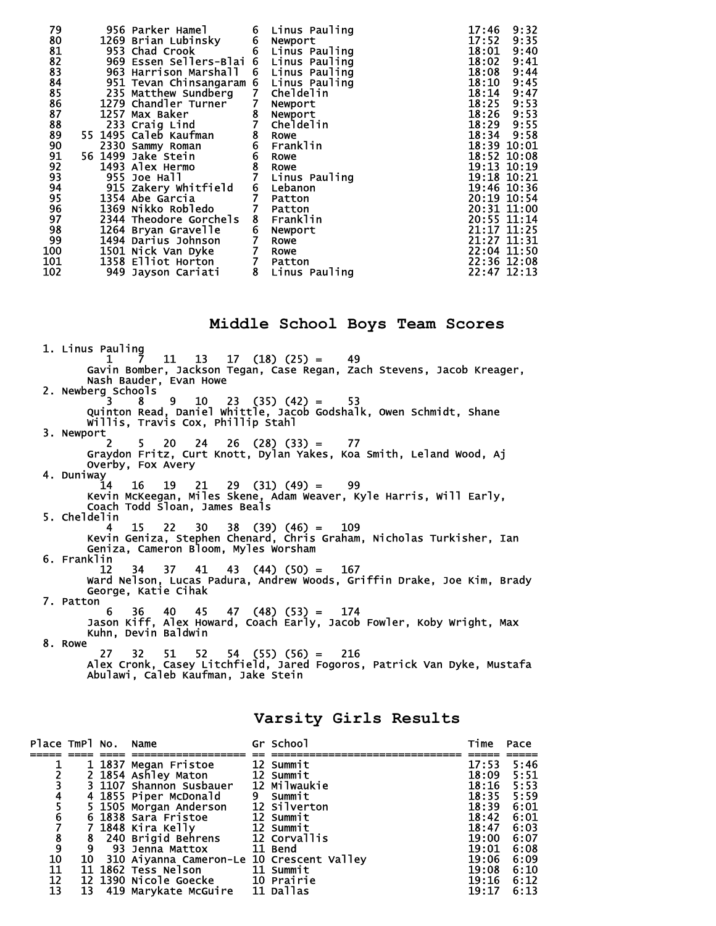| 79                   |  | 956 Parker Hamel                       | 6              | Linus Pauling   | 17:46       | 9:32 |
|----------------------|--|----------------------------------------|----------------|-----------------|-------------|------|
| 80                   |  | 1269 Brian Lubinsky                    | 6              | Newport         | 17:52       | 9:35 |
| 81                   |  | 953 Chad Crook                         |                | 6 Linus Pauling | 18:01       | 9:40 |
| 82<br>83             |  | 969 Essen Sellers-Blai 6 Linus Pauling |                |                 | 18:02       | 9:41 |
|                      |  | 963 Harrison Marshall                  |                | 6 Linus Pauling | 18:08       | 9:44 |
| 84<br>85<br>86<br>87 |  | 951 Tevan Chinsangaram 6 Linus Pauling |                |                 | 18:10       | 9:45 |
|                      |  | 235 Matthew Sundberg                   | $\overline{7}$ | Cheldelin       | 18:14       | 9:47 |
|                      |  | 1279 Chandler Turner                   | $\mathbf{7}$   | Newport         | 18:25       | 9:53 |
|                      |  | 1257 Max Baker                         | $\frac{8}{7}$  | Newport         | 18:26       | 9:53 |
| 88                   |  | 233 Craig Lind                         |                | Cheldelin       | 18:29       | 9:55 |
| 89                   |  | 55 1495 Caleb Kaufman                  | 8              | Rowe            | 18:34       | 9:58 |
| 90                   |  | 2330 Sammy Roman                       | 6              | Franklin        | 18:39 10:01 |      |
| 91                   |  | 56 1499 Jake Stein                     | 6              | <b>Rowe</b>     | 18:52 10:08 |      |
| 92                   |  | 1493 Alex Hermo                        | 8              | Rowe            | 19:13 10:19 |      |
| 93                   |  | 955 Joe Hall                           | $\overline{7}$ | Linus Pauling   | 19:18 10:21 |      |
| 94                   |  | 915 Zakery Whitfield                   | 6<br>7         | Lebanon         | 19:46 10:36 |      |
| 95                   |  | 1354 Abe Garcia                        |                | Patton          | 20:19 10:54 |      |
| 96<br>97             |  | 1369 Nikko Robledo                     | $\overline{7}$ | Patton          | 20:31 11:00 |      |
|                      |  | 2344 Theodore Gorchels                 | 8              | Franklin        | 20:55 11:14 |      |
| 98<br>99             |  | 1264 Bryan Gravelle                    | 6              | Newport         | 21:17 11:25 |      |
|                      |  | 1494 Darius Johnson                    |                | Rowe            | 21:27 11:31 |      |
| 100                  |  | 1501 Nick Van Dyke                     | 7              | Rowe            | 22:04 11:50 |      |
| 101                  |  | 1358 Elliot Horton                     | $\mathbf{7}$   | Patton          | 22:36 12:08 |      |
| 102                  |  | 949 Jayson Cariati                     | 8              | Linus Pauling   | 22:47 12:13 |      |

**Middle School Boys Team Scores** 

 1. Linus Pauling 1 7 11 13 17 (18) (25) = 49 Gavin Bomber, Jackson Tegan, Case Regan, Zach Stevens, Jacob Kreager, Nash Bauder, Evan Howe 2. Newberg Schools<sup>2</sup>  $3 \t 8 \t 9 \t 10 \t 23 \t (35) \t (42) = 53$  Quinton Read, Daniel Whittle, Jacob Godshalk, Owen Schmidt, Shane Willis, Travis Cox, Phillip Stahl 3. Newport 2 5 20 24 26 (28) (33) = 77 Graydon Fritz, Curt Knott, Dylan Yakes, Koa Smith, Leland Wood, Aj Overby, Fox Avery 4. Duniway 14 16 19 21 29 (31) (49) = 99 Kevin McKeegan, Miles Skene, Adam Weaver, Kyle Harris, Will Early, Coach Todd Sloan, James Beals 5. Cheldelin 4 15 22 30 38 (39) (46) = 109 Kevin Geniza, Stephen Chenard, Chris Graham, Nicholas Turkisher, Ian Geniza, Cameron Bloom, Myles Worsham 6. Franklin 12 34 37 41 43 (44) (50) = 167 Ward Nelson, Lucas Padura, Andrew Woods, Griffin Drake, Joe Kim, Brady George, Katie Cihak 7. Patton 6 36 40 45 47 (48) (53) = 174 Jason Kiff, Alex Howard, Coach Early, Jacob Fowler, Koby Wright, Max Kuhn, Devin Baldwin 8. Rowe 27 32 51 52 54 (55) (56) = 216 Alex Cronk, Casey Litchfield, Jared Fogoros, Patrick Van Dyke, Mustafa

### **Varsity Girls Results**

| Place TmPl No. Name                              |    |                                           | Gr School    | Time  | Pace |
|--------------------------------------------------|----|-------------------------------------------|--------------|-------|------|
|                                                  |    |                                           |              |       |      |
|                                                  |    | 1 1837 Megan Fristoe                      | 12 Summit    | 17:53 | 5:46 |
|                                                  |    | 2 1854 Ashley Maton                       | 12 Summit    | 18:09 | 5:51 |
| 234567                                           |    | 3 1107 Shannon Susbauer                   | 12 Milwaukie | 18:16 | 5:53 |
|                                                  |    | 4 1855 Piper McDonald                     | 9 Summit     | 18:35 | 5:59 |
|                                                  |    | 5 1505 Morgan Anderson                    | 12 Silverton | 18:39 | 6:01 |
|                                                  |    | 6 1838 Sara Fristoe                       | 12 Summit    | 18:42 | 6:01 |
|                                                  |    | 7 1848 Kira Kelly                         | 12 Summit    | 18:47 | 6:03 |
|                                                  |    | 8 240 Brigid Behrens                      | 12 Corvallis | 19:00 | 6:07 |
| $\begin{smallmatrix} 8\ 9\ 10 \end{smallmatrix}$ | 9  |                                           |              | 19:01 | 6:08 |
|                                                  | 10 | 310 Aiyanna Cameron-Le 10 Crescent Valley |              | 19:06 | 6:09 |
| 11                                               |    | 11 1862 Tess Nelson<br><b>11 Summit</b>   |              | 19:08 | 6:10 |
| 12                                               |    | 12 1390 Nicole Goecke 10 Prairie          |              | 19:16 | 6:12 |
| 13                                               |    | 13 419 Marykate McGuire 11 Dallas         |              | 19:17 | 6:13 |

Abulawi, Caleb Kaufman, Jake Stein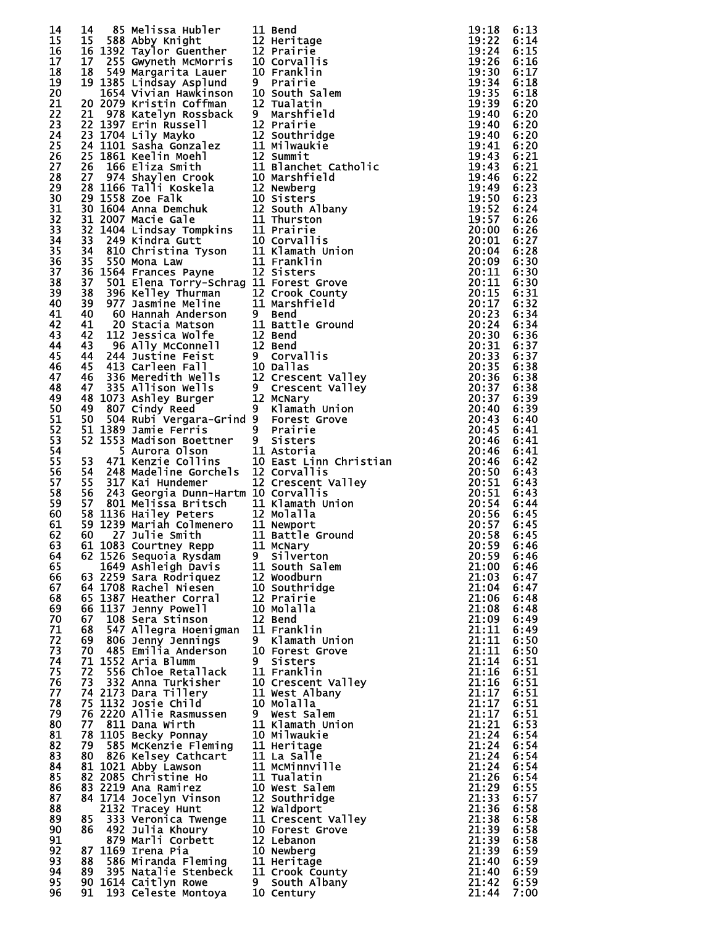| 14 |    |                                                                                                                                                                                                                                                               |                                                                                                                                                                                                                                                 |            |      |
|----|----|---------------------------------------------------------------------------------------------------------------------------------------------------------------------------------------------------------------------------------------------------------------|-------------------------------------------------------------------------------------------------------------------------------------------------------------------------------------------------------------------------------------------------|------------|------|
| 15 |    |                                                                                                                                                                                                                                                               |                                                                                                                                                                                                                                                 |            |      |
| 16 |    |                                                                                                                                                                                                                                                               |                                                                                                                                                                                                                                                 |            |      |
|    |    |                                                                                                                                                                                                                                                               |                                                                                                                                                                                                                                                 |            |      |
| 17 |    |                                                                                                                                                                                                                                                               |                                                                                                                                                                                                                                                 |            |      |
| 18 |    |                                                                                                                                                                                                                                                               |                                                                                                                                                                                                                                                 |            |      |
| 19 |    |                                                                                                                                                                                                                                                               |                                                                                                                                                                                                                                                 |            |      |
| 20 |    |                                                                                                                                                                                                                                                               |                                                                                                                                                                                                                                                 |            |      |
| 21 |    |                                                                                                                                                                                                                                                               |                                                                                                                                                                                                                                                 |            |      |
| 22 |    |                                                                                                                                                                                                                                                               |                                                                                                                                                                                                                                                 |            |      |
| 23 |    |                                                                                                                                                                                                                                                               |                                                                                                                                                                                                                                                 |            |      |
|    |    |                                                                                                                                                                                                                                                               |                                                                                                                                                                                                                                                 |            |      |
| 24 |    |                                                                                                                                                                                                                                                               |                                                                                                                                                                                                                                                 |            |      |
| 25 |    |                                                                                                                                                                                                                                                               |                                                                                                                                                                                                                                                 |            |      |
| 26 |    |                                                                                                                                                                                                                                                               |                                                                                                                                                                                                                                                 |            |      |
| 27 |    |                                                                                                                                                                                                                                                               |                                                                                                                                                                                                                                                 |            |      |
| 28 |    |                                                                                                                                                                                                                                                               |                                                                                                                                                                                                                                                 |            |      |
| 29 |    |                                                                                                                                                                                                                                                               |                                                                                                                                                                                                                                                 |            |      |
|    |    |                                                                                                                                                                                                                                                               |                                                                                                                                                                                                                                                 |            |      |
| 30 |    |                                                                                                                                                                                                                                                               |                                                                                                                                                                                                                                                 |            |      |
| 31 |    |                                                                                                                                                                                                                                                               |                                                                                                                                                                                                                                                 |            |      |
| 32 |    |                                                                                                                                                                                                                                                               |                                                                                                                                                                                                                                                 |            |      |
| 33 |    |                                                                                                                                                                                                                                                               |                                                                                                                                                                                                                                                 |            |      |
| 34 |    |                                                                                                                                                                                                                                                               |                                                                                                                                                                                                                                                 |            |      |
| 35 |    |                                                                                                                                                                                                                                                               |                                                                                                                                                                                                                                                 |            |      |
|    |    |                                                                                                                                                                                                                                                               |                                                                                                                                                                                                                                                 |            |      |
| 36 |    |                                                                                                                                                                                                                                                               |                                                                                                                                                                                                                                                 |            |      |
| 37 |    |                                                                                                                                                                                                                                                               |                                                                                                                                                                                                                                                 |            |      |
| 38 |    |                                                                                                                                                                                                                                                               |                                                                                                                                                                                                                                                 |            |      |
| 39 |    |                                                                                                                                                                                                                                                               |                                                                                                                                                                                                                                                 |            |      |
| 40 |    |                                                                                                                                                                                                                                                               |                                                                                                                                                                                                                                                 |            |      |
|    |    |                                                                                                                                                                                                                                                               |                                                                                                                                                                                                                                                 |            |      |
| 41 |    |                                                                                                                                                                                                                                                               |                                                                                                                                                                                                                                                 |            |      |
| 42 |    |                                                                                                                                                                                                                                                               | 14 88 Melliosa Huber 11 Bendi<br>15 SSR Abby Knight 11 Bendi<br>15 SSR Abby Knight 11 Bendi<br>16 SSR Abby Knight 11 Bendi<br>16 SSR Abby Knight 12 Piertinge<br>19 SSR Amplitude 12 Details 12 SSR Amplies<br>19 SSR Amplitude 12 Details 12 S |            |      |
| 43 |    |                                                                                                                                                                                                                                                               |                                                                                                                                                                                                                                                 |            |      |
| 44 |    |                                                                                                                                                                                                                                                               |                                                                                                                                                                                                                                                 |            |      |
| 45 |    |                                                                                                                                                                                                                                                               |                                                                                                                                                                                                                                                 |            |      |
| 46 |    |                                                                                                                                                                                                                                                               |                                                                                                                                                                                                                                                 |            |      |
|    |    |                                                                                                                                                                                                                                                               |                                                                                                                                                                                                                                                 |            |      |
| 47 |    |                                                                                                                                                                                                                                                               |                                                                                                                                                                                                                                                 |            |      |
| 48 |    |                                                                                                                                                                                                                                                               |                                                                                                                                                                                                                                                 |            |      |
| 49 |    |                                                                                                                                                                                                                                                               |                                                                                                                                                                                                                                                 |            |      |
| 50 |    |                                                                                                                                                                                                                                                               |                                                                                                                                                                                                                                                 |            |      |
| 51 |    |                                                                                                                                                                                                                                                               |                                                                                                                                                                                                                                                 |            |      |
| 52 |    |                                                                                                                                                                                                                                                               |                                                                                                                                                                                                                                                 |            |      |
| 53 |    |                                                                                                                                                                                                                                                               |                                                                                                                                                                                                                                                 |            |      |
|    |    |                                                                                                                                                                                                                                                               |                                                                                                                                                                                                                                                 |            |      |
| 54 |    |                                                                                                                                                                                                                                                               |                                                                                                                                                                                                                                                 |            |      |
| 55 |    |                                                                                                                                                                                                                                                               |                                                                                                                                                                                                                                                 |            |      |
| 56 |    |                                                                                                                                                                                                                                                               |                                                                                                                                                                                                                                                 |            |      |
| 57 |    |                                                                                                                                                                                                                                                               |                                                                                                                                                                                                                                                 |            |      |
| 58 |    |                                                                                                                                                                                                                                                               |                                                                                                                                                                                                                                                 |            |      |
|    |    |                                                                                                                                                                                                                                                               |                                                                                                                                                                                                                                                 |            |      |
| 59 |    |                                                                                                                                                                                                                                                               |                                                                                                                                                                                                                                                 |            |      |
| 60 |    |                                                                                                                                                                                                                                                               |                                                                                                                                                                                                                                                 |            |      |
| 61 |    |                                                                                                                                                                                                                                                               |                                                                                                                                                                                                                                                 |            |      |
| 62 |    |                                                                                                                                                                                                                                                               |                                                                                                                                                                                                                                                 |            |      |
| 63 |    | 61 1083 Courtney Repp 11 McNary                                                                                                                                                                                                                               |                                                                                                                                                                                                                                                 | 20:59 6:46 |      |
| 64 |    | 62 1526 Sequoia Rysdam                                                                                                                                                                                                                                        | 9 Silverton                                                                                                                                                                                                                                     | 20:59      | 6:46 |
| 65 |    | 1649 Ashleigh Davis 11 South Salem                                                                                                                                                                                                                            |                                                                                                                                                                                                                                                 |            |      |
|    |    |                                                                                                                                                                                                                                                               |                                                                                                                                                                                                                                                 | 21:00      | 6:46 |
| 66 |    |                                                                                                                                                                                                                                                               |                                                                                                                                                                                                                                                 | 21:03      | 6:47 |
| 67 |    | 63 2259 Sara Rodriquez<br>64 1708 Rachel Niesen<br>65 1387 Heather Corral<br>66 1137 Jenny Powell<br>10 Molalla                                                                                                                                               |                                                                                                                                                                                                                                                 | 21:04      | 6:47 |
| 68 |    |                                                                                                                                                                                                                                                               |                                                                                                                                                                                                                                                 | 21:06      | 6:48 |
| 69 |    |                                                                                                                                                                                                                                                               |                                                                                                                                                                                                                                                 | 21:08      | 6:48 |
| 70 |    |                                                                                                                                                                                                                                                               |                                                                                                                                                                                                                                                 | 21:09      | 6:49 |
| 71 |    | 67 108 Sera Stinson<br>68 547 Allegra Hoenigman 11 Franklin                                                                                                                                                                                                   |                                                                                                                                                                                                                                                 | 21:11      | 6:49 |
| 72 |    | 69 806 Jenny Jennings                                                                                                                                                                                                                                         | 9 Klamath Union                                                                                                                                                                                                                                 | 21:11      | 6:50 |
|    |    | oy 806 Jenny Jennings<br>70 485 Emilia Anderson                                                                                                                                                                                                               |                                                                                                                                                                                                                                                 |            |      |
| 73 |    |                                                                                                                                                                                                                                                               | 10 Forest Grove                                                                                                                                                                                                                                 | 21:11      | 6:50 |
| 74 |    | 71 1552 Aria Blumm                                                                                                                                                                                                                                            | 9 Sisters                                                                                                                                                                                                                                       | 21:14      | 6:51 |
| 75 | 72 | 556 Chloe Retallack 11 Franklin                                                                                                                                                                                                                               |                                                                                                                                                                                                                                                 | 21:16      | 6:51 |
| 76 |    |                                                                                                                                                                                                                                                               | 10 Crescent Valley                                                                                                                                                                                                                              | 21:16      | 6:51 |
| 77 |    |                                                                                                                                                                                                                                                               |                                                                                                                                                                                                                                                 | 21:17      | 6:51 |
| 78 |    | 72 556 Chioe Retailack<br>73 332 Anna Turkisher<br>74 2173 Dara Tillery<br>75 1132 Josie Child<br>76 2220 Allie Rasmussen<br>77 811 Dana Wirth<br>77 811 Dana Wirth<br>77 811 Dana Wirth<br>77 811 Dana Wirth<br>77 811 Dana Wirth<br>77 1105 Beck            |                                                                                                                                                                                                                                                 | 21:17      | 6:51 |
| 79 |    |                                                                                                                                                                                                                                                               |                                                                                                                                                                                                                                                 | 21:17      | 6:51 |
|    |    |                                                                                                                                                                                                                                                               |                                                                                                                                                                                                                                                 |            |      |
| 80 |    |                                                                                                                                                                                                                                                               |                                                                                                                                                                                                                                                 | 21:21      | 6:53 |
| 81 |    |                                                                                                                                                                                                                                                               |                                                                                                                                                                                                                                                 | 21:24      | 6:54 |
| 82 |    |                                                                                                                                                                                                                                                               |                                                                                                                                                                                                                                                 | 21:24      | 6:54 |
| 83 |    |                                                                                                                                                                                                                                                               |                                                                                                                                                                                                                                                 | 21:24      | 6:54 |
| 84 |    |                                                                                                                                                                                                                                                               |                                                                                                                                                                                                                                                 | 21:24      | 6:54 |
| 85 |    |                                                                                                                                                                                                                                                               |                                                                                                                                                                                                                                                 | 21:26      | 6:54 |
| 86 |    |                                                                                                                                                                                                                                                               |                                                                                                                                                                                                                                                 | 21:29      | 6:55 |
|    |    |                                                                                                                                                                                                                                                               |                                                                                                                                                                                                                                                 |            |      |
| 87 |    |                                                                                                                                                                                                                                                               |                                                                                                                                                                                                                                                 | 21:33      | 6:57 |
| 88 |    |                                                                                                                                                                                                                                                               |                                                                                                                                                                                                                                                 | 21:36      | 6:58 |
| 89 |    |                                                                                                                                                                                                                                                               |                                                                                                                                                                                                                                                 | 21:38      | 6:58 |
| 90 |    |                                                                                                                                                                                                                                                               |                                                                                                                                                                                                                                                 | 21:39      | 6:58 |
| 91 |    |                                                                                                                                                                                                                                                               |                                                                                                                                                                                                                                                 | 21:39      | 6:58 |
| 92 |    | 83 2219 Ana Ramirez<br>84 1714 Jocelyn Vinson<br>84 1714 Jocelyn Vinson<br>2132 Tracey Hunt<br>85 333 Veronica Twenge<br>86 492 Julia Khoury<br>86 492 Julia Khoury<br>87 879 Marli Corbett<br>87 879 Marli Corbett<br>87 1169 Trena Bia<br>87 1169 Irena Pia | 10 Newberg                                                                                                                                                                                                                                      | 21:39      | 6:59 |
|    |    |                                                                                                                                                                                                                                                               |                                                                                                                                                                                                                                                 |            |      |
| 93 |    |                                                                                                                                                                                                                                                               |                                                                                                                                                                                                                                                 | 21:40      | 6:59 |
| 94 |    |                                                                                                                                                                                                                                                               |                                                                                                                                                                                                                                                 | 21:40      | 6:59 |
| 95 |    |                                                                                                                                                                                                                                                               |                                                                                                                                                                                                                                                 | 21:42      | 6:59 |
| 96 |    | 8/ 1169 Irena Pia die Monderg<br>88 586 Miranda Fleming 11 Heritage<br>89 395 Natalie Stenbeck 11 Crook County<br>90 1614 Caitlyn Rowe 9 South Albany<br>91 193 Celeste Montoya 10 Century                                                                    |                                                                                                                                                                                                                                                 | 21:44      | 7:00 |
|    |    |                                                                                                                                                                                                                                                               |                                                                                                                                                                                                                                                 |            |      |

| L                       | <b>Bend</b>                                                                                                                                                                                                         |
|-------------------------|---------------------------------------------------------------------------------------------------------------------------------------------------------------------------------------------------------------------|
| 2<br>2                  | Heritage<br>Prairie                                                                                                                                                                                                 |
| )<br>)                  | Corvallis                                                                                                                                                                                                           |
|                         | Franklin                                                                                                                                                                                                            |
|                         | Prairie<br>South Salem                                                                                                                                                                                              |
| )<br>2                  | Tualatin                                                                                                                                                                                                            |
|                         | Marshfield                                                                                                                                                                                                          |
|                         | Prairie                                                                                                                                                                                                             |
| $\frac{2}{2}$           | Southridge<br>Milwaukie                                                                                                                                                                                             |
| )<br>L                  | Summit                                                                                                                                                                                                              |
|                         | Blanchet Catholic                                                                                                                                                                                                   |
|                         | Marshfield<br>Newberg                                                                                                                                                                                               |
| )<br>2)<br>L<br>L       | Sisters                                                                                                                                                                                                             |
|                         | South Albany                                                                                                                                                                                                        |
|                         | Thurston<br>L Prairie                                                                                                                                                                                               |
| $\sum_{i=1}^{n}$        | Corvallis                                                                                                                                                                                                           |
|                         | L Klamath Union                                                                                                                                                                                                     |
| L                       | Franklin<br>Sisters                                                                                                                                                                                                 |
| )<br>L                  | Forest Grove                                                                                                                                                                                                        |
| )<br>L                  | Crook County                                                                                                                                                                                                        |
|                         | Marshfield                                                                                                                                                                                                          |
| Ĺ                       | Bend<br>Battle Ground                                                                                                                                                                                               |
| $\frac{2}{2}$           | <b>Bend</b>                                                                                                                                                                                                         |
|                         | Bend<br>Corvallis                                                                                                                                                                                                   |
| $\mathbf{C}$            | Dallas                                                                                                                                                                                                              |
|                         | <b>Crescent Valley</b>                                                                                                                                                                                              |
| $\overline{\mathbf{r}}$ | Crescent Valley                                                                                                                                                                                                     |
|                         | McNary<br>Klamath Union                                                                                                                                                                                             |
|                         | Forest Grove                                                                                                                                                                                                        |
|                         | Prairie                                                                                                                                                                                                             |
| L                       | <b>Sisters</b><br>Astoria                                                                                                                                                                                           |
|                         | East Linn Christian                                                                                                                                                                                                 |
|                         | : Assolinn Chr<br>? Corvallis<br>? Crescent Vall<br>? Crescent Vall<br>! Klamath Union                                                                                                                              |
|                         | Crescent Valley                                                                                                                                                                                                     |
|                         |                                                                                                                                                                                                                     |
| 2                       | Molalla                                                                                                                                                                                                             |
| L                       | .<br>L Newport<br>Battle Ground                                                                                                                                                                                     |
| L                       | McNary                                                                                                                                                                                                              |
|                         | Silverton                                                                                                                                                                                                           |
| L                       | South Salem<br>Woodburn                                                                                                                                                                                             |
| 2))<br>2)<br>2)         | Southridge                                                                                                                                                                                                          |
|                         | Prairie                                                                                                                                                                                                             |
|                         | Molalla<br><b>Bend</b>                                                                                                                                                                                              |
|                         | Franklin                                                                                                                                                                                                            |
|                         | Klamath Union                                                                                                                                                                                                       |
|                         | Forest Grove<br>Sisters                                                                                                                                                                                             |
|                         | L Franklin                                                                                                                                                                                                          |
|                         | ) Crescent Valley                                                                                                                                                                                                   |
|                         | L West Albany<br>) Molalla                                                                                                                                                                                          |
|                         | West Salem                                                                                                                                                                                                          |
|                         | L Klamath Union                                                                                                                                                                                                     |
|                         | ) Milwaukie<br>L Heritage                                                                                                                                                                                           |
|                         | L La Salle                                                                                                                                                                                                          |
| L                       | McMinnville                                                                                                                                                                                                         |
| L                       | Tualatin<br>West Salem                                                                                                                                                                                              |
|                         | Contract<br>Contract Sales Sales<br>Contract Contract<br>Contract Contract<br>Contract Contract<br>Contract Contract<br>Contract Contract<br>Contract Contract Contract<br>Contract Contract Contract<br>Southridge |
|                         | Waldport                                                                                                                                                                                                            |
|                         | Crescent Valley<br>Forest Grove                                                                                                                                                                                     |
|                         |                                                                                                                                                                                                                     |
|                         |                                                                                                                                                                                                                     |
|                         | L Heritage                                                                                                                                                                                                          |
|                         | L Crook County<br>South Albany                                                                                                                                                                                      |
|                         | Century                                                                                                                                                                                                             |

| 9                                                                                                    |                                                                     |
|------------------------------------------------------------------------------------------------------|---------------------------------------------------------------------|
| $\vdots$                                                                                             |                                                                     |
| 9                                                                                                    |                                                                     |
|                                                                                                      |                                                                     |
|                                                                                                      |                                                                     |
|                                                                                                      |                                                                     |
|                                                                                                      |                                                                     |
|                                                                                                      |                                                                     |
|                                                                                                      |                                                                     |
|                                                                                                      |                                                                     |
|                                                                                                      |                                                                     |
|                                                                                                      |                                                                     |
|                                                                                                      |                                                                     |
|                                                                                                      |                                                                     |
|                                                                                                      |                                                                     |
|                                                                                                      |                                                                     |
|                                                                                                      |                                                                     |
|                                                                                                      |                                                                     |
|                                                                                                      |                                                                     |
|                                                                                                      |                                                                     |
|                                                                                                      |                                                                     |
|                                                                                                      |                                                                     |
|                                                                                                      |                                                                     |
|                                                                                                      |                                                                     |
|                                                                                                      |                                                                     |
|                                                                                                      |                                                                     |
|                                                                                                      |                                                                     |
|                                                                                                      |                                                                     |
|                                                                                                      |                                                                     |
|                                                                                                      |                                                                     |
|                                                                                                      |                                                                     |
|                                                                                                      |                                                                     |
|                                                                                                      |                                                                     |
|                                                                                                      |                                                                     |
|                                                                                                      |                                                                     |
|                                                                                                      |                                                                     |
|                                                                                                      |                                                                     |
|                                                                                                      |                                                                     |
|                                                                                                      |                                                                     |
|                                                                                                      |                                                                     |
|                                                                                                      |                                                                     |
|                                                                                                      |                                                                     |
| $\frac{0}{1}$<br>$\vdots$                                                                            |                                                                     |
| 59<br>00<br>03<br>ī                                                                                  |                                                                     |
|                                                                                                      |                                                                     |
|                                                                                                      |                                                                     |
|                                                                                                      |                                                                     |
|                                                                                                      |                                                                     |
|                                                                                                      |                                                                     |
|                                                                                                      |                                                                     |
|                                                                                                      |                                                                     |
|                                                                                                      |                                                                     |
|                                                                                                      |                                                                     |
|                                                                                                      |                                                                     |
|                                                                                                      |                                                                     |
|                                                                                                      |                                                                     |
|                                                                                                      |                                                                     |
|                                                                                                      |                                                                     |
|                                                                                                      |                                                                     |
|                                                                                                      |                                                                     |
|                                                                                                      |                                                                     |
|                                                                                                      |                                                                     |
|                                                                                                      |                                                                     |
|                                                                                                      |                                                                     |
|                                                                                                      |                                                                     |
|                                                                                                      |                                                                     |
| 222222222222222222222222222222<br>000001111146677714444693368999002346689111146677714444693368999002 | :444444455555555555555555555555560<br>66666666666666666666666666666 |
|                                                                                                      |                                                                     |
| ī<br>44<br>ì<br>1                                                                                    |                                                                     |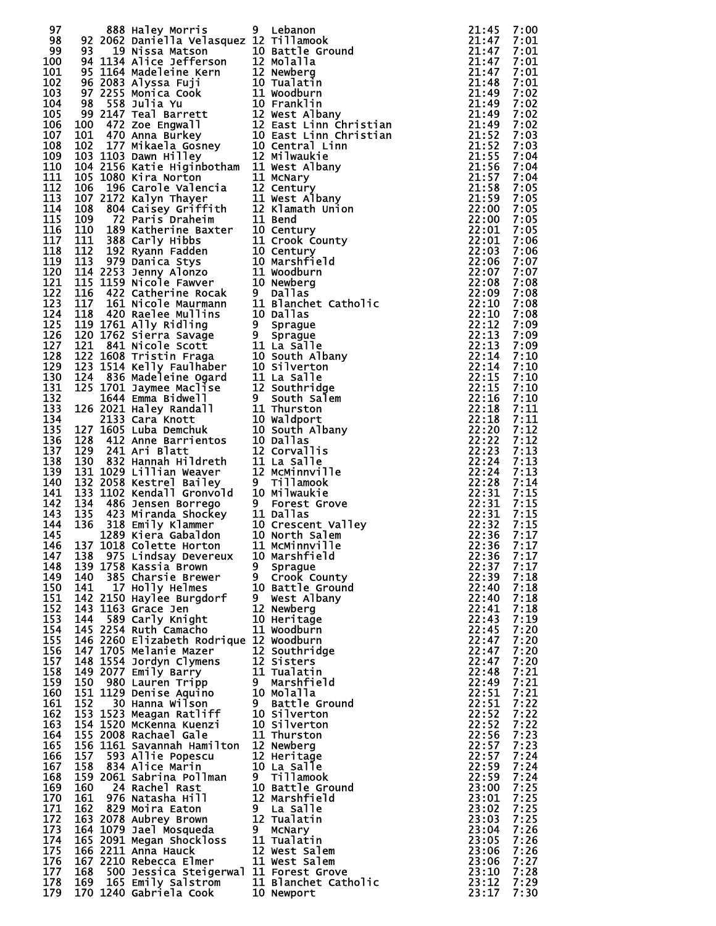| 97  |     | 888 Haley Morris                               | 9 Lebanon                                                                                                                                                                                                                                                                                                                                                                                                                                                                                            |                                                                                                | 21:45              | 7:00 |
|-----|-----|------------------------------------------------|------------------------------------------------------------------------------------------------------------------------------------------------------------------------------------------------------------------------------------------------------------------------------------------------------------------------------------------------------------------------------------------------------------------------------------------------------------------------------------------------------|------------------------------------------------------------------------------------------------|--------------------|------|
| 98  |     | 92 2062 Daniella Velasquez 12 Tillamook        |                                                                                                                                                                                                                                                                                                                                                                                                                                                                                                      |                                                                                                | 21:47              | 7:01 |
|     |     |                                                |                                                                                                                                                                                                                                                                                                                                                                                                                                                                                                      |                                                                                                |                    | 7:01 |
|     |     |                                                |                                                                                                                                                                                                                                                                                                                                                                                                                                                                                                      |                                                                                                |                    | 7:01 |
|     |     |                                                |                                                                                                                                                                                                                                                                                                                                                                                                                                                                                                      |                                                                                                |                    | 7:01 |
|     |     |                                                |                                                                                                                                                                                                                                                                                                                                                                                                                                                                                                      |                                                                                                |                    | 7:01 |
|     |     |                                                |                                                                                                                                                                                                                                                                                                                                                                                                                                                                                                      |                                                                                                |                    | 7:02 |
|     |     |                                                |                                                                                                                                                                                                                                                                                                                                                                                                                                                                                                      |                                                                                                |                    | 7:02 |
|     |     |                                                |                                                                                                                                                                                                                                                                                                                                                                                                                                                                                                      |                                                                                                |                    | 7:02 |
|     |     |                                                |                                                                                                                                                                                                                                                                                                                                                                                                                                                                                                      |                                                                                                |                    | 7:02 |
|     |     |                                                |                                                                                                                                                                                                                                                                                                                                                                                                                                                                                                      |                                                                                                |                    |      |
|     |     |                                                |                                                                                                                                                                                                                                                                                                                                                                                                                                                                                                      |                                                                                                |                    | 7:03 |
|     |     |                                                |                                                                                                                                                                                                                                                                                                                                                                                                                                                                                                      |                                                                                                |                    | 7:03 |
|     |     |                                                |                                                                                                                                                                                                                                                                                                                                                                                                                                                                                                      |                                                                                                |                    | 7:04 |
|     |     |                                                |                                                                                                                                                                                                                                                                                                                                                                                                                                                                                                      |                                                                                                |                    | 7:04 |
|     |     |                                                |                                                                                                                                                                                                                                                                                                                                                                                                                                                                                                      |                                                                                                |                    | 7:04 |
|     |     |                                                |                                                                                                                                                                                                                                                                                                                                                                                                                                                                                                      |                                                                                                |                    | 7:05 |
|     |     |                                                |                                                                                                                                                                                                                                                                                                                                                                                                                                                                                                      |                                                                                                |                    | 7:05 |
|     |     |                                                |                                                                                                                                                                                                                                                                                                                                                                                                                                                                                                      |                                                                                                |                    | 7:05 |
|     |     |                                                |                                                                                                                                                                                                                                                                                                                                                                                                                                                                                                      |                                                                                                |                    | 7:05 |
|     |     |                                                |                                                                                                                                                                                                                                                                                                                                                                                                                                                                                                      |                                                                                                |                    | 7:05 |
|     |     |                                                |                                                                                                                                                                                                                                                                                                                                                                                                                                                                                                      |                                                                                                |                    | 7:06 |
|     |     |                                                |                                                                                                                                                                                                                                                                                                                                                                                                                                                                                                      |                                                                                                |                    | 7:06 |
|     |     |                                                |                                                                                                                                                                                                                                                                                                                                                                                                                                                                                                      |                                                                                                |                    | 7:07 |
|     |     |                                                |                                                                                                                                                                                                                                                                                                                                                                                                                                                                                                      |                                                                                                |                    | 7:07 |
|     |     |                                                |                                                                                                                                                                                                                                                                                                                                                                                                                                                                                                      |                                                                                                |                    | 7:08 |
|     |     |                                                |                                                                                                                                                                                                                                                                                                                                                                                                                                                                                                      |                                                                                                |                    | 7:08 |
|     |     |                                                |                                                                                                                                                                                                                                                                                                                                                                                                                                                                                                      |                                                                                                |                    | 7:08 |
|     |     |                                                |                                                                                                                                                                                                                                                                                                                                                                                                                                                                                                      |                                                                                                |                    | 7:08 |
|     |     |                                                | 938 Malley Morris 91 Lebanon<br>1938 Malley Morris 91 Lebanon<br>1938 Malley Morris 91 Lebanon<br>1941 1124 Malle State Renn<br>1940 Malley Morris 1945<br>1940 Malley Malley Morris 11 Manufacture 11 Lebanon<br>1952 2002 Malley Malley                                                                                                                                                                                                                                                            |                                                                                                |                    | 7:09 |
|     |     |                                                |                                                                                                                                                                                                                                                                                                                                                                                                                                                                                                      |                                                                                                |                    | 7:09 |
|     |     |                                                |                                                                                                                                                                                                                                                                                                                                                                                                                                                                                                      |                                                                                                |                    | 7:09 |
|     |     |                                                |                                                                                                                                                                                                                                                                                                                                                                                                                                                                                                      |                                                                                                |                    | 7:10 |
|     |     |                                                |                                                                                                                                                                                                                                                                                                                                                                                                                                                                                                      |                                                                                                |                    | 7:10 |
|     |     |                                                |                                                                                                                                                                                                                                                                                                                                                                                                                                                                                                      |                                                                                                |                    | 7:10 |
|     |     |                                                |                                                                                                                                                                                                                                                                                                                                                                                                                                                                                                      |                                                                                                |                    | 7:10 |
|     |     |                                                |                                                                                                                                                                                                                                                                                                                                                                                                                                                                                                      |                                                                                                |                    |      |
|     |     |                                                |                                                                                                                                                                                                                                                                                                                                                                                                                                                                                                      |                                                                                                |                    | 7:10 |
|     |     |                                                |                                                                                                                                                                                                                                                                                                                                                                                                                                                                                                      |                                                                                                |                    | 7:11 |
|     |     |                                                |                                                                                                                                                                                                                                                                                                                                                                                                                                                                                                      |                                                                                                |                    | 7:11 |
|     |     |                                                |                                                                                                                                                                                                                                                                                                                                                                                                                                                                                                      |                                                                                                |                    | 7:12 |
|     |     |                                                |                                                                                                                                                                                                                                                                                                                                                                                                                                                                                                      |                                                                                                |                    | 7:12 |
|     |     |                                                |                                                                                                                                                                                                                                                                                                                                                                                                                                                                                                      |                                                                                                |                    | 7:13 |
|     |     |                                                |                                                                                                                                                                                                                                                                                                                                                                                                                                                                                                      |                                                                                                |                    | 7:13 |
|     |     |                                                |                                                                                                                                                                                                                                                                                                                                                                                                                                                                                                      |                                                                                                |                    | 7:13 |
|     |     |                                                |                                                                                                                                                                                                                                                                                                                                                                                                                                                                                                      |                                                                                                |                    | 7:14 |
|     |     |                                                |                                                                                                                                                                                                                                                                                                                                                                                                                                                                                                      |                                                                                                |                    | 7:15 |
|     |     |                                                |                                                                                                                                                                                                                                                                                                                                                                                                                                                                                                      |                                                                                                |                    | 7:15 |
|     |     |                                                |                                                                                                                                                                                                                                                                                                                                                                                                                                                                                                      |                                                                                                |                    | 7:15 |
|     |     |                                                |                                                                                                                                                                                                                                                                                                                                                                                                                                                                                                      |                                                                                                |                    | 7:15 |
|     |     |                                                |                                                                                                                                                                                                                                                                                                                                                                                                                                                                                                      |                                                                                                |                    | 7:17 |
|     |     |                                                |                                                                                                                                                                                                                                                                                                                                                                                                                                                                                                      | 22:36 7:17<br>22:36 7:17<br>22:36 7:17<br>22:37 7:17<br>22:39 7:18<br>22:40 7:18<br>22:40 7:18 |                    |      |
| 147 | 138 | 975 Lindsay Devereux                           | 10 Marshfield                                                                                                                                                                                                                                                                                                                                                                                                                                                                                        |                                                                                                |                    |      |
| 148 |     | 139 1758 Kassia Brown                          | 9 Sprague                                                                                                                                                                                                                                                                                                                                                                                                                                                                                            |                                                                                                |                    |      |
| 149 |     |                                                |                                                                                                                                                                                                                                                                                                                                                                                                                                                                                                      |                                                                                                |                    |      |
| 150 |     |                                                |                                                                                                                                                                                                                                                                                                                                                                                                                                                                                                      |                                                                                                |                    |      |
| 151 |     |                                                |                                                                                                                                                                                                                                                                                                                                                                                                                                                                                                      |                                                                                                | 22:40              |      |
| 152 |     |                                                |                                                                                                                                                                                                                                                                                                                                                                                                                                                                                                      |                                                                                                | 22:41              | 7:18 |
| 153 |     | $\overline{144}$ $\overline{589}$ Carly Knight | 139 1730 Kassia Brown<br>140 385 Charsie Brewer<br>141 17 Holly Helmes<br>10 Battle Ground<br>142 2150 Haylee Burgdorf<br>19 West Albany<br>143 1163 Grace Jen<br>144 589 Carly Knight<br>10 Heritage                                                                                                                                                                                                                                                                                                |                                                                                                | 22:43              | 7:19 |
| 154 |     | 145 2254 Ruth Camacho                          | 11 Woodburn                                                                                                                                                                                                                                                                                                                                                                                                                                                                                          |                                                                                                | 22:45              | 7:20 |
| 155 |     | 146 2260 Elizabeth Rodrique 12 Woodburn        |                                                                                                                                                                                                                                                                                                                                                                                                                                                                                                      |                                                                                                | 22:47              | 7:20 |
| 156 |     |                                                |                                                                                                                                                                                                                                                                                                                                                                                                                                                                                                      |                                                                                                | 22:47              | 7:20 |
| 157 |     |                                                |                                                                                                                                                                                                                                                                                                                                                                                                                                                                                                      |                                                                                                | 22:47              | 7:20 |
| 158 |     |                                                |                                                                                                                                                                                                                                                                                                                                                                                                                                                                                                      |                                                                                                | 22:48              | 7:21 |
| 159 |     |                                                |                                                                                                                                                                                                                                                                                                                                                                                                                                                                                                      |                                                                                                | 22:49              | 7:21 |
| 160 |     |                                                | 146 2260 Elizabeth Rodrique 12 Woodburn<br>147 1705 Melanie Mazer 12 Southridge<br>148 1554 Jordyn Clymens 12 Sisters<br>149 2077 Emily Barry 11 Tualatin<br>150 980 Lauren Tripp 9 Marshfield<br>151 1129 Denise Aquino 10 Molalla<br>152                                                                                                                                                                                                                                                           |                                                                                                | 22:51              | 7:21 |
| 161 |     |                                                |                                                                                                                                                                                                                                                                                                                                                                                                                                                                                                      |                                                                                                | 22:51              | 7:22 |
| 162 |     |                                                |                                                                                                                                                                                                                                                                                                                                                                                                                                                                                                      |                                                                                                | 22:52              | 7:22 |
| 163 |     |                                                |                                                                                                                                                                                                                                                                                                                                                                                                                                                                                                      |                                                                                                | 22:52              | 7:22 |
| 164 |     |                                                |                                                                                                                                                                                                                                                                                                                                                                                                                                                                                                      |                                                                                                | 22:56              | 7:23 |
| 165 |     |                                                |                                                                                                                                                                                                                                                                                                                                                                                                                                                                                                      |                                                                                                | 22:57              | 7:23 |
| 166 |     |                                                |                                                                                                                                                                                                                                                                                                                                                                                                                                                                                                      |                                                                                                | $\overline{2}2:57$ | 7:24 |
| 167 |     |                                                |                                                                                                                                                                                                                                                                                                                                                                                                                                                                                                      |                                                                                                | 22:59              | 7:24 |
| 168 |     |                                                |                                                                                                                                                                                                                                                                                                                                                                                                                                                                                                      |                                                                                                | 22:59              | 7:24 |
| 169 |     |                                                |                                                                                                                                                                                                                                                                                                                                                                                                                                                                                                      |                                                                                                | 23:00              | 7:25 |
| 170 |     |                                                |                                                                                                                                                                                                                                                                                                                                                                                                                                                                                                      |                                                                                                | 23:01              | 7:25 |
| 171 |     |                                                |                                                                                                                                                                                                                                                                                                                                                                                                                                                                                                      |                                                                                                | 23:02              | 7:25 |
| 172 |     |                                                |                                                                                                                                                                                                                                                                                                                                                                                                                                                                                                      |                                                                                                | 23:03              | 7:25 |
| 173 |     |                                                |                                                                                                                                                                                                                                                                                                                                                                                                                                                                                                      |                                                                                                | 23:04              | 7:26 |
| 174 |     |                                                |                                                                                                                                                                                                                                                                                                                                                                                                                                                                                                      |                                                                                                | 23:05              |      |
| 175 |     |                                                |                                                                                                                                                                                                                                                                                                                                                                                                                                                                                                      |                                                                                                | 23:06              | 7:26 |
|     |     |                                                |                                                                                                                                                                                                                                                                                                                                                                                                                                                                                                      |                                                                                                |                    | 7:26 |
| 176 |     |                                                | 156 1161 Savannah Hamilton 12 Newberg<br>157 593 Allie Popescu<br>158 834 Alice Marin 10 La Salle<br>159 2061 Sabrina Pollman 9 Tillamook<br>160 24 Rachel Rast<br>16 24 Rachel Rast<br>16 976 Natasha Hill<br>162 829 Moira Eaton 9 La Salle<br>163 2<br>162 829 Moira Eaton 9 La Salle<br>163 2078 Aubrey Brown 12 Tualatin<br>164 1079 Jael Mosqueda 9 McNary<br>165 2091 Megan Shockloss 11 Tualatin<br>166 2211 Anna Hauck 12 West Salem<br>167 2210 Rebecca Elmer 11 West Salem<br>168 500 Jes |                                                                                                | 23:06<br>23:10     | 7:27 |
| 177 |     |                                                |                                                                                                                                                                                                                                                                                                                                                                                                                                                                                                      |                                                                                                |                    | 7:28 |
| 178 |     |                                                |                                                                                                                                                                                                                                                                                                                                                                                                                                                                                                      |                                                                                                | 23:12              | 7:29 |
| 179 |     |                                                |                                                                                                                                                                                                                                                                                                                                                                                                                                                                                                      |                                                                                                | 23:17              | 7:30 |

|                                               | Lebanon                                                       |
|-----------------------------------------------|---------------------------------------------------------------|
|                                               | <b>Tillamook</b>                                              |
|                                               | Battle Ground                                                 |
| 202201022002112121                            | Molalla                                                       |
|                                               | Newberg                                                       |
|                                               | Tualatin                                                      |
|                                               | Woodburn                                                      |
|                                               |                                                               |
|                                               | Franklin                                                      |
|                                               | west Albany<br>East Linn Christia                             |
|                                               |                                                               |
|                                               | East Linn Christia                                            |
|                                               | Central Linn                                                  |
|                                               | Milwaukie                                                     |
|                                               | West Albany                                                   |
|                                               | McNary                                                        |
|                                               | Century                                                       |
|                                               | west Albany                                                   |
|                                               |                                                               |
|                                               | Klamath Union                                                 |
|                                               | <b>Bend</b>                                                   |
| $\begin{smallmatrix} 0 \ 1 \end{smallmatrix}$ | Century                                                       |
|                                               | Crook County                                                  |
| 0                                             | Century<br>Marshfield                                         |
| $\begin{smallmatrix} 0 \ 1 \end{smallmatrix}$ |                                                               |
|                                               | Woodburn                                                      |
| O                                             | Newberg                                                       |
|                                               | <b>Dallas</b>                                                 |
| 1                                             | Blanchet Catholic                                             |
| 0                                             | Dallas                                                        |
|                                               |                                                               |
|                                               | Sprague                                                       |
|                                               | Sprague                                                       |
| 1                                             | La Salle                                                      |
| 0                                             | South Albany                                                  |
|                                               | Silverton                                                     |
| 0<br>1<br>2                                   | La Salle                                                      |
|                                               | Southridge                                                    |
|                                               | South Salem                                                   |
| 1                                             | Thurston                                                      |
| O                                             |                                                               |
| 0                                             | waldport<br>South Albany                                      |
|                                               | <b>Dallas</b>                                                 |
| 0<br>2<br>1<br>2                              | Corvallis                                                     |
|                                               |                                                               |
|                                               | La Salle                                                      |
|                                               | McMinnville                                                   |
|                                               | <b>Tillamook</b>                                              |
| 0                                             | Milwaukie                                                     |
|                                               | Forest Grove                                                  |
| 1                                             | Dallas                                                        |
| 0                                             | Crescent Valley                                               |
| 0                                             | North Salem                                                   |
| 1                                             | McMinnvill<br>Marshfield                                      |
| 0                                             |                                                               |
|                                               | Sprague                                                       |
|                                               | Crook County                                                  |
| 0                                             | Battle Ground                                                 |
|                                               | West Albany                                                   |
|                                               |                                                               |
|                                               | Newberg                                                       |
|                                               | Heritage                                                      |
|                                               | <b>Woodburn</b>                                               |
|                                               | Woodburn                                                      |
| 2012221                                       | Southridge                                                    |
|                                               | Sisters                                                       |
|                                               | Tualatin                                                      |
|                                               | Marshfield                                                    |
| 0                                             | <b>Molalla</b>                                                |
|                                               | Battle Ground                                                 |
|                                               | Silverton                                                     |
|                                               | Silverton                                                     |
|                                               | Thurston                                                      |
|                                               | Newberg                                                       |
|                                               | Heritage                                                      |
| <b>001220</b>                                 |                                                               |
|                                               | <b>La Salle<br/>Tillamook</b>                                 |
|                                               |                                                               |
| 0<br>2                                        |                                                               |
|                                               |                                                               |
|                                               | <b>Battle Ground<br/>Marshfield<br/>La Salle<br/>Tualatin</b> |
| $\overline{c}$                                |                                                               |
|                                               | McNary<br>Tualatin                                            |
|                                               |                                                               |
| <b>121110</b>                                 | West Salem                                                    |
|                                               | West Salem                                                    |
|                                               | Forest Grove                                                  |
|                                               | Blanchet Catholic                                             |
|                                               | Newport                                                       |
|                                               |                                                               |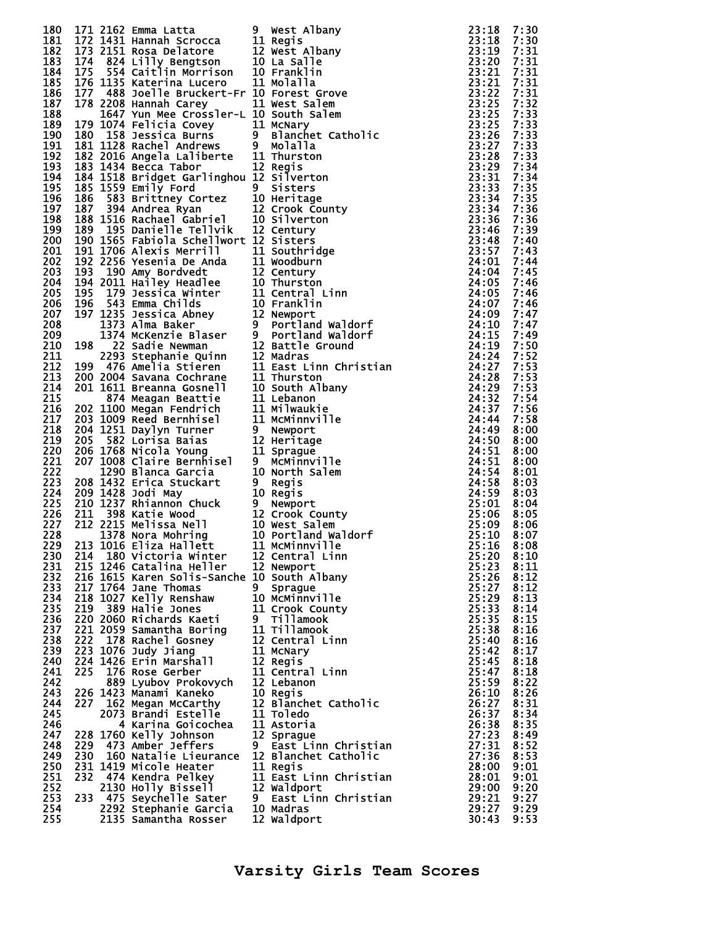| 180 |     |                                                                                                                                                                                                                                       |   |                                                                                                                                                                                                                                             | 23:18 | 7:30 |
|-----|-----|---------------------------------------------------------------------------------------------------------------------------------------------------------------------------------------------------------------------------------------|---|---------------------------------------------------------------------------------------------------------------------------------------------------------------------------------------------------------------------------------------------|-------|------|
| 181 |     |                                                                                                                                                                                                                                       |   |                                                                                                                                                                                                                                             | 23:18 | 7:30 |
| 182 |     |                                                                                                                                                                                                                                       |   |                                                                                                                                                                                                                                             |       | 7:31 |
|     |     | 171 2162 Emma Latta 9 West Albany<br>172 1431 Hannah Scrocca 11 Regis<br>173 2151 Rosa Delatore 12 West Albany<br>174 824 Lilly Bengtson 10 La Salle<br>175 554 Caitlin Morrison 10 Franklin<br>176 1135 Katerina Lucero - 11 Molalla |   | 172 21522 Emma Latta - 9 west Albany 23:1182<br>172 1442 Emma Latta - 9 west Albany 23:118<br>172 1451 Hannah Scrocca - 11 Nedis Albany 23:118<br>174 8244 Lilly Remptson<br>174 8244 Lilly Remptson 110 Latalle<br>174 8244 Lilly Remptson |       |      |
| 183 |     |                                                                                                                                                                                                                                       |   |                                                                                                                                                                                                                                             |       | 7:31 |
| 184 |     |                                                                                                                                                                                                                                       |   |                                                                                                                                                                                                                                             |       | 7:31 |
| 185 |     |                                                                                                                                                                                                                                       |   |                                                                                                                                                                                                                                             |       | 7:31 |
|     |     |                                                                                                                                                                                                                                       |   |                                                                                                                                                                                                                                             |       |      |
| 186 |     |                                                                                                                                                                                                                                       |   |                                                                                                                                                                                                                                             |       | 7:31 |
| 187 |     |                                                                                                                                                                                                                                       |   |                                                                                                                                                                                                                                             |       | 7:32 |
| 188 |     |                                                                                                                                                                                                                                       |   |                                                                                                                                                                                                                                             |       | 7:33 |
|     |     |                                                                                                                                                                                                                                       |   |                                                                                                                                                                                                                                             |       |      |
| 189 |     |                                                                                                                                                                                                                                       |   |                                                                                                                                                                                                                                             |       | 7:33 |
| 190 |     |                                                                                                                                                                                                                                       |   |                                                                                                                                                                                                                                             |       | 7:33 |
| 191 |     |                                                                                                                                                                                                                                       |   |                                                                                                                                                                                                                                             |       | 7:33 |
|     |     |                                                                                                                                                                                                                                       |   |                                                                                                                                                                                                                                             |       |      |
| 192 |     |                                                                                                                                                                                                                                       |   |                                                                                                                                                                                                                                             |       | 7:33 |
| 193 |     |                                                                                                                                                                                                                                       |   |                                                                                                                                                                                                                                             |       | 7:34 |
| 194 |     |                                                                                                                                                                                                                                       |   |                                                                                                                                                                                                                                             |       | 7:34 |
|     |     |                                                                                                                                                                                                                                       |   |                                                                                                                                                                                                                                             |       |      |
| 195 |     |                                                                                                                                                                                                                                       |   |                                                                                                                                                                                                                                             |       | 7:35 |
| 196 |     |                                                                                                                                                                                                                                       |   |                                                                                                                                                                                                                                             |       | 7:35 |
| 197 |     |                                                                                                                                                                                                                                       |   |                                                                                                                                                                                                                                             |       | 7:36 |
|     |     |                                                                                                                                                                                                                                       |   |                                                                                                                                                                                                                                             |       |      |
| 198 |     |                                                                                                                                                                                                                                       |   |                                                                                                                                                                                                                                             |       | 7:36 |
| 199 |     |                                                                                                                                                                                                                                       |   |                                                                                                                                                                                                                                             |       | 7:39 |
| 200 |     |                                                                                                                                                                                                                                       |   |                                                                                                                                                                                                                                             |       | 7:40 |
|     |     |                                                                                                                                                                                                                                       |   |                                                                                                                                                                                                                                             |       |      |
| 201 |     |                                                                                                                                                                                                                                       |   |                                                                                                                                                                                                                                             |       | 7:43 |
| 202 |     |                                                                                                                                                                                                                                       |   |                                                                                                                                                                                                                                             |       | 7:44 |
| 203 |     |                                                                                                                                                                                                                                       |   |                                                                                                                                                                                                                                             |       | 7:45 |
|     |     |                                                                                                                                                                                                                                       |   |                                                                                                                                                                                                                                             |       |      |
| 204 |     |                                                                                                                                                                                                                                       |   |                                                                                                                                                                                                                                             |       | 7:46 |
| 205 |     |                                                                                                                                                                                                                                       |   |                                                                                                                                                                                                                                             |       | 7:46 |
| 206 |     |                                                                                                                                                                                                                                       |   |                                                                                                                                                                                                                                             |       |      |
|     |     |                                                                                                                                                                                                                                       |   |                                                                                                                                                                                                                                             |       | 7:46 |
| 207 |     |                                                                                                                                                                                                                                       |   |                                                                                                                                                                                                                                             |       | 7:47 |
| 208 |     |                                                                                                                                                                                                                                       |   |                                                                                                                                                                                                                                             |       | 7:47 |
| 209 |     |                                                                                                                                                                                                                                       |   |                                                                                                                                                                                                                                             |       |      |
|     |     |                                                                                                                                                                                                                                       |   |                                                                                                                                                                                                                                             |       | 7:49 |
| 210 |     |                                                                                                                                                                                                                                       |   |                                                                                                                                                                                                                                             |       | 7:50 |
| 211 |     |                                                                                                                                                                                                                                       |   |                                                                                                                                                                                                                                             |       | 7:52 |
| 212 |     |                                                                                                                                                                                                                                       |   |                                                                                                                                                                                                                                             |       | 7:53 |
|     |     |                                                                                                                                                                                                                                       |   |                                                                                                                                                                                                                                             |       |      |
| 213 |     |                                                                                                                                                                                                                                       |   |                                                                                                                                                                                                                                             |       | 7:53 |
| 214 |     |                                                                                                                                                                                                                                       |   |                                                                                                                                                                                                                                             |       | 7:53 |
| 215 |     |                                                                                                                                                                                                                                       |   |                                                                                                                                                                                                                                             |       | 7:54 |
|     |     |                                                                                                                                                                                                                                       |   |                                                                                                                                                                                                                                             |       |      |
| 216 |     |                                                                                                                                                                                                                                       |   |                                                                                                                                                                                                                                             |       | 7:56 |
| 217 |     |                                                                                                                                                                                                                                       |   |                                                                                                                                                                                                                                             |       | 7:58 |
| 218 |     |                                                                                                                                                                                                                                       |   |                                                                                                                                                                                                                                             |       | 8:00 |
|     |     |                                                                                                                                                                                                                                       |   |                                                                                                                                                                                                                                             |       |      |
| 219 |     |                                                                                                                                                                                                                                       |   |                                                                                                                                                                                                                                             |       | 8:00 |
| 220 |     |                                                                                                                                                                                                                                       |   |                                                                                                                                                                                                                                             |       | 8:00 |
| 221 |     |                                                                                                                                                                                                                                       |   |                                                                                                                                                                                                                                             |       | 8:00 |
|     |     |                                                                                                                                                                                                                                       |   |                                                                                                                                                                                                                                             |       |      |
| 222 |     |                                                                                                                                                                                                                                       |   |                                                                                                                                                                                                                                             |       | 8:01 |
| 223 |     |                                                                                                                                                                                                                                       |   |                                                                                                                                                                                                                                             |       | 8:03 |
| 224 |     |                                                                                                                                                                                                                                       |   |                                                                                                                                                                                                                                             |       | 8:03 |
|     |     |                                                                                                                                                                                                                                       |   |                                                                                                                                                                                                                                             |       |      |
| 225 |     |                                                                                                                                                                                                                                       |   |                                                                                                                                                                                                                                             |       | 8:04 |
| 226 |     |                                                                                                                                                                                                                                       |   |                                                                                                                                                                                                                                             |       | 8:05 |
| 227 |     |                                                                                                                                                                                                                                       |   |                                                                                                                                                                                                                                             |       | 8:06 |
|     |     |                                                                                                                                                                                                                                       |   |                                                                                                                                                                                                                                             |       |      |
| 228 |     |                                                                                                                                                                                                                                       |   |                                                                                                                                                                                                                                             |       | 8:07 |
| 229 |     | 213 1016 Eliza Hallett 11 McMinnville                                                                                                                                                                                                 |   |                                                                                                                                                                                                                                             | 25:16 | 8:08 |
| 230 |     | 214 180 Victoria Winter                                                                                                                                                                                                               |   | 12 Central Linn                                                                                                                                                                                                                             | 25:20 | 8:10 |
| 231 |     | 215 1246 Catalina Heller                                                                                                                                                                                                              |   | 12 Newport                                                                                                                                                                                                                                  | 25:23 | 8:11 |
|     |     |                                                                                                                                                                                                                                       |   |                                                                                                                                                                                                                                             |       |      |
| 232 |     | 216 1615 Karen Solis-Sanche 10 South Albany                                                                                                                                                                                           |   |                                                                                                                                                                                                                                             | 25:26 | 8:12 |
| 233 |     | 217 1764 Jane Thomas                                                                                                                                                                                                                  | 9 | Sprague                                                                                                                                                                                                                                     | 25:27 | 8:12 |
| 234 |     | 218 1027 Kelly Renshaw                                                                                                                                                                                                                |   | 10 MCMinnville                                                                                                                                                                                                                              | 25:29 | 8:13 |
|     |     |                                                                                                                                                                                                                                       |   |                                                                                                                                                                                                                                             |       |      |
| 235 |     | 219 389 Halie Jones                                                                                                                                                                                                                   |   | 11 Crook County                                                                                                                                                                                                                             | 25:33 | 8:14 |
| 236 |     | 220 2060 Richards Kaeti                                                                                                                                                                                                               |   | 9 Tillamook                                                                                                                                                                                                                                 | 25:35 | 8:15 |
| 237 |     | 221 2059 Samantha Boring                                                                                                                                                                                                              |   | 11 Tillamook                                                                                                                                                                                                                                | 25:38 | 8:16 |
|     |     |                                                                                                                                                                                                                                       |   |                                                                                                                                                                                                                                             |       |      |
| 238 | 222 | 178 Rachel Gosney                                                                                                                                                                                                                     |   | 12 Central Linn                                                                                                                                                                                                                             | 25:40 | 8:16 |
| 239 |     | 223 1076 Judy Jiang                                                                                                                                                                                                                   |   | 11 McNary                                                                                                                                                                                                                                   | 25:42 | 8:17 |
| 240 |     | 224 1426 Erin Marshall                                                                                                                                                                                                                |   | 12 Regis                                                                                                                                                                                                                                    | 25:45 | 8:18 |
|     |     |                                                                                                                                                                                                                                       |   |                                                                                                                                                                                                                                             | 25:47 |      |
| 241 | 225 | 176 Rose Gerber                                                                                                                                                                                                                       |   | 11 Central Linn                                                                                                                                                                                                                             |       | 8:18 |
| 242 |     | 889 Lyubov Prokovych                                                                                                                                                                                                                  |   | 12 Lebanon                                                                                                                                                                                                                                  | 25:59 | 8:22 |
| 243 |     | 226 1423 Manami Kaneko                                                                                                                                                                                                                |   | 10 Regis                                                                                                                                                                                                                                    | 26:10 | 8:26 |
| 244 |     |                                                                                                                                                                                                                                       |   |                                                                                                                                                                                                                                             | 26:27 | 8:31 |
|     |     | 227 162 Megan McCarthy                                                                                                                                                                                                                |   | 12 Blanchet Catholic                                                                                                                                                                                                                        |       |      |
| 245 |     | 2073 Brandi Estelle                                                                                                                                                                                                                   |   | 11 Toledo                                                                                                                                                                                                                                   | 26:37 | 8:34 |
| 246 |     | 4 Karina Goicochea                                                                                                                                                                                                                    |   | 11 Astoria                                                                                                                                                                                                                                  | 26:38 | 8:35 |
|     |     |                                                                                                                                                                                                                                       |   |                                                                                                                                                                                                                                             |       |      |
| 247 |     | 228 1760 Kelly Johnson                                                                                                                                                                                                                |   | 12 Sprague                                                                                                                                                                                                                                  | 27:23 | 8:49 |
| 248 | 229 | 473 Amber Jeffers                                                                                                                                                                                                                     |   | 9 East Linn Christian                                                                                                                                                                                                                       | 27:31 | 8:52 |
| 249 | 230 | 160 Natalie Lieurance                                                                                                                                                                                                                 |   | 12 Blanchet Catholic                                                                                                                                                                                                                        | 27:36 | 8:53 |
|     |     | 231 1419 Micole Heater                                                                                                                                                                                                                |   | 11 Regis                                                                                                                                                                                                                                    | 28:00 |      |
| 250 |     |                                                                                                                                                                                                                                       |   |                                                                                                                                                                                                                                             |       | 9:01 |
| 251 | 232 | 474 Kendra Pelkey                                                                                                                                                                                                                     |   | 11 East Linn Christian                                                                                                                                                                                                                      | 28:01 | 9:01 |
| 252 |     | 2130 Holly Bissell                                                                                                                                                                                                                    |   | 12 Waldport                                                                                                                                                                                                                                 | 29:00 | 9:20 |
| 253 |     | 233 475 Seychelle Sater                                                                                                                                                                                                               |   | 9 East Linn Christian                                                                                                                                                                                                                       | 29:21 | 9:27 |
|     |     |                                                                                                                                                                                                                                       |   |                                                                                                                                                                                                                                             |       |      |
| 254 |     | 2292 Stephanie Garcia                                                                                                                                                                                                                 |   | 10 Madras                                                                                                                                                                                                                                   | 29:27 | 9:29 |
| 255 |     | 2135 Samantha Rosser                                                                                                                                                                                                                  |   | 12 Waldport                                                                                                                                                                                                                                 | 30:43 | 9:53 |
|     |     |                                                                                                                                                                                                                                       |   |                                                                                                                                                                                                                                             |       |      |

| West Albany<br>Regis              |
|-----------------------------------|
| West Albany                       |
| La Salle                          |
| Franklin<br>Molalla               |
| Forest Grove                      |
| West Salem                        |
| South Salem                       |
| McNary<br>Blanchet<br>Catholic    |
| Molalla                           |
| Thurston                          |
| Regis<br>Silverton                |
| <b>Sisters</b>                    |
| Heritage                          |
| Crook County<br>Silverton         |
| Century                           |
| Sisters                           |
| Southridge<br>Woodburn            |
| Century                           |
| Thurston                          |
| Central Linn<br>Franklin          |
| Newport                           |
| Portland Waldorf                  |
| Portland Waldorf<br>Battle Ground |
| Madras                            |
| East Linn Christian               |
| Thurston<br>South Albanv          |
| Lebanon                           |
| Milwaukie                         |
| McMinnville                       |
| Newport<br>Heritage               |
| Sprague                           |
| <b>MCMinnville</b><br>North Salem |
| <b>Regis</b>                      |
| Regi s                            |
| Newport<br>Crook County           |
| West Salem                        |
| Portland Waldorf                  |
| McMinnville<br>Central Linn       |
| Newport                           |
| South Albany                      |
| Sprague<br>McMinnville            |
| Crook County                      |
| <b>Tillamook</b>                  |
| <b>Tillamook</b><br>Central Linn  |
| McNary                            |
| Regis                             |
| Central Linn<br>Lebanon           |
| Regis                             |
| Blanchet Catholic                 |
| <b>Toledo</b><br>Astoria          |
| Sprague                           |
| East Linn Christian               |
| Blanchet Catholic<br>Regi s       |
| East Linn Christian               |
| Waldport<br>East Linn Christian   |
| Madras                            |
| Waldport                          |

| 1112222222222223333334450000000111222233344555555000118890112235556789134466871455790594789274901148916906 |                             |
|------------------------------------------------------------------------------------------------------------|-----------------------------|
|                                                                                                            |                             |
|                                                                                                            |                             |
|                                                                                                            |                             |
|                                                                                                            |                             |
|                                                                                                            |                             |
|                                                                                                            |                             |
|                                                                                                            |                             |
|                                                                                                            |                             |
|                                                                                                            |                             |
|                                                                                                            |                             |
|                                                                                                            |                             |
|                                                                                                            |                             |
|                                                                                                            |                             |
|                                                                                                            |                             |
|                                                                                                            |                             |
|                                                                                                            |                             |
|                                                                                                            |                             |
|                                                                                                            |                             |
|                                                                                                            |                             |
|                                                                                                            |                             |
|                                                                                                            |                             |
|                                                                                                            |                             |
|                                                                                                            |                             |
|                                                                                                            |                             |
|                                                                                                            |                             |
|                                                                                                            |                             |
|                                                                                                            |                             |
|                                                                                                            |                             |
|                                                                                                            |                             |
|                                                                                                            |                             |
|                                                                                                            |                             |
|                                                                                                            |                             |
|                                                                                                            |                             |
|                                                                                                            |                             |
|                                                                                                            |                             |
|                                                                                                            |                             |
|                                                                                                            |                             |
|                                                                                                            |                             |
|                                                                                                            |                             |
|                                                                                                            |                             |
|                                                                                                            |                             |
|                                                                                                            |                             |
|                                                                                                            |                             |
|                                                                                                            |                             |
|                                                                                                            |                             |
|                                                                                                            |                             |
|                                                                                                            |                             |
|                                                                                                            |                             |
|                                                                                                            |                             |
|                                                                                                            |                             |
|                                                                                                            |                             |
|                                                                                                            |                             |
|                                                                                                            |                             |
|                                                                                                            |                             |
|                                                                                                            |                             |
|                                                                                                            |                             |
|                                                                                                            |                             |
|                                                                                                            |                             |
|                                                                                                            |                             |
|                                                                                                            |                             |
|                                                                                                            |                             |
|                                                                                                            |                             |
|                                                                                                            |                             |
|                                                                                                            |                             |
|                                                                                                            |                             |
|                                                                                                            |                             |
|                                                                                                            |                             |
|                                                                                                            |                             |
|                                                                                                            |                             |
|                                                                                                            |                             |
|                                                                                                            |                             |
|                                                                                                            |                             |
|                                                                                                            |                             |
|                                                                                                            |                             |
|                                                                                                            |                             |
|                                                                                                            |                             |
|                                                                                                            |                             |
|                                                                                                            |                             |
|                                                                                                            |                             |
|                                                                                                            |                             |
|                                                                                                            |                             |
|                                                                                                            |                             |
|                                                                                                            |                             |
|                                                                                                            |                             |
|                                                                                                            |                             |
|                                                                                                            |                             |
| 1222223333444451233323300002243                                                                            | 888888888888888888888999999 |
|                                                                                                            |                             |
|                                                                                                            |                             |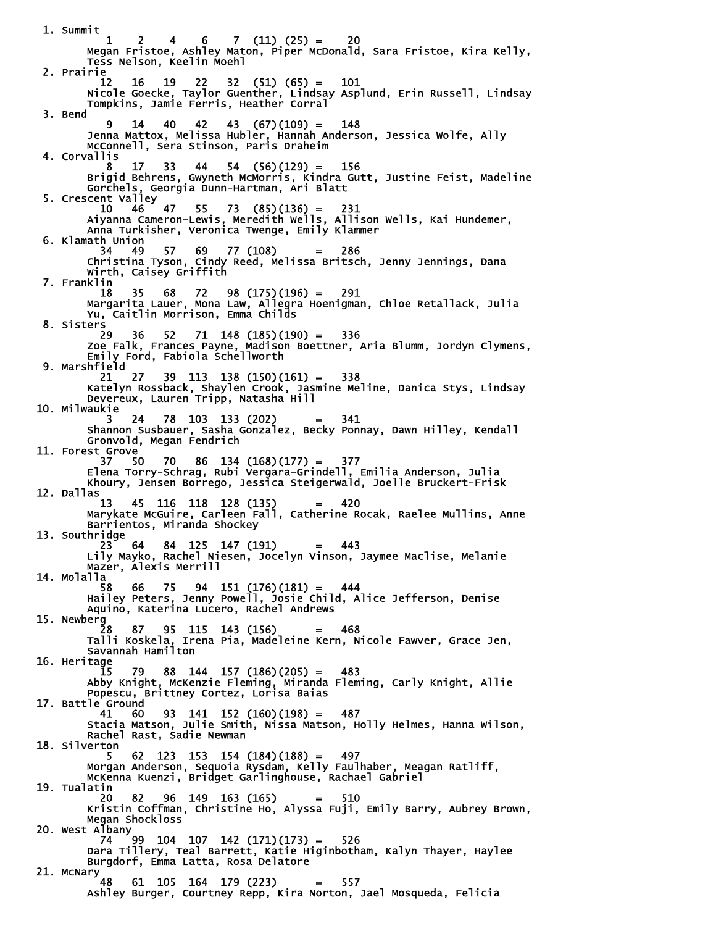1. Summit  $1 \quad 2 \quad 4 \quad 6 \quad 7 \quad (11) \quad (25) = \quad 20$  Megan Fristoe, Ashley Maton, Piper McDonald, Sara Fristoe, Kira Kelly, Tess Nelson, Keelin Moehl 2. Prairie 12 16 19 22 32 (51) (65) = 101 Nicole Goecke, Taylor Guenther, Lindsay Asplund, Erin Russell, Lindsay Tompkins, Jamie Ferris, Heather Corral 3. Bend 9 14 40 42 43 (67)(109) = 148 Jenna Mattox, Melissa Hubler, Hannah Anderson, Jessica Wolfe, Ally McConnell, Sera Stinson, Paris Draheim 4. Corvallis 8 17 33 44 54 (56)(129) = 156 Brigid Behrens, Gwyneth McMorris, Kindra Gutt, Justine Feist, Madeline Gorchels, Georgia Dunn-Hartman, Ari Blatt 5. Crescent Valley 10 46 47 55 73 (85)(136) = 231 Aiyanna Cameron-Lewis, Meredith Wells, Allison Wells, Kai Hundemer, Anna Turkisher, Veronica Twenge, Emily Klammer 6. Klamath Union 34 49 57 69 77 (108) = 286 Christina Tyson, Cindy Reed, Melissa Britsch, Jenny Jennings, Dana Wirth, Caisey Griffith 7. Franklin 18 35 68 72 98 (175)(196) = 291 Margarita Lauer, Mona Law, Allegra Hoenigman, Chloe Retallack, Julia Yu, Caitlin Morrison, Emma Childs 8. Sisters<br>29 29 36 52 71 148 (185)(190) = 336 Zoe Falk, Frances Payne, Madison Boettner, Aria Blumm, Jordyn Clymens, Emily Ford, Fabiola Schellworth 9. Marshfield 21 27 39 113 138 (150)(161) = 338 Katelyn Rossback, Shaylen Crook, Jasmine Meline, Danica Stys, Lindsay Devereux, Lauren Tripp, Natasha Hill 10. Milwaukie 3 24 78 103 133 (202) = 341 Shannon Susbauer, Sasha Gonzalez, Becky Ponnay, Dawn Hilley, Kendall Gronvold, Megan Fendrich 11. Forest Grove 37 50 70 86 134 (168)(177) = 377 Elena Torry-Schrag, Rubi Vergara-Grindell, Emilia Anderson, Julia Khoury, Jensen Borrego, Jessica Steigerwald, Joelle Bruckert-Frisk 12. Dallas 13 45 116 118 128 (135) = 420 Marykate McGuire, Carleen Fall, Catherine Rocak, Raelee Mullins, Anne Barrientos, Miranda Shockey 13. Southridge 23 64 84 125 147 (191) = 443 Lily Mayko, Rachel Niesen, Jocelyn Vinson, Jaymee Maclise, Melanie Mazer, Alexis Merrill 14. Molalla 58 66 75 94 151 (176)(181) = 444 Hailey Peters, Jenny Powell, Josie Child, Alice Jefferson, Denise Aquino, Katerina Lucero, Rachel Andrews 15. Newberg 28 87 95 115 143 (156) = 468 Talli Koskela, Irena Pia, Madeleine Kern, Nicole Fawver, Grace Jen, Savannah Hamilton 16. Heritage 15 79 88 144 157 (186)(205) = 483 Abby Knight, McKenzie Fleming, Miranda Fleming, Carly Knight, Allie Popescu, Brittney Cortez, Lorisa Baias 17. Battle Ground 41 60 93 141 152 (160)(198) = 487 Stacia Matson, Julie Smith, Nissa Matson, Holly Helmes, Hanna Wilson, Rachel Rast, Sadie Newman 18. Silverton 5 62 123 153 154 (184)(188) = 497 Morgan Anderson, Sequoia Rysdam, Kelly Faulhaber, Meagan Ratliff, McKenna Kuenzi, Bridget Garlinghouse, Rachael Gabriel 19. Tualatin 20 82 96 149 163 (165) = 510 Kristin Coffman, Christine Ho, Alyssa Fuji, Emily Barry, Aubrey Brown, Megan Shockloss 20. West Albany 74 99 104 107 142 (171)(173) = 526 Dara Tillery, Teal Barrett, Katie Higinbotham, Kalyn Thayer, Haylee Burgdorf, Emma Latta, Rosa Delatore 21. McNary 48 61 105 164 179 (223) = 557 Ashley Burger, Courtney Repp, Kira Norton, Jael Mosqueda, Felicia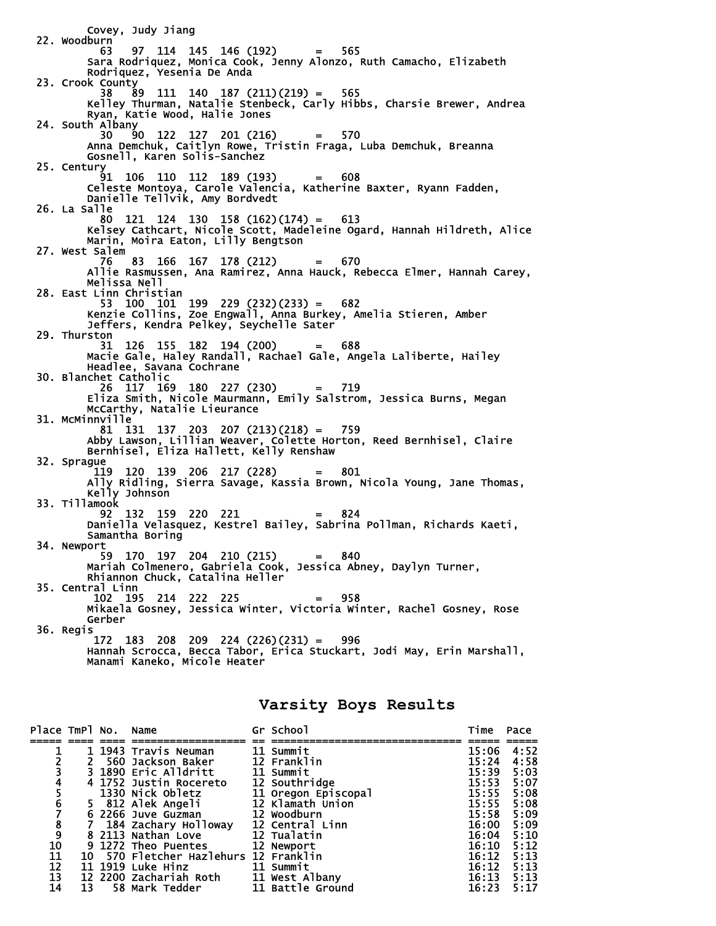Covey, Judy Jiang 22. Woodburn 63 97 114 145 146 (192) = 565 Sara Rodriquez, Monica Cook, Jenny Alonzo, Ruth Camacho, Elizabeth Rodriquez, Yesenia De Anda 23. Crook County 38 89 111 140 187 (211)(219) = 565 Kelley Thurman, Natalie Stenbeck, Carly Hibbs, Charsie Brewer, Andrea Ryan, Katie Wood, Halie Jones 24. South Albany 30 90 122 127 201 (216) = 570 Anna Demchuk, Caitlyn Rowe, Tristin Fraga, Luba Demchuk, Breanna Gosnell, Karen Solis-Sanchez 25. Century 91 106 110 112 189 (193) = 608 Celeste Montoya, Carole Valencia, Katherine Baxter, Ryann Fadden, Danielle Tellvik, Amy Bordvedt 26. La Salle<br>80 121 124 130 158 (162)(174) = 80 121 124 130 158 (162)(174) = 613 Kelsey Cathcart, Nicole Scott, Madeleine Ogard, Hannah Hildreth, Alice Marin, Moira Eaton, Lilly Bengtson 27. West Salem 76 83 166 167 178 (212) = 670 Allie Rasmussen, Ana Ramirez, Anna Hauck, Rebecca Elmer, Hannah Carey, Melissa Nell 28. East Linn Christian 53 100 101 199 229 (232)(233) = 682 Kenzie Collins, Zoe Engwall, Anna Burkey, Amelia Stieren, Amber Jeffers, Kendra Pelkey, Seychelle Sater 29. Thurston 31 126 155 182 194 (200) = 688 Macie Gale, Haley Randall, Rachael Gale, Angela Laliberte, Hailey Headlee, Savana Cochrane 30. Blanchet Catholic<br>26 117 169 180 227 (230) 26 117 169 180 227 (230) = 719 Eliza Smith, Nicole Maurmann, Emily Salstrom, Jessica Burns, Megan McCarthy, Natalie Lieurance 31. McMinnville 81 131 137 203 207 (213)(218) = 759 Abby Lawson, Lillian Weaver, Colette Horton, Reed Bernhisel, Claire Bernhisel, Eliza Hallett, Kelly Renshaw 32. Sprague  $119$  120 139 206 217 (228) = 801 Ally Ridling, Sierra Savage, Kassia Brown, Nicola Young, Jane Thomas, Kelly Johnson 33. Tillamook 92 132 159 220 221 = 824 Daniella Velasquez, Kestrel Bailey, Sabrina Pollman, Richards Kaeti, Samantha Boring 34. Newport 59 170 197 204 210 (215) = 840 Mariah Colmenero, Gabriela Cook, Jessica Abney, Daylyn Turner, Rhiannon Chuck, Catalina Heller 35. Central Linn 102 195 214 222 225 = 958 Mikaela Gosney, Jessica Winter, Victoria Winter, Rachel Gosney, Rose Gerber 36. Regis 172 183 208 209 224 (226)(231) = 996 Hannah Scrocca, Becca Tabor, Erica Stuckart, Jodi May, Erin Marshall, Manami Kaneko, Micole Heater

### **Varsity Boys Results**

| Place TmPl No. Name |                 |                                        | Gr School           | Time  | Pace |
|---------------------|-----------------|----------------------------------------|---------------------|-------|------|
|                     |                 |                                        |                     |       |      |
|                     |                 | 1 1943 Travis Neuman                   | 11 Summit           | 15:06 | 4:52 |
|                     |                 | 2 560 Jackson Baker                    | 12 Franklin         | 15:24 | 4:58 |
|                     |                 | 3 1890 Eric Alldritt                   | 11 Summit           | 15:39 | 5:03 |
|                     |                 | 4 1752 Justin Rocereto                 | 12 Southridge       | 15:53 | 5:07 |
|                     |                 | 1330 Nick Obletz                       | 11 Oregon Episcopal | 15:55 | 5:08 |
|                     |                 | 5 812 Alek Angeli 12 Klamath Union     |                     | 15:55 | 5:08 |
| 2345678910          |                 | 6 2266 Juve Guzman                     | 12 Woodburn         | 15:58 | 5:09 |
|                     |                 | 7 184 Zachary Holloway 12 Central Linn |                     | 16:00 | 5:09 |
|                     |                 | 8 2113 Nathan Love                     | <b>12 Tualatin</b>  | 16:04 | 5:10 |
|                     |                 | 9 1272 Theo Puentes 12 Newport         |                     | 16:10 | 5:12 |
| 11                  |                 | 10 570 Fletcher Hazlehurs 12 Franklin  |                     | 16:12 | 5:13 |
| $\overline{12}$     |                 | 11 1919 Luke Hinz 11 Summit            |                     | 16:12 | 5:13 |
| $\overline{13}$     |                 | 12 2200 Zachariah Roth 11 West Albany  |                     | 16:13 | 5:13 |
| 14                  | $\overline{13}$ | 58 Mark Tedder                         | 11 Battle Ground    | 16:23 | 5:17 |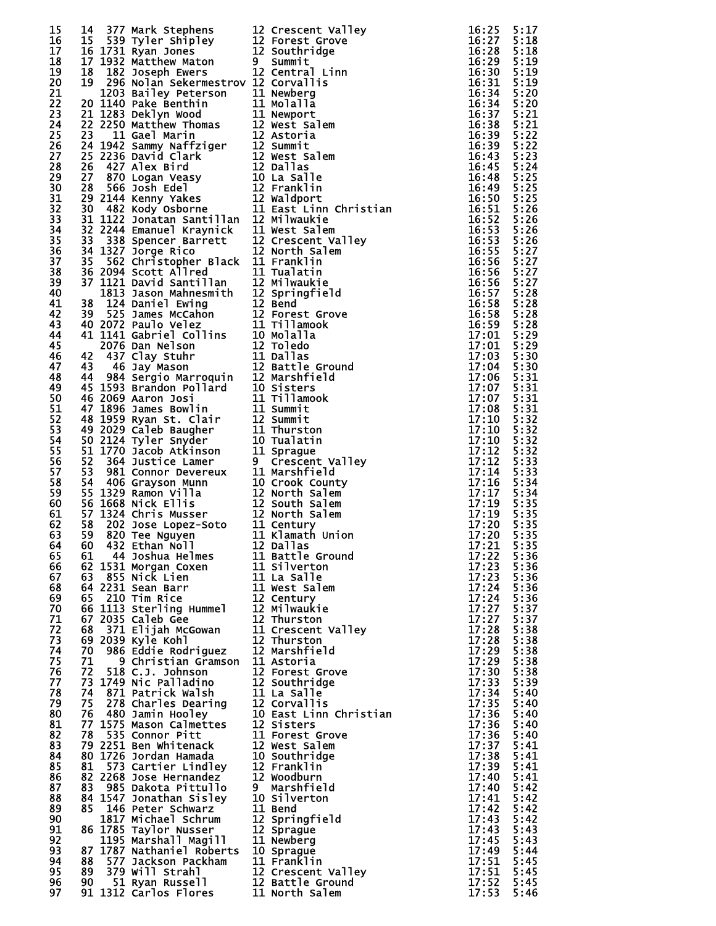| 15 |    |                                                                                                                                                                                                                                                      |                                                                                                                                                                                                                                               |              | 5:17 |
|----|----|------------------------------------------------------------------------------------------------------------------------------------------------------------------------------------------------------------------------------------------------------|-----------------------------------------------------------------------------------------------------------------------------------------------------------------------------------------------------------------------------------------------|--------------|------|
| 16 |    |                                                                                                                                                                                                                                                      |                                                                                                                                                                                                                                               | $16:27$ 5:18 |      |
| 17 |    |                                                                                                                                                                                                                                                      |                                                                                                                                                                                                                                               |              | 5:18 |
| 18 |    |                                                                                                                                                                                                                                                      |                                                                                                                                                                                                                                               |              | 5:19 |
| 19 |    |                                                                                                                                                                                                                                                      |                                                                                                                                                                                                                                               |              | 5:19 |
|    |    |                                                                                                                                                                                                                                                      |                                                                                                                                                                                                                                               |              |      |
| 20 |    |                                                                                                                                                                                                                                                      |                                                                                                                                                                                                                                               |              | 5:19 |
| 21 |    |                                                                                                                                                                                                                                                      |                                                                                                                                                                                                                                               |              | 5:20 |
| 22 |    |                                                                                                                                                                                                                                                      |                                                                                                                                                                                                                                               |              | 5:20 |
| 23 |    |                                                                                                                                                                                                                                                      |                                                                                                                                                                                                                                               | 16:37        | 5:21 |
|    |    |                                                                                                                                                                                                                                                      |                                                                                                                                                                                                                                               |              |      |
| 24 |    |                                                                                                                                                                                                                                                      |                                                                                                                                                                                                                                               |              | 5:21 |
| 25 |    |                                                                                                                                                                                                                                                      |                                                                                                                                                                                                                                               |              | 5:22 |
| 26 |    |                                                                                                                                                                                                                                                      |                                                                                                                                                                                                                                               |              | 5:22 |
| 27 |    |                                                                                                                                                                                                                                                      |                                                                                                                                                                                                                                               |              | 5:23 |
|    |    |                                                                                                                                                                                                                                                      |                                                                                                                                                                                                                                               |              |      |
| 28 |    |                                                                                                                                                                                                                                                      |                                                                                                                                                                                                                                               |              | 5:24 |
| 29 |    |                                                                                                                                                                                                                                                      |                                                                                                                                                                                                                                               |              | 5:25 |
| 30 |    |                                                                                                                                                                                                                                                      |                                                                                                                                                                                                                                               |              | 5:25 |
|    |    |                                                                                                                                                                                                                                                      |                                                                                                                                                                                                                                               |              |      |
| 31 |    |                                                                                                                                                                                                                                                      |                                                                                                                                                                                                                                               | 16:50 5:25   |      |
| 32 |    |                                                                                                                                                                                                                                                      |                                                                                                                                                                                                                                               |              | 5:26 |
| 33 |    |                                                                                                                                                                                                                                                      |                                                                                                                                                                                                                                               |              | 5:26 |
| 34 |    |                                                                                                                                                                                                                                                      |                                                                                                                                                                                                                                               |              | 5:26 |
|    |    |                                                                                                                                                                                                                                                      |                                                                                                                                                                                                                                               |              |      |
| 35 |    |                                                                                                                                                                                                                                                      |                                                                                                                                                                                                                                               | 16:53        | 5:26 |
| 36 |    |                                                                                                                                                                                                                                                      |                                                                                                                                                                                                                                               |              | 5:27 |
| 37 |    |                                                                                                                                                                                                                                                      |                                                                                                                                                                                                                                               |              | 5:27 |
| 38 |    |                                                                                                                                                                                                                                                      |                                                                                                                                                                                                                                               |              |      |
|    |    |                                                                                                                                                                                                                                                      |                                                                                                                                                                                                                                               |              | 5:27 |
| 39 |    |                                                                                                                                                                                                                                                      |                                                                                                                                                                                                                                               | 16:56 5:27   |      |
| 40 |    |                                                                                                                                                                                                                                                      |                                                                                                                                                                                                                                               |              | 5:28 |
| 41 |    |                                                                                                                                                                                                                                                      |                                                                                                                                                                                                                                               |              | 5:28 |
|    |    |                                                                                                                                                                                                                                                      | 14 377 Mark Stephens 12 Crescent Valley<br>15 539 Tyler Shipley<br>16:227 Mark Stephens 12 Crescent Valley<br>16:223 Ryder Shipley<br>17 1932 Matthew Maton<br>17 1932 Matthew Maton<br>18 16:231 Ryder Shipley<br>17 1932 Matthew Maton<br>1 |              |      |
| 42 |    |                                                                                                                                                                                                                                                      |                                                                                                                                                                                                                                               |              | 5:28 |
| 43 |    |                                                                                                                                                                                                                                                      |                                                                                                                                                                                                                                               | 16:59 5:28   |      |
| 44 |    |                                                                                                                                                                                                                                                      |                                                                                                                                                                                                                                               |              | 5:29 |
| 45 |    |                                                                                                                                                                                                                                                      |                                                                                                                                                                                                                                               |              | 5:29 |
|    |    |                                                                                                                                                                                                                                                      |                                                                                                                                                                                                                                               |              |      |
| 46 |    |                                                                                                                                                                                                                                                      |                                                                                                                                                                                                                                               |              | 5:30 |
| 47 |    |                                                                                                                                                                                                                                                      |                                                                                                                                                                                                                                               | 17:04        | 5:30 |
| 48 |    |                                                                                                                                                                                                                                                      |                                                                                                                                                                                                                                               |              | 5:31 |
|    |    |                                                                                                                                                                                                                                                      |                                                                                                                                                                                                                                               |              |      |
| 49 |    |                                                                                                                                                                                                                                                      |                                                                                                                                                                                                                                               | 17:07        | 5:31 |
| 50 |    |                                                                                                                                                                                                                                                      |                                                                                                                                                                                                                                               |              | 5:31 |
| 51 |    |                                                                                                                                                                                                                                                      |                                                                                                                                                                                                                                               |              | 5:31 |
| 52 |    |                                                                                                                                                                                                                                                      |                                                                                                                                                                                                                                               |              | 5:32 |
|    |    |                                                                                                                                                                                                                                                      |                                                                                                                                                                                                                                               |              |      |
| 53 |    |                                                                                                                                                                                                                                                      |                                                                                                                                                                                                                                               | 17:10        | 5:32 |
| 54 |    |                                                                                                                                                                                                                                                      |                                                                                                                                                                                                                                               |              | 5:32 |
| 55 |    |                                                                                                                                                                                                                                                      |                                                                                                                                                                                                                                               | 17:12        | 5:32 |
|    |    |                                                                                                                                                                                                                                                      |                                                                                                                                                                                                                                               |              |      |
| 56 |    |                                                                                                                                                                                                                                                      |                                                                                                                                                                                                                                               |              | 5:33 |
| 57 |    |                                                                                                                                                                                                                                                      |                                                                                                                                                                                                                                               |              | 5:33 |
| 58 |    |                                                                                                                                                                                                                                                      |                                                                                                                                                                                                                                               |              | 5:34 |
| 59 |    |                                                                                                                                                                                                                                                      |                                                                                                                                                                                                                                               | 17:17        | 5:34 |
|    |    |                                                                                                                                                                                                                                                      |                                                                                                                                                                                                                                               |              |      |
| 60 |    |                                                                                                                                                                                                                                                      |                                                                                                                                                                                                                                               |              | 5:35 |
| 61 |    |                                                                                                                                                                                                                                                      |                                                                                                                                                                                                                                               | 17:19 5:35   |      |
| 62 |    |                                                                                                                                                                                                                                                      |                                                                                                                                                                                                                                               |              | 5:35 |
| 63 |    |                                                                                                                                                                                                                                                      |                                                                                                                                                                                                                                               |              | 5:35 |
|    |    |                                                                                                                                                                                                                                                      |                                                                                                                                                                                                                                               |              |      |
| 64 |    |                                                                                                                                                                                                                                                      |                                                                                                                                                                                                                                               | 17:21 5:35   |      |
| 65 |    |                                                                                                                                                                                                                                                      | 11 Battle Ground                                                                                                                                                                                                                              | 17:22        | 5:36 |
| 66 |    |                                                                                                                                                                                                                                                      |                                                                                                                                                                                                                                               | 17:23        | 5:36 |
| 67 |    |                                                                                                                                                                                                                                                      |                                                                                                                                                                                                                                               | 17:23        | 5:36 |
|    |    |                                                                                                                                                                                                                                                      |                                                                                                                                                                                                                                               |              |      |
| 68 |    | 39 820 iee Nguyen<br>60 432 Ethan Noll<br>61 44 Joshua Helmes<br>62 1531 Morgan Coxen<br>63 855 Nick Lien<br>63 855 Nick Lien<br>64 2231 Sean Barr<br>65 2010 Tim Rice<br>66 1113 Sterling Hummel<br>67 2035 Caleb Gee<br>8 371 Elijah McGowan<br>68 |                                                                                                                                                                                                                                               | 17:24        | 5:36 |
| 69 |    |                                                                                                                                                                                                                                                      |                                                                                                                                                                                                                                               | 17:24        | 5:36 |
| 70 |    |                                                                                                                                                                                                                                                      |                                                                                                                                                                                                                                               | 17:27        | 5:37 |
| 71 |    |                                                                                                                                                                                                                                                      |                                                                                                                                                                                                                                               | 17:27        | 5:37 |
|    |    |                                                                                                                                                                                                                                                      |                                                                                                                                                                                                                                               |              |      |
| 72 |    |                                                                                                                                                                                                                                                      | 11 Crescent Valley                                                                                                                                                                                                                            | 17:28        | 5:38 |
| 73 |    | 69 2039 Kyle Kohl                                                                                                                                                                                                                                    | 12 Thurston                                                                                                                                                                                                                                   | 17:28        | 5:38 |
| 74 |    | 70 986 Eddie Rodriguez                                                                                                                                                                                                                               | 12 Marshfield                                                                                                                                                                                                                                 | 17:29        | 5:38 |
| 75 | 71 | 9 Christian Gramson                                                                                                                                                                                                                                  | 11 Astoria                                                                                                                                                                                                                                    | 17:29        | 5:38 |
|    |    |                                                                                                                                                                                                                                                      |                                                                                                                                                                                                                                               |              |      |
| 76 | 72 | 518 C.J. Johnson                                                                                                                                                                                                                                     |                                                                                                                                                                                                                                               | 17:30        | 5:38 |
| 77 |    | 73 1749 Nic Palladino                                                                                                                                                                                                                                |                                                                                                                                                                                                                                               | 17:33        | 5:39 |
| 78 |    |                                                                                                                                                                                                                                                      |                                                                                                                                                                                                                                               | 17:34        | 5:40 |
| 79 |    | 73 1749 Nic Pallauluv<br>74 871 Patrick Walsh<br>75 278 Charles Dearing<br>76 480 Jamin Hooley<br>77 1575 Mason Calmettes<br>77 1575 Mason Calmettes<br>78 525 Connor Pitt<br>11 Forest Calmeter<br>79 525 Connor Pitt<br>11 Forest Calmeter<br>79   | <b>11 Asturia</b><br>12 Forest Grove<br>12 Southridge<br>11 La Salle<br>12 Corvallis<br>10 East Linn Christian<br>13 Sisters                                                                                                                  | 17:35        | 5:40 |
|    |    |                                                                                                                                                                                                                                                      |                                                                                                                                                                                                                                               |              |      |
| 80 |    |                                                                                                                                                                                                                                                      |                                                                                                                                                                                                                                               | 17:36        | 5:40 |
| 81 |    |                                                                                                                                                                                                                                                      |                                                                                                                                                                                                                                               | 17:36        | 5:40 |
| 82 |    |                                                                                                                                                                                                                                                      | 11 Forest Grove                                                                                                                                                                                                                               | 17:36        | 5:40 |
| 83 |    | 79 2251 Ben Whitenack<br>80 1726 Jordan Hamada<br>81 573 Cartier Lindley<br>82 2268 Jose Hernandez<br>82 2268 Jose Hernandez<br>82 2268 Jose Hernandez<br>82 2268 Jose Hernandez<br>82 2268 Jose Hernandez                                           | 12 West Salem                                                                                                                                                                                                                                 | 17:37        | 5:41 |
|    |    |                                                                                                                                                                                                                                                      |                                                                                                                                                                                                                                               |              |      |
| 84 |    |                                                                                                                                                                                                                                                      | 10 Southridge                                                                                                                                                                                                                                 | 17:38        | 5:41 |
| 85 |    |                                                                                                                                                                                                                                                      |                                                                                                                                                                                                                                               | 17:39        | 5:41 |
| 86 |    | 82 2268 Jose Hernandez                                                                                                                                                                                                                               | 12 Woodburn                                                                                                                                                                                                                                   | 17:40        | 5:41 |
| 87 |    | 83 985 Dakota Pittullo                                                                                                                                                                                                                               | 9 Marshfield                                                                                                                                                                                                                                  | 17:40        | 5:42 |
|    |    |                                                                                                                                                                                                                                                      |                                                                                                                                                                                                                                               |              |      |
| 88 |    | 84 1547 Jonathan Sisley                                                                                                                                                                                                                              | 10 Silverton                                                                                                                                                                                                                                  | 17:41        | 5:42 |
| 89 |    | 85 146 Peter Schwarz                                                                                                                                                                                                                                 | 11 Bend                                                                                                                                                                                                                                       | 17:42        | 5:42 |
| 90 |    | 1817 Michael Schrum                                                                                                                                                                                                                                  | 12 Springfield                                                                                                                                                                                                                                | 17:43        | 5:42 |
| 91 |    | 86 1785 Taylor Nusser                                                                                                                                                                                                                                | 12 Sprague                                                                                                                                                                                                                                    | 17:43        | 5:43 |
|    |    |                                                                                                                                                                                                                                                      |                                                                                                                                                                                                                                               |              |      |
| 92 |    | 1195 Marshall Magill                                                                                                                                                                                                                                 | 11 Newberg                                                                                                                                                                                                                                    | 17:45        | 5:43 |
| 93 |    | 87 1787 Nathaniel Roberts                                                                                                                                                                                                                            | 10 Sprague                                                                                                                                                                                                                                    | 17:49        | 5:44 |
| 94 |    |                                                                                                                                                                                                                                                      |                                                                                                                                                                                                                                               | 17:51        | 5:45 |
| 95 |    |                                                                                                                                                                                                                                                      | 12 Crescent Valley                                                                                                                                                                                                                            | 17:51        | 5:45 |
|    |    |                                                                                                                                                                                                                                                      |                                                                                                                                                                                                                                               |              |      |
| 96 |    | 88 577 Jackson Packham   11 Franklin<br>89 379 Will Strahl     12 Crescent Valle<br>90  51 Ryan Russell     12 Battle Ground<br>91 1312 Carlos Flores     11 North Salem                                                                             |                                                                                                                                                                                                                                               | 17:52        | 5:45 |
| 97 |    |                                                                                                                                                                                                                                                      |                                                                                                                                                                                                                                               | 17:53        | 5:46 |
|    |    |                                                                                                                                                                                                                                                      |                                                                                                                                                                                                                                               |              |      |

|                             | Crescent Valley                                                  |
|-----------------------------|------------------------------------------------------------------|
|                             | Forest Grove                                                     |
| $\frac{2}{2}$               | Southridge                                                       |
|                             | Summit                                                           |
|                             | Central Linn                                                     |
| $\frac{1}{2}$               | Corvallis                                                        |
|                             | Newberg                                                          |
| L                           | Molalla                                                          |
| L                           | Newport                                                          |
|                             | West Salem                                                       |
|                             | Astoria                                                          |
|                             | Summit                                                           |
|                             | West Salem                                                       |
|                             | Dallas                                                           |
|                             | La Salle                                                         |
|                             | Franklin                                                         |
|                             | Waldport                                                         |
|                             | East Linn Christian                                              |
|                             | Milwaukie                                                        |
|                             |                                                                  |
|                             | West Salem                                                       |
|                             | Crescent Valley                                                  |
|                             | North Salem                                                      |
|                             | Franklin                                                         |
|                             | Tualatin                                                         |
|                             | Milwaukie                                                        |
|                             | Springfield                                                      |
|                             | Bend                                                             |
|                             | Forest Grove                                                     |
|                             | Tillamook                                                        |
|                             | Molalla                                                          |
|                             | Toledo                                                           |
|                             | <b>Dallas</b>                                                    |
|                             | Battle Ground                                                    |
|                             | Marshfield                                                       |
|                             | Sisters                                                          |
|                             | <b>Tillamook</b>                                                 |
| Ĺ                           | Summit                                                           |
| )<br>L                      | Summit                                                           |
|                             | Thurston                                                         |
| J                           | Tualatin                                                         |
| Ĺ                           | Sprague                                                          |
|                             | Crescent Valley                                                  |
| L                           | Marshfield                                                       |
|                             |                                                                  |
| )<br> <br> <br>             | <b>Crook County</b><br>North Salem<br>South Salem<br>North Salem |
|                             |                                                                  |
|                             |                                                                  |
|                             | Century                                                          |
| Ĺ                           | Klamath Union                                                    |
| י<br>נ                      | <b>Dallas</b>                                                    |
|                             | Battle Ground                                                    |
| L                           | Silverton                                                        |
| Ī.                          | La Salle                                                         |
| L                           | West Salem                                                       |
|                             | Century                                                          |
|                             | Milwaukie                                                        |
|                             | Thurston                                                         |
|                             | Crescent<br>Valley                                               |
|                             | Thurston                                                         |
|                             | Marshfield                                                       |
|                             | Astoria                                                          |
|                             | <b>Forest Grove</b>                                              |
|                             | Southridge<br>La Salle                                           |
|                             |                                                                  |
|                             | Corvallis                                                        |
|                             | East Linn Christian                                              |
|                             | <b>Sisters</b>                                                   |
|                             | Forest Grove                                                     |
|                             | West Salem                                                       |
|                             | Southridge                                                       |
|                             | Franklin                                                         |
|                             | Woodburn                                                         |
|                             | Marshfield                                                       |
|                             | Silverton                                                        |
|                             | <b>Bend</b>                                                      |
|                             | Springfield                                                      |
|                             | Sprague                                                          |
|                             | Newberg                                                          |
|                             | Sprague                                                          |
| ) L > - L > - L > - L > - L | Franklin                                                         |
|                             | Crescent Valley                                                  |
|                             | Battle Ground                                                    |
|                             | North Salem                                                      |
|                             |                                                                  |

| 222233333333334444555555555555556000000000111111111122225789001<br> 222222222223333333333444444445555 | 17<br>うちちちちちちちちちちちちちちちちちちちちちちちちちちちちち |  |
|-------------------------------------------------------------------------------------------------------|--------------------------------------|--|
| 17                                                                                                    |                                      |  |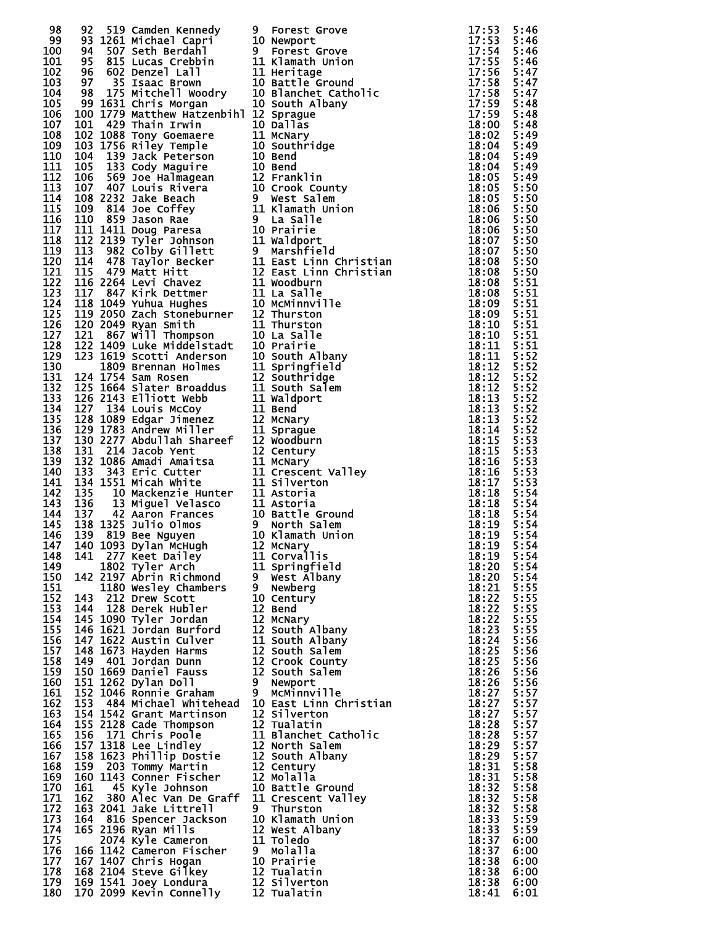|     |  |                                                                                                                                                                                                                                                  |                                                                                                                                                                                                                                                                                                                                                       |            | 5:46         |
|-----|--|--------------------------------------------------------------------------------------------------------------------------------------------------------------------------------------------------------------------------------------------------|-------------------------------------------------------------------------------------------------------------------------------------------------------------------------------------------------------------------------------------------------------------------------------------------------------------------------------------------------------|------------|--------------|
|     |  |                                                                                                                                                                                                                                                  |                                                                                                                                                                                                                                                                                                                                                       |            | 5:46         |
|     |  |                                                                                                                                                                                                                                                  |                                                                                                                                                                                                                                                                                                                                                       |            |              |
|     |  |                                                                                                                                                                                                                                                  |                                                                                                                                                                                                                                                                                                                                                       |            | 5:46         |
|     |  |                                                                                                                                                                                                                                                  |                                                                                                                                                                                                                                                                                                                                                       |            | 5:46         |
|     |  |                                                                                                                                                                                                                                                  |                                                                                                                                                                                                                                                                                                                                                       |            | 5:47         |
|     |  |                                                                                                                                                                                                                                                  |                                                                                                                                                                                                                                                                                                                                                       |            | 5:47         |
|     |  |                                                                                                                                                                                                                                                  |                                                                                                                                                                                                                                                                                                                                                       |            | 5:47         |
|     |  |                                                                                                                                                                                                                                                  |                                                                                                                                                                                                                                                                                                                                                       |            | 5:48         |
|     |  |                                                                                                                                                                                                                                                  |                                                                                                                                                                                                                                                                                                                                                       |            | 5:48         |
|     |  |                                                                                                                                                                                                                                                  |                                                                                                                                                                                                                                                                                                                                                       |            | 5:48         |
|     |  |                                                                                                                                                                                                                                                  |                                                                                                                                                                                                                                                                                                                                                       |            |              |
|     |  |                                                                                                                                                                                                                                                  |                                                                                                                                                                                                                                                                                                                                                       |            | 5:49         |
|     |  |                                                                                                                                                                                                                                                  |                                                                                                                                                                                                                                                                                                                                                       |            | 5:49         |
|     |  |                                                                                                                                                                                                                                                  |                                                                                                                                                                                                                                                                                                                                                       |            | 5:49         |
|     |  |                                                                                                                                                                                                                                                  |                                                                                                                                                                                                                                                                                                                                                       |            | 5:49         |
|     |  |                                                                                                                                                                                                                                                  |                                                                                                                                                                                                                                                                                                                                                       |            | 5:49         |
|     |  |                                                                                                                                                                                                                                                  |                                                                                                                                                                                                                                                                                                                                                       |            | 5:50         |
|     |  |                                                                                                                                                                                                                                                  |                                                                                                                                                                                                                                                                                                                                                       |            |              |
|     |  |                                                                                                                                                                                                                                                  |                                                                                                                                                                                                                                                                                                                                                       |            | 5:50         |
|     |  |                                                                                                                                                                                                                                                  |                                                                                                                                                                                                                                                                                                                                                       |            | 5:50         |
|     |  |                                                                                                                                                                                                                                                  |                                                                                                                                                                                                                                                                                                                                                       |            | 5:50         |
|     |  |                                                                                                                                                                                                                                                  |                                                                                                                                                                                                                                                                                                                                                       |            | 5:50         |
|     |  |                                                                                                                                                                                                                                                  |                                                                                                                                                                                                                                                                                                                                                       |            | 5:50         |
|     |  |                                                                                                                                                                                                                                                  |                                                                                                                                                                                                                                                                                                                                                       |            | 5:50         |
|     |  |                                                                                                                                                                                                                                                  |                                                                                                                                                                                                                                                                                                                                                       |            | 5:50         |
|     |  |                                                                                                                                                                                                                                                  |                                                                                                                                                                                                                                                                                                                                                       |            | 5:50         |
|     |  |                                                                                                                                                                                                                                                  |                                                                                                                                                                                                                                                                                                                                                       |            |              |
|     |  |                                                                                                                                                                                                                                                  |                                                                                                                                                                                                                                                                                                                                                       |            | 5:51         |
|     |  |                                                                                                                                                                                                                                                  |                                                                                                                                                                                                                                                                                                                                                       |            | 5:51         |
|     |  |                                                                                                                                                                                                                                                  |                                                                                                                                                                                                                                                                                                                                                       |            | 5:51         |
|     |  |                                                                                                                                                                                                                                                  |                                                                                                                                                                                                                                                                                                                                                       |            | 5:51         |
|     |  |                                                                                                                                                                                                                                                  |                                                                                                                                                                                                                                                                                                                                                       |            | 5:51         |
|     |  |                                                                                                                                                                                                                                                  |                                                                                                                                                                                                                                                                                                                                                       |            | 5:51         |
|     |  |                                                                                                                                                                                                                                                  |                                                                                                                                                                                                                                                                                                                                                       |            | 5:51         |
|     |  |                                                                                                                                                                                                                                                  |                                                                                                                                                                                                                                                                                                                                                       |            |              |
|     |  |                                                                                                                                                                                                                                                  |                                                                                                                                                                                                                                                                                                                                                       |            | 5:52         |
|     |  |                                                                                                                                                                                                                                                  |                                                                                                                                                                                                                                                                                                                                                       |            | 5:52         |
|     |  |                                                                                                                                                                                                                                                  |                                                                                                                                                                                                                                                                                                                                                       |            | 5:52         |
|     |  |                                                                                                                                                                                                                                                  |                                                                                                                                                                                                                                                                                                                                                       |            | 5:52         |
|     |  |                                                                                                                                                                                                                                                  |                                                                                                                                                                                                                                                                                                                                                       |            | 5:52         |
|     |  |                                                                                                                                                                                                                                                  |                                                                                                                                                                                                                                                                                                                                                       |            | 5:52         |
|     |  |                                                                                                                                                                                                                                                  |                                                                                                                                                                                                                                                                                                                                                       |            | 5:52         |
|     |  |                                                                                                                                                                                                                                                  |                                                                                                                                                                                                                                                                                                                                                       |            |              |
|     |  |                                                                                                                                                                                                                                                  |                                                                                                                                                                                                                                                                                                                                                       |            | 5:52         |
|     |  |                                                                                                                                                                                                                                                  |                                                                                                                                                                                                                                                                                                                                                       |            | 5:53         |
|     |  |                                                                                                                                                                                                                                                  |                                                                                                                                                                                                                                                                                                                                                       |            | 5:53         |
|     |  |                                                                                                                                                                                                                                                  |                                                                                                                                                                                                                                                                                                                                                       |            | 5:53         |
|     |  |                                                                                                                                                                                                                                                  |                                                                                                                                                                                                                                                                                                                                                       |            | 5:53         |
|     |  |                                                                                                                                                                                                                                                  |                                                                                                                                                                                                                                                                                                                                                       |            | 5:53         |
|     |  |                                                                                                                                                                                                                                                  |                                                                                                                                                                                                                                                                                                                                                       |            |              |
|     |  |                                                                                                                                                                                                                                                  |                                                                                                                                                                                                                                                                                                                                                       |            | 5:54         |
|     |  |                                                                                                                                                                                                                                                  |                                                                                                                                                                                                                                                                                                                                                       |            | 5:54         |
|     |  |                                                                                                                                                                                                                                                  |                                                                                                                                                                                                                                                                                                                                                       |            | 5:54         |
|     |  |                                                                                                                                                                                                                                                  |                                                                                                                                                                                                                                                                                                                                                       |            | 5:54         |
|     |  |                                                                                                                                                                                                                                                  |                                                                                                                                                                                                                                                                                                                                                       |            | 5:54         |
|     |  |                                                                                                                                                                                                                                                  | $\overline{18:19}$ 5:54<br>18:19 5:54<br>18:20 5:54                                                                                                                                                                                                                                                                                                   |            |              |
|     |  |                                                                                                                                                                                                                                                  |                                                                                                                                                                                                                                                                                                                                                       |            |              |
|     |  |                                                                                                                                                                                                                                                  |                                                                                                                                                                                                                                                                                                                                                       | 18:20 5:54 |              |
|     |  |                                                                                                                                                                                                                                                  |                                                                                                                                                                                                                                                                                                                                                       |            |              |
|     |  |                                                                                                                                                                                                                                                  |                                                                                                                                                                                                                                                                                                                                                       |            | 5:54         |
|     |  |                                                                                                                                                                                                                                                  |                                                                                                                                                                                                                                                                                                                                                       |            | 5:55         |
|     |  |                                                                                                                                                                                                                                                  |                                                                                                                                                                                                                                                                                                                                                       |            | 5:55         |
|     |  |                                                                                                                                                                                                                                                  |                                                                                                                                                                                                                                                                                                                                                       |            | 5:55         |
|     |  |                                                                                                                                                                                                                                                  |                                                                                                                                                                                                                                                                                                                                                       |            | 5:55         |
|     |  |                                                                                                                                                                                                                                                  |                                                                                                                                                                                                                                                                                                                                                       |            | 5:55         |
|     |  |                                                                                                                                                                                                                                                  | 93 State Center (see the center of the state of the state of the state of the state of the state of the state of the state of the state of the state of the state of the state of the state of the state of the state of the                                                                                                                          |            | 5:56         |
|     |  |                                                                                                                                                                                                                                                  |                                                                                                                                                                                                                                                                                                                                                       |            | 5:56         |
|     |  |                                                                                                                                                                                                                                                  |                                                                                                                                                                                                                                                                                                                                                       |            |              |
|     |  |                                                                                                                                                                                                                                                  |                                                                                                                                                                                                                                                                                                                                                       |            | 5:56         |
|     |  |                                                                                                                                                                                                                                                  |                                                                                                                                                                                                                                                                                                                                                       |            | 5:56         |
|     |  |                                                                                                                                                                                                                                                  |                                                                                                                                                                                                                                                                                                                                                       |            | 5:56<br>5:57 |
|     |  |                                                                                                                                                                                                                                                  |                                                                                                                                                                                                                                                                                                                                                       |            |              |
|     |  |                                                                                                                                                                                                                                                  |                                                                                                                                                                                                                                                                                                                                                       |            | 5:57         |
|     |  |                                                                                                                                                                                                                                                  |                                                                                                                                                                                                                                                                                                                                                       |            | 5:57         |
|     |  |                                                                                                                                                                                                                                                  |                                                                                                                                                                                                                                                                                                                                                       |            | 5:57         |
|     |  |                                                                                                                                                                                                                                                  |                                                                                                                                                                                                                                                                                                                                                       |            | 5:57         |
|     |  |                                                                                                                                                                                                                                                  |                                                                                                                                                                                                                                                                                                                                                       |            |              |
|     |  |                                                                                                                                                                                                                                                  |                                                                                                                                                                                                                                                                                                                                                       |            | 5:57         |
|     |  |                                                                                                                                                                                                                                                  |                                                                                                                                                                                                                                                                                                                                                       |            | 5:57         |
|     |  |                                                                                                                                                                                                                                                  |                                                                                                                                                                                                                                                                                                                                                       |            | 5:58         |
|     |  |                                                                                                                                                                                                                                                  |                                                                                                                                                                                                                                                                                                                                                       |            | 5:58         |
|     |  |                                                                                                                                                                                                                                                  |                                                                                                                                                                                                                                                                                                                                                       |            | 5:58         |
|     |  |                                                                                                                                                                                                                                                  |                                                                                                                                                                                                                                                                                                                                                       |            | 5:58         |
|     |  |                                                                                                                                                                                                                                                  |                                                                                                                                                                                                                                                                                                                                                       |            | 5:58         |
|     |  |                                                                                                                                                                                                                                                  |                                                                                                                                                                                                                                                                                                                                                       |            |              |
|     |  |                                                                                                                                                                                                                                                  |                                                                                                                                                                                                                                                                                                                                                       |            | 5:59         |
|     |  |                                                                                                                                                                                                                                                  |                                                                                                                                                                                                                                                                                                                                                       |            | 5:59         |
|     |  |                                                                                                                                                                                                                                                  |                                                                                                                                                                                                                                                                                                                                                       |            | 6:00         |
| 176 |  |                                                                                                                                                                                                                                                  | 3<br>$\frac{1}{2}$<br>$\frac{1}{2}$<br>$\frac{1}{2}$<br>$\frac{1}{2}$<br>$\frac{1}{2}$<br>$\frac{1}{2}$<br>$\frac{1}{2}$<br>$\frac{1}{2}$<br>$\frac{1}{2}$<br>$\frac{1}{2}$<br>$\frac{1}{2}$<br>$\frac{1}{2}$<br>$\frac{1}{2}$<br>$\frac{1}{2}$<br>$\frac{1}{2}$<br>$\frac{1}{2}$<br>$\frac{1}{2}$<br>$\frac{1}{2}$<br>$\frac{1}{2}$<br>$\frac{1}{2}$ | 18:37      | 6:00         |
| 177 |  |                                                                                                                                                                                                                                                  |                                                                                                                                                                                                                                                                                                                                                       | 18:38      | 6:00         |
| 178 |  |                                                                                                                                                                                                                                                  |                                                                                                                                                                                                                                                                                                                                                       | 18:38      | 6:00         |
| 179 |  | 163 2041 Jake Littrell 9 Thurston<br>163 2041 Jake Littrell 9 Thurston<br>165 2196 Ryencer Jackson 10 Klamath Union<br>165 2196 Ryan Mills<br>2074 Kyle Cameron 11 Toledo<br>166 1142 Cameron Fischer 9 Molalla<br>167 1407 Chris Hogan 10 Prair |                                                                                                                                                                                                                                                                                                                                                       | 18:38      | 6:00         |
| 180 |  |                                                                                                                                                                                                                                                  |                                                                                                                                                                                                                                                                                                                                                       | 18:41      | 6:01         |
|     |  |                                                                                                                                                                                                                                                  |                                                                                                                                                                                                                                                                                                                                                       |            |              |

| I                                                                  | <b>Forest Grove</b>                                                                                                                                                                                                                                             |
|--------------------------------------------------------------------|-----------------------------------------------------------------------------------------------------------------------------------------------------------------------------------------------------------------------------------------------------------------|
| 0.                                                                 | Newport                                                                                                                                                                                                                                                         |
| ı                                                                  | Forest Grove                                                                                                                                                                                                                                                    |
| $\frac{1}{1}$                                                      | Klamath Union                                                                                                                                                                                                                                                   |
|                                                                    | Heritage                                                                                                                                                                                                                                                        |
| 0.<br>$\bf{0}$                                                     | Battle <sup>-</sup> Ground<br>Blanchet Catholic                                                                                                                                                                                                                 |
| 0.                                                                 | South Albany                                                                                                                                                                                                                                                    |
| $\overline{\mathbf{c}}$                                            | Sprague                                                                                                                                                                                                                                                         |
| .0<br>.1                                                           | Dallas                                                                                                                                                                                                                                                          |
|                                                                    | McNary                                                                                                                                                                                                                                                          |
| $\mathbf{0}$                                                       | Southridge                                                                                                                                                                                                                                                      |
| $\bf{0}$                                                           | Bend                                                                                                                                                                                                                                                            |
| $\boldsymbol{\mathsf{0}}$<br>$\tilde{2}$                           | Bend<br>Franklin                                                                                                                                                                                                                                                |
| 0.                                                                 | Crook County                                                                                                                                                                                                                                                    |
|                                                                    | West Salem                                                                                                                                                                                                                                                      |
| $\mathbf{1}$                                                       | Klamath Union                                                                                                                                                                                                                                                   |
|                                                                    | La Salle                                                                                                                                                                                                                                                        |
| .0<br>.1                                                           | Prairie                                                                                                                                                                                                                                                         |
|                                                                    | Waldport<br>Marshfield                                                                                                                                                                                                                                          |
|                                                                    | East Linn Christian                                                                                                                                                                                                                                             |
|                                                                    | East Linn Christian                                                                                                                                                                                                                                             |
| $\frac{1}{2}$<br>$\frac{1}{1}$                                     | Woodburn                                                                                                                                                                                                                                                        |
|                                                                    | La Salle                                                                                                                                                                                                                                                        |
| $\bf{0}$                                                           | McMinnville                                                                                                                                                                                                                                                     |
| $\frac{2}{1}$                                                      | Thurston<br>Thurston                                                                                                                                                                                                                                            |
| 0.                                                                 | La Salle                                                                                                                                                                                                                                                        |
| 0.                                                                 | Prairie                                                                                                                                                                                                                                                         |
| $\bf{0}$                                                           | South Albany                                                                                                                                                                                                                                                    |
| $\frac{1}{2}$                                                      | Springfield                                                                                                                                                                                                                                                     |
|                                                                    | Southridge                                                                                                                                                                                                                                                      |
|                                                                    | South Salem                                                                                                                                                                                                                                                     |
|                                                                    | Waldport<br>Bend                                                                                                                                                                                                                                                |
| $\frac{21}{11}$<br>$\frac{1}{2}$<br>$\frac{1}{2}$<br>$\frac{1}{2}$ | McNary                                                                                                                                                                                                                                                          |
|                                                                    | Sprague                                                                                                                                                                                                                                                         |
|                                                                    | Woodburn                                                                                                                                                                                                                                                        |
|                                                                    | Century                                                                                                                                                                                                                                                         |
|                                                                    | <b>1 McNary<br/>1 Crescen<br/>1 Silvert<br/>1 Astoria<br/>1 Astoria<br/>0 Battle</b>                                                                                                                                                                            |
|                                                                    | Crescent Valley                                                                                                                                                                                                                                                 |
|                                                                    | Silverton                                                                                                                                                                                                                                                       |
|                                                                    |                                                                                                                                                                                                                                                                 |
|                                                                    | Battle Ground                                                                                                                                                                                                                                                   |
|                                                                    | north Salem (                                                                                                                                                                                                                                                   |
|                                                                    | O Klamath Union.                                                                                                                                                                                                                                                |
|                                                                    | <b>2 McNary<br/>1 Corvallis<br/>1 Springfie<br/>1 West Alba<br/>1 Newberg</b>                                                                                                                                                                                   |
|                                                                    | Springfield                                                                                                                                                                                                                                                     |
|                                                                    | West Albany                                                                                                                                                                                                                                                     |
|                                                                    |                                                                                                                                                                                                                                                                 |
|                                                                    |                                                                                                                                                                                                                                                                 |
|                                                                    |                                                                                                                                                                                                                                                                 |
|                                                                    |                                                                                                                                                                                                                                                                 |
|                                                                    |                                                                                                                                                                                                                                                                 |
|                                                                    |                                                                                                                                                                                                                                                                 |
|                                                                    |                                                                                                                                                                                                                                                                 |
|                                                                    |                                                                                                                                                                                                                                                                 |
|                                                                    |                                                                                                                                                                                                                                                                 |
|                                                                    |                                                                                                                                                                                                                                                                 |
|                                                                    | East Linn Christian                                                                                                                                                                                                                                             |
|                                                                    |                                                                                                                                                                                                                                                                 |
|                                                                    | Blanchet_Catholic                                                                                                                                                                                                                                               |
|                                                                    |                                                                                                                                                                                                                                                                 |
|                                                                    |                                                                                                                                                                                                                                                                 |
|                                                                    |                                                                                                                                                                                                                                                                 |
|                                                                    |                                                                                                                                                                                                                                                                 |
|                                                                    |                                                                                                                                                                                                                                                                 |
|                                                                    | Crescent Valley                                                                                                                                                                                                                                                 |
|                                                                    |                                                                                                                                                                                                                                                                 |
|                                                                    |                                                                                                                                                                                                                                                                 |
|                                                                    |                                                                                                                                                                                                                                                                 |
|                                                                    |                                                                                                                                                                                                                                                                 |
|                                                                    |                                                                                                                                                                                                                                                                 |
|                                                                    |                                                                                                                                                                                                                                                                 |
|                                                                    | Polography<br>2 Bend<br>2 McNary<br>2 South Albany<br>2 South Albany<br>2 South Salem<br>2 Crook County<br>2 South Salem<br>2 Crook County<br>2 Newport<br>2 Silverton<br>2 Silverton<br>2 Suth Albany<br>2 Century<br>2 Molalla<br>2 Molalla<br>2 Molalla<br>1 |
|                                                                    |                                                                                                                                                                                                                                                                 |

| 1111111111111111111111111111111111<br>9001222345566777889911222333778881<br>122222222222222222223333333333334 | 5555555555555555555555555566666 |
|---------------------------------------------------------------------------------------------------------------|---------------------------------|
|                                                                                                               |                                 |
|                                                                                                               |                                 |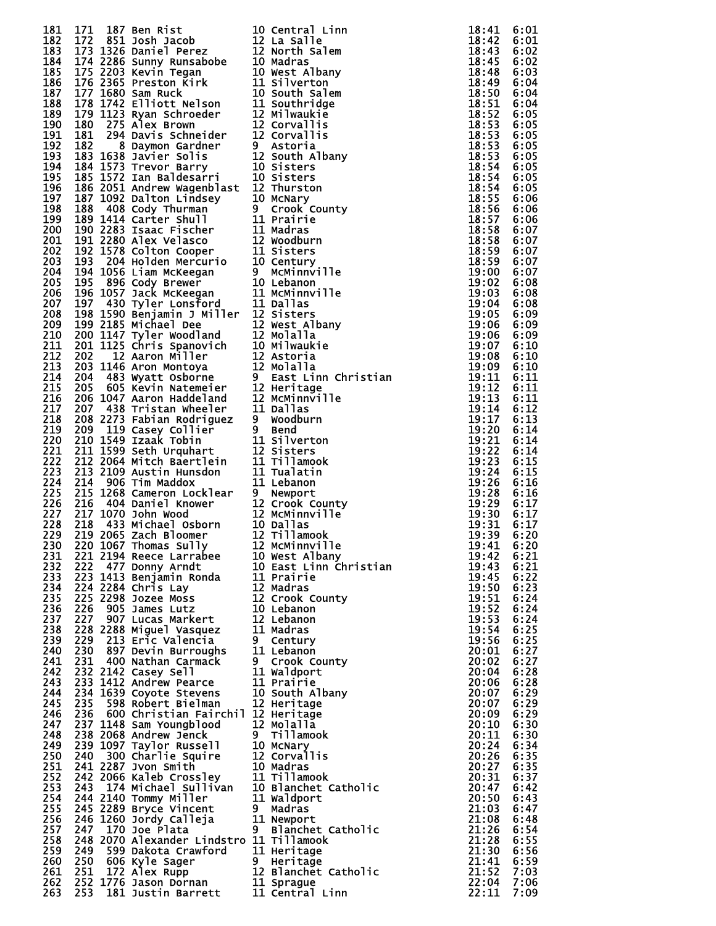|  |  |  | 1313 177, 180 pm http://www.mapachitarin.com/internal control internal control internal control internal control internal control internal control internal control internal control internal control internal control inter |  |
|--|--|--|------------------------------------------------------------------------------------------------------------------------------------------------------------------------------------------------------------------------------|--|
|  |  |  |                                                                                                                                                                                                                              |  |
|  |  |  |                                                                                                                                                                                                                              |  |
|  |  |  |                                                                                                                                                                                                                              |  |
|  |  |  |                                                                                                                                                                                                                              |  |

|                  | 10 Central Linn         |
|------------------|-------------------------|
|                  |                         |
| 12               | La Salle                |
| 12               | North Salem             |
| 10               | Madras                  |
| 10               | West Albany             |
| 11               | Silverton               |
|                  |                         |
| 10               | South Salem             |
| 11               | Southridge              |
| 12               | Milwaukie               |
| 12               | Corvallis               |
| 12               | Corvallis               |
|                  |                         |
| 9                | Astoria                 |
| 12               | South Albany            |
|                  | <b>10 Sisters</b>       |
| 10               | Sisters                 |
| 12               | Thurston                |
|                  |                         |
| 10               | McNary                  |
| 9.               | Crook County            |
| 11               | Prairie                 |
| 11               | Madras                  |
| 12               | Woodburn                |
|                  | 11 Sisters              |
|                  |                         |
| 10               | Century                 |
| 9.               | <b>MCMinnville</b>      |
| 10               | Lebanon                 |
| 11               | McMinnville             |
| 11               | Dallas                  |
|                  |                         |
| 12               | Sisters                 |
| $\bar{1}\bar{2}$ | West Albany             |
| 12               | Molalla                 |
| 10               | <b>Milwaukie</b>        |
| 12               | Astoria                 |
| 12               |                         |
|                  | Molalla                 |
| 9                | East Linn Christian     |
| 12               | Heritage                |
| 12               | McMinnville             |
| 11               | Dallas                  |
| 9                | Woodburn                |
|                  |                         |
| 9                | Bend                    |
| 11               | Silverton               |
| 12               | Sisters                 |
| 11               | Tillamook               |
| 11               | Tualatin                |
| 11               |                         |
|                  | Lebanon                 |
| 9.               | Newport                 |
| 12               | Crook County            |
| 12               | McMinnville             |
| 10               | Dallas                  |
| 12               | Tillamook               |
|                  |                         |
| 12               | McMinnville             |
| 10               | West Albany             |
| 10               | East Linn Christian     |
| 11               | Prairie                 |
| 12               | Madras                  |
| 12               |                         |
|                  | Crook County            |
| 10               | Lebanon                 |
| 12               | Lebanon                 |
| 11               | Madras                  |
| 9                | Century                 |
| 11               | Lebanon                 |
|                  |                         |
| 9                | Crook County            |
| 11               | Waldport                |
| 11               | Prairie                 |
| 10               | South Albany            |
| <b>12</b>        | Heritage                |
| 12               | Heritage                |
|                  |                         |
| 12               | <b>Molalla</b>          |
| 9                | <b>Tillamook</b>        |
| 10               | McNary                  |
| 12               | Corvallis               |
| 10               | Madras                  |
| 11               |                         |
|                  | Tillamook               |
| 10               | Blanchet Catholic       |
| 11               | Waldport                |
| 9                | Madras                  |
| 11               | Newport                 |
| 9                |                         |
|                  | Blanchet Catholic       |
| 11               | Tillamook               |
| 11               | Heritage                |
| 9                | Heritage                |
| 12               | Catholic<br>Blanchet    |
| 11               |                         |
|                  |                         |
| 11               | Sprague<br>Central Linn |

| 8                                       |    |
|-----------------------------------------|----|
| $\vdots$                                | i  |
|                                         | j  |
|                                         |    |
|                                         |    |
|                                         |    |
|                                         |    |
|                                         |    |
|                                         |    |
|                                         |    |
|                                         |    |
|                                         |    |
|                                         |    |
|                                         |    |
|                                         |    |
|                                         |    |
|                                         |    |
|                                         |    |
|                                         |    |
|                                         |    |
|                                         |    |
|                                         |    |
|                                         |    |
|                                         |    |
|                                         |    |
|                                         |    |
|                                         |    |
|                                         |    |
|                                         |    |
|                                         |    |
|                                         |    |
|                                         |    |
|                                         |    |
|                                         |    |
|                                         |    |
|                                         |    |
|                                         |    |
|                                         |    |
|                                         |    |
|                                         |    |
|                                         |    |
|                                         |    |
|                                         |    |
|                                         |    |
|                                         |    |
|                                         |    |
|                                         |    |
|                                         |    |
|                                         |    |
|                                         |    |
|                                         |    |
|                                         |    |
|                                         |    |
|                                         |    |
|                                         |    |
|                                         |    |
|                                         |    |
|                                         |    |
|                                         |    |
|                                         |    |
|                                         |    |
|                                         |    |
|                                         |    |
|                                         |    |
|                                         |    |
|                                         |    |
| ::::::<br>::::<br>ر<br>9                |    |
|                                         |    |
|                                         |    |
| $\overline{9}$                          |    |
|                                         |    |
|                                         |    |
| $\frac{1}{2}$                           |    |
|                                         |    |
|                                         |    |
| $\frac{1}{2}$                           |    |
|                                         |    |
|                                         |    |
|                                         |    |
|                                         |    |
|                                         |    |
|                                         |    |
|                                         |    |
|                                         |    |
|                                         |    |
|                                         |    |
|                                         |    |
|                                         |    |
|                                         |    |
|                                         |    |
|                                         |    |
|                                         |    |
|                                         |    |
|                                         |    |
|                                         |    |
|                                         |    |
|                                         |    |
|                                         |    |
|                                         |    |
|                                         |    |
|                                         |    |
|                                         |    |
|                                         |    |
|                                         |    |
|                                         |    |
|                                         |    |
|                                         |    |
| +44455555560000000001122234500022345011 |    |
|                                         | Ŏ9 |
| ì                                       |    |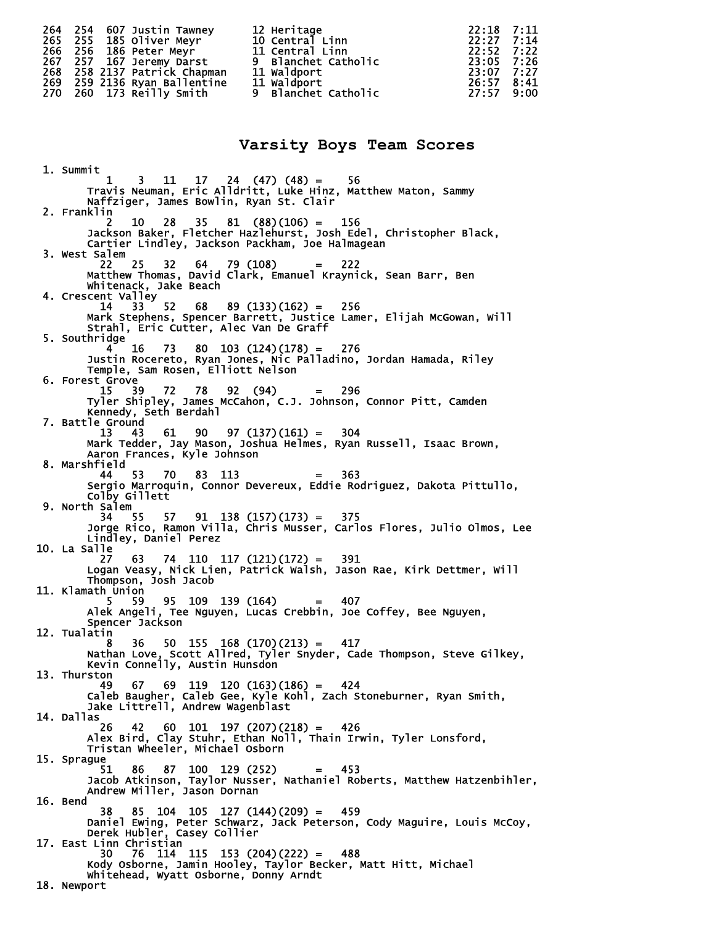|  | 264 254 607 Justin Tawney<br>265 255 185 Oliver Meyr<br>266 256 186 Peter Meyr<br>267 257 167 Jeremy Darst<br>268 258 2137 Patrick Chapman | 12 Heritage<br>10 Central Linn<br>11 Central Linn<br>9 Blanchet Catholic<br>11 Waldport | 22:18 7:11<br>$22:27$ 7:14<br>$22:52 \t 7:22$<br>23:05 7:26<br>23:07 7:27 |  |
|--|--------------------------------------------------------------------------------------------------------------------------------------------|-----------------------------------------------------------------------------------------|---------------------------------------------------------------------------|--|
|  | 269 259 2136 Ryan Ballentine                                                                                                               | <b>11 Waldport</b>                                                                      | 26:57 8:41                                                                |  |
|  | 270 260 173 Reilly Smith                                                                                                                   | 9 Blanchet Catholic                                                                     | 27:57 9:00                                                                |  |

#### **Varsity Boys Team Scores**

 1. Summit 1 3 11 17 24 (47) (48) = 56 Travis Neuman, Eric Alldritt, Luke Hinz, Matthew Maton, Sammy Naffziger, James Bowlin, Ryan St. Clair 2. Franklin 2 10 28 35 81 (88)(106) = 156 Jackson Baker, Fletcher Hazlehurst, Josh Edel, Christopher Black, Cartier Lindley, Jackson Packham, Joe Halmagean 3. West Salem 22 25 32 64 79 (108) = 222 Matthew Thomas, David Clark, Emanuel Kraynick, Sean Barr, Ben Whitenack, Jake Beach 4. Crescent Valley  $68$   $89$   $(133)(162) = 256$  Mark Stephens, Spencer Barrett, Justice Lamer, Elijah McGowan, Will Strahl, Eric Cutter, Alec Van De Graff 5. Southridge 4 16 73 80 103 (124)(178) = 276 Justin Rocereto, Ryan Jones, Nic Palladino, Jordan Hamada, Riley Temple, Sam Rosen, Elliott Nelson 6. Forest Grove 15 39 72 78 92 (94) = 296 Tyler Shipley, James McCahon, C.J. Johnson, Connor Pitt, Camden Kennedy, Seth Berdahl 7. Battle Ground 13 43 61 90 97 (137)(161) = 304 Mark Tedder, Jay Mason, Joshua Helmes, Ryan Russell, Isaac Brown, Aaron Frances, Kyle Johnson 8. Marshfield 44 53 70 83 113 = 363 Sergio Marroquin, Connor Devereux, Eddie Rodriguez, Dakota Pittullo, Colby Gillett 9. North Salem 34 55 57 91 138 (157)(173) = 375 Jorge Rico, Ramon Villa, Chris Musser, Carlos Flores, Julio Olmos, Lee Lindley, Daniel Perez 10. La Salle 27 63 74 110 117 (121)(172) = 391 Logan Veasy, Nick Lien, Patrick Walsh, Jason Rae, Kirk Dettmer, Will Thompson, Josh Jacob 11. Klamath Union<br>5 59 5 59 95 109 139 (164) = 407 Alek Angeli, Tee Nguyen, Lucas Crebbin, Joe Coffey, Bee Nguyen, Spencer Jackson 12. Tualatin 8 36 50 155 168 (170)(213) = 417 Nathan Love, Scott Allred, Tyler Snyder, Cade Thompson, Steve Gilkey, Kevin Connelly, Austin Hunsdon 13. Thurston 49 67 69 119 120 (163)(186) = 424 Caleb Baugher, Caleb Gee, Kyle Kohl, Zach Stoneburner, Ryan Smith, Jake Littrell, Andrew Wagenblast 14. Dallas 26 42 60 101 197 (207)(218) = 426 Alex Bird, Clay Stuhr, Ethan Noll, Thain Irwin, Tyler Lonsford, Tristan Wheeler, Michael Osborn 15. Sprague 51 86 87 100 129 (252) = 453 Jacob Atkinson, Taylor Nusser, Nathaniel Roberts, Matthew Hatzenbihler, Andrew Miller, Jason Dornan 16. Bend 38 85 104 105 127 (144)(209) = 459 Daniel Ewing, Peter Schwarz, Jack Peterson, Cody Maguire, Louis McCoy, Derek Hubler, Casey Collier 17. East Linn Christian 30 76 114 115 153 (204)(222) = 488 Kody Osborne, Jamin Hooley, Taylor Becker, Matt Hitt, Michael Whitehead, Wyatt Osborne, Donny Arndt 18. Newport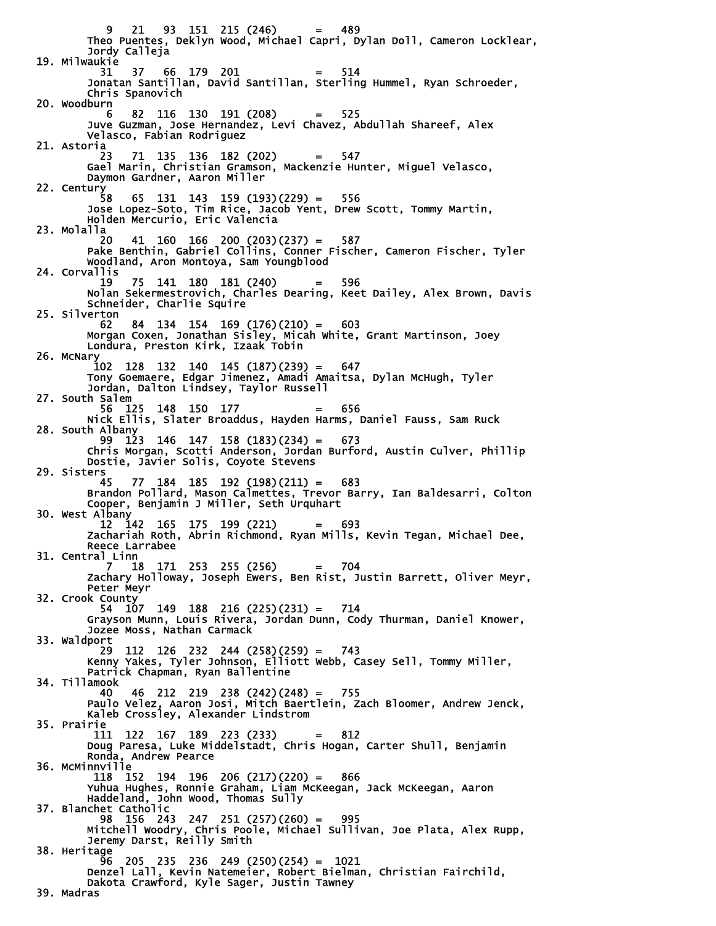9 21 93 151 215 (246) = 489 Theo Puentes, Deklyn Wood, Michael Capri, Dylan Doll, Cameron Locklear, Jordy Calleja 19. Milwaukie 31 37 66 179 201 = 514 Jonatan Santillan, David Santillan, Sterling Hummel, Ryan Schroeder, Chris Spanovich 20. Woodburn 6 82 116 130 191 (208) = 525 Juve Guzman, Jose Hernandez, Levi Chavez, Abdullah Shareef, Alex Velasco, Fabian Rodriguez 21. Astoria 23 71 135 136 182 (202) = 547 Gael Marin, Christian Gramson, Mackenzie Hunter, Miguel Velasco, Daymon Gardner, Aaron Miller 22. Century 58 65 131 143 159 (193)(229) = 556 Jose Lopez-Soto, Tim Rice, Jacob Yent, Drew Scott, Tommy Martin, Holden Mercurio, Eric Valencia 23. Molalla 20 41 160 166 200 (203)(237) = 587 Pake Benthin, Gabriel Collins, Conner Fischer, Cameron Fischer, Tyler Woodland, Aron Montoya, Sam Youngblood 24. Corvallis<br>19 19 75 141 180 181 (240) = 596 Nolan Sekermestrovich, Charles Dearing, Keet Dailey, Alex Brown, Davis Schneider, Charlie Squire 25. Silverton 62 84 134 154 169 (176)(210) = 603 Morgan Coxen, Jonathan Sisley, Micah White, Grant Martinson, Joey Londura, Preston Kirk, Izaak Tobin 26. McNary 102 128 132 140 145 (187)(239) = 647 Tony Goemaere, Edgar Jimenez, Amadi Amaitsa, Dylan McHugh, Tyler Jordan, Dalton Lindsey, Taylor Russell 27. South Salem 56 125 148 150 177 = 656 Nick Ellis, Slater Broaddus, Hayden Harms, Daniel Fauss, Sam Ruck 28. South Albany 99 123 146 147 158 (183)(234) = 673 Chris Morgan, Scotti Anderson, Jordan Burford, Austin Culver, Phillip Dostie, Javier Solis, Coyote Stevens 29. Sisters 45 77 184 185 192 (198)(211) = 683 Brandon Pollard, Mason Calmettes, Trevor Barry, Ian Baldesarri, Colton Cooper, Benjamin J Miller, Seth Urquhart 30. West Albany 12 142 165 175 199 (221) = 693 Zachariah Roth, Abrin Richmond, Ryan Mills, Kevin Tegan, Michael Dee, Reece Larrabee 31. Central Linn<br>7 18 7 18 171 253 255 (256) = 704 Zachary Holloway, Joseph Ewers, Ben Rist, Justin Barrett, Oliver Meyr, Peter Meyr 32. Crook County 54 107 149 188 216 (225)(231) = 714 Grayson Munn, Louis Rivera, Jordan Dunn, Cody Thurman, Daniel Knower, Jozee Moss, Nathan Carmack 33. Waldport 29 112 126 232 244 (258)(259) = 743 Kenny Yakes, Tyler Johnson, Elliott Webb, Casey Sell, Tommy Miller, Patrick Chapman, Ryan Ballentine 34. Tillamook 40 46 212 219 238 (242)(248) = 755 Paulo Velez, Aaron Josi, Mitch Baertlein, Zach Bloomer, Andrew Jenck, Kaleb Crossley, Alexander Lindstrom 35. Prairie 111 122 167 189 223 (233) = 812 Doug Paresa, Luke Middelstadt, Chris Hogan, Carter Shull, Benjamin Ronda, Andrew Pearce 36. McMinnville 118 152 194 196 206 (217)(220) = 866 Yuhua Hughes, Ronnie Graham, Liam McKeegan, Jack McKeegan, Aaron Haddeland, John Wood, Thomas Sully 37. Blanchet Catholic 98 156 243 247 251 (257)(260) = 995 Mitchell Woodry, Chris Poole, Michael Sullivan, Joe Plata, Alex Rupp, Jeremy Darst, Reilly Smith 38. Heritage 96 205 235 236 249 (250)(254) = 1021 Denzel Lall, Kevin Natemeier, Robert Bielman, Christian Fairchild, Dakota Crawford, Kyle Sager, Justin Tawney 39. Madras